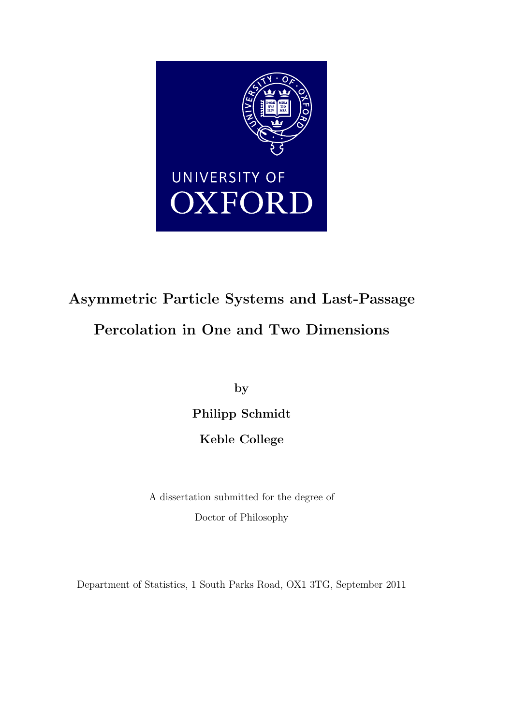

# Asymmetric Particle Systems and Last-Passage Percolation in One and Two Dimensions

by

Philipp Schmidt

Keble College

A dissertation submitted for the degree of Doctor of Philosophy

Department of Statistics, 1 South Parks Road, OX1 3TG, September 2011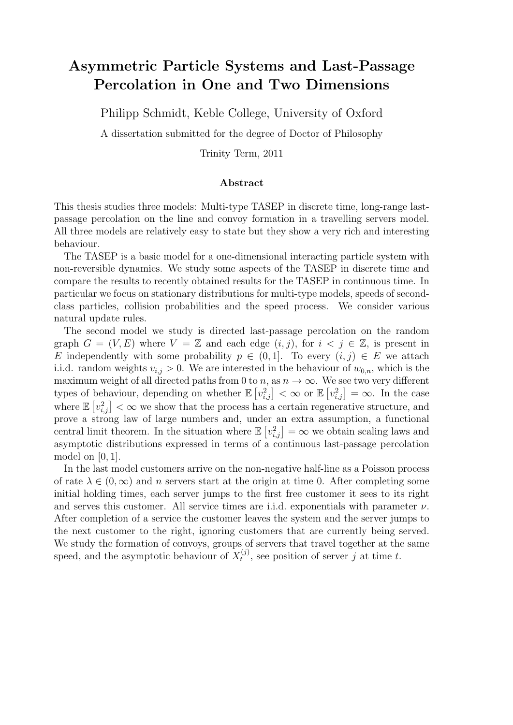## Asymmetric Particle Systems and Last-Passage Percolation in One and Two Dimensions

Philipp Schmidt, Keble College, University of Oxford

A dissertation submitted for the degree of Doctor of Philosophy

Trinity Term, 2011

#### Abstract

This thesis studies three models: Multi-type TASEP in discrete time, long-range lastpassage percolation on the line and convoy formation in a travelling servers model. All three models are relatively easy to state but they show a very rich and interesting behaviour.

The TASEP is a basic model for a one-dimensional interacting particle system with non-reversible dynamics. We study some aspects of the TASEP in discrete time and compare the results to recently obtained results for the TASEP in continuous time. In particular we focus on stationary distributions for multi-type models, speeds of secondclass particles, collision probabilities and the speed process. We consider various natural update rules.

The second model we study is directed last-passage percolation on the random graph  $G = (V, E)$  where  $V = \mathbb{Z}$  and each edge  $(i, j)$ , for  $i < j \in \mathbb{Z}$ , is present in E independently with some probability  $p \in (0,1]$ . To every  $(i, j) \in E$  we attach i.i.d. random weights  $v_{i,j} > 0$ . We are interested in the behaviour of  $w_{0,n}$ , which is the maximum weight of all directed paths from 0 to n, as  $n \to \infty$ . We see two very different types of behaviour, depending on whether  $\mathbb{E}\left[v_{i,j}^2\right]<\infty$  or  $\mathbb{E}\left[v_{i,j}^2\right]=\infty$ . In the case where  $\mathbb{E}\left[v_{i,j}^2\right]<\infty$  we show that the process has a certain regenerative structure, and prove a strong law of large numbers and, under an extra assumption, a functional central limit theorem. In the situation where  $\mathbb{E}\left[v_{i,j}^2\right] = \infty$  we obtain scaling laws and asymptotic distributions expressed in terms of a continuous last-passage percolation model on  $[0, 1]$ .

In the last model customers arrive on the non-negative half-line as a Poisson process of rate  $\lambda \in (0,\infty)$  and n servers start at the origin at time 0. After completing some initial holding times, each server jumps to the first free customer it sees to its right and serves this customer. All service times are i.i.d. exponentials with parameter  $\nu$ . After completion of a service the customer leaves the system and the server jumps to the next customer to the right, ignoring customers that are currently being served. We study the formation of convoys, groups of servers that travel together at the same speed, and the asymptotic behaviour of  $X_t^{(j)}$  $t_t^{(j)}$ , see position of server j at time t.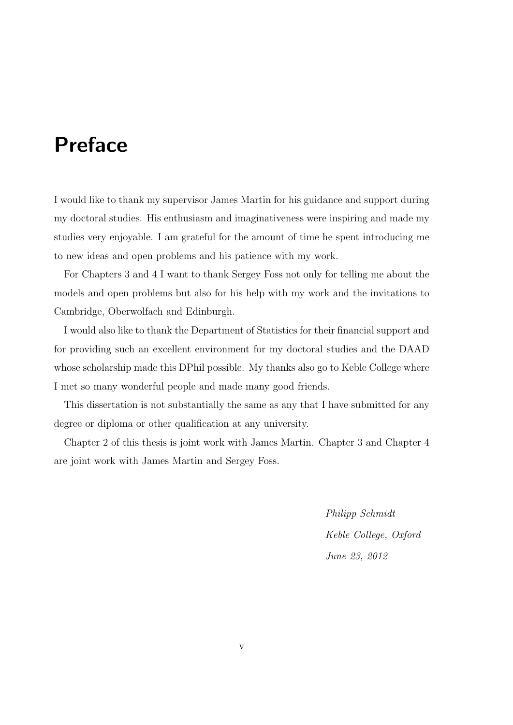# Preface

I would like to thank my supervisor James Martin for his guidance and support during my doctoral studies. His enthusiasm and imaginativeness were inspiring and made my studies very enjoyable. I am grateful for the amount of time he spent introducing me to new ideas and open problems and his patience with my work.

For Chapters 3 and 4 I want to thank Sergey Foss not only for telling me about the models and open problems but also for his help with my work and the invitations to Cambridge, Oberwolfach and Edinburgh.

I would also like to thank the Department of Statistics for their financial support and for providing such an excellent environment for my doctoral studies and the DAAD whose scholarship made this DPhil possible. My thanks also go to Keble College where I met so many wonderful people and made many good friends.

This dissertation is not substantially the same as any that I have submitted for any degree or diploma or other qualification at any university.

Chapter 2 of this thesis is joint work with James Martin. Chapter 3 and Chapter 4 are joint work with James Martin and Sergey Foss.

> Philipp Schmidt Keble College, Oxford June 23, 2012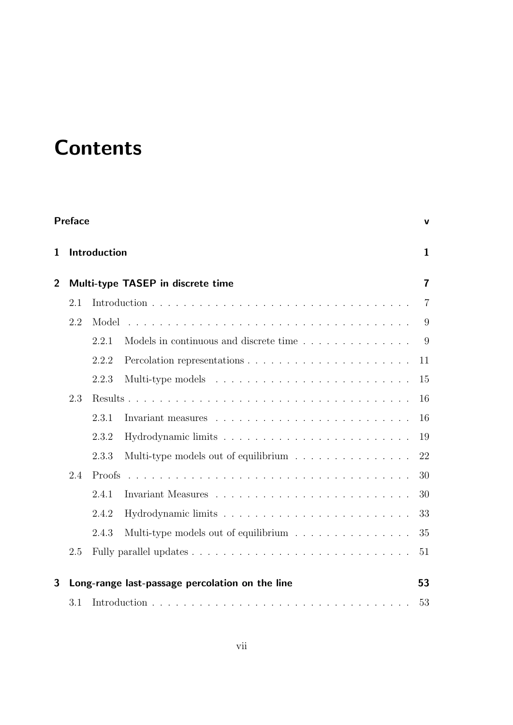# **Contents**

|                | <b>Preface</b><br>v                                 |              |                                                                           |                |  |  |  |
|----------------|-----------------------------------------------------|--------------|---------------------------------------------------------------------------|----------------|--|--|--|
| $\mathbf{1}$   | Introduction                                        | $\mathbf{1}$ |                                                                           |                |  |  |  |
| $\overline{2}$ | $\overline{7}$<br>Multi-type TASEP in discrete time |              |                                                                           |                |  |  |  |
|                | 2.1                                                 |              |                                                                           | $\overline{7}$ |  |  |  |
|                | 2.2                                                 | Model        |                                                                           | 9              |  |  |  |
|                |                                                     | 2.2.1        | Models in continuous and discrete time                                    | 9              |  |  |  |
|                |                                                     | 2.2.2        |                                                                           | 11             |  |  |  |
|                |                                                     | 2.2.3        | Multi-type models $\dots \dots \dots \dots \dots \dots \dots \dots \dots$ | 15             |  |  |  |
|                | 2.3                                                 |              |                                                                           |                |  |  |  |
|                |                                                     | 2.3.1        |                                                                           | 16             |  |  |  |
|                |                                                     | 2.3.2        |                                                                           | 19             |  |  |  |
|                |                                                     | 2.3.3        | Multi-type models out of equilibrium $\ldots \ldots \ldots \ldots$        | 22             |  |  |  |
|                | 2.4                                                 | Proofs       |                                                                           | 30             |  |  |  |
|                |                                                     | 2.4.1        |                                                                           | 30             |  |  |  |
|                |                                                     | 2.4.2        |                                                                           | 33             |  |  |  |
|                |                                                     | 2.4.3        | Multi-type models out of equilibrium $\ldots \ldots \ldots \ldots \ldots$ | 35             |  |  |  |
|                | 2.5                                                 |              |                                                                           |                |  |  |  |
| 3              |                                                     |              | Long-range last-passage percolation on the line                           | 53             |  |  |  |
|                | 3.1                                                 |              |                                                                           | 53             |  |  |  |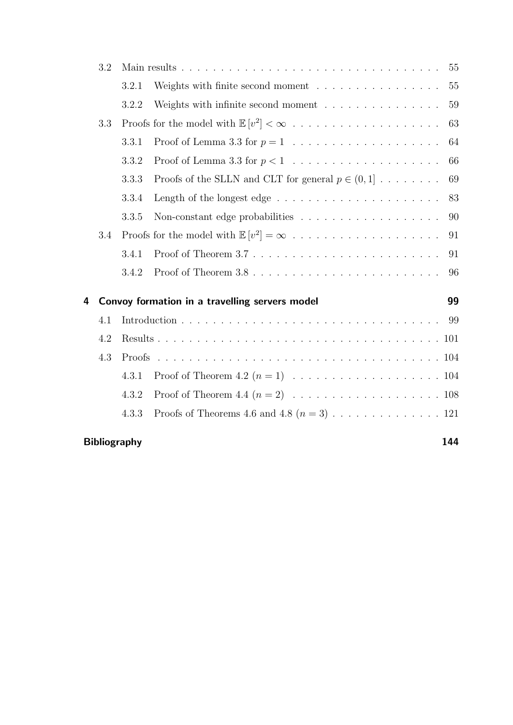|   | $3.2\,$ |                                                |                                                                                |    |  |
|---|---------|------------------------------------------------|--------------------------------------------------------------------------------|----|--|
|   |         | 3.2.1                                          | Weights with finite second moment $\dots \dots \dots \dots \dots$              | 55 |  |
|   |         | 3.2.2                                          | Weights with infinite second moment $\ldots \ldots \ldots \ldots \ldots$       | 59 |  |
|   | 3.3     |                                                |                                                                                |    |  |
|   |         | 3.3.1                                          |                                                                                | 64 |  |
|   |         | 3.3.2                                          |                                                                                | 66 |  |
|   |         | 3.3.3                                          | Proofs of the SLLN and CLT for general $p \in (0,1]$                           | 69 |  |
|   |         | 3.3.4                                          |                                                                                | 83 |  |
|   |         | 3.3.5                                          |                                                                                | 90 |  |
|   | 3.4     |                                                |                                                                                | 91 |  |
|   |         | 3.4.1                                          | Proof of Theorem $3.7 \ldots \ldots \ldots \ldots \ldots \ldots \ldots \ldots$ | 91 |  |
|   |         | 3.4.2                                          |                                                                                | 96 |  |
| 4 |         | Convoy formation in a travelling servers model |                                                                                |    |  |
|   | 4.1     |                                                |                                                                                |    |  |
|   | 4.2     | Proofs                                         |                                                                                |    |  |
|   | 4.3     |                                                |                                                                                |    |  |
|   |         | 4.3.1                                          |                                                                                |    |  |
|   |         | 4.3.2                                          |                                                                                |    |  |
|   |         | 4.3.3                                          |                                                                                |    |  |
|   |         |                                                |                                                                                |    |  |

## Bibliography 144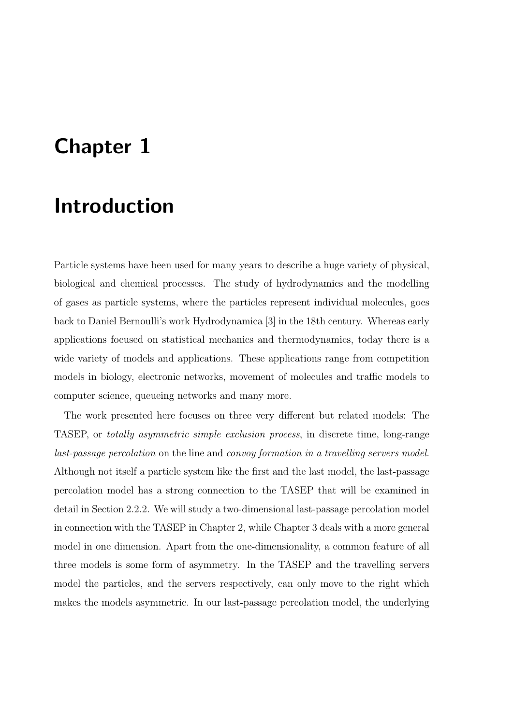# Chapter 1

# Introduction

Particle systems have been used for many years to describe a huge variety of physical, biological and chemical processes. The study of hydrodynamics and the modelling of gases as particle systems, where the particles represent individual molecules, goes back to Daniel Bernoulli's work Hydrodynamica [3] in the 18th century. Whereas early applications focused on statistical mechanics and thermodynamics, today there is a wide variety of models and applications. These applications range from competition models in biology, electronic networks, movement of molecules and traffic models to computer science, queueing networks and many more.

The work presented here focuses on three very different but related models: The TASEP, or totally asymmetric simple exclusion process, in discrete time, long-range last-passage percolation on the line and convoy formation in a travelling servers model. Although not itself a particle system like the first and the last model, the last-passage percolation model has a strong connection to the TASEP that will be examined in detail in Section 2.2.2. We will study a two-dimensional last-passage percolation model in connection with the TASEP in Chapter 2, while Chapter 3 deals with a more general model in one dimension. Apart from the one-dimensionality, a common feature of all three models is some form of asymmetry. In the TASEP and the travelling servers model the particles, and the servers respectively, can only move to the right which makes the models asymmetric. In our last-passage percolation model, the underlying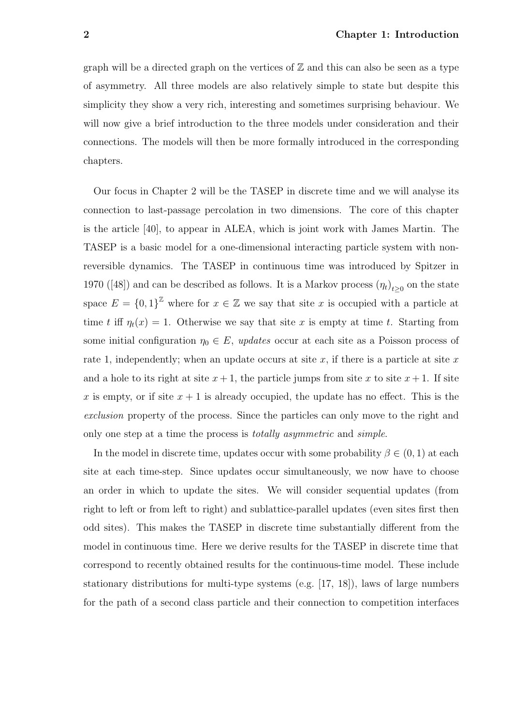graph will be a directed graph on the vertices of  $\mathbb Z$  and this can also be seen as a type of asymmetry. All three models are also relatively simple to state but despite this simplicity they show a very rich, interesting and sometimes surprising behaviour. We will now give a brief introduction to the three models under consideration and their connections. The models will then be more formally introduced in the corresponding chapters.

Our focus in Chapter 2 will be the TASEP in discrete time and we will analyse its connection to last-passage percolation in two dimensions. The core of this chapter is the article [40], to appear in ALEA, which is joint work with James Martin. The TASEP is a basic model for a one-dimensional interacting particle system with nonreversible dynamics. The TASEP in continuous time was introduced by Spitzer in 1970 ([48]) and can be described as follows. It is a Markov process  $(\eta_t)_{t\geq 0}$  on the state space  $E = \{0,1\}^{\mathbb{Z}}$  where for  $x \in \mathbb{Z}$  we say that site x is occupied with a particle at time t iff  $\eta_t(x) = 1$ . Otherwise we say that site x is empty at time t. Starting from some initial configuration  $\eta_0 \in E$ , updates occur at each site as a Poisson process of rate 1, independently; when an update occurs at site  $x$ , if there is a particle at site  $x$ and a hole to its right at site  $x + 1$ , the particle jumps from site x to site  $x + 1$ . If site x is empty, or if site  $x + 1$  is already occupied, the update has no effect. This is the exclusion property of the process. Since the particles can only move to the right and only one step at a time the process is *totally asymmetric* and *simple*.

In the model in discrete time, updates occur with some probability  $\beta \in (0,1)$  at each site at each time-step. Since updates occur simultaneously, we now have to choose an order in which to update the sites. We will consider sequential updates (from right to left or from left to right) and sublattice-parallel updates (even sites first then odd sites). This makes the TASEP in discrete time substantially different from the model in continuous time. Here we derive results for the TASEP in discrete time that correspond to recently obtained results for the continuous-time model. These include stationary distributions for multi-type systems (e.g. [17, 18]), laws of large numbers for the path of a second class particle and their connection to competition interfaces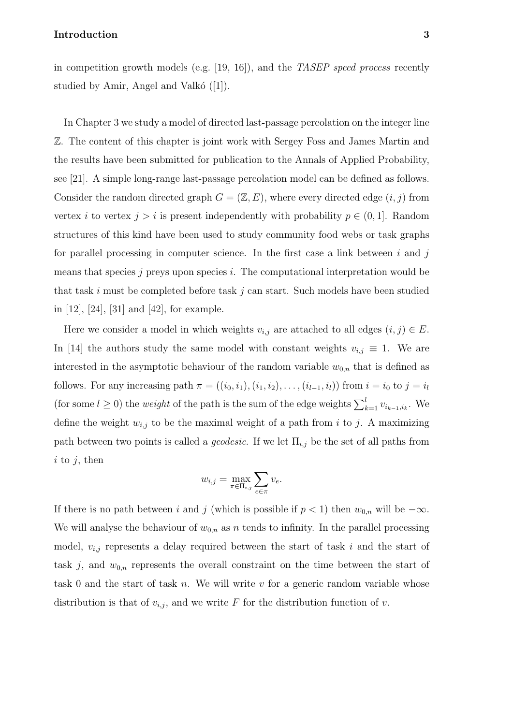#### Introduction 3

in competition growth models (e.g. [19, 16]), and the TASEP speed process recently studied by Amir, Angel and Valkó  $([1])$ .

In Chapter 3 we study a model of directed last-passage percolation on the integer line Z. The content of this chapter is joint work with Sergey Foss and James Martin and the results have been submitted for publication to the Annals of Applied Probability, see [21]. A simple long-range last-passage percolation model can be defined as follows. Consider the random directed graph  $G = (\mathbb{Z}, E)$ , where every directed edge  $(i, j)$  from vertex i to vertex  $j > i$  is present independently with probability  $p \in (0, 1]$ . Random structures of this kind have been used to study community food webs or task graphs for parallel processing in computer science. In the first case a link between  $i$  and  $j$ means that species  $j$  preys upon species  $i$ . The computational interpretation would be that task i must be completed before task j can start. Such models have been studied in [12], [24], [31] and [42], for example.

Here we consider a model in which weights  $v_{i,j}$  are attached to all edges  $(i, j) \in E$ . In [14] the authors study the same model with constant weights  $v_{i,j} \equiv 1$ . We are interested in the asymptotic behaviour of the random variable  $w_{0,n}$  that is defined as follows. For any increasing path  $\pi = ((i_0, i_1), (i_1, i_2), \ldots, (i_{l-1}, i_l))$  from  $i = i_0$  to  $j = i_l$ (for some  $l \geq 0$ ) the *weight* of the path is the sum of the edge weights  $\sum_{k=1}^{l} v_{i_{k-1},i_k}$ . We define the weight  $w_{i,j}$  to be the maximal weight of a path from i to j. A maximizing path between two points is called a *geodesic*. If we let  $\Pi_{i,j}$  be the set of all paths from  $i$  to  $j$ , then

$$
w_{i,j} = \max_{\pi \in \Pi_{i,j}} \sum_{e \in \pi} v_e.
$$

If there is no path between i and j (which is possible if  $p < 1$ ) then  $w_{0,n}$  will be  $-\infty$ . We will analyse the behaviour of  $w_{0,n}$  as n tends to infinity. In the parallel processing model,  $v_{i,j}$  represents a delay required between the start of task i and the start of task j, and  $w_{0,n}$  represents the overall constraint on the time between the start of task 0 and the start of task n. We will write  $v$  for a generic random variable whose distribution is that of  $v_{i,j}$ , and we write F for the distribution function of v.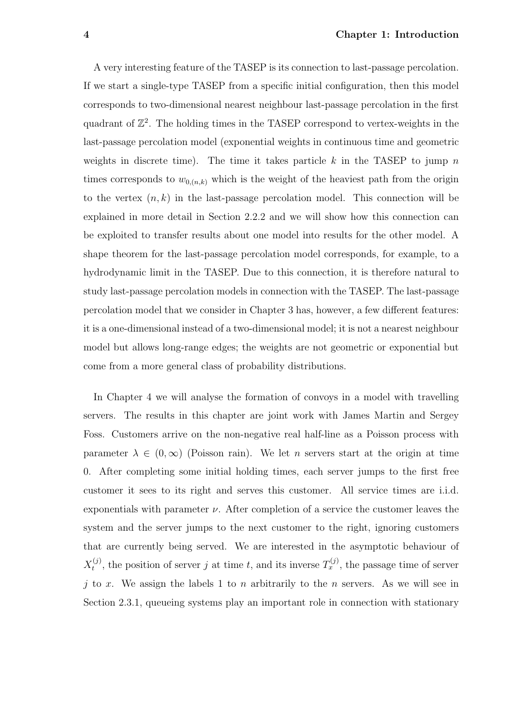A very interesting feature of the TASEP is its connection to last-passage percolation. If we start a single-type TASEP from a specific initial configuration, then this model corresponds to two-dimensional nearest neighbour last-passage percolation in the first quadrant of  $\mathbb{Z}^2$ . The holding times in the TASEP correspond to vertex-weights in the last-passage percolation model (exponential weights in continuous time and geometric weights in discrete time). The time it takes particle k in the TASEP to jump n times corresponds to  $w_{0,(n,k)}$  which is the weight of the heaviest path from the origin to the vertex  $(n, k)$  in the last-passage percolation model. This connection will be explained in more detail in Section 2.2.2 and we will show how this connection can be exploited to transfer results about one model into results for the other model. A shape theorem for the last-passage percolation model corresponds, for example, to a hydrodynamic limit in the TASEP. Due to this connection, it is therefore natural to study last-passage percolation models in connection with the TASEP. The last-passage percolation model that we consider in Chapter 3 has, however, a few different features: it is a one-dimensional instead of a two-dimensional model; it is not a nearest neighbour model but allows long-range edges; the weights are not geometric or exponential but come from a more general class of probability distributions.

In Chapter 4 we will analyse the formation of convoys in a model with travelling servers. The results in this chapter are joint work with James Martin and Sergey Foss. Customers arrive on the non-negative real half-line as a Poisson process with parameter  $\lambda \in (0,\infty)$  (Poisson rain). We let *n* servers start at the origin at time 0. After completing some initial holding times, each server jumps to the first free customer it sees to its right and serves this customer. All service times are i.i.d. exponentials with parameter  $\nu$ . After completion of a service the customer leaves the system and the server jumps to the next customer to the right, ignoring customers that are currently being served. We are interested in the asymptotic behaviour of  $X_t^{(j)}$  $t_i^{(j)}$ , the position of server j at time t, and its inverse  $T_x^{(j)}$ , the passage time of server j to x. We assign the labels 1 to n arbitrarily to the n servers. As we will see in Section 2.3.1, queueing systems play an important role in connection with stationary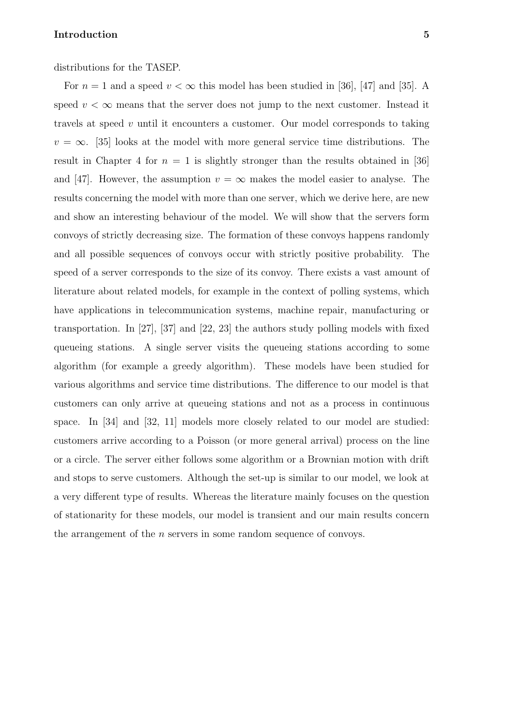#### **Introduction** 5

distributions for the TASEP.

For  $n = 1$  and a speed  $v < \infty$  this model has been studied in [36], [47] and [35]. A speed  $v < \infty$  means that the server does not jump to the next customer. Instead it travels at speed  $v$  until it encounters a customer. Our model corresponds to taking  $v = \infty$ . [35] looks at the model with more general service time distributions. The result in Chapter 4 for  $n = 1$  is slightly stronger than the results obtained in [36] and [47]. However, the assumption  $v = \infty$  makes the model easier to analyse. The results concerning the model with more than one server, which we derive here, are new and show an interesting behaviour of the model. We will show that the servers form convoys of strictly decreasing size. The formation of these convoys happens randomly and all possible sequences of convoys occur with strictly positive probability. The speed of a server corresponds to the size of its convoy. There exists a vast amount of literature about related models, for example in the context of polling systems, which have applications in telecommunication systems, machine repair, manufacturing or transportation. In [27], [37] and [22, 23] the authors study polling models with fixed queueing stations. A single server visits the queueing stations according to some algorithm (for example a greedy algorithm). These models have been studied for various algorithms and service time distributions. The difference to our model is that customers can only arrive at queueing stations and not as a process in continuous space. In [34] and [32, 11] models more closely related to our model are studied: customers arrive according to a Poisson (or more general arrival) process on the line or a circle. The server either follows some algorithm or a Brownian motion with drift and stops to serve customers. Although the set-up is similar to our model, we look at a very different type of results. Whereas the literature mainly focuses on the question of stationarity for these models, our model is transient and our main results concern the arrangement of the n servers in some random sequence of convoys.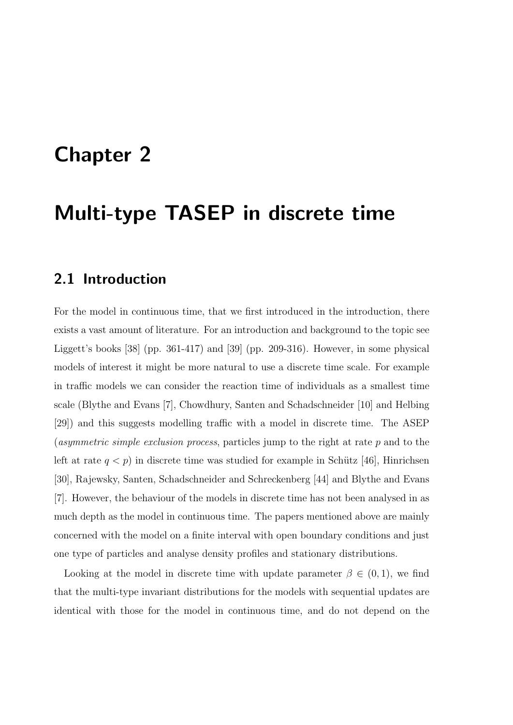# Chapter 2

## Multi-type TASEP in discrete time

## 2.1 Introduction

For the model in continuous time, that we first introduced in the introduction, there exists a vast amount of literature. For an introduction and background to the topic see Liggett's books [38] (pp. 361-417) and [39] (pp. 209-316). However, in some physical models of interest it might be more natural to use a discrete time scale. For example in traffic models we can consider the reaction time of individuals as a smallest time scale (Blythe and Evans [7], Chowdhury, Santen and Schadschneider [10] and Helbing [29]) and this suggests modelling traffic with a model in discrete time. The ASEP (asymmetric simple exclusion process, particles jump to the right at rate  $p$  and to the left at rate  $q < p$ ) in discrete time was studied for example in Schütz [46], Hinrichsen [30], Rajewsky, Santen, Schadschneider and Schreckenberg [44] and Blythe and Evans [7]. However, the behaviour of the models in discrete time has not been analysed in as much depth as the model in continuous time. The papers mentioned above are mainly concerned with the model on a finite interval with open boundary conditions and just one type of particles and analyse density profiles and stationary distributions.

Looking at the model in discrete time with update parameter  $\beta \in (0,1)$ , we find that the multi-type invariant distributions for the models with sequential updates are identical with those for the model in continuous time, and do not depend on the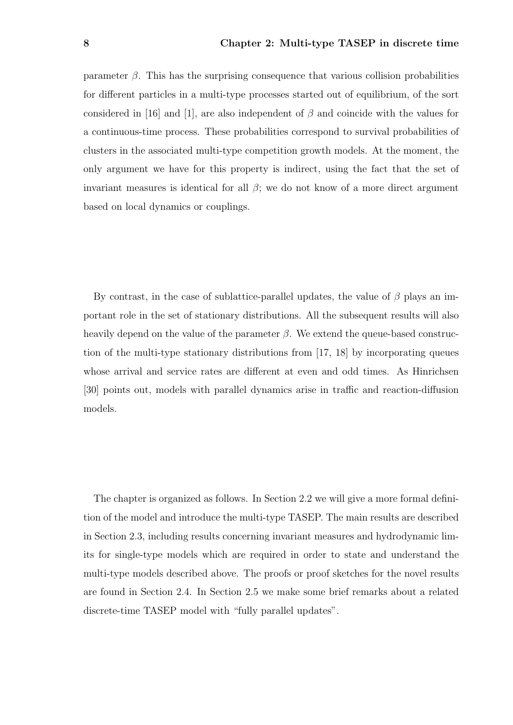parameter  $\beta$ . This has the surprising consequence that various collision probabilities for different particles in a multi-type processes started out of equilibrium, of the sort considered in [16] and [1], are also independent of  $\beta$  and coincide with the values for a continuous-time process. These probabilities correspond to survival probabilities of clusters in the associated multi-type competition growth models. At the moment, the only argument we have for this property is indirect, using the fact that the set of invariant measures is identical for all  $\beta$ ; we do not know of a more direct argument based on local dynamics or couplings.

By contrast, in the case of sublattice-parallel updates, the value of  $\beta$  plays an important role in the set of stationary distributions. All the subsequent results will also heavily depend on the value of the parameter  $\beta$ . We extend the queue-based construction of the multi-type stationary distributions from [17, 18] by incorporating queues whose arrival and service rates are different at even and odd times. As Hinrichsen [30] points out, models with parallel dynamics arise in traffic and reaction-diffusion models.

The chapter is organized as follows. In Section 2.2 we will give a more formal definition of the model and introduce the multi-type TASEP. The main results are described in Section 2.3, including results concerning invariant measures and hydrodynamic limits for single-type models which are required in order to state and understand the multi-type models described above. The proofs or proof sketches for the novel results are found in Section 2.4. In Section 2.5 we make some brief remarks about a related discrete-time TASEP model with "fully parallel updates".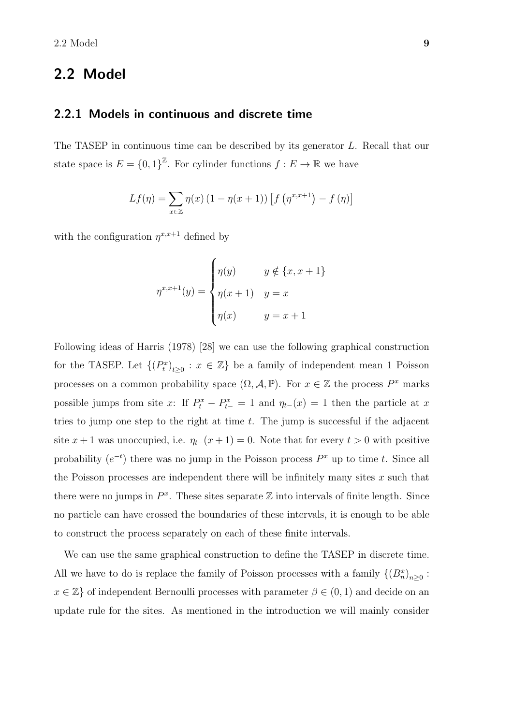## 2.2 Model

### 2.2.1 Models in continuous and discrete time

The TASEP in continuous time can be described by its generator L. Recall that our state space is  $E = \{0,1\}^{\mathbb{Z}}$ . For cylinder functions  $f : E \to \mathbb{R}$  we have

$$
Lf(\eta) = \sum_{x \in \mathbb{Z}} \eta(x) (1 - \eta(x+1)) [f(\eta^{x,x+1}) - f(\eta)]
$$

with the configuration  $\eta^{x,x+1}$  defined by

$$
\eta^{x,x+1}(y) = \begin{cases} \eta(y) & y \notin \{x, x+1\} \\ \eta(x+1) & y=x \\ \eta(x) & y=x+1 \end{cases}
$$

Following ideas of Harris (1978) [28] we can use the following graphical construction for the TASEP. Let  $\{(P_t^x)_{t\geq 0} : x \in \mathbb{Z}\}\)$  be a family of independent mean 1 Poisson processes on a common probability space  $(\Omega, \mathcal{A}, \mathbb{P})$ . For  $x \in \mathbb{Z}$  the process  $P^x$  marks possible jumps from site x: If  $P_t^x - P_{t-}^x = 1$  and  $\eta_{t-}(x) = 1$  then the particle at x tries to jump one step to the right at time  $t$ . The jump is successful if the adjacent site  $x + 1$  was unoccupied, i.e.  $\eta_{t-}(x+1) = 0$ . Note that for every  $t > 0$  with positive probability  $(e^{-t})$  there was no jump in the Poisson process  $P^x$  up to time t. Since all the Poisson processes are independent there will be infinitely many sites  $x$  such that there were no jumps in  $P^x$ . These sites separate  $\mathbb Z$  into intervals of finite length. Since no particle can have crossed the boundaries of these intervals, it is enough to be able to construct the process separately on each of these finite intervals.

We can use the same graphical construction to define the TASEP in discrete time. All we have to do is replace the family of Poisson processes with a family  $\{(B_n^x)_{n\geq 0} :$  $x \in \mathbb{Z}$  of independent Bernoulli processes with parameter  $\beta \in (0,1)$  and decide on an update rule for the sites. As mentioned in the introduction we will mainly consider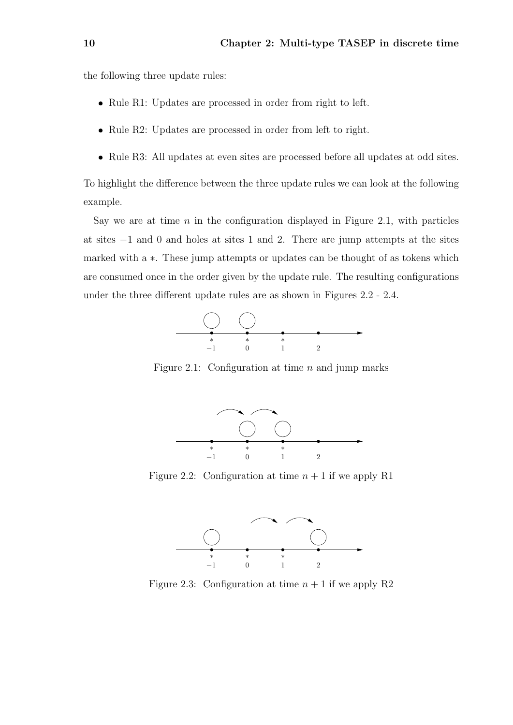the following three update rules:

- Rule R1: Updates are processed in order from right to left.
- Rule R2: Updates are processed in order from left to right.
- Rule R3: All updates at even sites are processed before all updates at odd sites.

To highlight the difference between the three update rules we can look at the following example.

Say we are at time  $n$  in the configuration displayed in Figure 2.1, with particles at sites −1 and 0 and holes at sites 1 and 2. There are jump attempts at the sites marked with a ∗. These jump attempts or updates can be thought of as tokens which are consumed once in the order given by the update rule. The resulting configurations under the three different update rules are as shown in Figures 2.2 - 2.4.



Figure 2.1: Configuration at time  $n$  and jump marks



Figure 2.2: Configuration at time  $n + 1$  if we apply R1



Figure 2.3: Configuration at time  $n + 1$  if we apply R2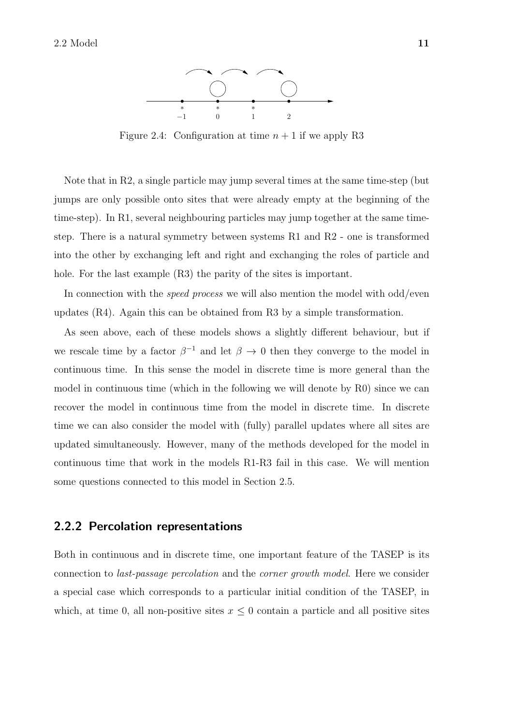

Figure 2.4: Configuration at time  $n + 1$  if we apply R3

Note that in R2, a single particle may jump several times at the same time-step (but jumps are only possible onto sites that were already empty at the beginning of the time-step). In R1, several neighbouring particles may jump together at the same timestep. There is a natural symmetry between systems R1 and R2 - one is transformed into the other by exchanging left and right and exchanging the roles of particle and hole. For the last example  $(R3)$  the parity of the sites is important.

In connection with the *speed process* we will also mention the model with odd/even updates (R4). Again this can be obtained from R3 by a simple transformation.

As seen above, each of these models shows a slightly different behaviour, but if we rescale time by a factor  $\beta^{-1}$  and let  $\beta \to 0$  then they converge to the model in continuous time. In this sense the model in discrete time is more general than the model in continuous time (which in the following we will denote by R0) since we can recover the model in continuous time from the model in discrete time. In discrete time we can also consider the model with (fully) parallel updates where all sites are updated simultaneously. However, many of the methods developed for the model in continuous time that work in the models R1-R3 fail in this case. We will mention some questions connected to this model in Section 2.5.

### 2.2.2 Percolation representations

Both in continuous and in discrete time, one important feature of the TASEP is its connection to last-passage percolation and the corner growth model. Here we consider a special case which corresponds to a particular initial condition of the TASEP, in which, at time 0, all non-positive sites  $x \leq 0$  contain a particle and all positive sites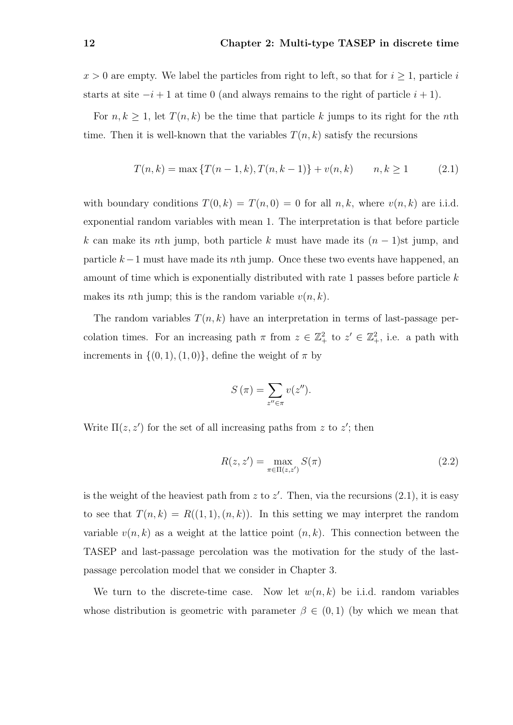$x > 0$  are empty. We label the particles from right to left, so that for  $i \geq 1$ , particle i starts at site  $-i+1$  at time 0 (and always remains to the right of particle  $i+1$ ).

For  $n, k \geq 1$ , let  $T(n, k)$  be the time that particle k jumps to its right for the nth time. Then it is well-known that the variables  $T(n, k)$  satisfy the recursions

$$
T(n,k) = \max\{T(n-1,k), T(n,k-1)\} + v(n,k) \qquad n,k \ge 1 \tag{2.1}
$$

with boundary conditions  $T(0, k) = T(n, 0) = 0$  for all  $n, k$ , where  $v(n, k)$  are i.i.d. exponential random variables with mean 1. The interpretation is that before particle k can make its nth jump, both particle k must have made its  $(n-1)$ st jump, and particle  $k-1$  must have made its nth jump. Once these two events have happened, an amount of time which is exponentially distributed with rate 1 passes before particle k makes its *n*th jump; this is the random variable  $v(n, k)$ .

The random variables  $T(n, k)$  have an interpretation in terms of last-passage percolation times. For an increasing path  $\pi$  from  $z \in \mathbb{Z}_+^2$  to  $z' \in \mathbb{Z}_+^2$ , i.e. a path with increments in  $\{(0, 1), (1, 0)\}\,$ , define the weight of  $\pi$  by

$$
S(\pi) = \sum_{z'' \in \pi} v(z'').
$$

Write  $\Pi(z, z')$  for the set of all increasing paths from z to z'; then

$$
R(z, z') = \max_{\pi \in \Pi(z, z')} S(\pi)
$$
 (2.2)

is the weight of the heaviest path from z to  $z'$ . Then, via the recursions  $(2.1)$ , it is easy to see that  $T(n, k) = R((1, 1), (n, k))$ . In this setting we may interpret the random variable  $v(n, k)$  as a weight at the lattice point  $(n, k)$ . This connection between the TASEP and last-passage percolation was the motivation for the study of the lastpassage percolation model that we consider in Chapter 3.

We turn to the discrete-time case. Now let  $w(n, k)$  be i.i.d. random variables whose distribution is geometric with parameter  $\beta \in (0,1)$  (by which we mean that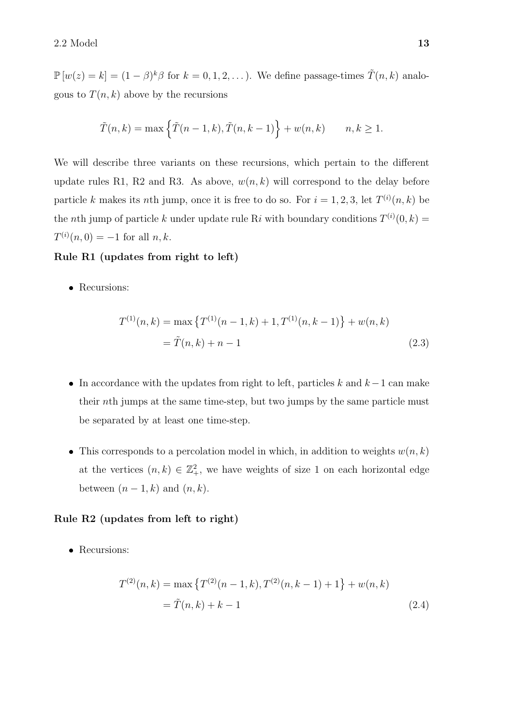$\mathbb{P}\left[w(z)=k\right] = (1-\beta)^k \beta$  for  $k=0,1,2,\ldots$ ). We define passage-times  $\tilde{T}(n,k)$  analogous to  $T(n, k)$  above by the recursions

$$
\tilde{T}(n,k) = \max\left\{\tilde{T}(n-1,k), \tilde{T}(n,k-1)\right\} + w(n,k) \qquad n,k \ge 1.
$$

We will describe three variants on these recursions, which pertain to the different update rules R1, R2 and R3. As above,  $w(n, k)$  will correspond to the delay before particle k makes its nth jump, once it is free to do so. For  $i = 1, 2, 3$ , let  $T^{(i)}(n, k)$  be the *n*th jump of particle k under update rule Ri with boundary conditions  $T^{(i)}(0, k) =$  $T^{(i)}(n,0) = -1$  for all  $n, k$ .

#### Rule R1 (updates from right to left)

• Recursions:

$$
T^{(1)}(n,k) = \max \{ T^{(1)}(n-1,k) + 1, T^{(1)}(n,k-1) \} + w(n,k)
$$
  
=  $\tilde{T}(n,k) + n - 1$  (2.3)

- In accordance with the updates from right to left, particles k and  $k-1$  can make their nth jumps at the same time-step, but two jumps by the same particle must be separated by at least one time-step.
- This corresponds to a percolation model in which, in addition to weights  $w(n, k)$ at the vertices  $(n, k) \in \mathbb{Z}_+^2$ , we have weights of size 1 on each horizontal edge between  $(n-1, k)$  and  $(n, k)$ .

#### Rule R2 (updates from left to right)

• Recursions:

$$
T^{(2)}(n,k) = \max \{ T^{(2)}(n-1,k), T^{(2)}(n,k-1)+1 \} + w(n,k)
$$
  
=  $\tilde{T}(n,k) + k - 1$  (2.4)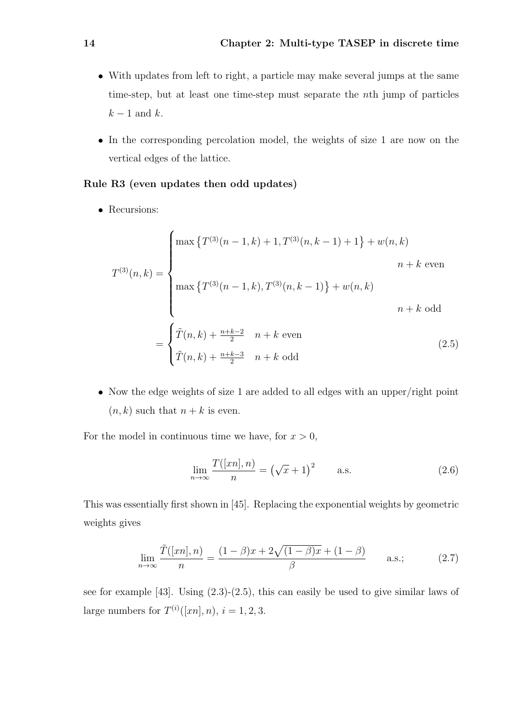- With updates from left to right, a particle may make several jumps at the same time-step, but at least one time-step must separate the nth jump of particles  $k-1$  and k.
- In the corresponding percolation model, the weights of size 1 are now on the vertical edges of the lattice.

#### Rule R3 (even updates then odd updates)

• Recursions:

$$
T^{(3)}(n,k) = \begin{cases} \max \left\{ T^{(3)}(n-1,k) + 1, T^{(3)}(n,k-1) + 1 \right\} + w(n,k) & n+k \text{ even} \\ \\ \max \left\{ T^{(3)}(n-1,k), T^{(3)}(n,k-1) \right\} + w(n,k) & n+k \text{ odd} \end{cases}
$$

$$
= \begin{cases} \tilde{T}(n,k) + \frac{n+k-2}{2} & n+k \text{ even} \\ \tilde{T}(n,k) + \frac{n+k-3}{2} & n+k \text{ odd} \end{cases}
$$
(2.5)

 Now the edge weights of size 1 are added to all edges with an upper/right point  $(n, k)$  such that  $n + k$  is even.

For the model in continuous time we have, for  $x > 0$ ,

$$
\lim_{n \to \infty} \frac{T([xn], n)}{n} = (\sqrt{x} + 1)^2 \qquad \text{a.s.} \tag{2.6}
$$

This was essentially first shown in [45]. Replacing the exponential weights by geometric weights gives

$$
\lim_{n \to \infty} \frac{\tilde{T}([xn], n)}{n} = \frac{(1-\beta)x + 2\sqrt{(1-\beta)x} + (1-\beta)}{\beta} \quad \text{a.s.};
$$
\n(2.7)

see for example [43]. Using (2.3)-(2.5), this can easily be used to give similar laws of large numbers for  $T^{(i)}([xn], n)$ ,  $i = 1, 2, 3$ .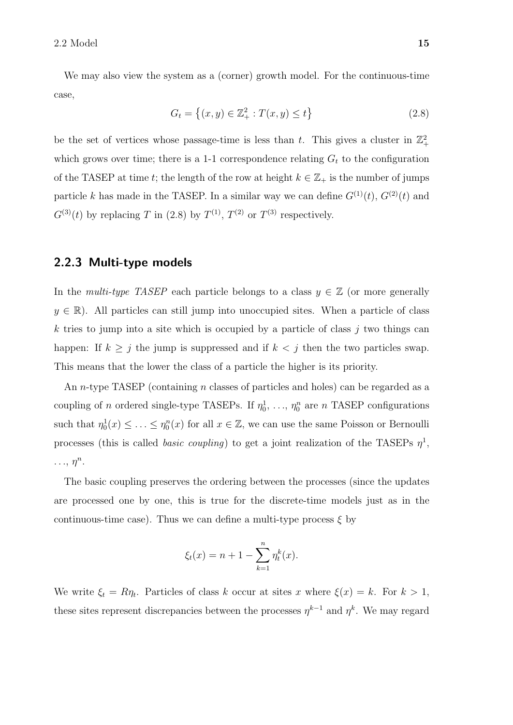We may also view the system as a (corner) growth model. For the continuous-time case,

$$
G_t = \left\{ (x, y) \in \mathbb{Z}_+^2 : T(x, y) \le t \right\}
$$
\n(2.8)

be the set of vertices whose passage-time is less than t. This gives a cluster in  $\mathbb{Z}_+^2$ which grows over time; there is a 1-1 correspondence relating  $G_t$  to the configuration of the TASEP at time t; the length of the row at height  $k \in \mathbb{Z}_+$  is the number of jumps particle k has made in the TASEP. In a similar way we can define  $G^{(1)}(t)$ ,  $G^{(2)}(t)$  and  $G^{(3)}(t)$  by replacing T in (2.8) by  $T^{(1)}$ ,  $T^{(2)}$  or  $T^{(3)}$  respectively.

### 2.2.3 Multi-type models

In the *multi-type TASEP* each particle belongs to a class  $y \in \mathbb{Z}$  (or more generally  $y \in \mathbb{R}$ ). All particles can still jump into unoccupied sites. When a particle of class k tries to jump into a site which is occupied by a particle of class  $j$  two things can happen: If  $k \geq j$  the jump is suppressed and if  $k < j$  then the two particles swap. This means that the lower the class of a particle the higher is its priority.

An *n*-type TASEP (containing *n* classes of particles and holes) can be regarded as a coupling of *n* ordered single-type TASEPs. If  $\eta_0^1, \ldots, \eta_0^n$  are *n* TASEP configurations such that  $\eta_0^1(x) \leq \ldots \leq \eta_0^n(x)$  for all  $x \in \mathbb{Z}$ , we can use the same Poisson or Bernoulli processes (this is called *basic coupling*) to get a joint realization of the TASEPs  $\eta^1$ ,  $\ldots$ ,  $\eta^n$ .

The basic coupling preserves the ordering between the processes (since the updates are processed one by one, this is true for the discrete-time models just as in the continuous-time case). Thus we can define a multi-type process  $\xi$  by

$$
\xi_t(x) = n + 1 - \sum_{k=1}^n \eta_t^k(x).
$$

We write  $\xi_t = R\eta_t$ . Particles of class k occur at sites x where  $\xi(x) = k$ . For  $k > 1$ , these sites represent discrepancies between the processes  $\eta^{k-1}$  and  $\eta^k$ . We may regard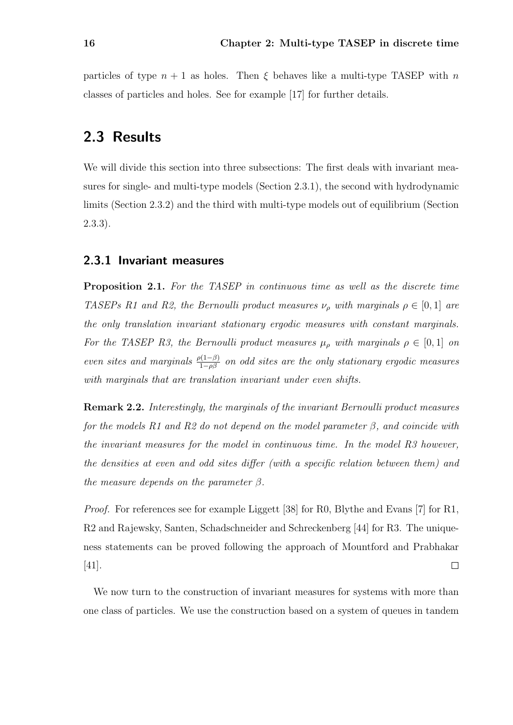particles of type  $n + 1$  as holes. Then  $\xi$  behaves like a multi-type TASEP with n classes of particles and holes. See for example [17] for further details.

## 2.3 Results

We will divide this section into three subsections: The first deals with invariant measures for single- and multi-type models (Section 2.3.1), the second with hydrodynamic limits (Section 2.3.2) and the third with multi-type models out of equilibrium (Section 2.3.3).

### 2.3.1 Invariant measures

Proposition 2.1. For the TASEP in continuous time as well as the discrete time TASEPs R1 and R2, the Bernoulli product measures  $\nu_{\rho}$  with marginals  $\rho \in [0,1]$  are the only translation invariant stationary ergodic measures with constant marginals. For the TASEP R3, the Bernoulli product measures  $\mu_{\rho}$  with marginals  $\rho \in [0,1]$  on even sites and marginals  $\frac{\rho(1-\beta)}{1-\rho\beta}$  on odd sites are the only stationary ergodic measures with marginals that are translation invariant under even shifts.

Remark 2.2. Interestingly, the marginals of the invariant Bernoulli product measures for the models R1 and R2 do not depend on the model parameter  $\beta$ , and coincide with the invariant measures for the model in continuous time. In the model R3 however, the densities at even and odd sites differ (with a specific relation between them) and the measure depends on the parameter  $\beta$ .

Proof. For references see for example Liggett [38] for R0, Blythe and Evans [7] for R1, R2 and Rajewsky, Santen, Schadschneider and Schreckenberg [44] for R3. The uniqueness statements can be proved following the approach of Mountford and Prabhakar [41].  $\Box$ 

We now turn to the construction of invariant measures for systems with more than one class of particles. We use the construction based on a system of queues in tandem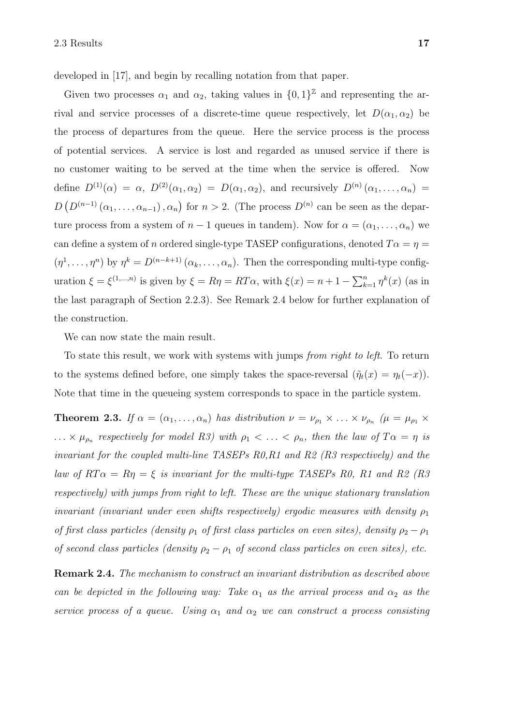developed in [17], and begin by recalling notation from that paper.

Given two processes  $\alpha_1$  and  $\alpha_2$ , taking values in  $\{0,1\}^{\mathbb{Z}}$  and representing the arrival and service processes of a discrete-time queue respectively, let  $D(\alpha_1, \alpha_2)$  be the process of departures from the queue. Here the service process is the process of potential services. A service is lost and regarded as unused service if there is no customer waiting to be served at the time when the service is offered. Now define  $D^{(1)}(\alpha) = \alpha$ ,  $D^{(2)}(\alpha_1, \alpha_2) = D(\alpha_1, \alpha_2)$ , and recursively  $D^{(n)}(\alpha_1, \ldots, \alpha_n) =$  $D(D^{(n-1)}(\alpha_1,\ldots,\alpha_{n-1}),\alpha_n)$  for  $n>2$ . (The process  $D^{(n)}$  can be seen as the departure process from a system of  $n-1$  queues in tandem). Now for  $\alpha = (\alpha_1, \ldots, \alpha_n)$  we can define a system of n ordered single-type TASEP configurations, denoted  $T\alpha = \eta =$  $(\eta^1, \ldots, \eta^n)$  by  $\eta^k = D^{(n-k+1)}(\alpha_k, \ldots, \alpha_n)$ . Then the corresponding multi-type configuration  $\xi = \xi^{(1,...,n)}$  is given by  $\xi = R\eta = RT\alpha$ , with  $\xi(x) = n + 1 - \sum_{k=1}^{n} \eta^k(x)$  (as in the last paragraph of Section 2.2.3). See Remark 2.4 below for further explanation of the construction.

We can now state the main result.

To state this result, we work with systems with jumps from right to left. To return to the systems defined before, one simply takes the space-reversal  $(\tilde{\eta}_t(x) = \eta_t(-x))$ . Note that time in the queueing system corresponds to space in the particle system.

**Theorem 2.3.** If  $\alpha = (\alpha_1, \ldots, \alpha_n)$  has distribution  $\nu = \nu_{\rho_1} \times \ldots \times \nu_{\rho_n}$  ( $\mu = \mu_{\rho_1} \times \ldots \times \mu_{\rho_n}$  $\ldots \times \mu_{\rho_n}$  respectively for model R3) with  $\rho_1 < \ldots < \rho_n$ , then the law of  $T\alpha = \eta$  is invariant for the coupled multi-line TASEPs R0,R1 and R2 (R3 respectively) and the law of  $RT\alpha = R\eta = \xi$  is invariant for the multi-type TASEPs R0, R1 and R2 (R3) respectively) with jumps from right to left. These are the unique stationary translation invariant (invariant under even shifts respectively) ergodic measures with density  $\rho_1$ of first class particles (density  $\rho_1$  of first class particles on even sites), density  $\rho_2 - \rho_1$ of second class particles (density  $\rho_2 - \rho_1$  of second class particles on even sites), etc.

Remark 2.4. The mechanism to construct an invariant distribution as described above can be depicted in the following way: Take  $\alpha_1$  as the arrival process and  $\alpha_2$  as the service process of a queue. Using  $\alpha_1$  and  $\alpha_2$  we can construct a process consisting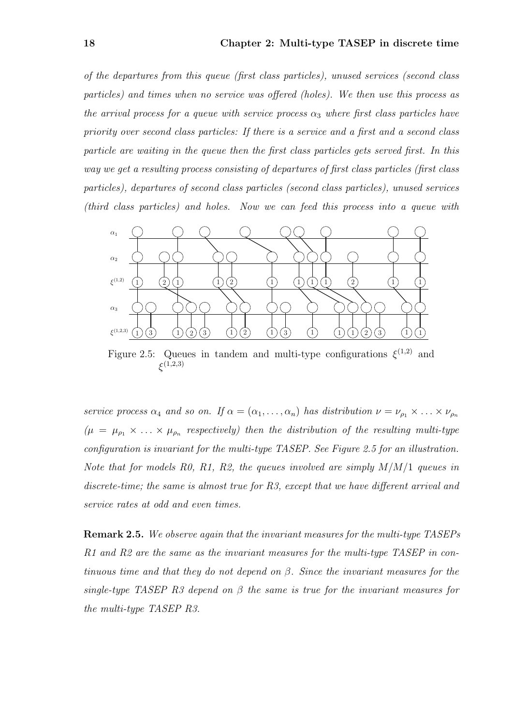of the departures from this queue (first class particles), unused services (second class particles) and times when no service was offered (holes). We then use this process as the arrival process for a queue with service process  $\alpha_3$  where first class particles have priority over second class particles: If there is a service and a first and a second class particle are waiting in the queue then the first class particles gets served first. In this way we get a resulting process consisting of departures of first class particles (first class particles), departures of second class particles (second class particles), unused services (third class particles) and holes. Now we can feed this process into a queue with



Figure 2.5: Queues in tandem and multi-type configurations  $\xi^{(1,2)}$  and  $\xi^{(1,2,3)}$ 

service process  $\alpha_4$  and so on. If  $\alpha = (\alpha_1, \ldots, \alpha_n)$  has distribution  $\nu = \nu_{\rho_1} \times \ldots \times \nu_{\rho_n}$  $(\mu = \mu_{\rho_1} \times ... \times \mu_{\rho_n}$  respectively) then the distribution of the resulting multi-type configuration is invariant for the multi-type TASEP. See Figure 2.5 for an illustration. Note that for models R0, R1, R2, the queues involved are simply  $M/M/1$  queues in discrete-time; the same is almost true for R3, except that we have different arrival and service rates at odd and even times.

Remark 2.5. We observe again that the invariant measures for the multi-type TASEPs R1 and R2 are the same as the invariant measures for the multi-type TASEP in continuous time and that they do not depend on  $\beta$ . Since the invariant measures for the single-type TASEP R3 depend on  $\beta$  the same is true for the invariant measures for the multi-type TASEP R3.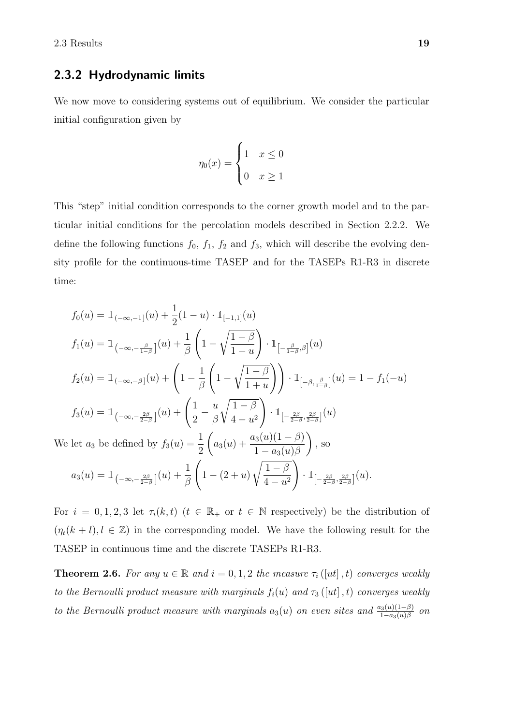### 2.3.2 Hydrodynamic limits

We now move to considering systems out of equilibrium. We consider the particular initial configuration given by

$$
\eta_0(x) = \begin{cases} 1 & x \le 0 \\ 0 & x \ge 1 \end{cases}
$$

This "step" initial condition corresponds to the corner growth model and to the particular initial conditions for the percolation models described in Section 2.2.2. We define the following functions  $f_0$ ,  $f_1$ ,  $f_2$  and  $f_3$ , which will describe the evolving density profile for the continuous-time TASEP and for the TASEPs R1-R3 in discrete time:

$$
f_0(u) = 1_{(-\infty, -1]}(u) + \frac{1}{2}(1-u) \cdot 1_{[-1,1]}(u)
$$
  
\n
$$
f_1(u) = 1_{(-\infty, -\frac{\beta}{1-\beta}]}(u) + \frac{1}{\beta} \left(1 - \sqrt{\frac{1-\beta}{1-u}}\right) \cdot 1_{[-\frac{\beta}{1-\beta}, \beta]}(u)
$$
  
\n
$$
f_2(u) = 1_{(-\infty, -\beta]}(u) + \left(1 - \frac{1}{\beta} \left(1 - \sqrt{\frac{1-\beta}{1+u}}\right)\right) \cdot 1_{[-\beta, \frac{\beta}{1-\beta}]}(u) = 1 - f_1(-u)
$$
  
\n
$$
f_3(u) = 1_{(-\infty, -\frac{2\beta}{2-\beta}]}(u) + \left(\frac{1}{2} - \frac{u}{\beta} \sqrt{\frac{1-\beta}{4-u^2}}\right) \cdot 1_{[-\frac{2\beta}{2-\beta}, \frac{2\beta}{2-\beta}]}(u)
$$
  
\nWe let  $a_3$  be defined by  $f_3(u) = \frac{1}{2} \left(a_3(u) + \frac{a_3(u)(1-\beta)}{1-a_3(u)\beta}\right)$ , so  
\n
$$
a_3(u) = 1_{(-\infty, -\frac{2\beta}{2-\beta}]}(u) + \frac{1}{\beta} \left(1 - (2+u) \sqrt{\frac{1-\beta}{4-u^2}}\right) \cdot 1_{[-\frac{2\beta}{2-\beta}, \frac{2\beta}{2-\beta}]}(u).
$$

For  $i = 0, 1, 2, 3$  let  $\tau_i(k, t)$   $(t \in \mathbb{R}_+$  or  $t \in \mathbb{N}$  respectively) be the distribution of  $(\eta_t(k+l), l \in \mathbb{Z})$  in the corresponding model. We have the following result for the TASEP in continuous time and the discrete TASEPs R1-R3.

**Theorem 2.6.** For any  $u \in \mathbb{R}$  and  $i = 0, 1, 2$  the measure  $\tau_i([ut], t)$  converges weakly to the Bernoulli product measure with marginals  $f_i(u)$  and  $\tau_3([ut],t)$  converges weakly to the Bernoulli product measure with marginals  $a_3(u)$  on even sites and  $\frac{a_3(u)(1-\beta)}{1-a_3(u)\beta}$  on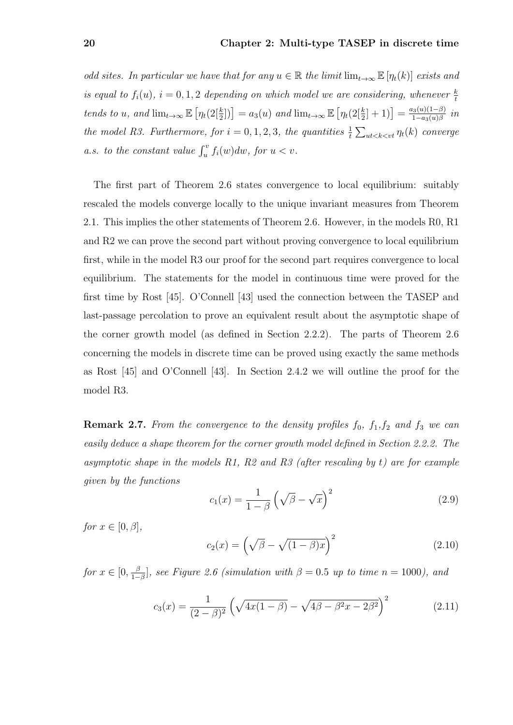odd sites. In particular we have that for any  $u \in \mathbb{R}$  the limit  $\lim_{t\to\infty} \mathbb{E} [\eta_t(k)]$  exists and is equal to  $f_i(u)$ ,  $i = 0, 1, 2$  depending on which model we are considering, whenever  $\frac{k}{t}$ tends to u, and  $\lim_{t\to\infty} \mathbb{E}\left[\eta_t(2\left[\frac{k}{2}\right])\right] = a_3(u)$  and  $\lim_{t\to\infty} \mathbb{E}\left[\eta_t(2\left[\frac{k}{2}\right]+1)\right] = \frac{a_3(u)(1-\beta)}{1-a_3(u)\beta}$  $\frac{a_3(u)(1-\beta)}{1-a_3(u)\beta}$  in the model R3. Furthermore, for  $i = 0, 1, 2, 3$ , the quantities  $\frac{1}{t} \sum_{ut < k < vt} \eta_t(k)$  converge a.s. to the constant value  $\int_u^v f_i(w)dw$ , for  $u < v$ .

The first part of Theorem 2.6 states convergence to local equilibrium: suitably rescaled the models converge locally to the unique invariant measures from Theorem 2.1. This implies the other statements of Theorem 2.6. However, in the models R0, R1 and R2 we can prove the second part without proving convergence to local equilibrium first, while in the model R3 our proof for the second part requires convergence to local equilibrium. The statements for the model in continuous time were proved for the first time by Rost [45]. O'Connell [43] used the connection between the TASEP and last-passage percolation to prove an equivalent result about the asymptotic shape of the corner growth model (as defined in Section 2.2.2). The parts of Theorem 2.6 concerning the models in discrete time can be proved using exactly the same methods as Rost [45] and O'Connell [43]. In Section 2.4.2 we will outline the proof for the model R3.

**Remark 2.7.** From the convergence to the density profiles  $f_0$ ,  $f_1, f_2$  and  $f_3$  we can easily deduce a shape theorem for the corner growth model defined in Section 2.2.2. The asymptotic shape in the models R1, R2 and R3 (after rescaling by t) are for example given by the functions

$$
c_1(x) = \frac{1}{1-\beta} \left(\sqrt{\beta} - \sqrt{x}\right)^2 \tag{2.9}
$$

for  $x \in [0, \beta]$ ,

$$
c_2(x) = \left(\sqrt{\beta} - \sqrt{(1-\beta)x}\right)^2\tag{2.10}
$$

for  $x \in [0, \frac{\beta}{1 - \beta}]$  $\frac{\beta}{1-\beta}$ , see Figure 2.6 (simulation with  $\beta = 0.5$  up to time  $n = 1000$ ), and

$$
c_3(x) = \frac{1}{(2-\beta)^2} \left(\sqrt{4x(1-\beta)} - \sqrt{4\beta - \beta^2 x - 2\beta^2}\right)^2
$$
 (2.11)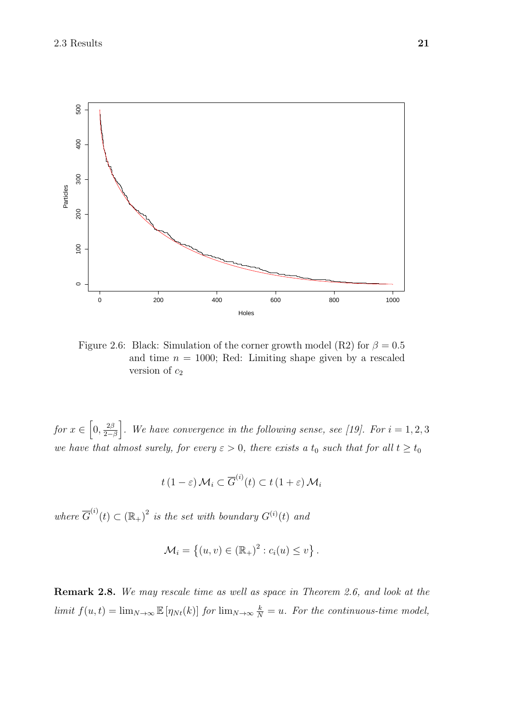

Figure 2.6: Black: Simulation of the corner growth model (R2) for  $\beta = 0.5$ and time  $n = 1000$ ; Red: Limiting shape given by a rescaled version of  $c_2$ 

for  $x \in \left[0, \frac{2\beta}{2}\right]$  $\left(\frac{2\beta}{2-\beta}\right)$ . We have convergence in the following sense, see [19]. For  $i=1,2,3$ we have that almost surely, for every  $\varepsilon > 0$ , there exists a  $t_0$  such that for all  $t \geq t_0$ 

$$
t(1-\varepsilon)\mathcal{M}_i \subset \overline{G}^{(i)}(t) \subset t(1+\varepsilon)\mathcal{M}_i
$$

where  $\overline{G}^{(i)}(t) \subset (\mathbb{R}_{+})^2$  is the set with boundary  $G^{(i)}(t)$  and

$$
\mathcal{M}_i = \left\{ (u, v) \in (\mathbb{R}_+)^2 : c_i(u) \le v \right\}.
$$

Remark 2.8. We may rescale time as well as space in Theorem 2.6, and look at the limit  $f(u,t) = \lim_{N \to \infty} \mathbb{E} [\eta_{Nt}(k)]$  for  $\lim_{N \to \infty} \frac{k}{N} = u$ . For the continuous-time model,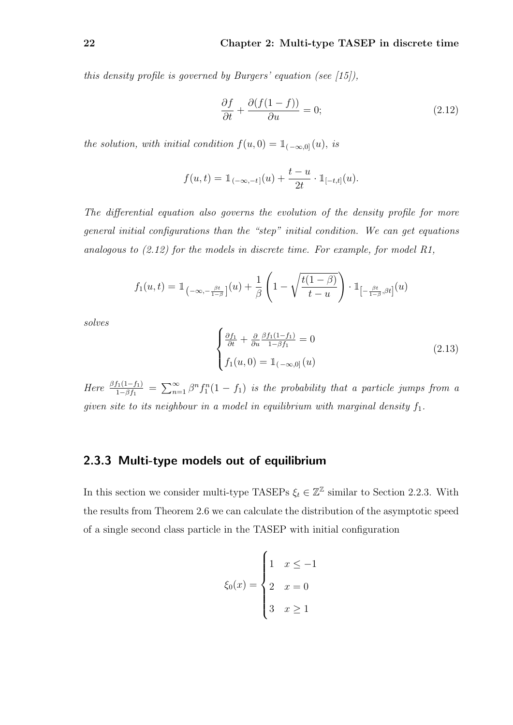this density profile is governed by Burgers' equation (see  $(15)$ ),

$$
\frac{\partial f}{\partial t} + \frac{\partial (f(1-f))}{\partial u} = 0; \tag{2.12}
$$

the solution, with initial condition  $f(u, 0) = \mathbb{1}_{(-\infty,0]}(u)$ , is

$$
f(u,t) = \mathbb{1}_{(-\infty,-t]}(u) + \frac{t-u}{2t} \cdot \mathbb{1}_{[-t,t]}(u).
$$

The differential equation also governs the evolution of the density profile for more general initial configurations than the "step" initial condition. We can get equations analogous to (2.12) for the models in discrete time. For example, for model R1,

$$
f_1(u,t) = \mathbb{1}_{\left(-\infty, -\frac{\beta t}{1-\beta}\right]}(u) + \frac{1}{\beta} \left(1 - \sqrt{\frac{t(1-\beta)}{t-u}}\right) \cdot \mathbb{1}_{\left[-\frac{\beta t}{1-\beta}, \beta t\right]}(u)
$$

solves

$$
\begin{cases} \frac{\partial f_1}{\partial t} + \frac{\partial}{\partial u} \frac{\beta f_1(1-f_1)}{1-\beta f_1} = 0\\ f_1(u,0) = \mathbb{1}_{(-\infty,0]}(u) \end{cases}
$$
(2.13)

Here  $\frac{\beta f_1(1-f_1)}{1-\beta f_1} = \sum_{n=1}^{\infty} \beta^n f_1^n(1-f_1)$  is the probability that a particle jumps from a given site to its neighbour in a model in equilibrium with marginal density  $f_1$ .

### 2.3.3 Multi-type models out of equilibrium

In this section we consider multi-type TASEPs  $\xi_t \in \mathbb{Z}^{\mathbb{Z}}$  similar to Section 2.2.3. With the results from Theorem 2.6 we can calculate the distribution of the asymptotic speed of a single second class particle in the TASEP with initial configuration

$$
\xi_0(x) = \begin{cases} 1 & x \le -1 \\ 2 & x = 0 \\ 3 & x \ge 1 \end{cases}
$$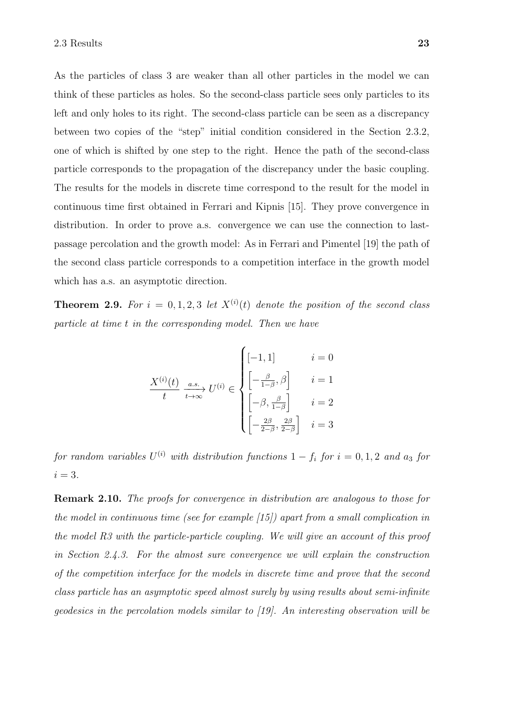As the particles of class 3 are weaker than all other particles in the model we can think of these particles as holes. So the second-class particle sees only particles to its left and only holes to its right. The second-class particle can be seen as a discrepancy between two copies of the "step" initial condition considered in the Section 2.3.2, one of which is shifted by one step to the right. Hence the path of the second-class particle corresponds to the propagation of the discrepancy under the basic coupling. The results for the models in discrete time correspond to the result for the model in continuous time first obtained in Ferrari and Kipnis [15]. They prove convergence in distribution. In order to prove a.s. convergence we can use the connection to lastpassage percolation and the growth model: As in Ferrari and Pimentel [19] the path of the second class particle corresponds to a competition interface in the growth model which has a.s. an asymptotic direction.

**Theorem 2.9.** For  $i = 0, 1, 2, 3$  let  $X^{(i)}(t)$  denote the position of the second class particle at time t in the corresponding model. Then we have

$$
\frac{X^{(i)}(t)}{t} \xrightarrow[a.s.]{a.s.} U^{(i)} \in \begin{cases} \left[-1, 1\right] & i = 0\\ \left[-\frac{\beta}{1-\beta}, \beta\right] & i = 1\\ \left[-\beta, \frac{\beta}{1-\beta}\right] & i = 2\\ \left[-\frac{2\beta}{2-\beta}, \frac{2\beta}{2-\beta}\right] & i = 3 \end{cases}
$$

for random variables  $U^{(i)}$  with distribution functions  $1 - f_i$  for  $i = 0, 1, 2$  and  $a_3$  for  $i = 3$ .

Remark 2.10. The proofs for convergence in distribution are analogous to those for the model in continuous time (see for example [15]) apart from a small complication in the model R3 with the particle-particle coupling. We will give an account of this proof in Section 2.4.3. For the almost sure convergence we will explain the construction of the competition interface for the models in discrete time and prove that the second class particle has an asymptotic speed almost surely by using results about semi-infinite geodesics in the percolation models similar to [19]. An interesting observation will be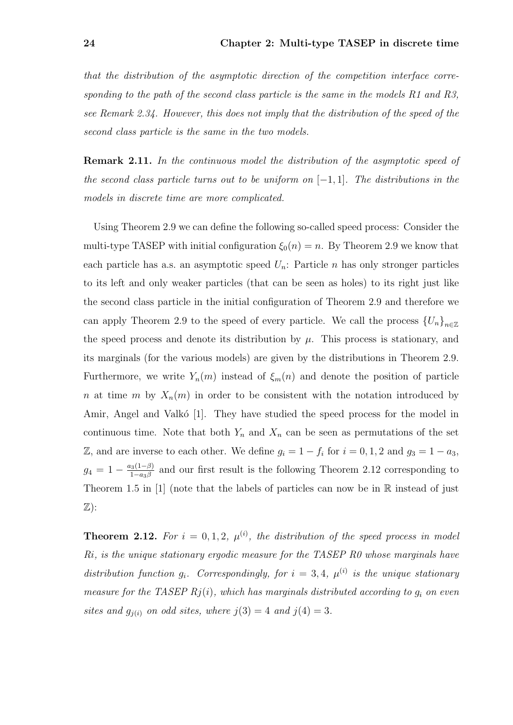that the distribution of the asymptotic direction of the competition interface corresponding to the path of the second class particle is the same in the models R1 and R3, see Remark 2.34. However, this does not imply that the distribution of the speed of the second class particle is the same in the two models.

Remark 2.11. In the continuous model the distribution of the asymptotic speed of the second class particle turns out to be uniform on  $[-1, 1]$ . The distributions in the models in discrete time are more complicated.

Using Theorem 2.9 we can define the following so-called speed process: Consider the multi-type TASEP with initial configuration  $\xi_0(n) = n$ . By Theorem 2.9 we know that each particle has a.s. an asymptotic speed  $U_n$ : Particle *n* has only stronger particles to its left and only weaker particles (that can be seen as holes) to its right just like the second class particle in the initial configuration of Theorem 2.9 and therefore we can apply Theorem 2.9 to the speed of every particle. We call the process  ${U_n}_{n\in\mathbb{Z}}$ the speed process and denote its distribution by  $\mu$ . This process is stationary, and its marginals (for the various models) are given by the distributions in Theorem 2.9. Furthermore, we write  $Y_n(m)$  instead of  $\xi_m(n)$  and denote the position of particle n at time m by  $X_n(m)$  in order to be consistent with the notation introduced by Amir, Angel and Valkó [1]. They have studied the speed process for the model in continuous time. Note that both  $Y_n$  and  $X_n$  can be seen as permutations of the set Z, and are inverse to each other. We define  $g_i = 1 - f_i$  for  $i = 0, 1, 2$  and  $g_3 = 1 - a_3$ ,  $g_4 = 1 - \frac{a_3(1-\beta)}{1-a_2\beta}$  $\frac{13(1-p)}{1-a_3\beta}$  and our first result is the following Theorem 2.12 corresponding to Theorem 1.5 in  $[1]$  (note that the labels of particles can now be in  $\mathbb R$  instead of just  $\mathbb{Z}$ :

**Theorem 2.12.** For  $i = 0, 1, 2, \mu^{(i)}$ , the distribution of the speed process in model Ri, is the unique stationary ergodic measure for the TASEP R0 whose marginals have distribution function  $g_i$ . Correspondingly, for  $i = 3, 4$ ,  $\mu^{(i)}$  is the unique stationary measure for the TASEP  $Rj(i)$ , which has marginals distributed according to  $g_i$  on even sites and  $g_{j(i)}$  on odd sites, where  $j(3) = 4$  and  $j(4) = 3$ .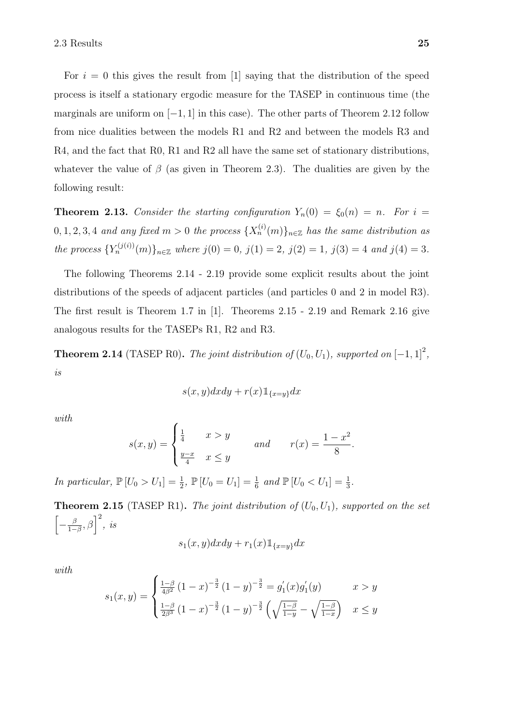For  $i = 0$  this gives the result from [1] saying that the distribution of the speed process is itself a stationary ergodic measure for the TASEP in continuous time (the marginals are uniform on  $[-1, 1]$  in this case). The other parts of Theorem 2.12 follow from nice dualities between the models R1 and R2 and between the models R3 and R4, and the fact that R0, R1 and R2 all have the same set of stationary distributions, whatever the value of  $\beta$  (as given in Theorem 2.3). The dualities are given by the following result:

**Theorem 2.13.** Consider the starting configuration  $Y_n(0) = \xi_0(n) = n$ . For  $i =$  $0, 1, 2, 3, 4$  and any fixed  $m > 0$  the process  $\{X_n^{(i)}(m)\}_{n \in \mathbb{Z}}$  has the same distribution as the process  ${Y_n^{(j(i))}}(m)$ <sub>n∈Z</sub> where  $j(0) = 0$ ,  $j(1) = 2$ ,  $j(2) = 1$ ,  $j(3) = 4$  and  $j(4) = 3$ .

The following Theorems 2.14 - 2.19 provide some explicit results about the joint distributions of the speeds of adjacent particles (and particles 0 and 2 in model R3). The first result is Theorem 1.7 in [1]. Theorems 2.15 - 2.19 and Remark 2.16 give analogous results for the TASEPs R1, R2 and R3.

**Theorem 2.14** (TASEP R0). The joint distribution of  $(U_0, U_1)$ , supported on  $[-1, 1]^2$ , is

$$
s(x,y)dxdy + r(x)1\!\!1_{\{x=y\}}dx
$$

with

$$
s(x,y) = \begin{cases} \frac{1}{4} & x > y \\ \frac{y-x}{4} & x \le y \end{cases} \qquad \text{and} \qquad r(x) = \frac{1-x^2}{8}.
$$

In particular,  $\mathbb{P}[U_0 > U_1] = \frac{1}{2}$ ,  $\mathbb{P}[U_0 = U_1] = \frac{1}{6}$  and  $\mathbb{P}[U_0 < U_1] = \frac{1}{3}$ .

**Theorem 2.15** (TASEP R1). The joint distribution of  $(U_0, U_1)$ , supported on the set  $\left[-\frac{\beta}{1-\beta}\right]$  $\left[\frac{\beta}{1-\beta}, \beta\right]^2$ , is

$$
s_1(x, y)dxdy + r_1(x)1\!\!1_{\{x=y\}}dx
$$

with

$$
s_1(x,y) = \begin{cases} \frac{1-\beta}{4\beta^2} (1-x)^{-\frac{3}{2}} (1-y)^{-\frac{3}{2}} = g_1'(x) g_1'(y) & x > y \\ \frac{1-\beta}{2\beta^3} (1-x)^{-\frac{3}{2}} (1-y)^{-\frac{3}{2}} \left(\sqrt{\frac{1-\beta}{1-y}} - \sqrt{\frac{1-\beta}{1-x}}\right) & x \le y \end{cases}
$$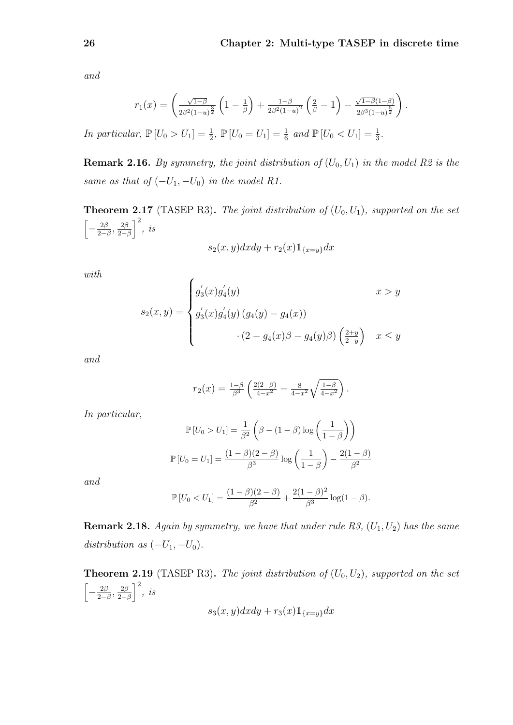and

$$
r_1(x) = \left(\frac{\sqrt{1-\beta}}{2\beta^2(1-u)^{\frac{3}{2}}}\left(1-\frac{1}{\beta}\right) + \frac{1-\beta}{2\beta^2(1-u)^2}\left(\frac{2}{\beta}-1\right) - \frac{\sqrt{1-\beta}(1-\beta)}{2\beta^3(1-u)^{\frac{5}{2}}}\right).
$$

In particular,  $\mathbb{P}[U_0 > U_1] = \frac{1}{2}$ ,  $\mathbb{P}[U_0 = U_1] = \frac{1}{6}$  and  $\mathbb{P}[U_0 < U_1] = \frac{1}{3}$ .

**Remark 2.16.** By symmetry, the joint distribution of  $(U_0, U_1)$  in the model R2 is the same as that of  $(-U_1, -U_0)$  in the model R1.

**Theorem 2.17** (TASEP R3). The joint distribution of  $(U_0, U_1)$ , supported on the set  $\left[-\frac{2\beta}{2}\right]$  $\frac{2\beta}{2-\beta}, \frac{2\beta}{2-\beta}$  $\frac{2\beta}{2-\beta}$ , *is* 

$$
s_2(x, y)dxdy + r_2(x)1_{\{x=y\}}dx
$$

with

$$
s_2(x,y) = \begin{cases} g'_3(x)g'_4(y) & x > y \\ g'_3(x)g'_4(y)(g_4(y) - g_4(x)) & \\ & (2 - g_4(x)\beta - g_4(y)\beta) \left(\frac{2+y}{2-y}\right) & x \le y \end{cases}
$$

and

$$
r_2(x) = \frac{1-\beta}{\beta^3} \left( \frac{2(2-\beta)}{4-x^2} - \frac{8}{4-x^2} \sqrt{\frac{1-\beta}{4-x^2}} \right).
$$

In particular,

$$
\mathbb{P}\left[U_0 > U_1\right] = \frac{1}{\beta^2} \left(\beta - (1 - \beta) \log\left(\frac{1}{1 - \beta}\right)\right)
$$

$$
\mathbb{P}\left[U_0 = U_1\right] = \frac{(1 - \beta)(2 - \beta)}{\beta^3} \log\left(\frac{1}{1 - \beta}\right) - \frac{2(1 - \beta)}{\beta^2}
$$

and

$$
\mathbb{P}\left[U_0 < U_1\right] = \frac{(1-\beta)(2-\beta)}{\beta^2} + \frac{2(1-\beta)^2}{\beta^3} \log(1-\beta).
$$

**Remark 2.18.** Again by symmetry, we have that under rule R3,  $(U_1, U_2)$  has the same distribution as  $(-U_1, -U_0)$ .

**Theorem 2.19** (TASEP R3). The joint distribution of  $(U_0, U_2)$ , supported on the set  $\left[-\frac{2\beta}{2}\right]$  $\frac{2\beta}{2-\beta}, \frac{2\beta}{2-\beta}$  $\frac{2\beta}{2-\beta}$ , *is* 

$$
s_3(x,y)dxdy + r_3(x)1\!\!1_{\{x=y\}}dx
$$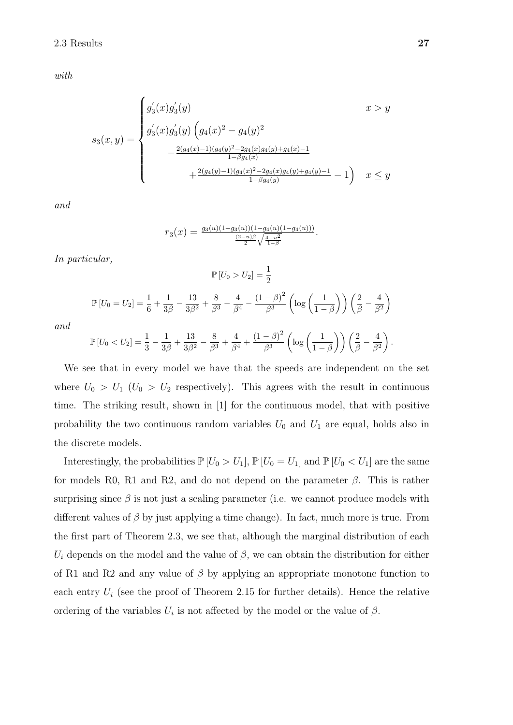with

$$
s_3(x,y) = \begin{cases} g'_3(x)g'_3(y) & x > y \\ g'_3(x)g'_3(y)\left(g_4(x)^2 - g_4(y)^2\right) \\ -\frac{2(g_4(x)-1)(g_4(y)^2 - 2g_4(x)g_4(y) + g_4(x) - 1}{1 - \beta g_4(x)} \\ +\frac{2(g_4(y)-1)(g_4(x)^2 - 2g_4(x)g_4(y) + g_4(y) - 1}{1 - \beta g_4(y)} - 1\right) & x \le y \end{cases}
$$

and

$$
r_3(x) = \frac{g_3(u)(1 - g_3(u))(1 - g_4(u)(1 - g_4(u)))}{\frac{(2 - u)\beta}{2} \sqrt{\frac{4 - u^2}{1 - \beta}}}.
$$

In particular,

$$
\mathbb{P}\left[U_0 > U_2\right] = \frac{1}{2}
$$
  

$$
\mathbb{P}\left[U_0 = U_2\right] = \frac{1}{6} + \frac{1}{3\beta} - \frac{13}{3\beta^2} + \frac{8}{\beta^3} - \frac{4}{\beta^4} - \frac{(1-\beta)^2}{\beta^3} \left(\log\left(\frac{1}{1-\beta}\right)\right) \left(\frac{2}{\beta} - \frac{4}{\beta^2}\right)
$$

and

$$
\mathbb{P}\left[U_0 < U_2\right] = \frac{1}{3} - \frac{1}{3\beta} + \frac{13}{3\beta^2} - \frac{8}{\beta^3} + \frac{4}{\beta^4} + \frac{(1-\beta)^2}{\beta^3} \left(\log\left(\frac{1}{1-\beta}\right)\right) \left(\frac{2}{\beta} - \frac{4}{\beta^2}\right).
$$

We see that in every model we have that the speeds are independent on the set where  $U_0 > U_1$  ( $U_0 > U_2$  respectively). This agrees with the result in continuous time. The striking result, shown in [1] for the continuous model, that with positive probability the two continuous random variables  $U_0$  and  $U_1$  are equal, holds also in the discrete models.

Interestingly, the probabilities  $\mathbb{P}[U_0 > U_1]$ ,  $\mathbb{P}[U_0 = U_1]$  and  $\mathbb{P}[U_0 < U_1]$  are the same for models R0, R1 and R2, and do not depend on the parameter  $\beta$ . This is rather surprising since  $\beta$  is not just a scaling parameter (i.e. we cannot produce models with different values of  $\beta$  by just applying a time change). In fact, much more is true. From the first part of Theorem 2.3, we see that, although the marginal distribution of each  $U_i$  depends on the model and the value of  $\beta$ , we can obtain the distribution for either of R1 and R2 and any value of  $\beta$  by applying an appropriate monotone function to each entry  $U_i$  (see the proof of Theorem 2.15 for further details). Hence the relative ordering of the variables  $U_i$  is not affected by the model or the value of  $\beta$ .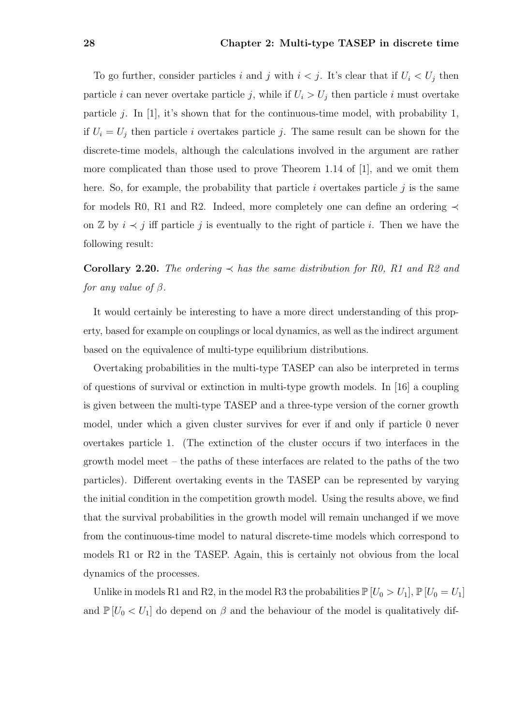To go further, consider particles i and j with  $i < j$ . It's clear that if  $U_i < U_j$  then particle i can never overtake particle j, while if  $U_i > U_j$  then particle i must overtake particle j. In [1], it's shown that for the continuous-time model, with probability 1, if  $U_i = U_j$  then particle i overtakes particle j. The same result can be shown for the discrete-time models, although the calculations involved in the argument are rather more complicated than those used to prove Theorem 1.14 of [1], and we omit them here. So, for example, the probability that particle  $i$  overtakes particle  $j$  is the same for models R0, R1 and R2. Indeed, more completely one can define an ordering  $\prec$ on  $\mathbb Z$  by  $i \prec j$  iff particle j is eventually to the right of particle i. Then we have the following result:

### **Corollary 2.20.** The ordering  $\prec$  has the same distribution for R0, R1 and R2 and for any value of  $\beta$ .

It would certainly be interesting to have a more direct understanding of this property, based for example on couplings or local dynamics, as well as the indirect argument based on the equivalence of multi-type equilibrium distributions.

Overtaking probabilities in the multi-type TASEP can also be interpreted in terms of questions of survival or extinction in multi-type growth models. In [16] a coupling is given between the multi-type TASEP and a three-type version of the corner growth model, under which a given cluster survives for ever if and only if particle 0 never overtakes particle 1. (The extinction of the cluster occurs if two interfaces in the growth model meet – the paths of these interfaces are related to the paths of the two particles). Different overtaking events in the TASEP can be represented by varying the initial condition in the competition growth model. Using the results above, we find that the survival probabilities in the growth model will remain unchanged if we move from the continuous-time model to natural discrete-time models which correspond to models R1 or R2 in the TASEP. Again, this is certainly not obvious from the local dynamics of the processes.

Unlike in models R1 and R2, in the model R3 the probabilities  $\mathbb{P}[U_0 > U_1], \mathbb{P}[U_0 = U_1]$ and  $\mathbb{P}[U_0 \lt U_1]$  do depend on  $\beta$  and the behaviour of the model is qualitatively dif-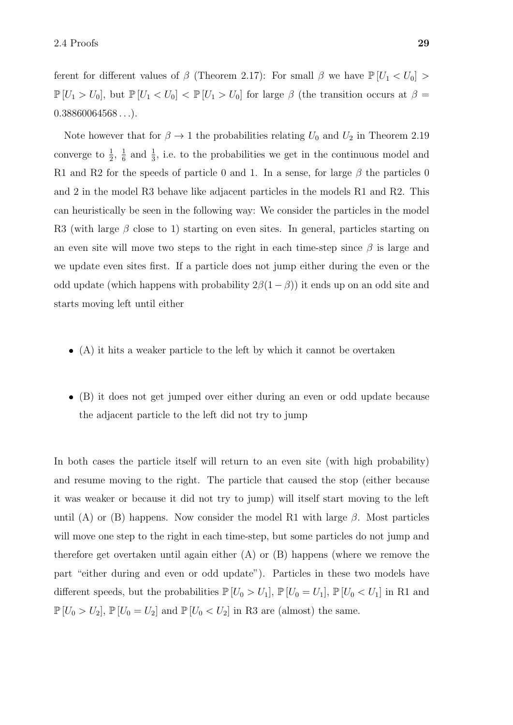ferent for different values of  $\beta$  (Theorem 2.17): For small  $\beta$  we have  $\mathbb{P}[U_1 < U_0] >$  $\mathbb{P}[U_1 > U_0]$ , but  $\mathbb{P}[U_1 < U_0] < \mathbb{P}[U_1 > U_0]$  for large  $\beta$  (the transition occurs at  $\beta =$  $0.38860064568...$ 

Note however that for  $\beta \to 1$  the probabilities relating  $U_0$  and  $U_2$  in Theorem 2.19 converge to  $\frac{1}{2}$ ,  $\frac{1}{6}$  $\frac{1}{6}$  and  $\frac{1}{3}$ , i.e. to the probabilities we get in the continuous model and R1 and R2 for the speeds of particle 0 and 1. In a sense, for large  $\beta$  the particles 0 and 2 in the model R3 behave like adjacent particles in the models R1 and R2. This can heuristically be seen in the following way: We consider the particles in the model R3 (with large  $\beta$  close to 1) starting on even sites. In general, particles starting on an even site will move two steps to the right in each time-step since  $\beta$  is large and we update even sites first. If a particle does not jump either during the even or the odd update (which happens with probability  $2\beta(1-\beta)$ ) it ends up on an odd site and starts moving left until either

- (A) it hits a weaker particle to the left by which it cannot be overtaken
- (B) it does not get jumped over either during an even or odd update because the adjacent particle to the left did not try to jump

In both cases the particle itself will return to an even site (with high probability) and resume moving to the right. The particle that caused the stop (either because it was weaker or because it did not try to jump) will itself start moving to the left until (A) or (B) happens. Now consider the model R1 with large  $\beta$ . Most particles will move one step to the right in each time-step, but some particles do not jump and therefore get overtaken until again either  $(A)$  or  $(B)$  happens (where we remove the part "either during and even or odd update"). Particles in these two models have different speeds, but the probabilities  $\mathbb{P}[U_0 > U_1]$ ,  $\mathbb{P}[U_0 = U_1]$ ,  $\mathbb{P}[U_0 < U_1]$  in R1 and  $\mathbb{P}\left[U_0 > U_2\right]$ ,  $\mathbb{P}\left[U_0 = U_2\right]$  and  $\mathbb{P}\left[U_0 < U_2\right]$  in R3 are (almost) the same.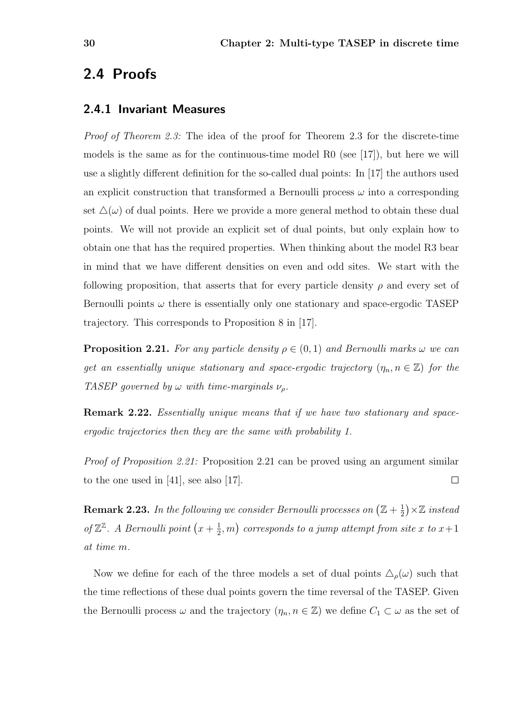### 2.4 Proofs

### 2.4.1 Invariant Measures

Proof of Theorem 2.3: The idea of the proof for Theorem 2.3 for the discrete-time models is the same as for the continuous-time model R0 (see [17]), but here we will use a slightly different definition for the so-called dual points: In [17] the authors used an explicit construction that transformed a Bernoulli process  $\omega$  into a corresponding set  $\Delta(\omega)$  of dual points. Here we provide a more general method to obtain these dual points. We will not provide an explicit set of dual points, but only explain how to obtain one that has the required properties. When thinking about the model R3 bear in mind that we have different densities on even and odd sites. We start with the following proposition, that asserts that for every particle density  $\rho$  and every set of Bernoulli points  $\omega$  there is essentially only one stationary and space-ergodic TASEP trajectory. This corresponds to Proposition 8 in [17].

**Proposition 2.21.** For any particle density  $\rho \in (0,1)$  and Bernoulli marks  $\omega$  we can get an essentially unique stationary and space-ergodic trajectory  $(\eta_n, n \in \mathbb{Z})$  for the TASEP governed by  $\omega$  with time-marginals  $\nu_{\rho}$ .

Remark 2.22. Essentially unique means that if we have two stationary and spaceergodic trajectories then they are the same with probability 1.

Proof of Proposition 2.21: Proposition 2.21 can be proved using an argument similar to the one used in  $[41]$ , see also  $[17]$ .  $\Box$ 

**Remark 2.23.** In the following we consider Bernoulli processes on  $(\mathbb{Z} + \frac{1}{2})$  $(\frac{1}{2}) \times \mathbb{Z}$  instead of  $\mathbb{Z}^{\mathbb{Z}}$ . A Bernoulli point  $\left(x+\frac{1}{2}\right)$  $(\frac{1}{2},m)$  corresponds to a jump attempt from site x to  $x+1$ at time m.

Now we define for each of the three models a set of dual points  $\Delta_{\rho}(\omega)$  such that the time reflections of these dual points govern the time reversal of the TASEP. Given the Bernoulli process  $\omega$  and the trajectory  $(\eta_n, n \in \mathbb{Z})$  we define  $C_1 \subset \omega$  as the set of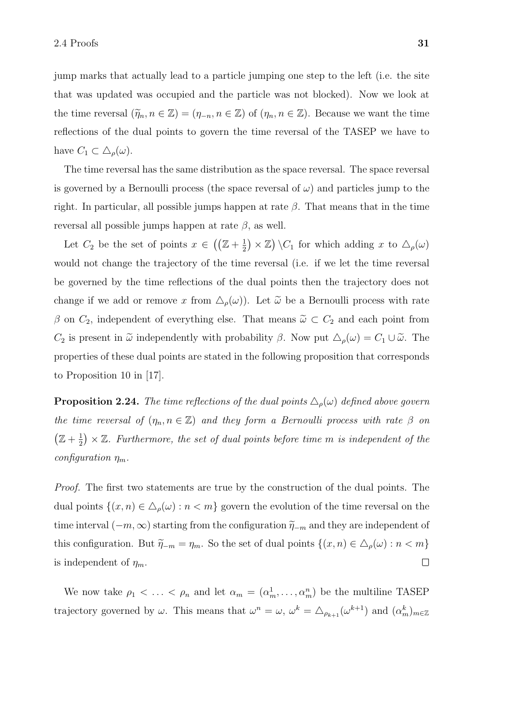jump marks that actually lead to a particle jumping one step to the left (i.e. the site that was updated was occupied and the particle was not blocked). Now we look at the time reversal  $(\tilde{\eta}_n, n \in \mathbb{Z}) = (\eta_{-n}, n \in \mathbb{Z})$  of  $(\eta_n, n \in \mathbb{Z})$ . Because we want the time reflections of the dual points to govern the time reversal of the TASEP we have to have  $C_1 \subset \Delta_\rho(\omega)$ .

The time reversal has the same distribution as the space reversal. The space reversal is governed by a Bernoulli process (the space reversal of  $\omega$ ) and particles jump to the right. In particular, all possible jumps happen at rate  $\beta$ . That means that in the time reversal all possible jumps happen at rate  $\beta$ , as well.

Let  $C_2$  be the set of points  $x \in \left(\left(\mathbb{Z}+\frac{1}{2}\right)\right)$  $(\frac{1}{2}) \times \mathbb{Z}$   $\setminus C_1$  for which adding x to  $\Delta_{\rho}(\omega)$ would not change the trajectory of the time reversal (i.e. if we let the time reversal be governed by the time reflections of the dual points then the trajectory does not change if we add or remove x from  $\Delta_{\rho}(\omega)$ . Let  $\tilde{\omega}$  be a Bernoulli process with rate  $\beta$  on  $C_2$ , independent of everything else. That means  $\tilde{\omega} \subset C_2$  and each point from  $C_2$  is present in  $\tilde{\omega}$  independently with probability  $\beta$ . Now put  $\Delta_{\rho}(\omega) = C_1 \cup \tilde{\omega}$ . The properties of these dual points are stated in the following proposition that corresponds to Proposition 10 in [17].

**Proposition 2.24.** The time reflections of the dual points  $\Delta_{\rho}(\omega)$  defined above govern the time reversal of  $(\eta_n, n \in \mathbb{Z})$  and they form a Bernoulli process with rate  $\beta$  on  $(\mathbb{Z}+\frac{1}{2})$  $\frac{1}{2}$   $\times$  Z. Furthermore, the set of dual points before time m is independent of the configuration  $\eta_m$ .

Proof. The first two statements are true by the construction of the dual points. The dual points  $\{(x, n) \in \Delta_{\rho}(\omega) : n < m\}$  govern the evolution of the time reversal on the time interval  $(-m, \infty)$  starting from the configuration  $\tilde{\eta}_{-m}$  and they are independent of this configuration. But  $\tilde{\eta}_{-m} = \eta_m$ . So the set of dual points  $\{(x, n) \in \Delta_\rho(\omega) : n < m\}$ is independent of  $\eta_m$ .  $\Box$ 

We now take  $\rho_1 < \ldots < \rho_n$  and let  $\alpha_m = (\alpha_m^1, \ldots, \alpha_m^n)$  be the multiline TASEP trajectory governed by  $\omega$ . This means that  $\omega^n = \omega$ ,  $\omega^k = \triangle_{\rho_{k+1}}(\omega^{k+1})$  and  $(\alpha_m^k)_{m \in \mathbb{Z}}$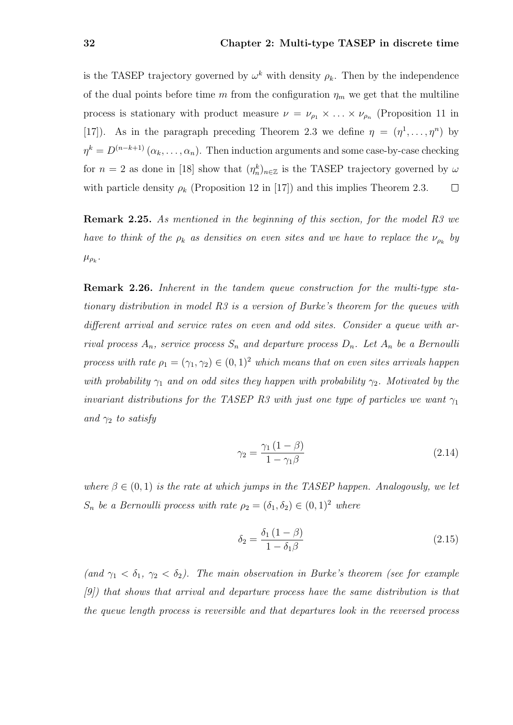is the TASEP trajectory governed by  $\omega^k$  with density  $\rho_k$ . Then by the independence of the dual points before time m from the configuration  $\eta_m$  we get that the multiline process is stationary with product measure  $\nu = \nu_{\rho_1} \times \ldots \times \nu_{\rho_n}$  (Proposition 11 in [17]). As in the paragraph preceding Theorem 2.3 we define  $\eta = (\eta^1, \dots, \eta^n)$  by  $\eta^k = D^{(n-k+1)}(\alpha_k, \ldots, \alpha_n)$ . Then induction arguments and some case-by-case checking for  $n = 2$  as done in [18] show that  $(\eta_n^k)_{n \in \mathbb{Z}}$  is the TASEP trajectory governed by  $\omega$ with particle density  $\rho_k$  (Proposition 12 in [17]) and this implies Theorem 2.3.  $\Box$ 

Remark 2.25. As mentioned in the beginning of this section, for the model R3 we have to think of the  $\rho_k$  as densities on even sites and we have to replace the  $\nu_{\rho_k}$  by  $\mu_{\rho_k}$ .

Remark 2.26. Inherent in the tandem queue construction for the multi-type stationary distribution in model R3 is a version of Burke's theorem for the queues with different arrival and service rates on even and odd sites. Consider a queue with arrival process  $A_n$ , service process  $S_n$  and departure process  $D_n$ . Let  $A_n$  be a Bernoulli process with rate  $\rho_1 = (\gamma_1, \gamma_2) \in (0, 1)^2$  which means that on even sites arrivals happen with probability  $\gamma_1$  and on odd sites they happen with probability  $\gamma_2$ . Motivated by the invariant distributions for the TASEP R3 with just one type of particles we want  $\gamma_1$ and  $\gamma_2$  to satisfy

$$
\gamma_2 = \frac{\gamma_1 \left(1 - \beta\right)}{1 - \gamma_1 \beta} \tag{2.14}
$$

where  $\beta \in (0,1)$  is the rate at which jumps in the TASEP happen. Analogously, we let  $S_n$  be a Bernoulli process with rate  $\rho_2 = (\delta_1, \delta_2) \in (0, 1)^2$  where

$$
\delta_2 = \frac{\delta_1 \left(1 - \beta\right)}{1 - \delta_1 \beta} \tag{2.15}
$$

(and  $\gamma_1 < \delta_1$ ,  $\gamma_2 < \delta_2$ ). The main observation in Burke's theorem (see for example [9]) that shows that arrival and departure process have the same distribution is that the queue length process is reversible and that departures look in the reversed process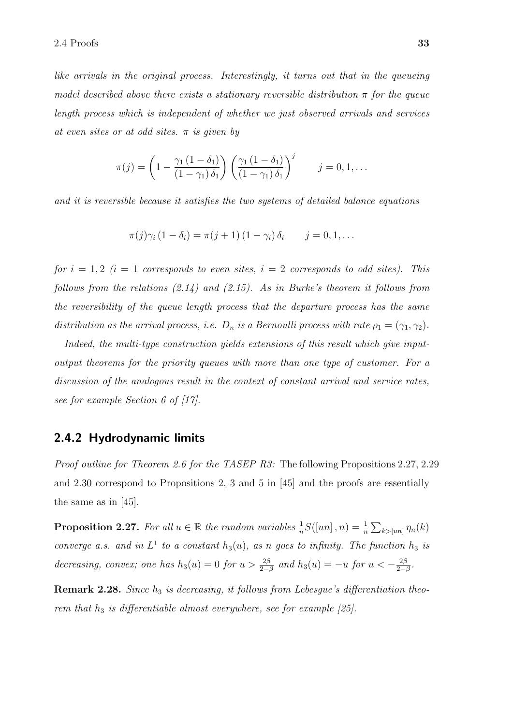like arrivals in the original process. Interestingly, it turns out that in the queueing model described above there exists a stationary reversible distribution  $\pi$  for the queue length process which is independent of whether we just observed arrivals and services at even sites or at odd sites.  $\pi$  is given by

$$
\pi(j) = \left(1 - \frac{\gamma_1 (1 - \delta_1)}{(1 - \gamma_1) \delta_1}\right) \left(\frac{\gamma_1 (1 - \delta_1)}{(1 - \gamma_1) \delta_1}\right)^j \qquad j = 0, 1, \dots
$$

and it is reversible because it satisfies the two systems of detailed balance equations

$$
\pi(j)\gamma_i(1-\delta_i)=\pi(j+1)(1-\gamma_i)\,\delta_i\qquad j=0,1,\ldots
$$

for  $i = 1, 2$  (i = 1 corresponds to even sites,  $i = 2$  corresponds to odd sites). This follows from the relations  $(2.14)$  and  $(2.15)$ . As in Burke's theorem it follows from the reversibility of the queue length process that the departure process has the same distribution as the arrival process, i.e.  $D_n$  is a Bernoulli process with rate  $\rho_1 = (\gamma_1, \gamma_2)$ .

Indeed, the multi-type construction yields extensions of this result which give inputoutput theorems for the priority queues with more than one type of customer. For a discussion of the analogous result in the context of constant arrival and service rates, see for example Section 6 of [17].

### 2.4.2 Hydrodynamic limits

Proof outline for Theorem 2.6 for the TASEP R3: The following Propositions 2.27, 2.29 and 2.30 correspond to Propositions 2, 3 and 5 in [45] and the proofs are essentially the same as in [45].

**Proposition 2.27.** For all  $u \in \mathbb{R}$  the random variables  $\frac{1}{n}S([un], n) = \frac{1}{n} \sum_{k > [un]} \eta_n(k)$ converge a.s. and in  $L^1$  to a constant  $h_3(u)$ , as n goes to infinity. The function  $h_3$  is decreasing, convex; one has  $h_3(u) = 0$  for  $u > \frac{2\beta}{2-\beta}$  and  $h_3(u) = -u$  for  $u < -\frac{2\beta}{2-\beta}$  $rac{2\beta}{2-\beta}$ .

**Remark 2.28.** Since  $h_3$  is decreasing, it follows from Lebesgue's differentiation theorem that  $h_3$  is differentiable almost everywhere, see for example [25].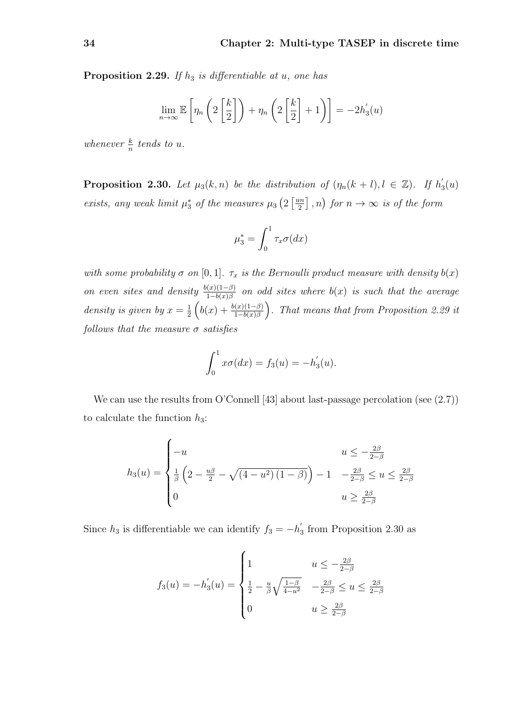**Proposition 2.29.** If  $h_3$  is differentiable at u, one has

$$
\lim_{n \to \infty} \mathbb{E}\left[\eta_n\left(2\left[\frac{k}{2}\right]\right) + \eta_n\left(2\left[\frac{k}{2}\right] + 1\right)\right] = -2h_3'(u)
$$

whenever  $\frac{k}{n}$  tends to u.

**Proposition 2.30.** Let  $\mu_3(k,n)$  be the distribution of  $(\eta_n(k+l), l \in \mathbb{Z})$ . If  $h'_3$  $l_{3}(u)$ exists, any weak limit  $\mu_3^*$  of the measures  $\mu_3$   $\left(2 \frac{\mu n}{2}\right)$  $\left[\frac{2}{2}\right], n$  for  $n \to \infty$  is of the form

$$
\mu_3^* = \int_0^1 \tau_x \sigma(dx)
$$

with some probability  $\sigma$  on [0, 1].  $\tau_x$  is the Bernoulli product measure with density  $b(x)$ on even sites and density  $\frac{b(x)(1-\beta)}{1-b(x)\beta}$  on odd sites where  $b(x)$  is such that the average density is given by  $x=\frac{1}{2}$  $\frac{1}{2}\left(b(x)+\frac{b(x)(1-\beta)}{1-b(x)\beta}\right)$ . That means that from Proposition 2.29 it follows that the measure  $\sigma$  satisfies

$$
\int_0^1 x \sigma(dx) = f_3(u) = -h'_3(u).
$$

We can use the results from O'Connell [43] about last-passage percolation (see  $(2.7)$ ) to calculate the function  $h_3$ :

$$
h_3(u) = \begin{cases} -u & u \le -\frac{2\beta}{2-\beta} \\ \frac{1}{\beta} \left(2 - \frac{u\beta}{2} - \sqrt{(4 - u^2)(1 - \beta)}\right) - 1 & -\frac{2\beta}{2-\beta} \le u \le \frac{2\beta}{2-\beta} \\ 0 & u \ge \frac{2\beta}{2-\beta} \end{cases}
$$

Since  $h_3$  is differentiable we can identify  $f_3 = -h'_3$  $\frac{1}{3}$  from Proposition 2.30 as

$$
f_3(u) = -h_3'(u) = \begin{cases} 1 & u \le -\frac{2\beta}{2-\beta} \\ \frac{1}{2} - \frac{u}{\beta} \sqrt{\frac{1-\beta}{4-u^2}} & -\frac{2\beta}{2-\beta} \le u \le \frac{2\beta}{2-\beta} \\ 0 & u \ge \frac{2\beta}{2-\beta} \end{cases}
$$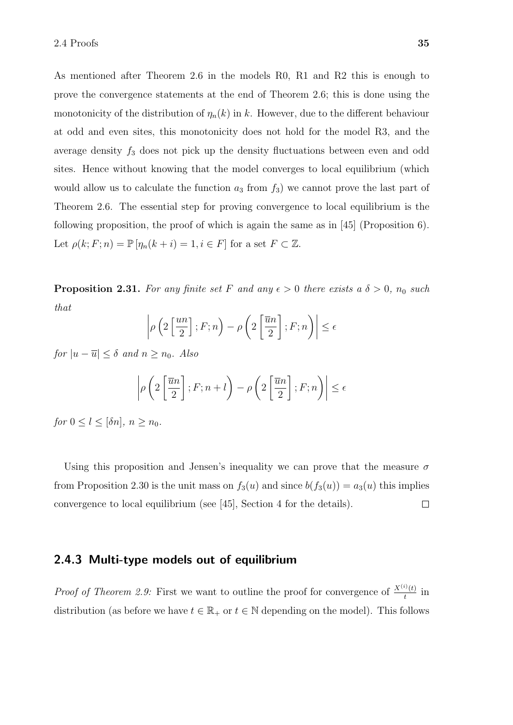As mentioned after Theorem 2.6 in the models R0, R1 and R2 this is enough to prove the convergence statements at the end of Theorem 2.6; this is done using the monotonicity of the distribution of  $\eta_n(k)$  in k. However, due to the different behaviour at odd and even sites, this monotonicity does not hold for the model R3, and the average density  $f_3$  does not pick up the density fluctuations between even and odd sites. Hence without knowing that the model converges to local equilibrium (which would allow us to calculate the function  $a_3$  from  $f_3$ ) we cannot prove the last part of Theorem 2.6. The essential step for proving convergence to local equilibrium is the following proposition, the proof of which is again the same as in [45] (Proposition 6). Let  $\rho(k; F; n) = \mathbb{P} [\eta_n(k+i) = 1, i \in F]$  for a set  $F \subset \mathbb{Z}$ .

**Proposition 2.31.** For any finite set F and any  $\epsilon > 0$  there exists a  $\delta > 0$ ,  $n_0$  such that

$$
\left|\rho\left(2\left[\frac{un}{2}\right];F;n\right)-\rho\left(2\left[\frac{\overline{u}n}{2}\right];F;n\right)\right|\leq\epsilon
$$

for  $|u - \overline{u}| \leq \delta$  and  $n \geq n_0$ . Also

$$
\left| \rho \left( 2\left[ \frac{\overline{u}n}{2} \right] ; F; n + l \right) - \rho \left( 2\left[ \frac{\overline{u}n}{2} \right] ; F; n \right) \right| \le \epsilon
$$

for  $0 \leq l \leq [\delta n]$ ,  $n > n_0$ .

Using this proposition and Jensen's inequality we can prove that the measure  $\sigma$ from Proposition 2.30 is the unit mass on  $f_3(u)$  and since  $b(f_3(u)) = a_3(u)$  this implies convergence to local equilibrium (see [45], Section 4 for the details).  $\Box$ 

### 2.4.3 Multi-type models out of equilibrium

*Proof of Theorem 2.9:* First we want to outline the proof for convergence of  $\frac{X^{(i)}(t)}{t}$  $\frac{f'(t)}{t}$  in distribution (as before we have  $t \in \mathbb{R}_+$  or  $t \in \mathbb{N}$  depending on the model). This follows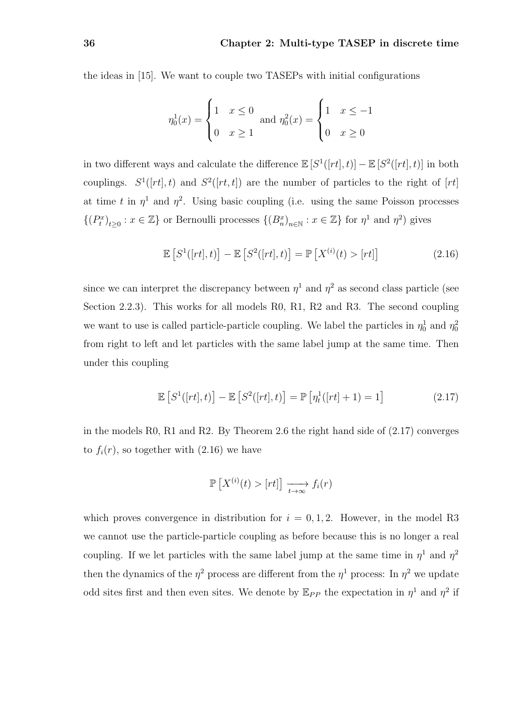the ideas in [15]. We want to couple two TASEPs with initial configurations

$$
\eta_0^1(x) = \begin{cases} 1 & x \le 0 \\ 0 & x \ge 1 \end{cases} \text{ and } \eta_0^2(x) = \begin{cases} 1 & x \le -1 \\ 0 & x \ge 0 \end{cases}
$$

in two different ways and calculate the difference  $\mathbb{E}[S^1([rt], t)] - \mathbb{E}[S^2([rt], t)]$  in both couplings.  $S^1([rt], t)$  and  $S^2([rt, t])$  are the number of particles to the right of [rt] at time t in  $\eta^1$  and  $\eta^2$ . Using basic coupling (i.e. using the same Poisson processes  $\{(P_t^x)_{t\geq 0}: x \in \mathbb{Z}\}\)$  or Bernoulli processes  $\{(B_n^x)_{n\in \mathbb{N}}: x \in \mathbb{Z}\}\)$  for  $\eta^1$  and  $\eta^2$ ) gives

$$
\mathbb{E}\left[S^1([rt],t)\right] - \mathbb{E}\left[S^2([rt],t)\right] = \mathbb{P}\left[X^{(i)}(t) > [rt]\right] \tag{2.16}
$$

since we can interpret the discrepancy between  $\eta^1$  and  $\eta^2$  as second class particle (see Section 2.2.3). This works for all models R0, R1, R2 and R3. The second coupling we want to use is called particle-particle coupling. We label the particles in  $\eta_0^1$  and  $\eta_0^2$ from right to left and let particles with the same label jump at the same time. Then under this coupling

$$
\mathbb{E}\left[S^1([rt],t)\right] - \mathbb{E}\left[S^2([rt],t)\right] = \mathbb{P}\left[\eta_t^1([rt]+1) = 1\right] \tag{2.17}
$$

in the models R0, R1 and R2. By Theorem 2.6 the right hand side of (2.17) converges to  $f_i(r)$ , so together with  $(2.16)$  we have

$$
\mathbb{P}\left[X^{(i)}(t) > [rt]\right] \xrightarrow[t \to \infty]{} f_i(r)
$$

which proves convergence in distribution for  $i = 0, 1, 2$ . However, in the model R3 we cannot use the particle-particle coupling as before because this is no longer a real coupling. If we let particles with the same label jump at the same time in  $\eta^1$  and  $\eta^2$ then the dynamics of the  $\eta^2$  process are different from the  $\eta^1$  process: In  $\eta^2$  we update odd sites first and then even sites. We denote by  $\mathbb{E}_{PP}$  the expectation in  $\eta^1$  and  $\eta^2$  if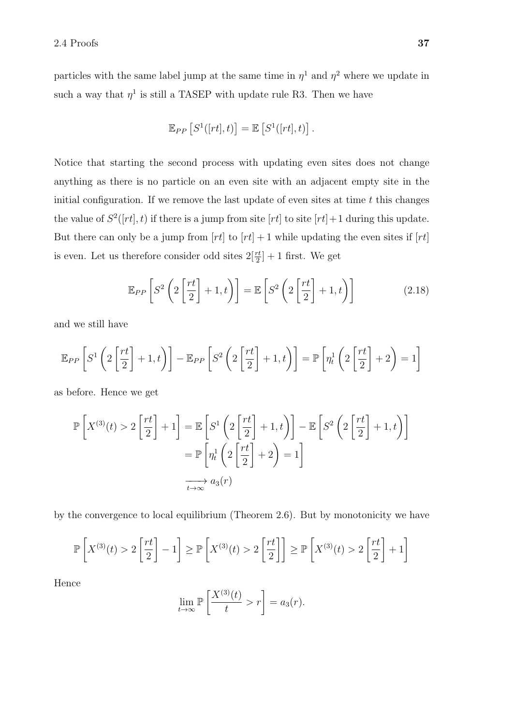particles with the same label jump at the same time in  $\eta^1$  and  $\eta^2$  where we update in such a way that  $\eta^1$  is still a TASEP with update rule R3. Then we have

$$
\mathbb{E}_{PP}\left[S^1([rt],t)\right] = \mathbb{E}\left[S^1([rt],t)\right].
$$

Notice that starting the second process with updating even sites does not change anything as there is no particle on an even site with an adjacent empty site in the initial configuration. If we remove the last update of even sites at time  $t$  this changes the value of  $S^2([rt], t)$  if there is a jump from site  $[rt]$  to site  $[rt] + 1$  during this update. But there can only be a jump from  $[rt]$  to  $[rt] + 1$  while updating the even sites if  $[rt]$ is even. Let us therefore consider odd sites  $2\left[\frac{rt}{2}\right]+1$  first. We get

$$
\mathbb{E}_{PP}\left[S^2\left(2\left[\frac{rt}{2}\right]+1,t\right)\right] = \mathbb{E}\left[S^2\left(2\left[\frac{rt}{2}\right]+1,t\right)\right]
$$
\n(2.18)

and we still have

$$
\mathbb{E}_{PP}\left[S^1\left(2\left[\frac{rt}{2}\right]+1,t\right)\right]-\mathbb{E}_{PP}\left[S^2\left(2\left[\frac{rt}{2}\right]+1,t\right)\right]=\mathbb{P}\left[\eta_t^1\left(2\left[\frac{rt}{2}\right]+2\right)=1\right]
$$

as before. Hence we get

$$
\mathbb{P}\left[X^{(3)}(t) > 2\left[\frac{rt}{2}\right] + 1\right] = \mathbb{E}\left[S^1\left(2\left[\frac{rt}{2}\right] + 1, t\right)\right] - \mathbb{E}\left[S^2\left(2\left[\frac{rt}{2}\right] + 1, t\right)\right]
$$

$$
= \mathbb{P}\left[\eta_t^1\left(2\left[\frac{rt}{2}\right] + 2\right) = 1\right]
$$

$$
\overrightarrow{t \to \infty} a_3(r)
$$

by the convergence to local equilibrium (Theorem 2.6). But by monotonicity we have

$$
\mathbb{P}\left[X^{(3)}(t) > 2\left[\frac{rt}{2}\right] - 1\right] \ge \mathbb{P}\left[X^{(3)}(t) > 2\left[\frac{rt}{2}\right]\right] \ge \mathbb{P}\left[X^{(3)}(t) > 2\left[\frac{rt}{2}\right] + 1\right]
$$

Hence

$$
\lim_{t \to \infty} \mathbb{P}\left[\frac{X^{(3)}(t)}{t} > r\right] = a_3(r).
$$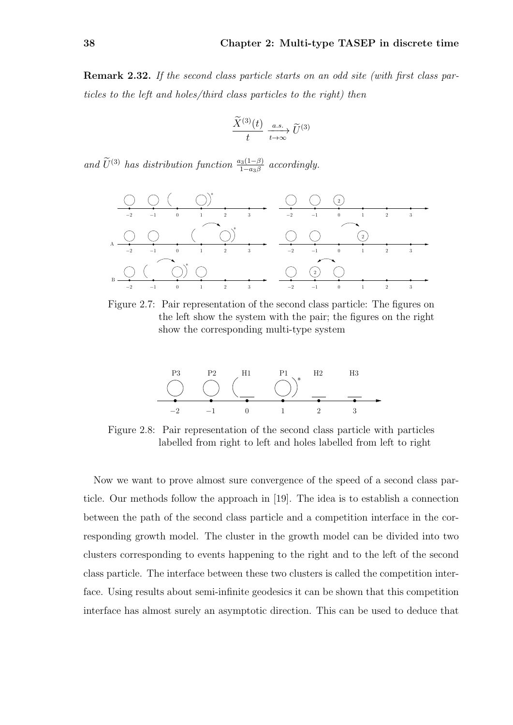Remark 2.32. If the second class particle starts on an odd site (with first class particles to the left and holes/third class particles to the right) then

$$
\frac{\widetilde{X}^{(3)}(t)}{t} \xrightarrow[t \to \infty]{a.s.} \widetilde{U}^{(3)}
$$

and  $\widetilde{U}^{(3)}$  has distribution function  $\frac{a_3(1-\beta)}{1-a_3\beta}$  accordingly.



Figure 2.7: Pair representation of the second class particle: The figures on the left show the system with the pair; the figures on the right show the corresponding multi-type system



Figure 2.8: Pair representation of the second class particle with particles labelled from right to left and holes labelled from left to right

Now we want to prove almost sure convergence of the speed of a second class particle. Our methods follow the approach in [19]. The idea is to establish a connection between the path of the second class particle and a competition interface in the corresponding growth model. The cluster in the growth model can be divided into two clusters corresponding to events happening to the right and to the left of the second class particle. The interface between these two clusters is called the competition interface. Using results about semi-infinite geodesics it can be shown that this competition interface has almost surely an asymptotic direction. This can be used to deduce that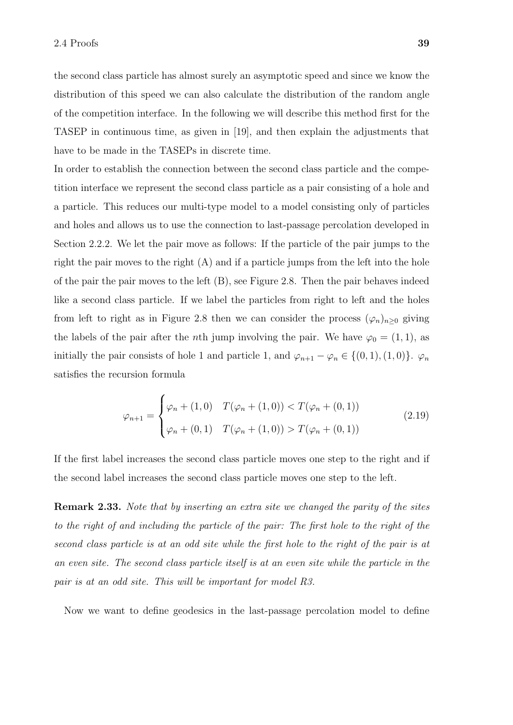the second class particle has almost surely an asymptotic speed and since we know the distribution of this speed we can also calculate the distribution of the random angle of the competition interface. In the following we will describe this method first for the TASEP in continuous time, as given in [19], and then explain the adjustments that have to be made in the TASEPs in discrete time.

In order to establish the connection between the second class particle and the competition interface we represent the second class particle as a pair consisting of a hole and a particle. This reduces our multi-type model to a model consisting only of particles and holes and allows us to use the connection to last-passage percolation developed in Section 2.2.2. We let the pair move as follows: If the particle of the pair jumps to the right the pair moves to the right  $(A)$  and if a particle jumps from the left into the hole of the pair the pair moves to the left (B), see Figure 2.8. Then the pair behaves indeed like a second class particle. If we label the particles from right to left and the holes from left to right as in Figure 2.8 then we can consider the process  $(\varphi_n)_{n\geq 0}$  giving the labels of the pair after the *n*th jump involving the pair. We have  $\varphi_0 = (1, 1)$ , as initially the pair consists of hole 1 and particle 1, and  $\varphi_{n+1} - \varphi_n \in \{ (0, 1), (1, 0) \}.$   $\varphi_n$ satisfies the recursion formula

$$
\varphi_{n+1} = \begin{cases} \varphi_n + (1,0) & T(\varphi_n + (1,0)) < T(\varphi_n + (0,1)) \\ \varphi_n + (0,1) & T(\varphi_n + (1,0)) > T(\varphi_n + (0,1)) \end{cases}
$$
(2.19)

If the first label increases the second class particle moves one step to the right and if the second label increases the second class particle moves one step to the left.

Remark 2.33. Note that by inserting an extra site we changed the parity of the sites to the right of and including the particle of the pair: The first hole to the right of the second class particle is at an odd site while the first hole to the right of the pair is at an even site. The second class particle itself is at an even site while the particle in the pair is at an odd site. This will be important for model R3.

Now we want to define geodesics in the last-passage percolation model to define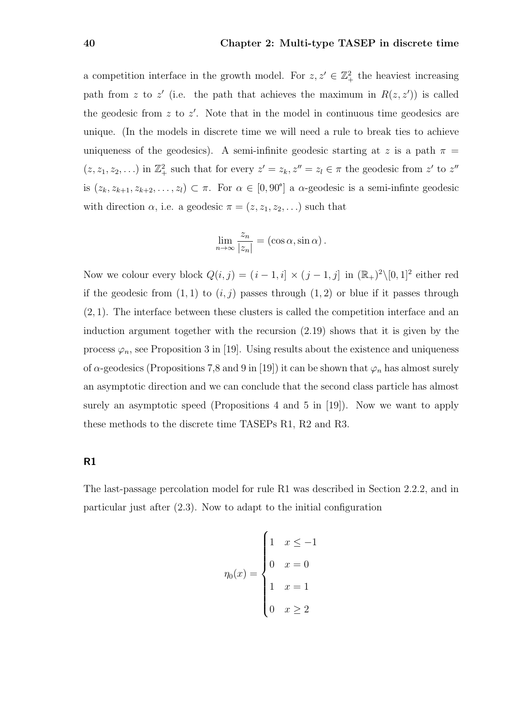a competition interface in the growth model. For  $z, z' \in \mathbb{Z}_+^2$  the heaviest increasing path from z to z' (i.e. the path that achieves the maximum in  $R(z, z')$ ) is called the geodesic from  $z$  to  $z'$ . Note that in the model in continuous time geodesics are unique. (In the models in discrete time we will need a rule to break ties to achieve uniqueness of the geodesics). A semi-infinite geodesic starting at z is a path  $\pi$  =  $(z, z_1, z_2, \ldots)$  in  $\mathbb{Z}_+^2$  such that for every  $z' = z_k, z'' = z_l \in \pi$  the geodesic from  $z'$  to  $z''$ is  $(z_k, z_{k+1}, z_{k+2}, \ldots, z_l) \subset \pi$ . For  $\alpha \in [0, 90^\circ]$  a  $\alpha$ -geodesic is a semi-infinite geodesic with direction  $\alpha$ , i.e. a geodesic  $\pi = (z, z_1, z_2, \ldots)$  such that

$$
\lim_{n \to \infty} \frac{z_n}{|z_n|} = (\cos \alpha, \sin \alpha).
$$

Now we colour every block  $Q(i, j) = (i - 1, i] \times (j - 1, j]$  in  $(\mathbb{R}_{+})^2 \setminus [0, 1]^2$  either red if the geodesic from  $(1, 1)$  to  $(i, j)$  passes through  $(1, 2)$  or blue if it passes through (2, 1). The interface between these clusters is called the competition interface and an induction argument together with the recursion (2.19) shows that it is given by the process  $\varphi_n$ , see Proposition 3 in [19]. Using results about the existence and uniqueness of  $\alpha$ -geodesics (Propositions 7,8 and 9 in [19]) it can be shown that  $\varphi_n$  has almost surely an asymptotic direction and we can conclude that the second class particle has almost surely an asymptotic speed (Propositions 4 and 5 in [19]). Now we want to apply these methods to the discrete time TASEPs R1, R2 and R3.

### R1

The last-passage percolation model for rule R1 was described in Section 2.2.2, and in particular just after (2.3). Now to adapt to the initial configuration

$$
\eta_0(x) = \begin{cases} 1 & x \le -1 \\ 0 & x = 0 \\ 1 & x = 1 \\ 0 & x \ge 2 \end{cases}
$$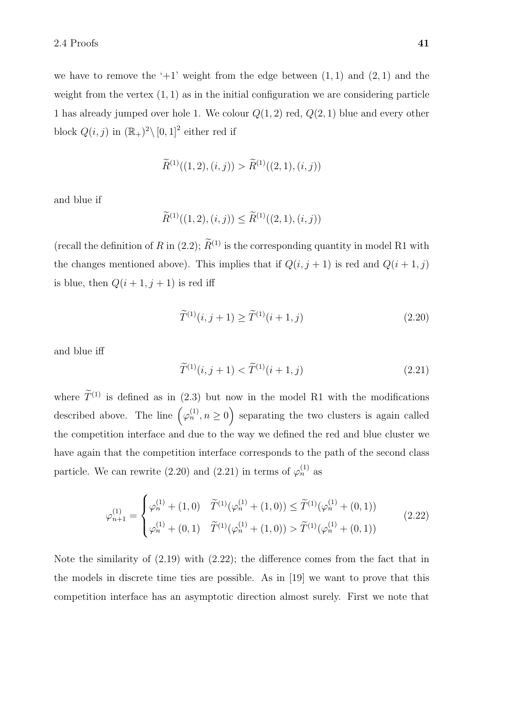we have to remove the ' $+1$ ' weight from the edge between  $(1, 1)$  and  $(2, 1)$  and the weight from the vertex  $(1, 1)$  as in the initial configuration we are considering particle 1 has already jumped over hole 1. We colour  $Q(1, 2)$  red,  $Q(2, 1)$  blue and every other block  $Q(i, j)$  in  $(\mathbb{R}_{+})^2 \setminus [0, 1]^2$  either red if

$$
\widetilde{R}^{(1)}((1,2),(i,j)) > \widetilde{R}^{(1)}((2,1),(i,j))
$$

and blue if

$$
\widetilde{R}^{(1)}((1,2),(i,j)) \leq \widetilde{R}^{(1)}((2,1),(i,j))
$$

(recall the definition of R in (2.2);  $\widetilde{R}^{(1)}$  is the corresponding quantity in model R1 with the changes mentioned above). This implies that if  $Q(i, j + 1)$  is red and  $Q(i + 1, j)$ is blue, then  $Q(i + 1, j + 1)$  is red iff

$$
\widetilde{T}^{(1)}(i,j+1) \ge \widetilde{T}^{(1)}(i+1,j) \tag{2.20}
$$

and blue iff

$$
\widetilde{T}^{(1)}(i,j+1) < \widetilde{T}^{(1)}(i+1,j) \tag{2.21}
$$

where  $\widetilde{T}^{(1)}$  is defined as in (2.3) but now in the model R1 with the modifications described above. The line  $(\varphi_n^{(1)}, n \ge 0)$  separating the two clusters is again called the competition interface and due to the way we defined the red and blue cluster we have again that the competition interface corresponds to the path of the second class particle. We can rewrite (2.20) and (2.21) in terms of  $\varphi_n^{(1)}$  as

$$
\varphi_{n+1}^{(1)} = \begin{cases}\n\varphi_n^{(1)} + (1,0) & \tilde{T}^{(1)}(\varphi_n^{(1)} + (1,0)) \le \tilde{T}^{(1)}(\varphi_n^{(1)} + (0,1)) \\
\varphi_n^{(1)} + (0,1) & \tilde{T}^{(1)}(\varphi_n^{(1)} + (1,0)) > \tilde{T}^{(1)}(\varphi_n^{(1)} + (0,1))\n\end{cases}
$$
\n(2.22)

Note the similarity of (2.19) with (2.22); the difference comes from the fact that in the models in discrete time ties are possible. As in [19] we want to prove that this competition interface has an asymptotic direction almost surely. First we note that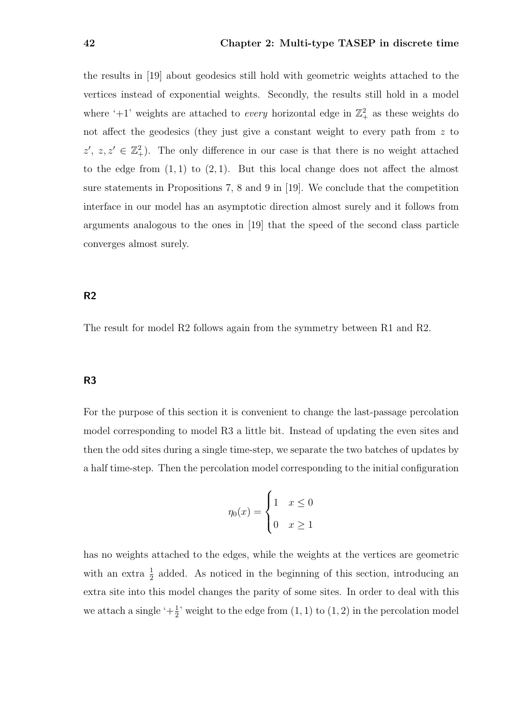the results in [19] about geodesics still hold with geometric weights attached to the vertices instead of exponential weights. Secondly, the results still hold in a model where '+1' weights are attached to *every* horizontal edge in  $\mathbb{Z}_+^2$  as these weights do not affect the geodesics (they just give a constant weight to every path from z to  $z', z, z' \in \mathbb{Z}_+^2$ . The only difference in our case is that there is no weight attached to the edge from  $(1, 1)$  to  $(2, 1)$ . But this local change does not affect the almost sure statements in Propositions 7, 8 and 9 in [19]. We conclude that the competition interface in our model has an asymptotic direction almost surely and it follows from arguments analogous to the ones in [19] that the speed of the second class particle converges almost surely.

### R2

The result for model R2 follows again from the symmetry between R1 and R2.

### R3

For the purpose of this section it is convenient to change the last-passage percolation model corresponding to model R3 a little bit. Instead of updating the even sites and then the odd sites during a single time-step, we separate the two batches of updates by a half time-step. Then the percolation model corresponding to the initial configuration

$$
\eta_0(x) = \begin{cases} 1 & x \le 0 \\ 0 & x \ge 1 \end{cases}
$$

has no weights attached to the edges, while the weights at the vertices are geometric with an extra  $\frac{1}{2}$  added. As noticed in the beginning of this section, introducing an extra site into this model changes the parity of some sites. In order to deal with this we attach a single ' $+\frac{1}{2}$ ' weight to the edge from  $(1, 1)$  to  $(1, 2)$  in the percolation model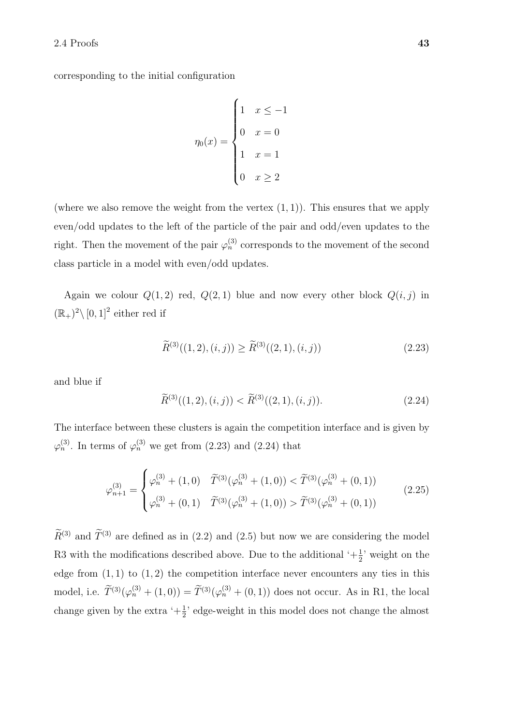corresponding to the initial configuration

$$
\eta_0(x) = \begin{cases} 1 & x \le -1 \\ 0 & x = 0 \\ 1 & x = 1 \\ 0 & x \ge 2 \end{cases}
$$

(where we also remove the weight from the vertex  $(1, 1)$ ). This ensures that we apply even/odd updates to the left of the particle of the pair and odd/even updates to the right. Then the movement of the pair  $\varphi_n^{(3)}$  corresponds to the movement of the second class particle in a model with even/odd updates.

Again we colour  $Q(1, 2)$  red,  $Q(2, 1)$  blue and now every other block  $Q(i, j)$  in  $(\mathbb{R}_+)^2 \setminus [0,1]^2$  either red if

$$
\widetilde{R}^{(3)}((1,2),(i,j)) \ge \widetilde{R}^{(3)}((2,1),(i,j)) \tag{2.23}
$$

and blue if

$$
\widetilde{R}^{(3)}((1,2),(i,j)) < \widetilde{R}^{(3)}((2,1),(i,j)).\tag{2.24}
$$

The interface between these clusters is again the competition interface and is given by  $\varphi_n^{(3)}$ . In terms of  $\varphi_n^{(3)}$  we get from (2.23) and (2.24) that

$$
\varphi_{n+1}^{(3)} = \begin{cases}\n\varphi_n^{(3)} + (1,0) & \tilde{T}^{(3)}(\varphi_n^{(3)} + (1,0)) < \tilde{T}^{(3)}(\varphi_n^{(3)} + (0,1)) \\
\varphi_n^{(3)} + (0,1) & \tilde{T}^{(3)}(\varphi_n^{(3)} + (1,0)) > \tilde{T}^{(3)}(\varphi_n^{(3)} + (0,1))\n\end{cases} \tag{2.25}
$$

 $\widetilde{R}^{(3)}$  and  $\widetilde{T}^{(3)}$  are defined as in (2.2) and (2.5) but now we are considering the model R3 with the modifications described above. Due to the additional  $\left( +\frac{1}{2} \right)$  weight on the edge from  $(1, 1)$  to  $(1, 2)$  the competition interface never encounters any ties in this model, i.e.  $\widetilde{T}^{(3)}(\varphi_n^{(3)} + (1,0)) = \widetilde{T}^{(3)}(\varphi_n^{(3)} + (0,1))$  does not occur. As in R1, the local change given by the extra  $\left( +\frac{1}{2} \right)$  edge-weight in this model does not change the almost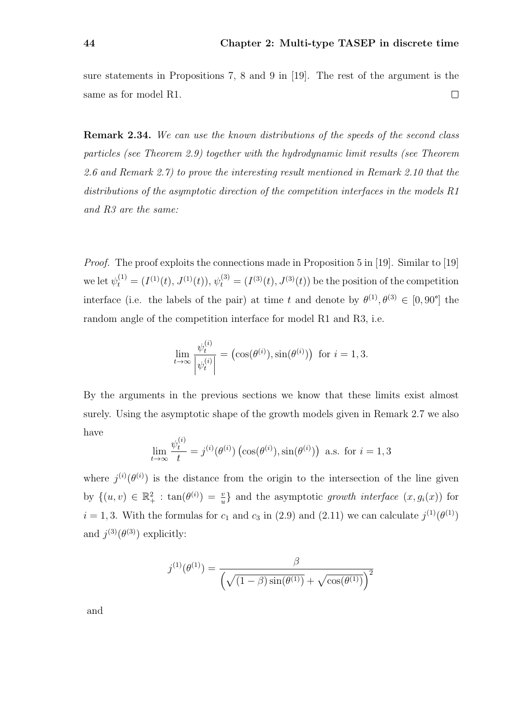sure statements in Propositions 7, 8 and 9 in [19]. The rest of the argument is the  $\Box$ same as for model R1.

Remark 2.34. We can use the known distributions of the speeds of the second class particles (see Theorem 2.9) together with the hydrodynamic limit results (see Theorem 2.6 and Remark 2.7) to prove the interesting result mentioned in Remark 2.10 that the distributions of the asymptotic direction of the competition interfaces in the models R1 and R3 are the same:

Proof. The proof exploits the connections made in Proposition 5 in [19]. Similar to [19] we let  $\psi_t^{(1)} = (I^{(1)}(t), J^{(1)}(t)), \psi_t^{(3)} = (I^{(3)}(t), J^{(3)}(t))$  be the position of the competition interface (i.e. the labels of the pair) at time t and denote by  $\theta^{(1)}, \theta^{(3)} \in [0, 90^{\circ}]$  the random angle of the competition interface for model R1 and R3, i.e.

$$
\lim_{t \to \infty} \frac{\psi_t^{(i)}}{|\psi_t^{(i)}|} = (\cos(\theta^{(i)}), \sin(\theta^{(i)})) \text{ for } i = 1, 3.
$$

By the arguments in the previous sections we know that these limits exist almost surely. Using the asymptotic shape of the growth models given in Remark 2.7 we also have

$$
\lim_{t \to \infty} \frac{\psi_t^{(i)}}{t} = j^{(i)}(\theta^{(i)}) \left( \cos(\theta^{(i)}), \sin(\theta^{(i)}) \right) \text{ a.s. for } i = 1, 3
$$

where  $j^{(i)}(\theta^{(i)})$  is the distance from the origin to the intersection of the line given by  $\{(u, v) \in \mathbb{R}_+^2 : \tan(\theta^{(i)}) = \frac{v}{u}\}\$ and the asymptotic growth interface  $(x, g_i(x))$  for  $i = 1, 3$ . With the formulas for  $c_1$  and  $c_3$  in (2.9) and (2.11) we can calculate  $j^{(1)}(\theta^{(1)})$ and  $j^{(3)}(\theta^{(3)})$  explicitly:

$$
j^{(1)}(\theta^{(1)}) = \frac{\beta}{\left(\sqrt{(1-\beta)\sin(\theta^{(1)})} + \sqrt{\cos(\theta^{(1)})}\right)^2}
$$

and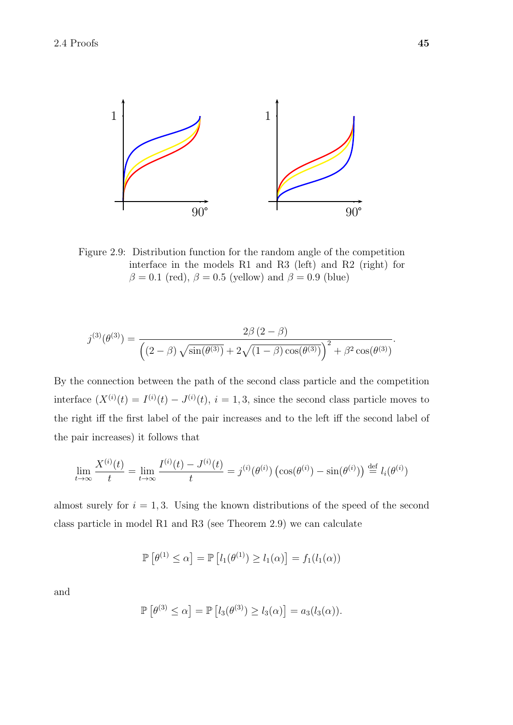

Figure 2.9: Distribution function for the random angle of the competition interface in the models R1 and R3 (left) and R2 (right) for  $\beta = 0.1$  (red),  $\beta = 0.5$  (yellow) and  $\beta = 0.9$  (blue)

$$
j^{(3)}(\theta^{(3)}) = \frac{2\beta (2-\beta)}{\left( (2-\beta)\sqrt{\sin(\theta^{(3)})} + 2\sqrt{(1-\beta)\cos(\theta^{(3)})} \right)^2 + \beta^2 \cos(\theta^{(3)})}.
$$

By the connection between the path of the second class particle and the competition interface  $(X^{(i)}(t) = I^{(i)}(t) - J^{(i)}(t), i = 1, 3$ , since the second class particle moves to the right iff the first label of the pair increases and to the left iff the second label of the pair increases) it follows that

$$
\lim_{t \to \infty} \frac{X^{(i)}(t)}{t} = \lim_{t \to \infty} \frac{I^{(i)}(t) - J^{(i)}(t)}{t} = j^{(i)}(\theta^{(i)}) \left(\cos(\theta^{(i)}) - \sin(\theta^{(i)})\right) \stackrel{\text{def}}{=} l_i(\theta^{(i)})
$$

class particle in model R1 and R3 (see Theorem 2.9) we can calculate almost surely for  $i = 1, 3$ . Using the known distributions of the speed of the second

$$
\mathbb{P}\left[\theta^{(1)} \leq \alpha\right] = \mathbb{P}\left[l_1(\theta^{(1)}) \geq l_1(\alpha)\right] = f_1(l_1(\alpha))
$$

and

$$
\mathbb{P}\left[\theta^{(3)} \leq \alpha\right] = \mathbb{P}\left[l_3(\theta^{(3)}) \geq l_3(\alpha)\right] = a_3(l_3(\alpha)).
$$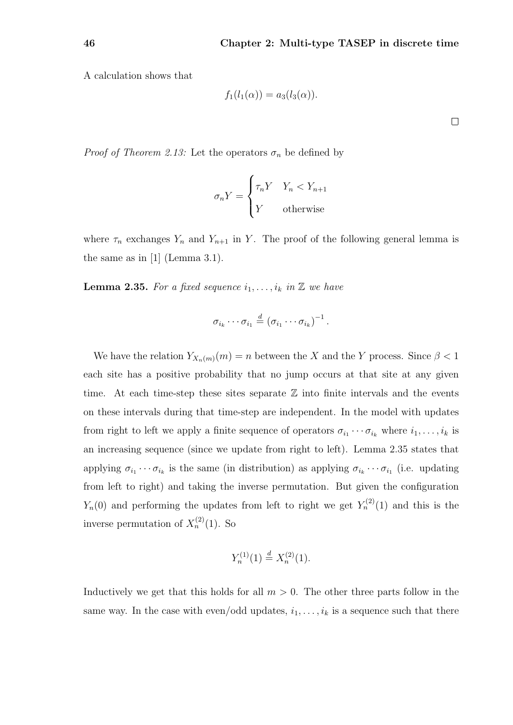A calculation shows that

$$
f_1(l_1(\alpha)) = a_3(l_3(\alpha)).
$$

*Proof of Theorem 2.13:* Let the operators  $\sigma_n$  be defined by

$$
\sigma_n Y = \begin{cases} \tau_n Y & Y_n < Y_{n+1} \\ Y & \text{otherwise} \end{cases}
$$

where  $\tau_n$  exchanges  $Y_n$  and  $Y_{n+1}$  in Y. The proof of the following general lemma is the same as in  $[1]$  (Lemma 3.1).

**Lemma 2.35.** For a fixed sequence  $i_1, \ldots, i_k$  in  $\mathbb{Z}$  we have

$$
\sigma_{i_k}\cdots\sigma_{i_1}\stackrel{d}{=}(\sigma_{i_1}\cdots\sigma_{i_k})^{-1}.
$$

We have the relation  $Y_{X_n(m)}(m) = n$  between the X and the Y process. Since  $\beta < 1$ each site has a positive probability that no jump occurs at that site at any given time. At each time-step these sites separate  $\mathbb Z$  into finite intervals and the events on these intervals during that time-step are independent. In the model with updates from right to left we apply a finite sequence of operators  $\sigma_{i_1} \cdots \sigma_{i_k}$  where  $i_1, \ldots, i_k$  is an increasing sequence (since we update from right to left). Lemma 2.35 states that applying  $\sigma_{i_1} \cdots \sigma_{i_k}$  is the same (in distribution) as applying  $\sigma_{i_k} \cdots \sigma_{i_1}$  (i.e. updating from left to right) and taking the inverse permutation. But given the configuration  $Y_n(0)$  and performing the updates from left to right we get  $Y_n^{(2)}(1)$  and this is the inverse permutation of  $X_n^{(2)}(1)$ . So

$$
Y_n^{(1)}(1) \stackrel{d}{=} X_n^{(2)}(1).
$$

Inductively we get that this holds for all  $m > 0$ . The other three parts follow in the same way. In the case with even/odd updates,  $i_1, \ldots, i_k$  is a sequence such that there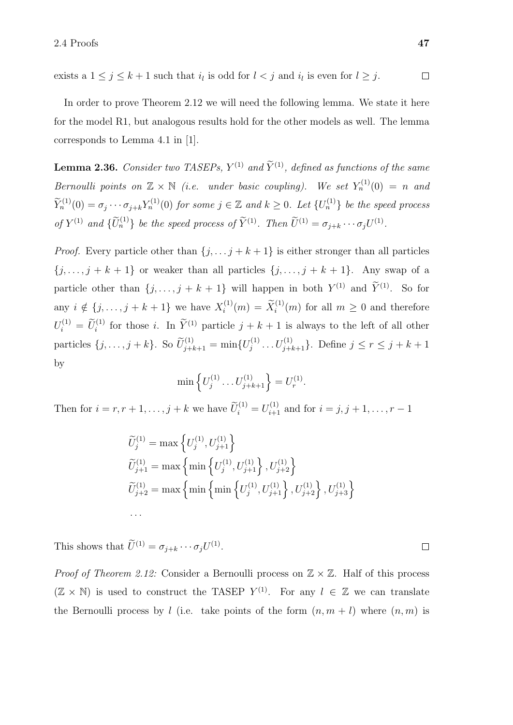exists a  $1 \leq j \leq k+1$  such that  $i_l$  is odd for  $l < j$  and  $i_l$  is even for  $l \geq j$ .  $\Box$ 

In order to prove Theorem 2.12 we will need the following lemma. We state it here for the model R1, but analogous results hold for the other models as well. The lemma corresponds to Lemma 4.1 in [1].

**Lemma 2.36.** Consider two TASEPs,  $Y^{(1)}$  and  $\tilde{Y}^{(1)}$ , defined as functions of the same Bernoulli points on  $\mathbb{Z} \times \mathbb{N}$  (i.e. under basic coupling). We set  $Y_n^{(1)}(0) = n$  and  $\widetilde{Y}_n^{(1)}(0) = \sigma_j \cdots \sigma_{j+k} Y_n^{(1)}(0)$  for some  $j \in \mathbb{Z}$  and  $k \geq 0$ . Let  $\{U_n^{(1)}\}$  be the speed process of  $Y^{(1)}$  and  $\{\widetilde{U}_n^{(1)}\}$  be the speed process of  $\widetilde{Y}^{(1)}$ . Then  $\widetilde{U}^{(1)} = \sigma_{j+k} \cdots \sigma_j U^{(1)}$ .

*Proof.* Every particle other than  $\{j, \ldots, j + k + 1\}$  is either stronger than all particles  $\{j, \ldots, j + k + 1\}$  or weaker than all particles  $\{j, \ldots, j + k + 1\}$ . Any swap of a particle other than  $\{j, \ldots, j + k + 1\}$  will happen in both  $Y^{(1)}$  and  $\tilde{Y}^{(1)}$ . So for any  $i \notin \{j, \ldots, j + k + 1\}$  we have  $X_i^{(1)}$  $i^{(1)}(m) = \tilde{X}_i^{(1)}(m)$  for all  $m \geq 0$  and therefore  $U_i^{(1)} = \widetilde{U}_i^{(1)}$  for those *i*. In  $\widetilde{Y}^{(1)}$  particle  $j + k + 1$  is always to the left of all other particles  $\{j, ..., j+k\}$ . So  $\widetilde{U}_{j+k+1}^{(1)} = \min\{U_j^{(1)}\}$  $j_j^{(1)} \dots U_{j+k+1}^{(1)}$ . Define  $j \le r \le j+k+1$ by

$$
\min \left\{ U_j^{(1)} \dots U_{j+k+1}^{(1)} \right\} = U_r^{(1)}.
$$

Then for  $i = r, r + 1, \ldots, j + k$  we have  $\widetilde{U}_i^{(1)} = U_{i+1}^{(1)}$  and for  $i = j, j + 1, \ldots, r - 1$ 

$$
\widetilde{U}_{j}^{(1)} = \max \left\{ U_{j}^{(1)}, U_{j+1}^{(1)} \right\} \n\widetilde{U}_{j+1}^{(1)} = \max \left\{ \min \left\{ U_{j}^{(1)}, U_{j+1}^{(1)} \right\}, U_{j+2}^{(1)} \right\} \n\widetilde{U}_{j+2}^{(1)} = \max \left\{ \min \left\{ \min \left\{ U_{j}^{(1)}, U_{j+1}^{(1)} \right\}, U_{j+2}^{(1)} \right\}, U_{j+3}^{(1)} \right\} \n...
$$

This shows that  $\tilde{U}^{(1)} = \sigma_{j+k} \cdots \sigma_j U^{(1)}$ .

*Proof of Theorem 2.12:* Consider a Bernoulli process on  $\mathbb{Z} \times \mathbb{Z}$ . Half of this process  $(\mathbb{Z} \times \mathbb{N})$  is used to construct the TASEP  $Y^{(1)}$ . For any  $l \in \mathbb{Z}$  we can translate the Bernoulli process by l (i.e. take points of the form  $(n, m + l)$  where  $(n, m)$  is

 $\overline{\phantom{a}}$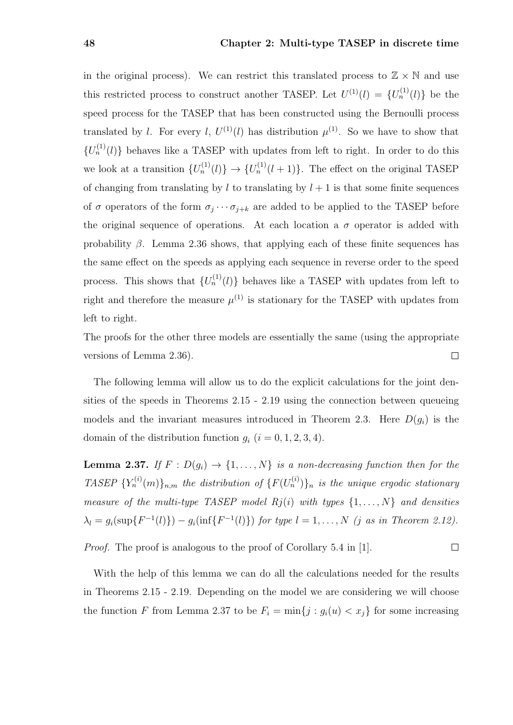in the original process). We can restrict this translated process to  $\mathbb{Z} \times \mathbb{N}$  and use this restricted process to construct another TASEP. Let  $U^{(1)}(l) = \{U_n^{(1)}(l)\}\;$  be the speed process for the TASEP that has been constructed using the Bernoulli process translated by l. For every l,  $U^{(1)}(l)$  has distribution  $\mu^{(1)}$ . So we have to show that  ${U_n^{(1)}(l)}$  behaves like a TASEP with updates from left to right. In order to do this we look at a transition  $\{U_n^{(1)}(l)\}\to\{U_n^{(1)}(l+1)\}\.$  The effect on the original TASEP of changing from translating by  $l$  to translating by  $l + 1$  is that some finite sequences of  $\sigma$  operators of the form  $\sigma_j \cdots \sigma_{j+k}$  are added to be applied to the TASEP before the original sequence of operations. At each location a  $\sigma$  operator is added with probability  $\beta$ . Lemma 2.36 shows, that applying each of these finite sequences has the same effect on the speeds as applying each sequence in reverse order to the speed process. This shows that  $\{U_n^{(1)}(l)\}\$  behaves like a TASEP with updates from left to right and therefore the measure  $\mu^{(1)}$  is stationary for the TASEP with updates from left to right.

The proofs for the other three models are essentially the same (using the appropriate versions of Lemma 2.36).  $\Box$ 

The following lemma will allow us to do the explicit calculations for the joint densities of the speeds in Theorems 2.15 - 2.19 using the connection between queueing models and the invariant measures introduced in Theorem 2.3. Here  $D(q_i)$  is the domain of the distribution function  $g_i$   $(i = 0, 1, 2, 3, 4)$ .

**Lemma 2.37.** If  $F : D(g_i) \to \{1, \ldots, N\}$  is a non-decreasing function then for the TASEP  ${Y_n^{(i)}(m)}_{n,m}$  the distribution of  ${F(U_n^{(i)})}_n$  is the unique ergodic stationary measure of the multi-type TASEP model  $Rj(i)$  with types  $\{1, \ldots, N\}$  and densities  $\lambda_l = g_i(\sup\{F^{-1}(l)\}) - g_i(\inf\{F^{-1}(l)\})$  for type  $l = 1, ..., N$  (j as in Theorem 2.12).

Proof. The proof is analogous to the proof of Corollary 5.4 in [1].  $\Box$ 

With the help of this lemma we can do all the calculations needed for the results in Theorems 2.15 - 2.19. Depending on the model we are considering we will choose the function F from Lemma 2.37 to be  $F_i = \min\{j : g_i(u) < x_j\}$  for some increasing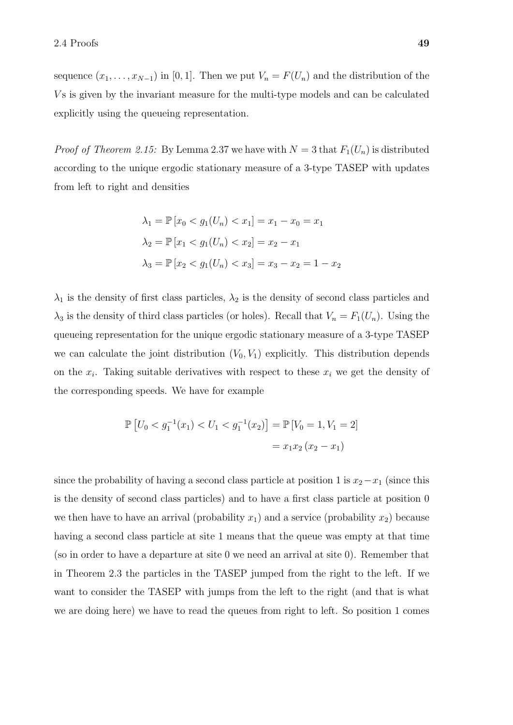sequence  $(x_1, \ldots, x_{N-1})$  in [0, 1]. Then we put  $V_n = F(U_n)$  and the distribution of the V s is given by the invariant measure for the multi-type models and can be calculated explicitly using the queueing representation.

*Proof of Theorem 2.15:* By Lemma 2.37 we have with  $N = 3$  that  $F_1(U_n)$  is distributed according to the unique ergodic stationary measure of a 3-type TASEP with updates from left to right and densities

$$
\lambda_1 = \mathbb{P}[x_0 < g_1(U_n) < x_1] = x_1 - x_0 = x_1
$$
\n
$$
\lambda_2 = \mathbb{P}[x_1 < g_1(U_n) < x_2] = x_2 - x_1
$$
\n
$$
\lambda_3 = \mathbb{P}[x_2 < g_1(U_n) < x_3] = x_3 - x_2 = 1 - x_2
$$

 $\lambda_1$  is the density of first class particles,  $\lambda_2$  is the density of second class particles and  $\lambda_3$  is the density of third class particles (or holes). Recall that  $V_n = F_1(U_n)$ . Using the queueing representation for the unique ergodic stationary measure of a 3-type TASEP we can calculate the joint distribution  $(V_0, V_1)$  explicitly. This distribution depends on the  $x_i$ . Taking suitable derivatives with respect to these  $x_i$  we get the density of the corresponding speeds. We have for example

$$
\mathbb{P}\left[U_0 < g_1^{-1}(x_1) < U_1 < g_1^{-1}(x_2)\right] = \mathbb{P}\left[V_0 = 1, V_1 = 2\right] \\
= x_1 x_2 \left(x_2 - x_1\right)
$$

since the probability of having a second class particle at position 1 is  $x_2-x_1$  (since this is the density of second class particles) and to have a first class particle at position 0 we then have to have an arrival (probability  $x_1$ ) and a service (probability  $x_2$ ) because having a second class particle at site 1 means that the queue was empty at that time (so in order to have a departure at site 0 we need an arrival at site 0). Remember that in Theorem 2.3 the particles in the TASEP jumped from the right to the left. If we want to consider the TASEP with jumps from the left to the right (and that is what we are doing here) we have to read the queues from right to left. So position 1 comes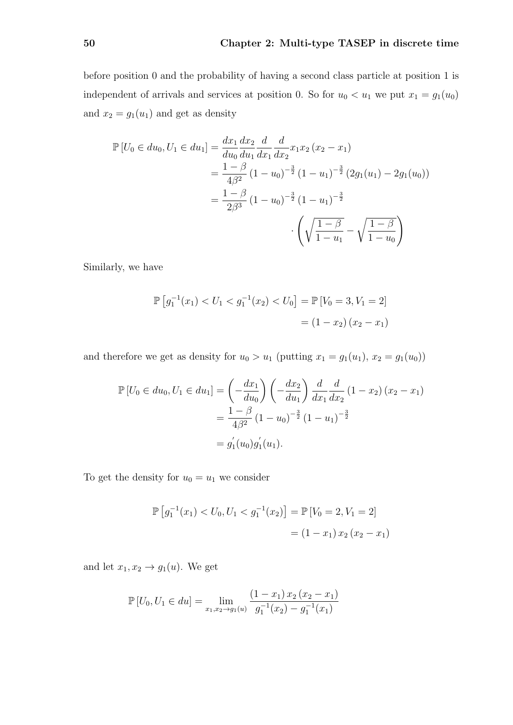before position 0 and the probability of having a second class particle at position 1 is independent of arrivals and services at position 0. So for  $u_0 < u_1$  we put  $x_1 = g_1(u_0)$ and  $x_2 = g_1(u_1)$  and get as density

$$
\mathbb{P}\left[U_0 \in du_0, U_1 \in du_1\right] = \frac{dx_1}{du_0} \frac{dx_2}{du_1} \frac{d}{dx_1} \frac{d}{dx_2} x_1 x_2 (x_2 - x_1)
$$
  
=  $\frac{1 - \beta}{4\beta^2} (1 - u_0)^{-\frac{3}{2}} (1 - u_1)^{-\frac{3}{2}} (2g_1(u_1) - 2g_1(u_0))$   
=  $\frac{1 - \beta}{2\beta^3} (1 - u_0)^{-\frac{3}{2}} (1 - u_1)^{-\frac{3}{2}}$   

$$
\cdot \left(\sqrt{\frac{1 - \beta}{1 - u_1}} - \sqrt{\frac{1 - \beta}{1 - u_0}}\right)
$$

Similarly, we have

$$
\mathbb{P}\left[g_1^{-1}(x_1) < U_1 < g_1^{-1}(x_2) < U_0\right] = \mathbb{P}\left[V_0 = 3, V_1 = 2\right] \\
 = (1 - x_2)(x_2 - x_1)
$$

and therefore we get as density for  $u_0 > u_1$  (putting  $x_1 = g_1(u_1), x_2 = g_1(u_0)$ )

$$
\mathbb{P}\left[U_0 \in du_0, U_1 \in du_1\right] = \left(-\frac{dx_1}{du_0}\right) \left(-\frac{dx_2}{du_1}\right) \frac{d}{dx_1} \frac{d}{dx_2} (1 - x_2) (x_2 - x_1)
$$

$$
= \frac{1 - \beta}{4\beta^2} (1 - u_0)^{-\frac{3}{2}} (1 - u_1)^{-\frac{3}{2}}
$$

$$
= g_1^{'}(u_0) g_1^{'}(u_1).
$$

To get the density for  $u_0 = u_1$  we consider

$$
\mathbb{P}\left[g_1^{-1}(x_1) < U_0, U_1 < g_1^{-1}(x_2)\right] = \mathbb{P}\left[V_0 = 2, V_1 = 2\right] \\
= (1 - x_1) \, x_2 \, (x_2 - x_1)
$$

and let  $x_1, x_2 \rightarrow g_1(u)$ . We get

$$
\mathbb{P}\left[U_0, U_1 \in du\right] = \lim_{x_1, x_2 \to g_1(u)} \frac{(1 - x_1) x_2 (x_2 - x_1)}{g_1^{-1} (x_2) - g_1^{-1} (x_1)}
$$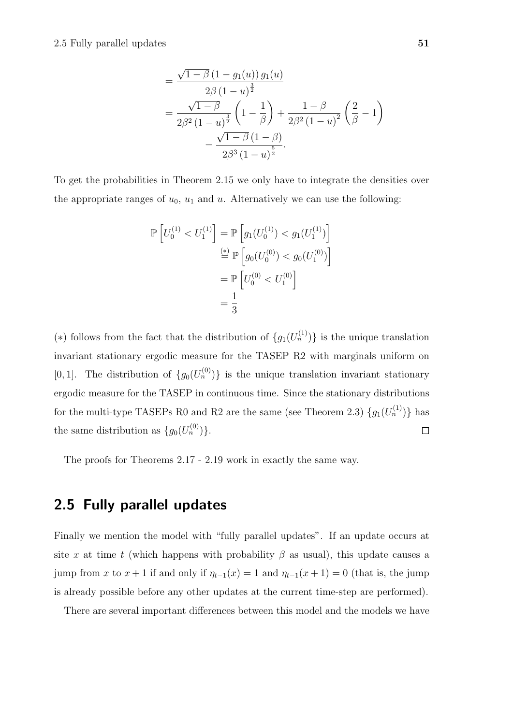$$
= \frac{\sqrt{1-\beta} (1-g_1(u)) g_1(u)}{2\beta (1-u)^{\frac{3}{2}}} \n= \frac{\sqrt{1-\beta}}{2\beta^2 (1-u)^{\frac{3}{2}}} \left(1-\frac{1}{\beta}\right) + \frac{1-\beta}{2\beta^2 (1-u)^2} \left(\frac{2}{\beta}-1\right) \n- \frac{\sqrt{1-\beta} (1-\beta)}{2\beta^3 (1-u)^{\frac{5}{2}}}.
$$

To get the probabilities in Theorem 2.15 we only have to integrate the densities over the appropriate ranges of  $u_0$ ,  $u_1$  and  $u$ . Alternatively we can use the following:

$$
\mathbb{P}\left[U_0^{(1)} < U_1^{(1)}\right] = \mathbb{P}\left[g_1(U_0^{(1)}) < g_1(U_1^{(1)})\right] \\
\stackrel{\text{(*)}}{=} \mathbb{P}\left[g_0(U_0^{(0)}) < g_0(U_1^{(0)})\right] \\
= \mathbb{P}\left[U_0^{(0)} < U_1^{(0)}\right] \\
= \frac{1}{3}
$$

(\*) follows from the fact that the distribution of  $\{g_1(U_n^{(1)})\}$  is the unique translation invariant stationary ergodic measure for the TASEP R2 with marginals uniform on [0, 1]. The distribution of  $\{g_0(U_n^{(0)})\}$  is the unique translation invariant stationary ergodic measure for the TASEP in continuous time. Since the stationary distributions for the multi-type TASEPs R0 and R2 are the same (see Theorem 2.3)  $\{g_1(U_n^{(1)})\}$  has the same distribution as  $\{g_0(U_n^{(0)})\}.$  $\Box$ 

The proofs for Theorems 2.17 - 2.19 work in exactly the same way.

### 2.5 Fully parallel updates

Finally we mention the model with "fully parallel updates". If an update occurs at site x at time t (which happens with probability  $\beta$  as usual), this update causes a jump from x to  $x + 1$  if and only if  $\eta_{t-1}(x) = 1$  and  $\eta_{t-1}(x+1) = 0$  (that is, the jump is already possible before any other updates at the current time-step are performed).

There are several important differences between this model and the models we have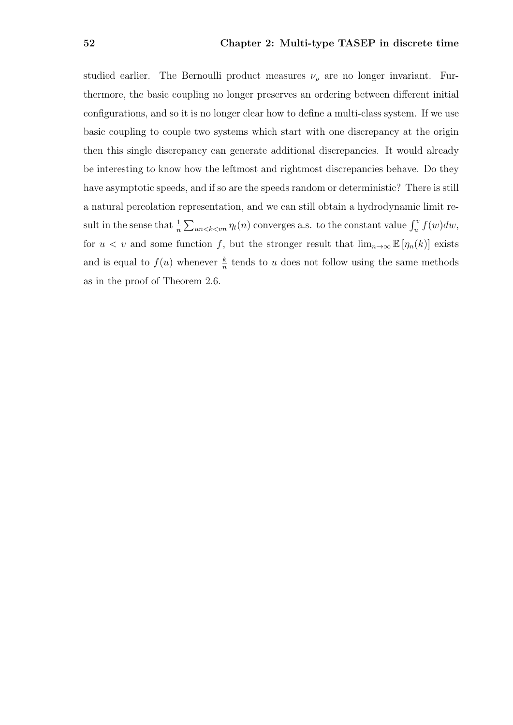studied earlier. The Bernoulli product measures  $\nu_{\rho}$  are no longer invariant. Furthermore, the basic coupling no longer preserves an ordering between different initial configurations, and so it is no longer clear how to define a multi-class system. If we use basic coupling to couple two systems which start with one discrepancy at the origin then this single discrepancy can generate additional discrepancies. It would already be interesting to know how the leftmost and rightmost discrepancies behave. Do they have asymptotic speeds, and if so are the speeds random or deterministic? There is still a natural percolation representation, and we can still obtain a hydrodynamic limit result in the sense that  $\frac{1}{n} \sum_{un \le k \le vn} \eta_t(n)$  converges a.s. to the constant value  $\int_u^v f(w) dw$ , for  $u < v$  and some function f, but the stronger result that  $\lim_{n\to\infty} \mathbb{E} [\eta_n(k)]$  exists and is equal to  $f(u)$  whenever  $\frac{k}{n}$  tends to u does not follow using the same methods as in the proof of Theorem 2.6.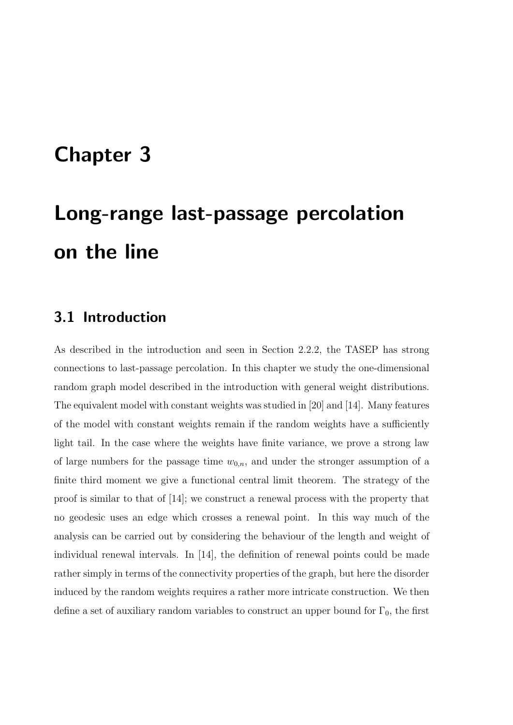# Chapter 3

# Long-range last-passage percolation on the line

### 3.1 Introduction

As described in the introduction and seen in Section 2.2.2, the TASEP has strong connections to last-passage percolation. In this chapter we study the one-dimensional random graph model described in the introduction with general weight distributions. The equivalent model with constant weights was studied in [20] and [14]. Many features of the model with constant weights remain if the random weights have a sufficiently light tail. In the case where the weights have finite variance, we prove a strong law of large numbers for the passage time  $w_{0,n}$ , and under the stronger assumption of a finite third moment we give a functional central limit theorem. The strategy of the proof is similar to that of [14]; we construct a renewal process with the property that no geodesic uses an edge which crosses a renewal point. In this way much of the analysis can be carried out by considering the behaviour of the length and weight of individual renewal intervals. In [14], the definition of renewal points could be made rather simply in terms of the connectivity properties of the graph, but here the disorder induced by the random weights requires a rather more intricate construction. We then define a set of auxiliary random variables to construct an upper bound for  $\Gamma_0$ , the first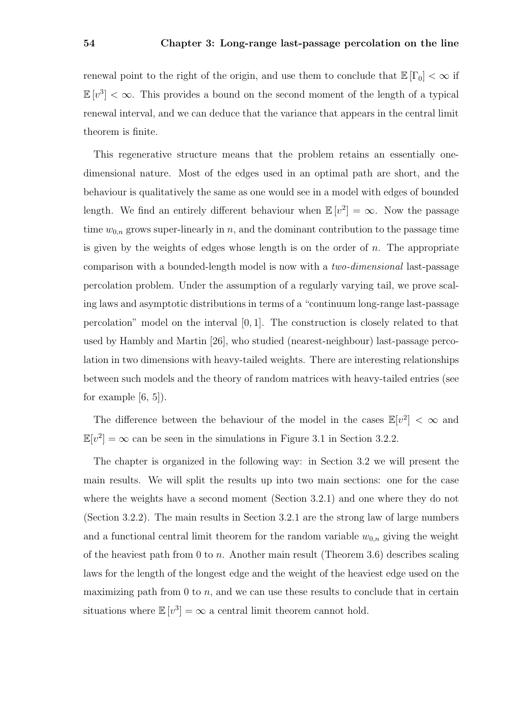renewal point to the right of the origin, and use them to conclude that  $\mathbb{E}[\Gamma_0] < \infty$  if  $\mathbb{E}[v^3] < \infty$ . This provides a bound on the second moment of the length of a typical renewal interval, and we can deduce that the variance that appears in the central limit theorem is finite.

This regenerative structure means that the problem retains an essentially onedimensional nature. Most of the edges used in an optimal path are short, and the behaviour is qualitatively the same as one would see in a model with edges of bounded length. We find an entirely different behaviour when  $\mathbb{E}[v^2] = \infty$ . Now the passage time  $w_{0,n}$  grows super-linearly in n, and the dominant contribution to the passage time is given by the weights of edges whose length is on the order of  $n$ . The appropriate comparison with a bounded-length model is now with a two-dimensional last-passage percolation problem. Under the assumption of a regularly varying tail, we prove scaling laws and asymptotic distributions in terms of a "continuum long-range last-passage percolation" model on the interval [0, 1]. The construction is closely related to that used by Hambly and Martin [26], who studied (nearest-neighbour) last-passage percolation in two dimensions with heavy-tailed weights. There are interesting relationships between such models and the theory of random matrices with heavy-tailed entries (see for example  $[6, 5]$ .

The difference between the behaviour of the model in the cases  $\mathbb{E}[v^2] < \infty$  and  $\mathbb{E}[v^2] = \infty$  can be seen in the simulations in Figure 3.1 in Section 3.2.2.

The chapter is organized in the following way: in Section 3.2 we will present the main results. We will split the results up into two main sections: one for the case where the weights have a second moment (Section 3.2.1) and one where they do not (Section 3.2.2). The main results in Section 3.2.1 are the strong law of large numbers and a functional central limit theorem for the random variable  $w_{0,n}$  giving the weight of the heaviest path from 0 to n. Another main result (Theorem 3.6) describes scaling laws for the length of the longest edge and the weight of the heaviest edge used on the maximizing path from  $0$  to  $n$ , and we can use these results to conclude that in certain situations where  $\mathbb{E}[v^3] = \infty$  a central limit theorem cannot hold.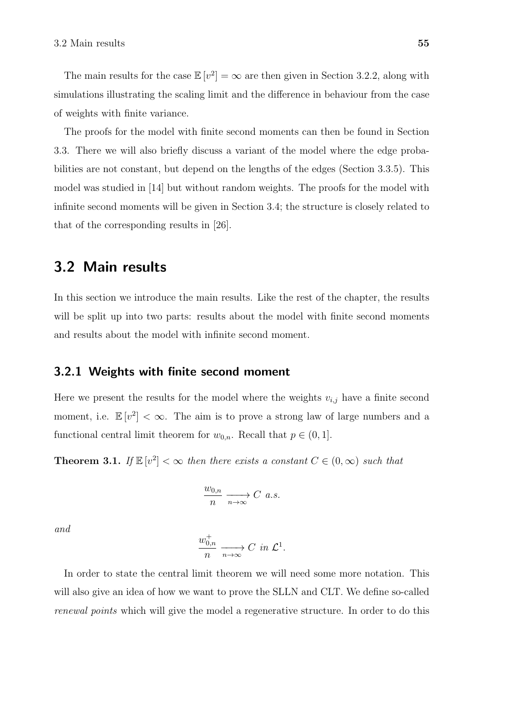The main results for the case  $\mathbb{E}[v^2] = \infty$  are then given in Section 3.2.2, along with simulations illustrating the scaling limit and the difference in behaviour from the case of weights with finite variance.

The proofs for the model with finite second moments can then be found in Section 3.3. There we will also briefly discuss a variant of the model where the edge probabilities are not constant, but depend on the lengths of the edges (Section 3.3.5). This model was studied in [14] but without random weights. The proofs for the model with infinite second moments will be given in Section 3.4; the structure is closely related to that of the corresponding results in [26].

### 3.2 Main results

In this section we introduce the main results. Like the rest of the chapter, the results will be split up into two parts: results about the model with finite second moments and results about the model with infinite second moment.

### 3.2.1 Weights with finite second moment

Here we present the results for the model where the weights  $v_{i,j}$  have a finite second moment, i.e.  $\mathbb{E}[v^2] < \infty$ . The aim is to prove a strong law of large numbers and a functional central limit theorem for  $w_{0,n}$ . Recall that  $p \in (0,1]$ .

**Theorem 3.1.** If  $\mathbb{E}[v^2] < \infty$  then there exists a constant  $C \in (0, \infty)$  such that

$$
\frac{w_{0,n}}{n} \xrightarrow[n \to \infty]{} C \ a.s.
$$

and

$$
\frac{w_{0,n}^+}{n} \xrightarrow[n \to \infty]{} C \text{ in } \mathcal{L}^1.
$$

In order to state the central limit theorem we will need some more notation. This will also give an idea of how we want to prove the SLLN and CLT. We define so-called renewal points which will give the model a regenerative structure. In order to do this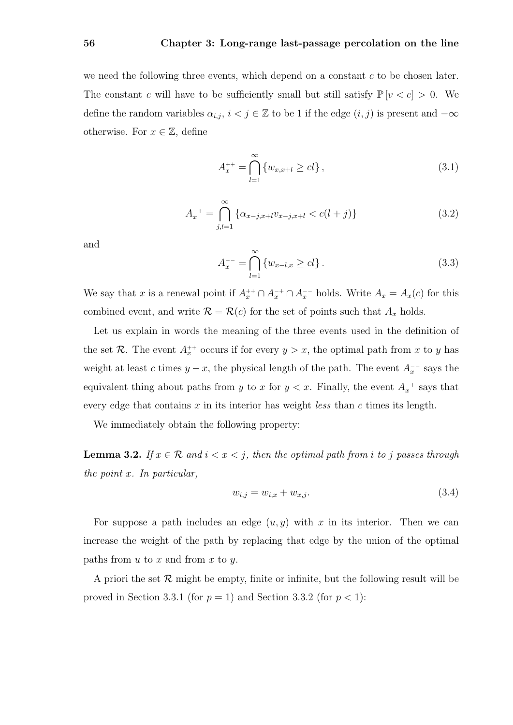### 56 Chapter 3: Long-range last-passage percolation on the line

we need the following three events, which depend on a constant  $c$  to be chosen later. The constant c will have to be sufficiently small but still satisfy  $\mathbb{P}[v < c] > 0$ . We define the random variables  $\alpha_{i,j}$ ,  $i < j \in \mathbb{Z}$  to be 1 if the edge  $(i, j)$  is present and  $-\infty$ otherwise. For  $x \in \mathbb{Z}$ , define

$$
A_x^{++} = \bigcap_{l=1}^{\infty} \{w_{x,x+l} \geq cl\},\tag{3.1}
$$

$$
A_x^{-+} = \bigcap_{j,l=1}^{\infty} \{ \alpha_{x-j,x+l} v_{x-j,x+l} < c(l+j) \} \tag{3.2}
$$

and

$$
A_x^{-} = \bigcap_{l=1}^{\infty} \{w_{x-l,x} \geq cl\}.
$$
 (3.3)

We say that x is a renewal point if  $A_x^{++} \cap A_x^{-+} \cap A_x^{--}$  holds. Write  $A_x = A_x(c)$  for this combined event, and write  $\mathcal{R} = \mathcal{R}(c)$  for the set of points such that  $A_x$  holds.

Let us explain in words the meaning of the three events used in the definition of the set R. The event  $A_x^{++}$  occurs if for every  $y > x$ , the optimal path from x to y has weight at least c times  $y - x$ , the physical length of the path. The event  $A_x^{--}$  says the equivalent thing about paths from y to x for  $y < x$ . Finally, the event  $A_x^{-+}$  says that every edge that contains x in its interior has weight *less* than c times its length.

We immediately obtain the following property:

**Lemma 3.2.** If  $x \in \mathcal{R}$  and  $i < x < j$ , then the optimal path from i to j passes through the point x. In particular,

$$
w_{i,j} = w_{i,x} + w_{x,j}.\t\t(3.4)
$$

For suppose a path includes an edge  $(u, y)$  with x in its interior. Then we can increase the weight of the path by replacing that edge by the union of the optimal paths from  $u$  to  $x$  and from  $x$  to  $y$ .

A priori the set  $\mathcal R$  might be empty, finite or infinite, but the following result will be proved in Section 3.3.1 (for  $p = 1$ ) and Section 3.3.2 (for  $p < 1$ ):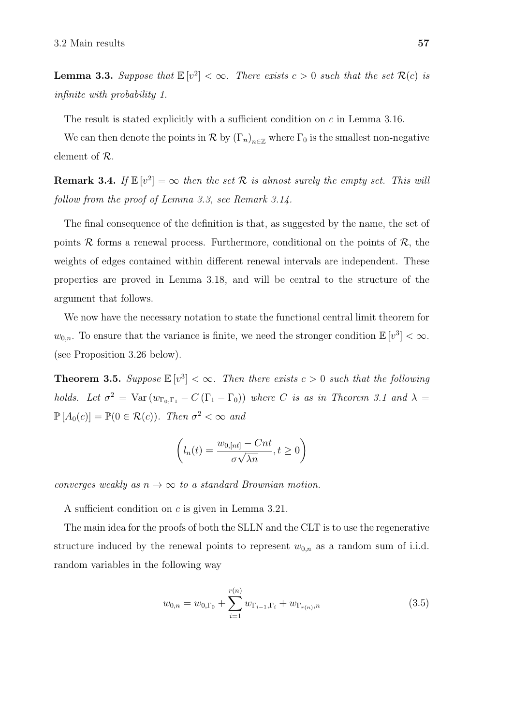**Lemma 3.3.** Suppose that  $\mathbb{E}[v^2] < \infty$ . There exists  $c > 0$  such that the set  $\mathcal{R}(c)$  is infinite with probability 1.

The result is stated explicitly with a sufficient condition on c in Lemma 3.16.

We can then denote the points in  $\mathcal R$  by  $(\Gamma_n)_{n\in\mathbb Z}$  where  $\Gamma_0$  is the smallest non-negative element of R.

**Remark 3.4.** If  $\mathbb{E}[v^2] = \infty$  then the set R is almost surely the empty set. This will follow from the proof of Lemma 3.3, see Remark 3.14.

The final consequence of the definition is that, as suggested by the name, the set of points  $\mathcal R$  forms a renewal process. Furthermore, conditional on the points of  $\mathcal R$ , the weights of edges contained within different renewal intervals are independent. These properties are proved in Lemma 3.18, and will be central to the structure of the argument that follows.

We now have the necessary notation to state the functional central limit theorem for  $w_{0,n}$ . To ensure that the variance is finite, we need the stronger condition  $\mathbb{E}[v^3] < \infty$ . (see Proposition 3.26 below).

**Theorem 3.5.** Suppose  $\mathbb{E}[v^3] < \infty$ . Then there exists  $c > 0$  such that the following holds. Let  $\sigma^2$  = Var  $(w_{\Gamma_0,\Gamma_1} - C(\Gamma_1 - \Gamma_0))$  where C is as in Theorem 3.1 and  $\lambda$  =  $\mathbb{P}\left[A_0(c)\right] = \mathbb{P}(0 \in \mathcal{R}(c))$ . Then  $\sigma^2 < \infty$  and

$$
\left(l_n(t) = \frac{w_{0,[nt]} - Cnt}{\sigma\sqrt{\lambda n}}, t \ge 0\right)
$$

converges weakly as  $n \to \infty$  to a standard Brownian motion.

A sufficient condition on c is given in Lemma 3.21.

The main idea for the proofs of both the SLLN and the CLT is to use the regenerative structure induced by the renewal points to represent  $w_{0,n}$  as a random sum of i.i.d. random variables in the following way

$$
w_{0,n} = w_{0,\Gamma_0} + \sum_{i=1}^{r(n)} w_{\Gamma_{i-1},\Gamma_i} + w_{\Gamma_{r(n)},n}
$$
\n(3.5)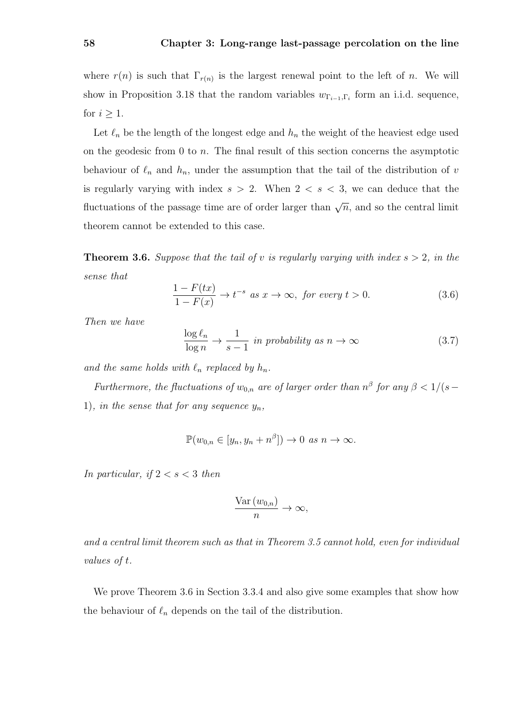where  $r(n)$  is such that  $\Gamma_{r(n)}$  is the largest renewal point to the left of n. We will show in Proposition 3.18 that the random variables  $w_{\Gamma_{i-1},\Gamma_i}$  form an i.i.d. sequence, for  $i \geq 1$ .

Let  $\ell_n$  be the length of the longest edge and  $h_n$  the weight of the heaviest edge used on the geodesic from  $0$  to  $n$ . The final result of this section concerns the asymptotic behaviour of  $\ell_n$  and  $h_n$ , under the assumption that the tail of the distribution of v is regularly varying with index  $s > 2$ . When  $2 < s < 3$ , we can deduce that the fluctuations of the passage time are of order larger than  $\sqrt{n}$ , and so the central limit theorem cannot be extended to this case.

**Theorem 3.6.** Suppose that the tail of v is regularly varying with index  $s > 2$ , in the sense that

$$
\frac{1 - F(tx)}{1 - F(x)} \to t^{-s} \text{ as } x \to \infty, \text{ for every } t > 0.
$$
 (3.6)

Then we have

$$
\frac{\log \ell_n}{\log n} \to \frac{1}{s-1} \text{ in probability as } n \to \infty \tag{3.7}
$$

and the same holds with  $\ell_n$  replaced by  $h_n$ .

Furthermore, the fluctuations of  $w_{0,n}$  are of larger order than  $n^{\beta}$  for any  $\beta < 1/(s -$ 1), in the sense that for any sequence  $y_n$ ,

$$
\mathbb{P}(w_{0,n} \in [y_n, y_n + n^{\beta}]) \to 0 \text{ as } n \to \infty.
$$

In particular, if  $2 < s < 3$  then

$$
\frac{\text{Var}(w_{0,n})}{n} \to \infty,
$$

and a central limit theorem such as that in Theorem 3.5 cannot hold, even for individual values of t.

We prove Theorem 3.6 in Section 3.3.4 and also give some examples that show how the behaviour of  $\ell_n$  depends on the tail of the distribution.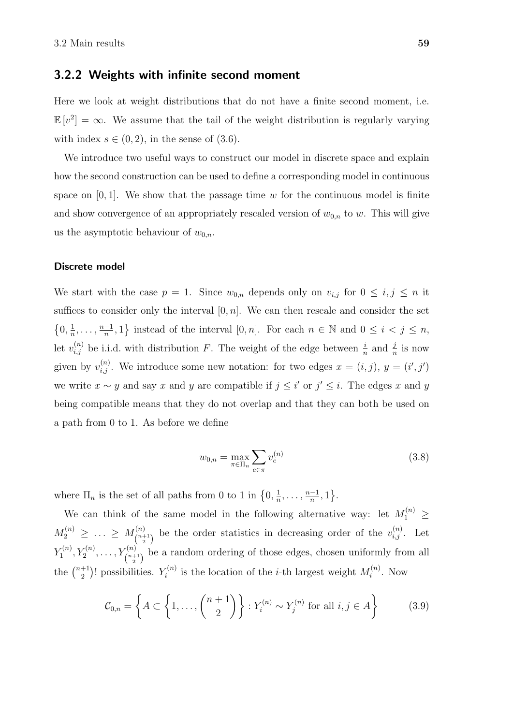### 3.2.2 Weights with infinite second moment

Here we look at weight distributions that do not have a finite second moment, i.e.  $\mathbb{E}[v^2] = \infty$ . We assume that the tail of the weight distribution is regularly varying with index  $s \in (0, 2)$ , in the sense of  $(3.6)$ .

We introduce two useful ways to construct our model in discrete space and explain how the second construction can be used to define a corresponding model in continuous space on  $[0, 1]$ . We show that the passage time w for the continuous model is finite and show convergence of an appropriately rescaled version of  $w_{0,n}$  to w. This will give us the asymptotic behaviour of  $w_{0,n}$ .

#### Discrete model

We start with the case  $p = 1$ . Since  $w_{0,n}$  depends only on  $v_{i,j}$  for  $0 \le i, j \le n$  it suffices to consider only the interval  $[0, n]$ . We can then rescale and consider the set  $\{0,\frac{1}{n}\}$  $\frac{1}{n}, \ldots, \frac{n-1}{n}$  $\left\{\frac{-1}{n},1\right\}$  instead of the interval  $[0,n]$ . For each  $n \in \mathbb{N}$  and  $0 \leq i < j \leq n$ , let  $v_{i,j}^{(n)}$  be i.i.d. with distribution F. The weight of the edge between  $\frac{i}{n}$  and  $\frac{j}{n}$  is now given by  $v_{i,j}^{(n)}$ . We introduce some new notation: for two edges  $x = (i,j)$ ,  $y = (i',j')$ we write  $x \sim y$  and say x and y are compatible if  $j \leq i'$  or  $j' \leq i$ . The edges x and y being compatible means that they do not overlap and that they can both be used on a path from 0 to 1. As before we define

$$
w_{0,n} = \max_{\pi \in \Pi_n} \sum_{e \in \pi} v_e^{(n)} \tag{3.8}
$$

where  $\Pi_n$  is the set of all paths from 0 to 1 in  $\{0, \frac{1}{n}\}$  $\frac{1}{n}, \ldots, \frac{n-1}{n}$  $\frac{-1}{n}, 1$ .

We can think of the same model in the following alternative way: let  $M_1^{(n)} \geq$  $M_2^{(n)} \, \geq \, \ldots \, \geq \, M_{\binom{n+1}{n}}^{(n)}$  $\binom{n}{2}$  be the order statistics in decreasing order of the  $v_{i,j}^{(n)}$ . Let  $Y_1^{(n)}$  $Y_1^{(n)}, Y_2^{(n)}, \ldots, Y_{\binom{n+1}{2}}^{(n)}$  be a random ordering of those edges, chosen uniformly from all the  $\binom{n+1}{2}$  $\binom{+1}{2}!$  possibilities.  $Y_i^{(n)}$  $i^{(n)}$  is the location of the *i*-th largest weight  $M_i^{(n)}$  $i^{(n)}$ . Now

$$
\mathcal{C}_{0,n} = \left\{ A \subset \left\{ 1, \ldots, \binom{n+1}{2} \right\} : Y_i^{(n)} \sim Y_j^{(n)} \text{ for all } i, j \in A \right\} \tag{3.9}
$$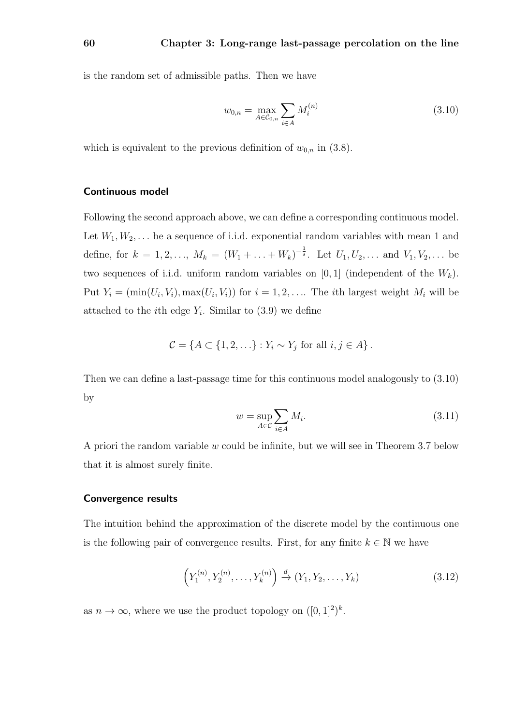is the random set of admissible paths. Then we have

$$
w_{0,n} = \max_{A \in \mathcal{C}_{0,n}} \sum_{i \in A} M_i^{(n)} \tag{3.10}
$$

which is equivalent to the previous definition of  $w_{0,n}$  in (3.8).

#### Continuous model

Following the second approach above, we can define a corresponding continuous model. Let  $W_1, W_2, \ldots$  be a sequence of i.i.d. exponential random variables with mean 1 and define, for  $k = 1, 2, ..., M_k = (W_1 + ... + W_k)^{-\frac{1}{s}}$ . Let  $U_1, U_2, ...$  and  $V_1, V_2, ...$  be two sequences of i.i.d. uniform random variables on  $[0, 1]$  (independent of the  $W_k$ ). Put  $Y_i = (\min(U_i, V_i), \max(U_i, V_i))$  for  $i = 1, 2, \ldots$  The *i*th largest weight  $M_i$  will be attached to the *i*<sup>th</sup> edge  $Y_i$ . Similar to  $(3.9)$  we define

$$
\mathcal{C} = \{ A \subset \{1, 2, \ldots\} : Y_i \sim Y_j \text{ for all } i, j \in A \}.
$$

Then we can define a last-passage time for this continuous model analogously to (3.10) by

$$
w = \sup_{A \in \mathcal{C}} \sum_{i \in A} M_i.
$$
\n(3.11)

A priori the random variable w could be infinite, but we will see in Theorem 3.7 below that it is almost surely finite.

### Convergence results

The intuition behind the approximation of the discrete model by the continuous one is the following pair of convergence results. First, for any finite  $k \in \mathbb{N}$  we have

$$
\left(Y_1^{(n)}, Y_2^{(n)}, \dots, Y_k^{(n)}\right) \xrightarrow{d} \left(Y_1, Y_2, \dots, Y_k\right) \tag{3.12}
$$

as  $n \to \infty$ , where we use the product topology on  $([0, 1]^2)^k$ .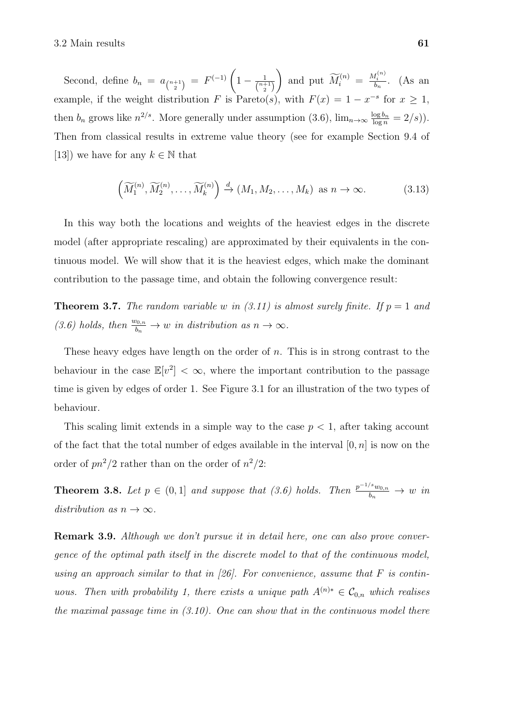Second, define  $b_n = a_{\binom{n+1}{2}} = F^{(-1)} \left( 1 - \frac{1}{\binom{n+1}{2}} \right)$  $\binom{n+1}{2}$ and put  $\widetilde{M}_i^{(n)} = \frac{M_i^{(n)}}{b_n}$ . (As an example, if the weight distribution F is Pareto(s), with  $F(x) = 1 - x^{-s}$  for  $x \ge 1$ , then  $b_n$  grows like  $n^{2/s}$ . More generally under assumption (3.6),  $\lim_{n\to\infty} \frac{\log b_n}{\log n} = 2/s$ ). Then from classical results in extreme value theory (see for example Section 9.4 of [13]) we have for any  $k \in \mathbb{N}$  that

$$
\left(\widetilde{M}_1^{(n)}, \widetilde{M}_2^{(n)}, \ldots, \widetilde{M}_k^{(n)}\right) \xrightarrow{d} \left(M_1, M_2, \ldots, M_k\right) \text{ as } n \to \infty. \tag{3.13}
$$

In this way both the locations and weights of the heaviest edges in the discrete model (after appropriate rescaling) are approximated by their equivalents in the continuous model. We will show that it is the heaviest edges, which make the dominant contribution to the passage time, and obtain the following convergence result:

**Theorem 3.7.** The random variable w in (3.11) is almost surely finite. If  $p = 1$  and (3.6) holds, then  $\frac{w_{0,n}}{b_n} \to w$  in distribution as  $n \to \infty$ .

These heavy edges have length on the order of n. This is in strong contrast to the behaviour in the case  $\mathbb{E}[v^2] < \infty$ , where the important contribution to the passage time is given by edges of order 1. See Figure 3.1 for an illustration of the two types of behaviour.

This scaling limit extends in a simple way to the case  $p < 1$ , after taking account of the fact that the total number of edges available in the interval  $[0, n]$  is now on the order of  $pn^2/2$  rather than on the order of  $n^2/2$ :

**Theorem 3.8.** Let  $p \in (0,1]$  and suppose that  $(3.6)$  holds. Then  $\frac{p^{-1/s}w_{0,n}}{b_n} \to w$  in distribution as  $n \to \infty$ .

**Remark 3.9.** Although we don't pursue it in detail here, one can also prove convergence of the optimal path itself in the discrete model to that of the continuous model, using an approach similar to that in [26]. For convenience, assume that  $F$  is continuous. Then with probability 1, there exists a unique path  $A^{(n)*} \in C_{0,n}$  which realises the maximal passage time in  $(3.10)$ . One can show that in the continuous model there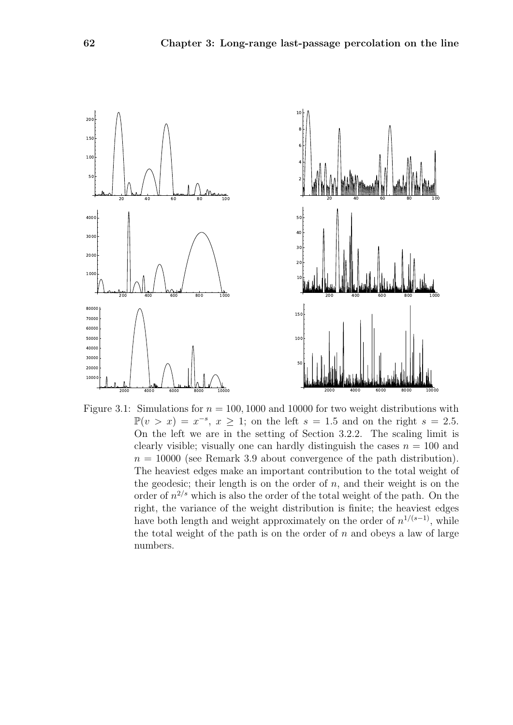



Figure 3.1: Simulations for  $n = 100, 1000$  and 10000 for two weight distributions with  $\mathbb{P}(v > x) = x^{-s}, x \geq 1$ ; on the left  $s = 1.5$  and on the right  $s = 2.5$ . On the left we are in the setting of Section 3.2.2. The scaling limit is clearly visible; visually one can hardly distinguish the cases  $n = 100$  and  $n = 10000$  (see Remark 3.9 about convergence of the path distribution). The heaviest edges make an important contribution to the total weight of the geodesic; their length is on the order of  $n$ , and their weight is on the order of  $n^{2/s}$  which is also the order of the total weight of the path. On the right, the variance of the weight distribution is finite; the heaviest edges have both length and weight approximately on the order of  $n^{1/(s-1)}$ , while the total weight of the path is on the order of  $n$  and obeys a law of large numbers.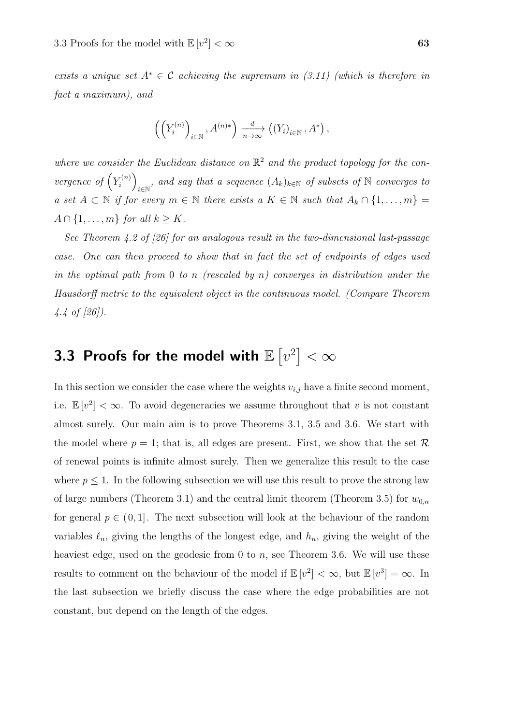exists a unique set  $A^* \in \mathcal{C}$  achieving the supremum in (3.11) (which is therefore in fact a maximum), and

$$
\left(\left(Y_i^{(n)}\right)_{i\in\mathbb{N}},A^{(n)*}\right)\xrightarrow[n\to\infty]{d} \left(\left(Y_i\right)_{i\in\mathbb{N}},A^*\right),
$$

where we consider the Euclidean distance on  $\mathbb{R}^2$  and the product topology for the convergence of  $(Y_i^{(n)}$  $\binom{n}{i}$  $\mathcal{L}_{i\in\mathbb{N}}$ , and say that a sequence  $(A_k)_{k\in\mathbb{N}}$  of subsets of  $\mathbb N$  converges to a set  $A \subset \mathbb{N}$  if for every  $m \in \mathbb{N}$  there exists a  $K \in \mathbb{N}$  such that  $A_k \cap \{1, \ldots, m\} =$  $A \cap \{1, \ldots, m\}$  for all  $k \geq K$ .

See Theorem 4.2 of [26] for an analogous result in the two-dimensional last-passage case. One can then proceed to show that in fact the set of endpoints of edges used in the optimal path from 0 to n (rescaled by n) converges in distribution under the Hausdorff metric to the equivalent object in the continuous model. (Compare Theorem 4.4 of [26]).

## 3.3 Proofs for the model with  $\mathbb{E}\left[v^2\right]<\infty$

In this section we consider the case where the weights  $v_{i,j}$  have a finite second moment, i.e.  $\mathbb{E}[v^2] < \infty$ . To avoid degeneracies we assume throughout that v is not constant almost surely. Our main aim is to prove Theorems 3.1, 3.5 and 3.6. We start with the model where  $p = 1$ ; that is, all edges are present. First, we show that the set R of renewal points is infinite almost surely. Then we generalize this result to the case where  $p \leq 1$ . In the following subsection we will use this result to prove the strong law of large numbers (Theorem 3.1) and the central limit theorem (Theorem 3.5) for  $w_{0,n}$ for general  $p \in (0,1]$ . The next subsection will look at the behaviour of the random variables  $\ell_n$ , giving the lengths of the longest edge, and  $h_n$ , giving the weight of the heaviest edge, used on the geodesic from 0 to n, see Theorem 3.6. We will use these results to comment on the behaviour of the model if  $\mathbb{E}[v^2] < \infty$ , but  $\mathbb{E}[v^3] = \infty$ . In the last subsection we briefly discuss the case where the edge probabilities are not constant, but depend on the length of the edges.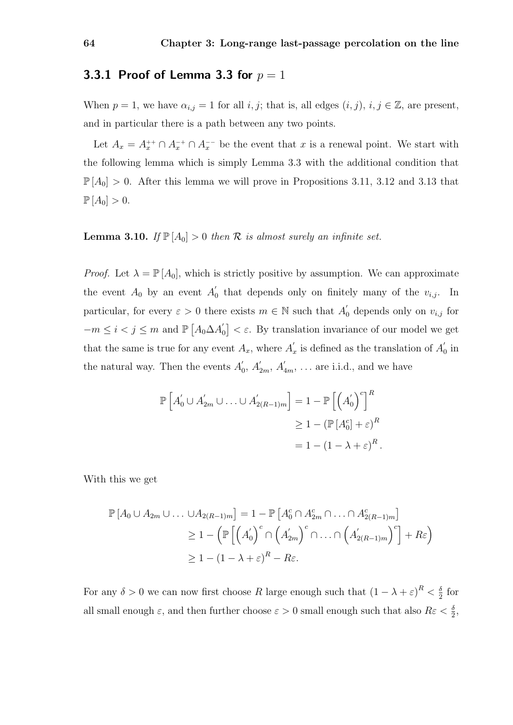### 3.3.1 Proof of Lemma 3.3 for  $p=1$

When  $p = 1$ , we have  $\alpha_{i,j} = 1$  for all  $i, j$ ; that is, all edges  $(i, j)$ ,  $i, j \in \mathbb{Z}$ , are present, and in particular there is a path between any two points.

Let  $A_x = A_x^{++} \cap A_x^{-+} \cap A_x^{-}$  be the event that x is a renewal point. We start with the following lemma which is simply Lemma 3.3 with the additional condition that  $\mathbb{P}[A_0] > 0$ . After this lemma we will prove in Propositions 3.11, 3.12 and 3.13 that  $\mathbb{P}[A_0] > 0.$ 

**Lemma 3.10.** If  $\mathbb{P}[A_0] > 0$  then  $\mathcal R$  is almost surely an infinite set.

*Proof.* Let  $\lambda = \mathbb{P}[A_0]$ , which is strictly positive by assumption. We can approximate the event  $A_0$  by an event  $A'_0$  $\int_0^{\infty}$  that depends only on finitely many of the  $v_{i,j}$ . In particular, for every  $\varepsilon > 0$  there exists  $m \in \mathbb{N}$  such that  $A'_{0}$  depends only on  $v_{i,j}$  for  $-m \leq i < j \leq m$  and  $\mathbb{P}\left[A_0 \Delta A_0'\right]$  $\binom{1}{0} < \varepsilon$ . By translation invariance of our model we get that the same is true for any event  $A_x$ , where  $A'_x$  $x'$  is defined as the translation of  $A'_0$  $\frac{1}{0}$  in the natural way. Then the events  $A'_{0}$  $\eta_0', A'_{2m}, A'_{4m}, \ldots$  are i.i.d., and we have

$$
\mathbb{P}\left[A'_0 \cup A'_{2m} \cup \ldots \cup A'_{2(R-1)m}\right] = 1 - \mathbb{P}\left[\left(A'_0\right)^c\right]^R
$$

$$
\geq 1 - \left(\mathbb{P}\left[A_0^c\right] + \varepsilon\right)^R
$$

$$
= 1 - \left(1 - \lambda + \varepsilon\right)^R.
$$

With this we get

$$
\mathbb{P}\left[A_0 \cup A_{2m} \cup \ldots \cup A_{2(R-1)m}\right] = 1 - \mathbb{P}\left[A_0^c \cap A_{2m}^c \cap \ldots \cap A_{2(R-1)m}^c\right]
$$
  
\n
$$
\geq 1 - \left(\mathbb{P}\left[\left(A_0'\right)^c \cap \left(A_{2m}'\right)^c \cap \ldots \cap \left(A_{2(R-1)m}'\right)^c\right] + R\varepsilon\right)
$$
  
\n
$$
\geq 1 - (1 - \lambda + \varepsilon)^R - R\varepsilon.
$$

For any  $\delta > 0$  we can now first choose R large enough such that  $(1 - \lambda + \varepsilon)^R < \frac{\delta}{2}$  $rac{0}{2}$  for all small enough  $\varepsilon$ , and then further choose  $\varepsilon > 0$  small enough such that also  $R\varepsilon < \frac{\delta}{2}$ ,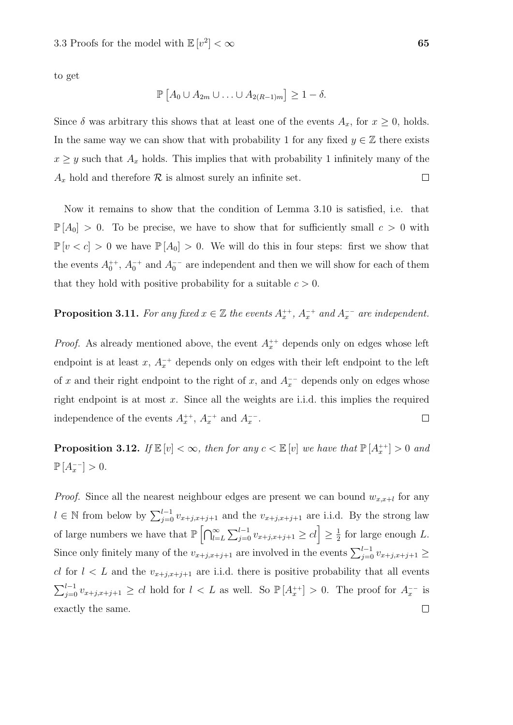to get

$$
\mathbb{P}\left[A_0 \cup A_{2m} \cup \ldots \cup A_{2(R-1)m}\right] \geq 1-\delta.
$$

Since  $\delta$  was arbitrary this shows that at least one of the events  $A_x$ , for  $x \ge 0$ , holds. In the same way we can show that with probability 1 for any fixed  $y \in \mathbb{Z}$  there exists  $x \geq y$  such that  $A_x$  holds. This implies that with probability 1 infinitely many of the  $A_x$  hold and therefore  $\mathcal R$  is almost surely an infinite set.  $\Box$ 

Now it remains to show that the condition of Lemma 3.10 is satisfied, i.e. that  $\mathbb{P}[A_0] > 0$ . To be precise, we have to show that for sufficiently small  $c > 0$  with  $\mathbb{P}[v < c] > 0$  we have  $\mathbb{P}[A_0] > 0$ . We will do this in four steps: first we show that the events  $A_0^{++}$ ,  $A_0^{-+}$  and  $A_0^{--}$  are independent and then we will show for each of them that they hold with positive probability for a suitable  $c > 0$ .

### **Proposition 3.11.** For any fixed  $x \in \mathbb{Z}$  the events  $A_x^{++}$ ,  $A_x^{-+}$  and  $A_x^{--}$  are independent.

*Proof.* As already mentioned above, the event  $A_x^{++}$  depends only on edges whose left endpoint is at least x,  $A_x^{-+}$  depends only on edges with their left endpoint to the left of x and their right endpoint to the right of x, and  $A<sub>x</sub><sup>-</sup>$  depends only on edges whose right endpoint is at most  $x$ . Since all the weights are i.i.d. this implies the required independence of the events  $A_x^{++}$ ,  $A_x^{-+}$  and  $A_x^{--}$ .  $\Box$ 

**Proposition 3.12.** If  $\mathbb{E}[v] < \infty$ , then for any  $c < \mathbb{E}[v]$  we have that  $\mathbb{P}[A_{x}^{++}] > 0$  and  $\mathbb{P}[A_x^{-1}] > 0.$ 

*Proof.* Since all the nearest neighbour edges are present we can bound  $w_{x,x+l}$  for any  $l \in \mathbb{N}$  from below by  $\sum_{j=0}^{l-1} v_{x+j,x+j+1}$  and the  $v_{x+j,x+j+1}$  are i.i.d. By the strong law of large numbers we have that  $\mathbb{P}\left[\bigcap_{l=L}^{\infty}\sum_{j=0}^{l-1}v_{x+j,x+j+1}\geq cl\right]\geq \frac{1}{2}$  $\frac{1}{2}$  for large enough L. Since only finitely many of the  $v_{x+j,x+j+1}$  are involved in the events  $\sum_{j=0}^{l-1} v_{x+j,x+j+1} \geq$ cl for  $l < L$  and the  $v_{x+j,x+j+1}$  are i.i.d. there is positive probability that all events  $\sum_{j=0}^{l-1} v_{x+j,x+j+1} \geq cl$  hold for  $l < L$  as well. So  $\mathbb{P}[A_x^{++}] > 0$ . The proof for  $A_x^{-}$  is exactly the same. $\Box$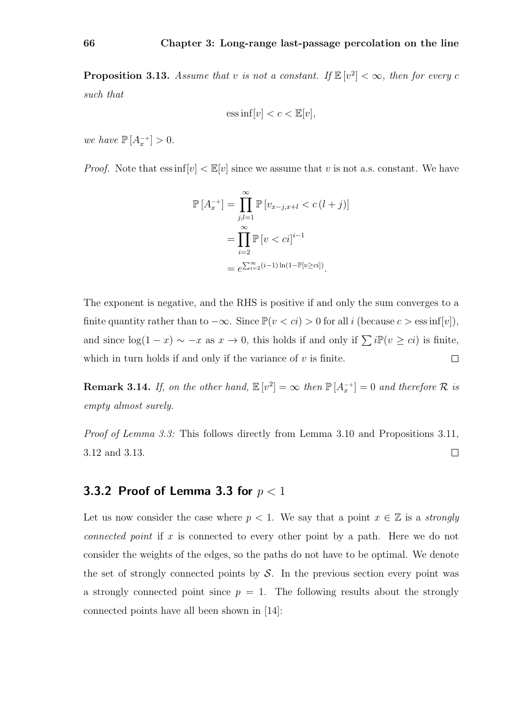**Proposition 3.13.** Assume that v is not a constant. If  $\mathbb{E}[v^2] < \infty$ , then for every c such that

$$
ess\inf[v] < c < \mathbb{E}[v],
$$

we have  $\mathbb{P}\left[A_x^{-+}\right] > 0$ .

*Proof.* Note that  $\text{ess inf}[v] < \mathbb{E}[v]$  since we assume that v is not a.s. constant. We have

$$
\mathbb{P}\left[A_x^{-+}\right] = \prod_{j,l=1}^{\infty} \mathbb{P}\left[v_{x-j,x+l} < c\left(l+j\right)\right]
$$
\n
$$
= \prod_{i=2}^{\infty} \mathbb{P}\left[v < ci\right]^{i-1}
$$
\n
$$
= e^{\sum_{i=2}^{\infty} (i-1)\ln(1-\mathbb{P}\left[v \geq ci\right])}.
$$

The exponent is negative, and the RHS is positive if and only the sum converges to a finite quantity rather than to  $-\infty$ . Since  $\mathbb{P}(v < ci) > 0$  for all i (because  $c > \text{ess inf}[v]$ ), and since  $log(1-x) \sim -x$  as  $x \to 0$ , this holds if and only if  $\sum i \mathbb{P}(v \geq ci)$  is finite, which in turn holds if and only if the variance of  $v$  is finite.  $\Box$ 

**Remark 3.14.** If, on the other hand,  $\mathbb{E}[v^2] = \infty$  then  $\mathbb{P}[A_x^{-+}] = 0$  and therefore R is empty almost surely.

*Proof of Lemma 3.3:* This follows directly from Lemma 3.10 and Propositions 3.11, 3.12 and 3.13.  $\Box$ 

### 3.3.2 Proof of Lemma 3.3 for  $p < 1$

Let us now consider the case where  $p < 1$ . We say that a point  $x \in \mathbb{Z}$  is a *strongly* connected point if x is connected to every other point by a path. Here we do not consider the weights of the edges, so the paths do not have to be optimal. We denote the set of strongly connected points by  $S$ . In the previous section every point was a strongly connected point since  $p = 1$ . The following results about the strongly connected points have all been shown in [14]: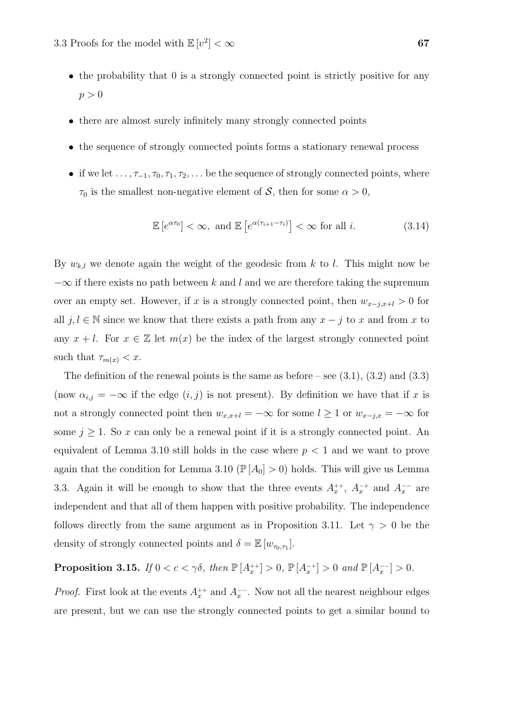- the probability that 0 is a strongly connected point is strictly positive for any  $p > 0$
- there are almost surely infinitely many strongly connected points
- the sequence of strongly connected points forms a stationary renewal process
- if we let  $\dots, \tau_{-1}, \tau_0, \tau_1, \tau_2, \dots$  be the sequence of strongly connected points, where  $\tau_0$  is the smallest non-negative element of S, then for some  $\alpha > 0$ ,

$$
\mathbb{E}\left[e^{\alpha \tau_0}\right] < \infty, \text{ and } \mathbb{E}\left[e^{\alpha(\tau_{i+1} - \tau_i)}\right] < \infty \text{ for all } i. \tag{3.14}
$$

By  $w_{k,l}$  we denote again the weight of the geodesic from k to l. This might now be  $-\infty$  if there exists no path between k and l and we are therefore taking the supremum over an empty set. However, if x is a strongly connected point, then  $w_{x-j,x+l} > 0$  for all  $j, l \in \mathbb{N}$  since we know that there exists a path from any  $x - j$  to x and from x to any  $x + l$ . For  $x \in \mathbb{Z}$  let  $m(x)$  be the index of the largest strongly connected point such that  $\tau_{m(x)} < x$ .

The definition of the renewal points is the same as before – see  $(3.1)$ ,  $(3.2)$  and  $(3.3)$ (now  $\alpha_{i,j} = -\infty$  if the edge  $(i, j)$  is not present). By definition we have that if x is not a strongly connected point then  $w_{x,x+l} = -\infty$  for some  $l \geq 1$  or  $w_{x-j,x} = -\infty$  for some  $j \geq 1$ . So x can only be a renewal point if it is a strongly connected point. An equivalent of Lemma 3.10 still holds in the case where  $p < 1$  and we want to prove again that the condition for Lemma 3.10 ( $\mathbb{P}[A_0] > 0$ ) holds. This will give us Lemma 3.3. Again it will be enough to show that the three events  $A_x^{++}$ ,  $A_x^{-+}$  and  $A_x^{--}$  are independent and that all of them happen with positive probability. The independence follows directly from the same argument as in Proposition 3.11. Let  $\gamma > 0$  be the density of strongly connected points and  $\delta = \mathbb{E}[w_{\tau_0,\tau_1}].$ 

**Proposition 3.15.** If  $0 < c < \gamma \delta$ , then  $\mathbb{P}[A_x^{++}] > 0$ ,  $\mathbb{P}[A_x^{-+}] > 0$  and  $\mathbb{P}[A_x^{--}] > 0$ .

*Proof.* First look at the events  $A_x^{++}$  and  $A_x^{--}$ . Now not all the nearest neighbour edges are present, but we can use the strongly connected points to get a similar bound to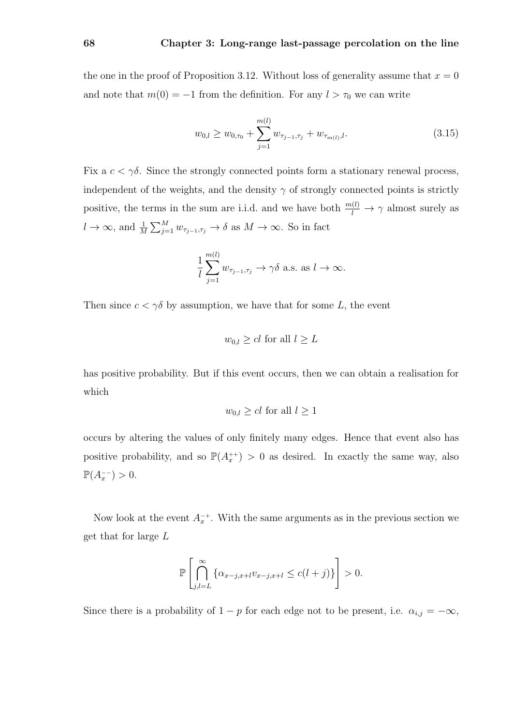the one in the proof of Proposition 3.12. Without loss of generality assume that  $x = 0$ and note that  $m(0) = -1$  from the definition. For any  $l > \tau_0$  we can write

$$
w_{0,l} \ge w_{0,\tau_0} + \sum_{j=1}^{m(l)} w_{\tau_{j-1},\tau_j} + w_{\tau_{m(l)},l}.
$$
\n(3.15)

Fix a  $c < \gamma \delta$ . Since the strongly connected points form a stationary renewal process, independent of the weights, and the density  $\gamma$  of strongly connected points is strictly positive, the terms in the sum are i.i.d. and we have both  $\frac{m(l)}{l} \to \gamma$  almost surely as  $l \to \infty$ , and  $\frac{1}{M} \sum_{j=1}^{M} w_{\tau_{j-1},\tau_j} \to \delta$  as  $M \to \infty$ . So in fact

$$
\frac{1}{l}\sum_{j=1}^{m(l)} w_{\tau_{j-1},\tau_j} \to \gamma \delta \text{ a.s. as } l \to \infty.
$$

Then since  $c < \gamma \delta$  by assumption, we have that for some L, the event

$$
w_{0,l} \ge cl \text{ for all } l \ge L
$$

has positive probability. But if this event occurs, then we can obtain a realisation for which

$$
w_{0,l} \ge cl \text{ for all } l \ge 1
$$

occurs by altering the values of only finitely many edges. Hence that event also has positive probability, and so  $\mathbb{P}(A_x^{++}) > 0$  as desired. In exactly the same way, also  $\mathbb{P}(A_x^{-1}) > 0.$ 

Now look at the event  $A_x^{-+}$ . With the same arguments as in the previous section we get that for large L

$$
\mathbb{P}\left[\bigcap_{j,l=L}^{\infty}\left\{\alpha_{x-j,x+l}v_{x-j,x+l} \le c(l+j)\right\}\right] > 0.
$$

Since there is a probability of  $1 - p$  for each edge not to be present, i.e.  $\alpha_{i,j} = -\infty$ ,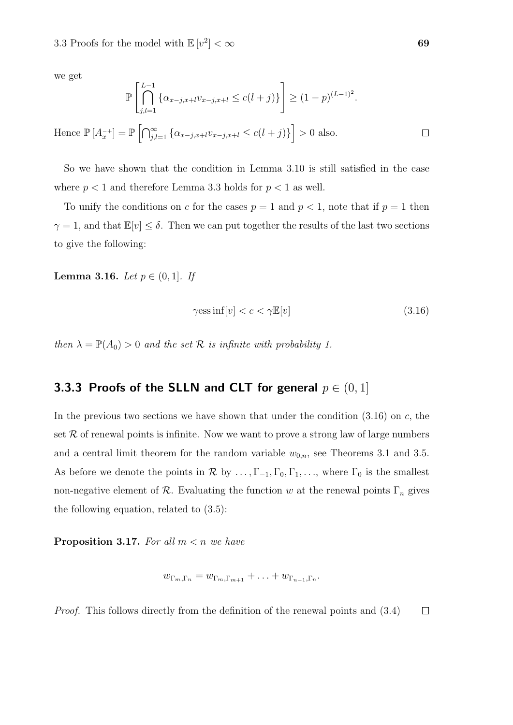we get

$$
\mathbb{P}\left[\bigcap_{j,l=1}^{L-1} \{\alpha_{x-j,x+l}v_{x-j,x+l} \le c(l+j)\}\right] \ge (1-p)^{(L-1)^2}.
$$
  
Hence  $\mathbb{P}[A_x^{-+}] = \mathbb{P}\left[\bigcap_{j,l=1}^{\infty} \{\alpha_{x-j,x+l}v_{x-j,x+l} \le c(l+j)\}\right] > 0$  also.

So we have shown that the condition in Lemma 3.10 is still satisfied in the case where  $p < 1$  and therefore Lemma 3.3 holds for  $p < 1$  as well.

To unify the conditions on c for the cases  $p = 1$  and  $p < 1$ , note that if  $p = 1$  then  $\gamma = 1$ , and that  $\mathbb{E}[v] \leq \delta$ . Then we can put together the results of the last two sections to give the following:

**Lemma 3.16.** Let  $p \in (0, 1]$ . If

$$
\gamma \text{ess inf}[v] < c < \gamma \mathbb{E}[v] \tag{3.16}
$$

then  $\lambda = \mathbb{P}(A_0) > 0$  and the set  $\mathcal R$  is infinite with probability 1.

### 3.3.3 Proofs of the SLLN and CLT for general  $p \in (0,1]$

In the previous two sections we have shown that under the condition  $(3.16)$  on c, the set  $R$  of renewal points is infinite. Now we want to prove a strong law of large numbers and a central limit theorem for the random variable  $w_{0,n}$ , see Theorems 3.1 and 3.5. As before we denote the points in  $\mathcal R$  by  $\ldots, \Gamma_{-1}, \Gamma_0, \Gamma_1, \ldots$ , where  $\Gamma_0$  is the smallest non-negative element of  $\mathcal R$ . Evaluating the function w at the renewal points  $\Gamma_n$  gives the following equation, related to (3.5):

**Proposition 3.17.** For all  $m < n$  we have

$$
w_{\Gamma_m,\Gamma_n}=w_{\Gamma_m,\Gamma_{m+1}}+\ldots+w_{\Gamma_{n-1},\Gamma_n}.
$$

Proof. This follows directly from the definition of the renewal points and (3.4) $\Box$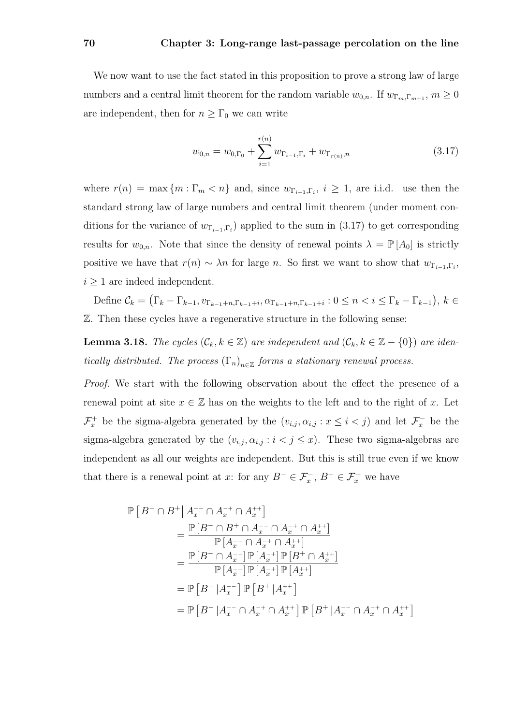#### 70 Chapter 3: Long-range last-passage percolation on the line

We now want to use the fact stated in this proposition to prove a strong law of large numbers and a central limit theorem for the random variable  $w_{0,n}$ . If  $w_{\Gamma_m,\Gamma_{m+1}}$ ,  $m \geq 0$ are independent, then for  $n \geq \Gamma_0$  we can write

$$
w_{0,n} = w_{0,\Gamma_0} + \sum_{i=1}^{r(n)} w_{\Gamma_{i-1},\Gamma_i} + w_{\Gamma_{r(n)},n}
$$
\n(3.17)

where  $r(n) = \max\{m : \Gamma_m < n\}$  and, since  $w_{\Gamma_{i-1},\Gamma_i}$ ,  $i \geq 1$ , are i.i.d. use then the standard strong law of large numbers and central limit theorem (under moment conditions for the variance of  $w_{\Gamma_{i-1},\Gamma_i}$  applied to the sum in (3.17) to get corresponding results for  $w_{0,n}$ . Note that since the density of renewal points  $\lambda = \mathbb{P}[A_0]$  is strictly positive we have that  $r(n) \sim \lambda n$  for large n. So first we want to show that  $w_{\Gamma_{i-1},\Gamma_i}$ ,  $i \geq 1$  are indeed independent.

Define  $\mathcal{C}_k = (\Gamma_k - \Gamma_{k-1}, v_{\Gamma_{k-1}+n, \Gamma_{k-1}+i}, \alpha_{\Gamma_{k-1}+n, \Gamma_{k-1}+i} : 0 \le n < i \le \Gamma_k - \Gamma_{k-1}), k \in$ Z. Then these cycles have a regenerative structure in the following sense:

**Lemma 3.18.** The cycles  $(\mathcal{C}_k, k \in \mathbb{Z})$  are independent and  $(\mathcal{C}_k, k \in \mathbb{Z} - \{0\})$  are identically distributed. The process  $(\Gamma_n)_{n \in \mathbb{Z}}$  forms a stationary renewal process.

Proof. We start with the following observation about the effect the presence of a renewal point at site  $x \in \mathbb{Z}$  has on the weights to the left and to the right of x. Let  $\mathcal{F}_x^+$  be the sigma-algebra generated by the  $(v_{i,j}, \alpha_{i,j} : x \leq i < j)$  and let  $\mathcal{F}_x^-$  be the sigma-algebra generated by the  $(v_{i,j}, \alpha_{i,j} : i < j \leq x)$ . These two sigma-algebras are independent as all our weights are independent. But this is still true even if we know that there is a renewal point at x: for any  $B^- \in \mathcal{F}_x^-$ ,  $B^+ \in \mathcal{F}_x^+$  we have

$$
\begin{split} \mathbb{P} \left[ \left. B^- \cap B^+ \right| A_x^{--} \cap A_x^{-+} \cap A_x^{++} \right] \\ & = \frac{\mathbb{P} \left[ B^- \cap B^+ \cap A_x^{--} \cap A_x^{-+} \cap A_x^{++} \right]}{\mathbb{P} \left[ A_x^{--} \cap A_x^{-+} \cap A_x^{++} \right]} \\ & = \frac{\mathbb{P} \left[ B^- \cap A_x^{--} \right] \mathbb{P} \left[ A_x^{--} \right] \mathbb{P} \left[ B^+ \cap A_x^{++} \right]}{\mathbb{P} \left[ A_x^{-} \right] \mathbb{P} \left[ A_x^{++} \right] \mathbb{P} \left[ A_x^{++} \right]} \\ & = \mathbb{P} \left[ B^- \left| A_x^{--} \right] \mathbb{P} \left[ B^+ \left| A_x^{++} \right] \right] \\ & = \mathbb{P} \left[ B^- \left| A_x^{--} \cap A_x^{++} \cap A_x^{++} \right] \mathbb{P} \left[ B^+ \left| A_x^{--} \cap A_x^{++} \cap A_x^{++} \right. \right] \end{split}
$$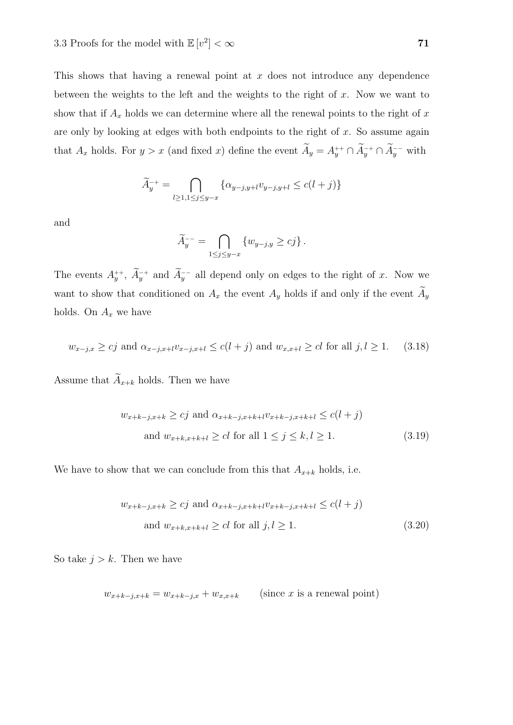This shows that having a renewal point at  $x$  does not introduce any dependence between the weights to the left and the weights to the right of  $x$ . Now we want to show that if  $A_x$  holds we can determine where all the renewal points to the right of x are only by looking at edges with both endpoints to the right of  $x$ . So assume again that  $A_x$  holds. For  $y > x$  (and fixed x) define the event  $A_y = A_y^{++} \cap A_y^{-+} \cap A_y^{--}$  with

$$
\widetilde{A}_y^{-+} = \bigcap_{l \ge 1, 1 \le j \le y-x} \{ \alpha_{y-j, y+l} v_{y-j, y+l} \le c(l+j) \}
$$

and

$$
\widetilde{A}_y^{--} = \bigcap_{1 \le j \le y-x} \{ w_{y-j,y} \ge cj \}.
$$

The events  $A_y^{++}$ ,  $A_y^{-+}$  and  $A_y^{--}$  all depend only on edges to the right of x. Now we want to show that conditioned on  $A_x$  the event  $A_y$  holds if and only if the event  $A_y$ holds. On  $A_x$  we have

$$
w_{x-j,x} \ge cj \text{ and } \alpha_{x-j,x+l}v_{x-j,x+l} \le c(l+j) \text{ and } w_{x,x+l} \ge cl \text{ for all } j,l \ge 1. \tag{3.18}
$$

Assume that  $\widetilde{A}_{x+k}$  holds. Then we have

$$
w_{x+k-j,x+k} \ge cj \text{ and } \alpha_{x+k-j,x+k+l} v_{x+k-j,x+k+l} \le c(l+j)
$$
  
and 
$$
w_{x+k,x+k+l} \ge cl \text{ for all } 1 \le j \le k, l \ge 1.
$$
 (3.19)

We have to show that we can conclude from this that  $A_{x+k}$  holds, i.e.

$$
w_{x+k-j,x+k} \ge cj \text{ and } \alpha_{x+k-j,x+k+l} v_{x+k-j,x+k+l} \le c(l+j)
$$
  
and 
$$
w_{x+k,x+k+l} \ge cl \text{ for all } j, l \ge 1.
$$
 (3.20)

So take  $j > k$ . Then we have

$$
w_{x+k-j,x+k} = w_{x+k-j,x} + w_{x,x+k}
$$
 (since *x* is a renewal point)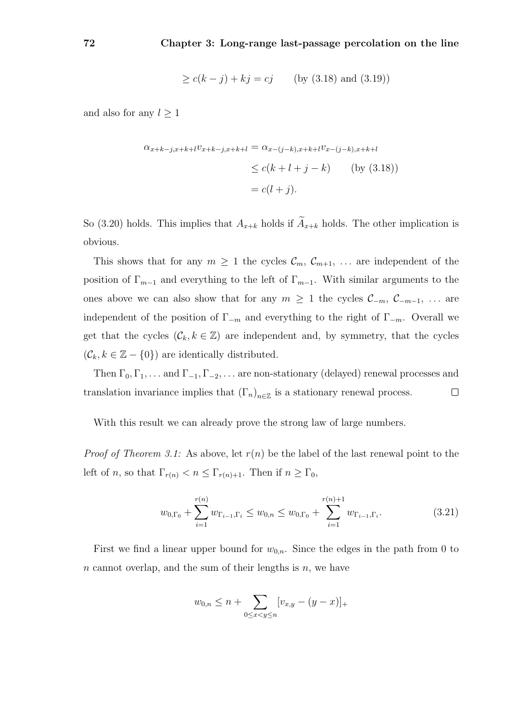$$
\geq c(k-j) + kj = cj
$$
 (by (3.18) and (3.19))

and also for any  $l \geq 1$ 

$$
\alpha_{x+k-j,x+k+l} v_{x+k-j,x+k+l} = \alpha_{x-(j-k),x+k+l} v_{x-(j-k),x+k+l}
$$
  
\n
$$
\leq c(k+l+j-k) \qquad \text{(by (3.18))}
$$
  
\n
$$
= c(l+j).
$$

So (3.20) holds. This implies that  $A_{x+k}$  holds if  $\widetilde{A}_{x+k}$  holds. The other implication is obvious.

This shows that for any  $m \geq 1$  the cycles  $\mathcal{C}_m$ ,  $\mathcal{C}_{m+1}$ , ... are independent of the position of  $\Gamma_{m-1}$  and everything to the left of  $\Gamma_{m-1}$ . With similar arguments to the ones above we can also show that for any  $m \geq 1$  the cycles  $\mathcal{C}_{-m}$ ,  $\mathcal{C}_{-m-1}$ , ... are independent of the position of  $\Gamma_{-m}$  and everything to the right of  $\Gamma_{-m}$ . Overall we get that the cycles  $(C_k, k \in \mathbb{Z})$  are independent and, by symmetry, that the cycles  $(\mathcal{C}_k, k \in \mathbb{Z} - \{0\})$  are identically distributed.

Then  $\Gamma_0, \Gamma_1, \ldots$  and  $\Gamma_{-1}, \Gamma_{-2}, \ldots$  are non-stationary (delayed) renewal processes and translation invariance implies that  $(\Gamma_n)_{n \in \mathbb{Z}}$  is a stationary renewal process.  $\Box$ 

With this result we can already prove the strong law of large numbers.

*Proof of Theorem 3.1:* As above, let  $r(n)$  be the label of the last renewal point to the left of n, so that  $\Gamma_{r(n)} < n \leq \Gamma_{r(n)+1}$ . Then if  $n \geq \Gamma_0$ ,

$$
w_{0,\Gamma_0} + \sum_{i=1}^{r(n)} w_{\Gamma_{i-1},\Gamma_i} \le w_{0,n} \le w_{0,\Gamma_0} + \sum_{i=1}^{r(n)+1} w_{\Gamma_{i-1},\Gamma_i}.
$$
 (3.21)

First we find a linear upper bound for  $w_{0,n}$ . Since the edges in the path from 0 to n cannot overlap, and the sum of their lengths is  $n$ , we have

$$
w_{0,n} \leq n + \sum_{0 \leq x < y \leq n} [v_{x,y} - (y-x)]_+
$$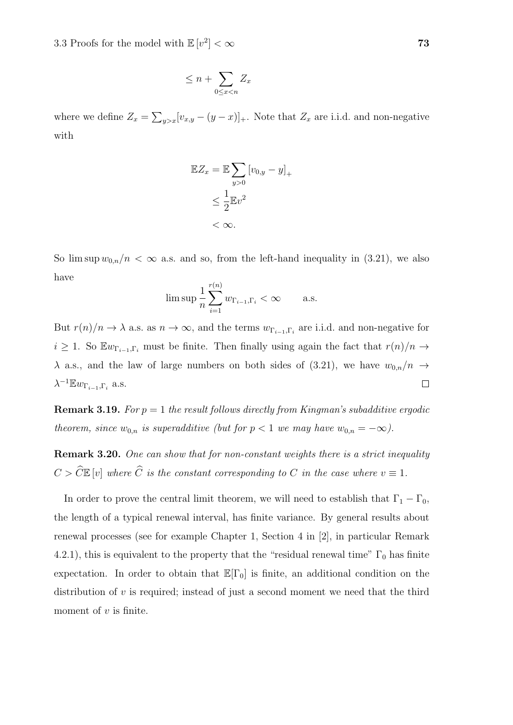$$
\leq n + \sum_{0 \leq x < n} Z_x
$$

where we define  $Z_x = \sum_{y>x} [v_{x,y} - (y-x)]_+$ . Note that  $Z_x$  are i.i.d. and non-negative with

$$
\mathbb{E}Z_x = \mathbb{E}\sum_{y>0} [v_{0,y} - y]_+\
$$
  

$$
\leq \frac{1}{2}\mathbb{E}v^2
$$
  

$$
< \infty.
$$

So  $\limsup w_{0,n}/n < \infty$  a.s. and so, from the left-hand inequality in (3.21), we also have

$$
\limsup \frac{1}{n} \sum_{i=1}^{r(n)} w_{\Gamma_{i-1},\Gamma_i} < \infty \quad \text{a.s.}
$$

But  $r(n)/n \to \lambda$  a.s. as  $n \to \infty$ , and the terms  $w_{\Gamma_{i-1},\Gamma_i}$  are i.i.d. and non-negative for  $i \geq 1$ . So  $\mathbb{E} w_{\Gamma_{i-1},\Gamma_i}$  must be finite. Then finally using again the fact that  $r(n)/n \to$  $\lambda$  a.s., and the law of large numbers on both sides of (3.21), we have  $w_{0,n}/n \rightarrow$  $\lambda^{-1} \mathbb{E} w_{\Gamma_{i-1},\Gamma_i}$  a.s.  $\Box$ 

**Remark 3.19.** For  $p = 1$  the result follows directly from Kingman's subadditive ergodic theorem, since  $w_{0,n}$  is superadditive (but for  $p < 1$  we may have  $w_{0,n} = -\infty$ ).

Remark 3.20. One can show that for non-constant weights there is a strict inequality  $C > \widehat{C} \mathbb{E} [v]$  where  $\widehat{C}$  is the constant corresponding to C in the case where  $v \equiv 1$ .

In order to prove the central limit theorem, we will need to establish that  $\Gamma_1 - \Gamma_0$ , the length of a typical renewal interval, has finite variance. By general results about renewal processes (see for example Chapter 1, Section 4 in [2], in particular Remark 4.2.1), this is equivalent to the property that the "residual renewal time"  $\Gamma_0$  has finite expectation. In order to obtain that  $\mathbb{E}[\Gamma_0]$  is finite, an additional condition on the distribution of  $v$  is required; instead of just a second moment we need that the third moment of  $v$  is finite.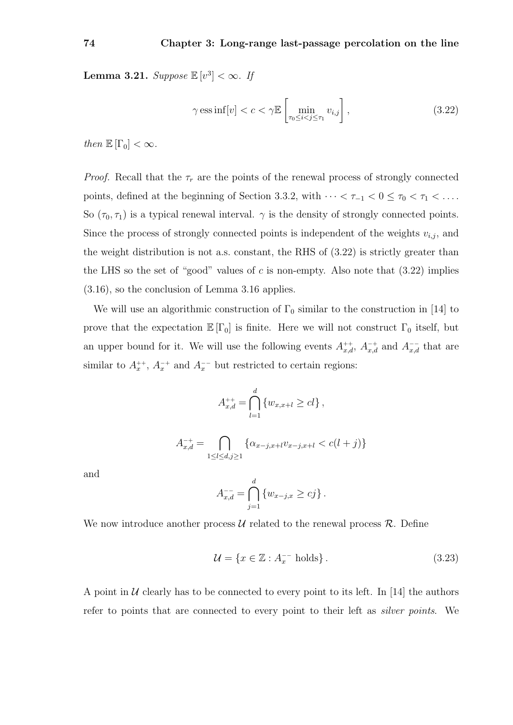**Lemma 3.21.** Suppose  $\mathbb{E}[v^3] < \infty$ . If

$$
\gamma \operatorname{ess\,inf}[v] < c < \gamma \mathbb{E}\left[\min_{\tau_0 \le i < j \le \tau_1} v_{i,j}\right],\tag{3.22}
$$

then  $\mathbb{E}[\Gamma_0] < \infty$ .

*Proof.* Recall that the  $\tau_r$  are the points of the renewal process of strongly connected points, defined at the beginning of Section 3.3.2, with  $\cdots < \tau_{-1} < 0 \leq \tau_0 < \tau_1 < \ldots$ . So  $(\tau_0, \tau_1)$  is a typical renewal interval.  $\gamma$  is the density of strongly connected points. Since the process of strongly connected points is independent of the weights  $v_{i,j}$ , and the weight distribution is not a.s. constant, the RHS of (3.22) is strictly greater than the LHS so the set of "good" values of c is non-empty. Also note that  $(3.22)$  implies (3.16), so the conclusion of Lemma 3.16 applies.

We will use an algorithmic construction of  $\Gamma_0$  similar to the construction in [14] to prove that the expectation  $\mathbb{E}[\Gamma_0]$  is finite. Here we will not construct  $\Gamma_0$  itself, but an upper bound for it. We will use the following events  $A_{x,d}^{++}$ ,  $A_{x,d}^{-+}$  and  $A_{x,d}^{--}$  that are similar to  $A_x^{++}$ ,  $A_x^{-+}$  and  $A_x^{--}$  but restricted to certain regions:

$$
A_{x,d}^{++} = \bigcap_{l=1}^d \{w_{x,x+l} \ge cl\},
$$
  

$$
A_{x,d}^{-+} = \bigcap_{1 \le l \le d,j \ge 1} \{ \alpha_{x-j,x+l} v_{x-j,x+l} < c(l+j) \}
$$

and

$$
A_{x,d}^{-} = \bigcap_{j=1}^d \{w_{x-j,x} \geq cj\}.
$$

We now introduce another process  $\mathcal U$  related to the renewal process  $\mathcal R$ . Define

$$
\mathcal{U} = \{ x \in \mathbb{Z} : A_x^{-1} \text{ holds} \}. \tag{3.23}
$$

A point in  $U$  clearly has to be connected to every point to its left. In [14] the authors refer to points that are connected to every point to their left as silver points. We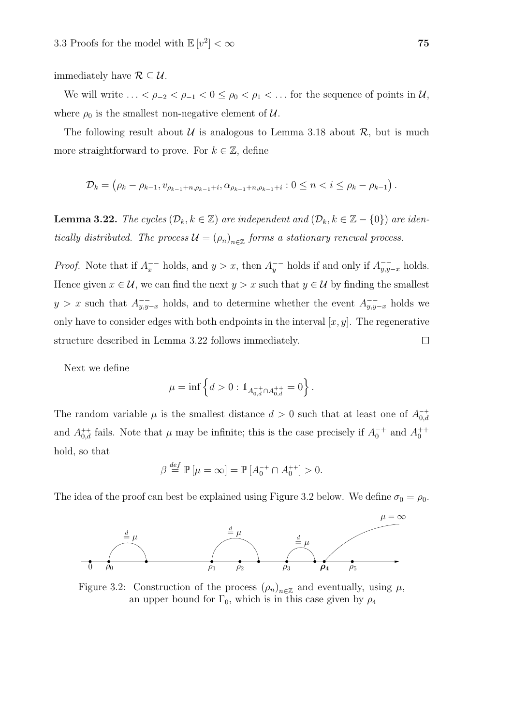immediately have  $\mathcal{R} \subseteq \mathcal{U}$ .

We will write  $\ldots < \rho_{-2} < \rho_{-1} < 0 \le \rho_0 < \rho_1 < \ldots$  for the sequence of points in  $\mathcal{U}$ , where  $\rho_0$  is the smallest non-negative element of  $\mathcal{U}$ .

The following result about  $U$  is analogous to Lemma 3.18 about  $R$ , but is much more straightforward to prove. For  $k \in \mathbb{Z}$ , define

$$
\mathcal{D}_k = (\rho_k - \rho_{k-1}, v_{\rho_{k-1} + n, \rho_{k-1} + i}, \alpha_{\rho_{k-1} + n, \rho_{k-1} + i} : 0 \leq n < i \leq \rho_k - \rho_{k-1} \right).
$$

**Lemma 3.22.** The cycles  $(\mathcal{D}_k, k \in \mathbb{Z})$  are independent and  $(\mathcal{D}_k, k \in \mathbb{Z} - \{0\})$  are identically distributed. The process  $\mathcal{U} = (\rho_n)_{n \in \mathbb{Z}}$  forms a stationary renewal process.

*Proof.* Note that if  $A_x^{--}$  holds, and  $y > x$ , then  $A_y^{--}$  holds if and only if  $A_{y,y-x}^{-}$  holds. Hence given  $x \in \mathcal{U}$ , we can find the next  $y > x$  such that  $y \in \mathcal{U}$  by finding the smallest  $y > x$  such that  $A_{y,y-x}^{-1}$  holds, and to determine whether the event  $A_{y,y-x}^{-1}$  holds we only have to consider edges with both endpoints in the interval  $[x, y]$ . The regenerative structure described in Lemma 3.22 follows immediately.  $\Box$ 

Next we define

$$
\mu = \inf \left\{ d > 0 : \mathbb{1}_{A_{0,d}^{-+} \cap A_{0,d}^{++}} = 0 \right\}.
$$

The random variable  $\mu$  is the smallest distance  $d > 0$  such that at least one of  $A_{0,d}^{-+}$ and  $A_{0,d}^{++}$  fails. Note that  $\mu$  may be infinite; this is the case precisely if  $A_0^{-+}$  and  $A_0^{++}$ hold, so that

$$
\beta \stackrel{def}{=} \mathbb{P}\left[\mu = \infty\right] = \mathbb{P}\left[A_0^{-+} \cap A_0^{++}\right] > 0.
$$

The idea of the proof can best be explained using Figure 3.2 below. We define  $\sigma_0 = \rho_0$ .



Figure 3.2: Construction of the process  $(\rho_n)_{n \in \mathbb{Z}}$  and eventually, using  $\mu$ , an upper bound for  $\Gamma_0$ , which is in this case given by  $\rho_4$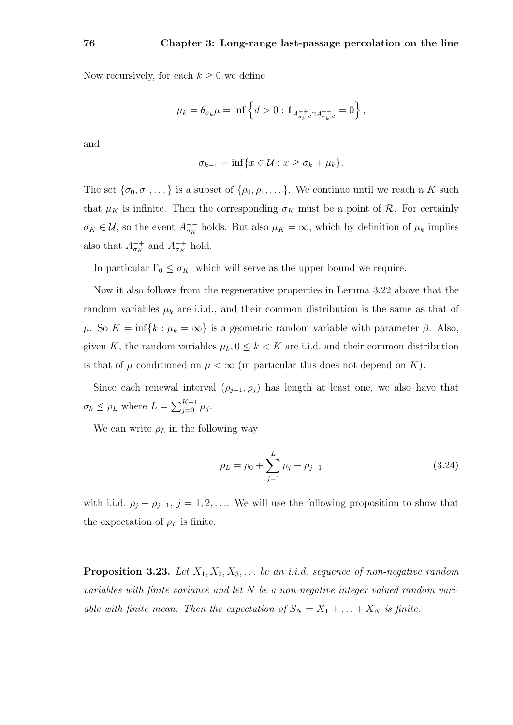Now recursively, for each  $k \geq 0$  we define

$$
\mu_k = \theta_{\sigma_k} \mu = \inf \left\{ d > 0 : \mathbb{1}_{A_{\sigma_k, d}^{-+} \cap A_{\sigma_k, d}^{++}} = 0 \right\},\,
$$

and

$$
\sigma_{k+1} = \inf \{ x \in \mathcal{U} : x \ge \sigma_k + \mu_k \}.
$$

The set  $\{\sigma_0, \sigma_1, \dots\}$  is a subset of  $\{\rho_0, \rho_1, \dots\}$ . We continue until we reach a K such that  $\mu_K$  is infinite. Then the corresponding  $\sigma_K$  must be a point of  $\mathcal R$ . For certainly  $\sigma_K \in \mathcal{U}$ , so the event  $A_{\sigma_K}^{--}$  holds. But also  $\mu_K = \infty$ , which by definition of  $\mu_k$  implies also that  $A_{\sigma_K}^{-+}$  and  $A_{\sigma_K}^{++}$  hold.

In particular  $\Gamma_0 \leq \sigma_K$ , which will serve as the upper bound we require.

Now it also follows from the regenerative properties in Lemma 3.22 above that the random variables  $\mu_k$  are i.i.d., and their common distribution is the same as that of  $\mu$ . So  $K = \inf\{k : \mu_k = \infty\}$  is a geometric random variable with parameter  $\beta$ . Also, given K, the random variables  $\mu_k$ ,  $0 \leq k < K$  are i.i.d. and their common distribution is that of  $\mu$  conditioned on  $\mu < \infty$  (in particular this does not depend on K).

Since each renewal interval  $(\rho_{j-1}, \rho_j)$  has length at least one, we also have that  $\sigma_k \leq \rho_L$  where  $L = \sum_{j=0}^{K-1} \mu_j$ .

We can write  $\rho_L$  in the following way

$$
\rho_L = \rho_0 + \sum_{j=1}^{L} \rho_j - \rho_{j-1} \tag{3.24}
$$

with i.i.d.  $\rho_j - \rho_{j-1}, j = 1, 2, \ldots$  We will use the following proposition to show that the expectation of  $\rho_L$  is finite.

**Proposition 3.23.** Let  $X_1, X_2, X_3, \ldots$  be an i.i.d. sequence of non-negative random variables with finite variance and let N be a non-negative integer valued random variable with finite mean. Then the expectation of  $S_N = X_1 + \ldots + X_N$  is finite.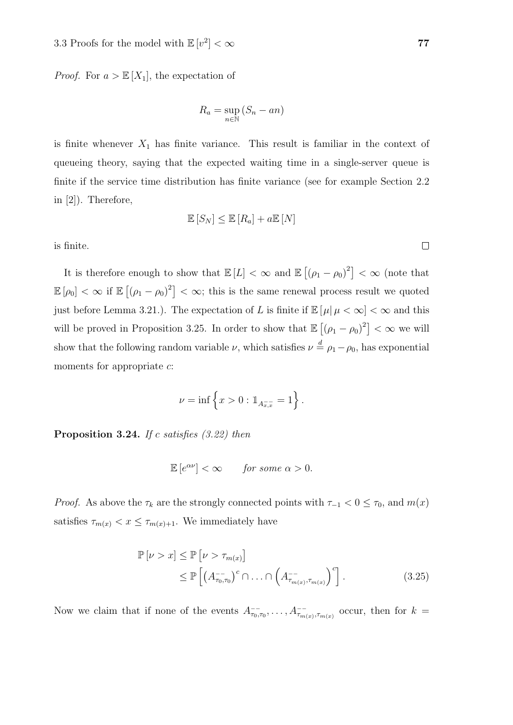*Proof.* For  $a > \mathbb{E}[X_1]$ , the expectation of

$$
R_a = \sup_{n \in \mathbb{N}} (S_n - an)
$$

is finite whenever  $X_1$  has finite variance. This result is familiar in the context of queueing theory, saying that the expected waiting time in a single-server queue is finite if the service time distribution has finite variance (see for example Section 2.2 in [2]). Therefore,

$$
\mathbb{E}[S_N] \le \mathbb{E}[R_a] + a \mathbb{E}[N]
$$

is finite.

It is therefore enough to show that  $\mathbb{E}[L] < \infty$  and  $\mathbb{E}[(\rho_1 - \rho_0)^2] < \infty$  (note that  $\mathbb{E}[\rho_0]<\infty$  if  $\mathbb{E}[(\rho_1-\rho_0)^2]<\infty$ ; this is the same renewal process result we quoted just before Lemma 3.21.). The expectation of L is finite if  $\mathbb{E}[\mu | \mu < \infty] < \infty$  and this will be proved in Proposition 3.25. In order to show that  $\mathbb{E}[(\rho_1 - \rho_0)^2] < \infty$  we will show that the following random variable  $\nu$ , which satisfies  $\nu \stackrel{d}{=} \rho_1 - \rho_0$ , has exponential moments for appropriate  $c$ :

$$
\nu = \inf \left\{ x > 0 : \mathbb{1}_{A_{x,x}^{-}} = 1 \right\}.
$$

**Proposition 3.24.** If c satisfies  $(3.22)$  then

 $\mathbb{E}[e^{\alpha\nu}] < \infty$  for some  $\alpha > 0$ .

*Proof.* As above the  $\tau_k$  are the strongly connected points with  $\tau_{-1} < 0 \le \tau_0$ , and  $m(x)$ satisfies  $\tau_{m(x)} < x \leq \tau_{m(x)+1}$ . We immediately have

$$
\mathbb{P}\left[\nu > x\right] \leq \mathbb{P}\left[\nu > \tau_{m(x)}\right]
$$
\n
$$
\leq \mathbb{P}\left[\left(A_{\tau_0,\tau_0}^{-1}\right)^c \cap \ldots \cap \left(A_{\tau_{m(x)},\tau_{m(x)}}^{-1}\right)^c\right].
$$
\n(3.25)

Now we claim that if none of the events  $A^{--}_{\tau_0,\tau_0},\ldots,A^{--}_{\tau_{m(x)},\tau_{m(x)}}$  occur, then for  $k=$ 

 $\Box$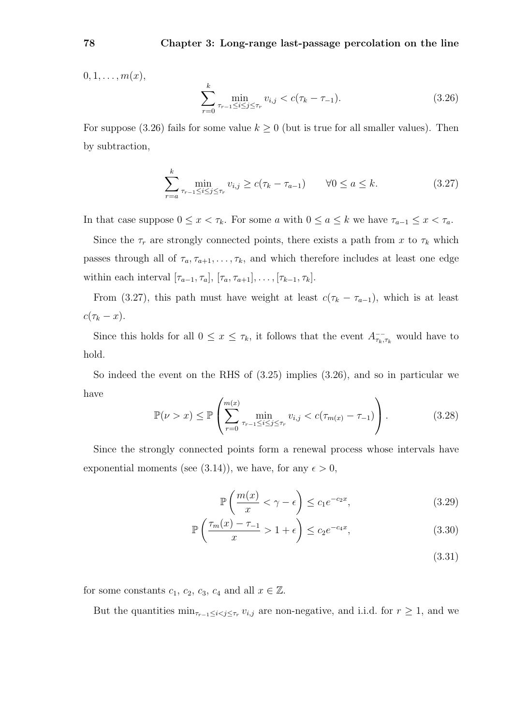$0, 1, \ldots, m(x),$ 

$$
\sum_{r=0}^{k} \min_{\tau_{r-1} \le i \le j \le \tau_r} v_{i,j} < c(\tau_k - \tau_{-1}).\tag{3.26}
$$

For suppose (3.26) fails for some value  $k \geq 0$  (but is true for all smaller values). Then by subtraction,

$$
\sum_{r=a}^{k} \min_{\tau_{r-1} \le i \le j \le \tau_r} v_{i,j} \ge c(\tau_k - \tau_{a-1}) \qquad \forall 0 \le a \le k.
$$
 (3.27)

In that case suppose  $0 \leq x < \tau_k$ . For some a with  $0 \leq a \leq k$  we have  $\tau_{a-1} \leq x < \tau_a$ .

Since the  $\tau_r$  are strongly connected points, there exists a path from x to  $\tau_k$  which passes through all of  $\tau_a, \tau_{a+1}, \ldots, \tau_k$ , and which therefore includes at least one edge within each interval  $[\tau_{a-1}, \tau_a], [\tau_a, \tau_{a+1}], \ldots, [\tau_{k-1}, \tau_k]$ .

From (3.27), this path must have weight at least  $c(\tau_k - \tau_{a-1})$ , which is at least  $c(\tau_k - x).$ 

Since this holds for all  $0 \leq x \leq \tau_k$ , it follows that the event  $A_{\tau_k,\tau_k}$  would have to hold.

So indeed the event on the RHS of (3.25) implies (3.26), and so in particular we have

$$
\mathbb{P}(\nu > x) \le \mathbb{P}\left(\sum_{r=0}^{m(x)} \min_{\tau_{r-1} \le i \le j \le \tau_r} v_{i,j} < c(\tau_{m(x)} - \tau_{-1})\right). \tag{3.28}
$$

Since the strongly connected points form a renewal process whose intervals have exponential moments (see (3.14)), we have, for any  $\epsilon > 0$ ,

$$
\mathbb{P}\left(\frac{m(x)}{x} < \gamma - \epsilon\right) \le c_1 e^{-c_2 x},\tag{3.29}
$$

$$
\mathbb{P}\left(\frac{\tau_m(x) - \tau_{-1}}{x} > 1 + \epsilon\right) \le c_2 e^{-c_4 x},\tag{3.30}
$$

(3.31)

for some constants  $c_1, c_2, c_3, c_4$  and all  $x \in \mathbb{Z}$ .

But the quantities  $\min_{\tau_{r-1}\leq i < j \leq \tau_r} v_{i,j}$  are non-negative, and i.i.d. for  $r \geq 1$ , and we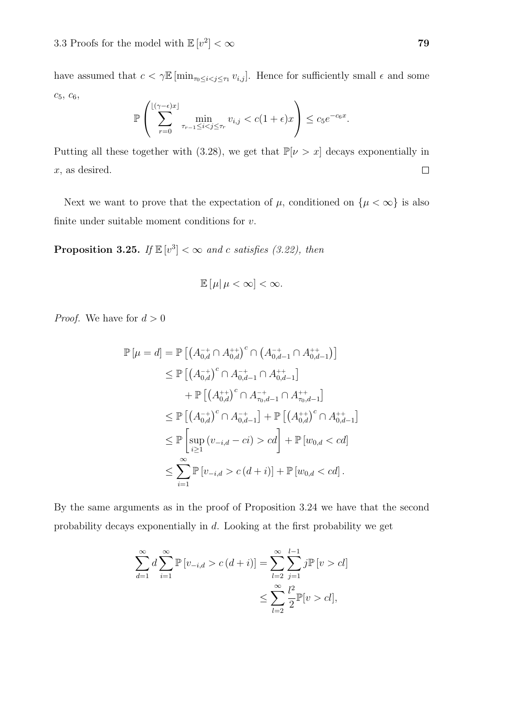have assumed that  $c < \gamma \mathbb{E} [\min_{\tau_0 \leq i < j \leq \tau_1} v_{i,j}]$ . Hence for sufficiently small  $\epsilon$  and some  $c_5, c_6,$ 

$$
\mathbb{P}\left(\sum_{r=0}^{\lfloor(\gamma-\epsilon)x\rfloor} \min_{\tau_{r-1}\leq i
$$

Putting all these together with (3.28), we get that  $\mathbb{P}[\nu > x]$  decays exponentially in  $\Box$ x, as desired.

Next we want to prove that the expectation of  $\mu$ , conditioned on  $\{\mu < \infty\}$  is also finite under suitable moment conditions for  $v$ .

**Proposition 3.25.** If  $\mathbb{E}[v^3] < \infty$  and c satisfies (3.22), then

$$
\mathbb{E}\left[\mu|\,\mu<\infty\right]<\infty.
$$

*Proof.* We have for  $d > 0$ 

$$
\mathbb{P}[\mu = d] = \mathbb{P}\left[\left(A_{0,d}^{-+} \cap A_{0,d}^{++}\right)^c \cap \left(A_{0,d-1}^{-+} \cap A_{0,d-1}^{++}\right)\right] \\
\leq \mathbb{P}\left[\left(A_{0,d}^{-+}\right)^c \cap A_{0,d-1}^{-+} \cap A_{0,d-1}^{++}\right] \\
+ \mathbb{P}\left[\left(A_{0,d}^{++}\right)^c \cap A_{\tau_0,d-1}^{-+} \cap A_{\tau_0,d-1}^{++}\right] \\
\leq \mathbb{P}\left[\left(A_{0,d}^{-+}\right)^c \cap A_{0,d-1}^{-+}\right] + \mathbb{P}\left[\left(A_{0,d}^{++}\right)^c \cap A_{0,d-1}^{++}\right] \\
\leq \mathbb{P}\left[\sup_{i \geq 1} \left(v_{-i,d} - ci\right) > cd\right] + \mathbb{P}\left[w_{0,d} < cd\right] \\
\leq \sum_{i=1}^{\infty} \mathbb{P}\left[v_{-i,d} > c\left(d+i\right)\right] + \mathbb{P}\left[w_{0,d} < cd\right].
$$

By the same arguments as in the proof of Proposition 3.24 we have that the second probability decays exponentially in d. Looking at the first probability we get

$$
\sum_{d=1}^{\infty} d \sum_{i=1}^{\infty} \mathbb{P} [v_{-i,d} > c(d+i)] = \sum_{l=2}^{\infty} \sum_{j=1}^{l-1} j \mathbb{P} [v > cl]
$$
  

$$
\leq \sum_{l=2}^{\infty} \frac{l^2}{2} \mathbb{P} [v > cl],
$$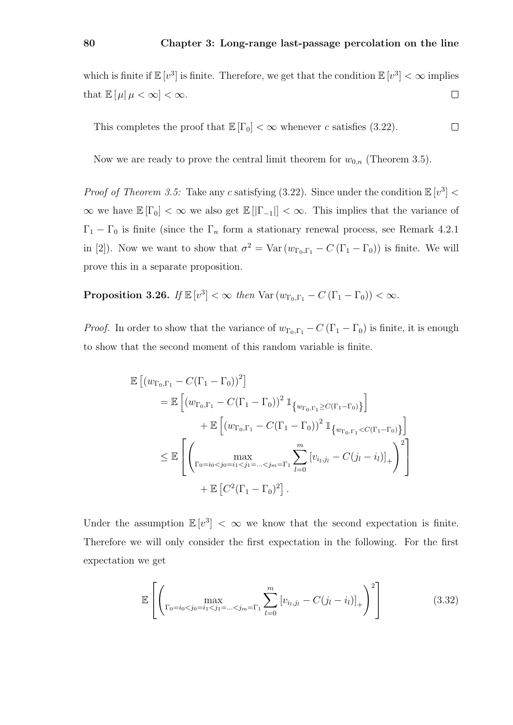which is finite if  $\mathbb{E}[v^3]$  is finite. Therefore, we get that the condition  $\mathbb{E}[v^3] < \infty$  implies that  $\mathbb{E}[\mu | \mu < \infty] < \infty$ .  $\Box$ 

This completes the proof that 
$$
\mathbb{E}[\Gamma_0] < \infty
$$
 whenever *c* satisfies (3.22).

Now we are ready to prove the central limit theorem for  $w_{0,n}$  (Theorem 3.5).

*Proof of Theorem 3.5:* Take any c satisfying (3.22). Since under the condition  $\mathbb{E}[v^3]$  <  $\infty$  we have  $\mathbb{E}[\Gamma_0]<\infty$  we also get  $\mathbb{E}[[\Gamma_{-1}]]<\infty$ . This implies that the variance of  $\Gamma_1 - \Gamma_0$  is finite (since the  $\Gamma_n$  form a stationary renewal process, see Remark 4.2.1 in [2]). Now we want to show that  $\sigma^2 = \text{Var}(w_{\Gamma_0,\Gamma_1} - C(\Gamma_1 - \Gamma_0))$  is finite. We will prove this in a separate proposition.

Proposition 3.26. If  $\mathbb{E}[v^3] < \infty$  then  $\text{Var}(w_{\Gamma_0,\Gamma_1} - C(\Gamma_1 - \Gamma_0)) < \infty$ .

*Proof.* In order to show that the variance of  $w_{\Gamma_0,\Gamma_1} - C(\Gamma_1 - \Gamma_0)$  is finite, it is enough to show that the second moment of this random variable is finite.

$$
\mathbb{E} [(w_{\Gamma_0,\Gamma_1} - C(\Gamma_1 - \Gamma_0))^2]
$$
\n
$$
= \mathbb{E} [(w_{\Gamma_0,\Gamma_1} - C(\Gamma_1 - \Gamma_0))^2 1_{\{w_{\Gamma_0,\Gamma_1} \ge C(\Gamma_1 - \Gamma_0)\}}]
$$
\n
$$
+ \mathbb{E} [(w_{\Gamma_0,\Gamma_1} - C(\Gamma_1 - \Gamma_0))^2 1_{\{w_{\Gamma_0,\Gamma_1} < C(\Gamma_1 - \Gamma_0)\}}]
$$
\n
$$
\le \mathbb{E} \left[ \left( \max_{\Gamma_0 = i_0 < j_0 = i_1 < j_1 = \dots < j_m = \Gamma_1} \sum_{l=0}^m \left[ v_{i_l,j_l} - C(j_l - i_l) \right]_+ \right)^2 \right]
$$
\n
$$
+ \mathbb{E} [C^2(\Gamma_1 - \Gamma_0)^2].
$$

Under the assumption  $\mathbb{E}[v^3] < \infty$  we know that the second expectation is finite. Therefore we will only consider the first expectation in the following. For the first expectation we get

$$
\mathbb{E}\left[\left(\max_{\Gamma_0=i_0(3.32)
$$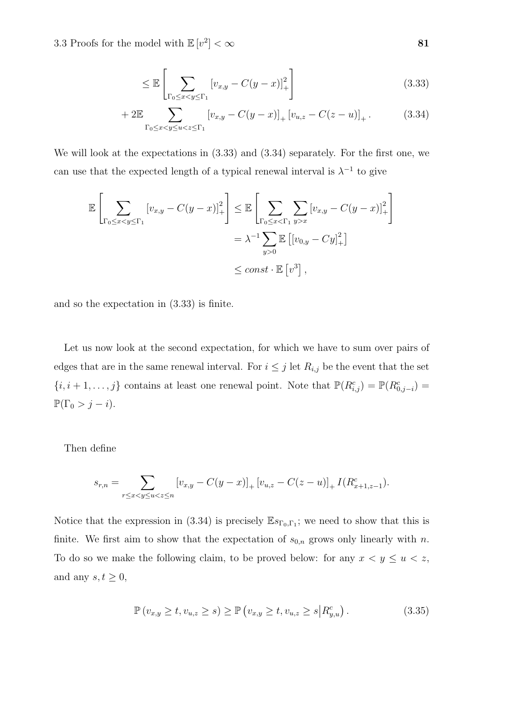$$
\leq \mathbb{E}\left[\sum_{\Gamma_0 \leq x < y \leq \Gamma_1} \left[v_{x,y} - C(y-x)\right]_+^2\right] \tag{3.33}
$$

+ 2
$$
\mathbb{E}
$$
  
\n
$$
\sum_{\Gamma_0 \leq x < y \leq u < z \leq \Gamma_1} \left[ v_{x,y} - C(y-x) \right]_+ \left[ v_{u,z} - C(z-u) \right]_+ . \tag{3.34}
$$

We will look at the expectations in (3.33) and (3.34) separately. For the first one, we can use that the expected length of a typical renewal interval is  $\lambda^{-1}$  to give

$$
\mathbb{E}\left[\sum_{\Gamma_0\leq xx} \left[v_{x,y}-C(y-x)\right]_+^2\right]
$$

$$
= \lambda^{-1} \sum_{y>0} \mathbb{E}\left[\left[v_{0,y}-Cy\right]_+^2\right]
$$

$$
\leq const \cdot \mathbb{E}\left[v^3\right],
$$

and so the expectation in (3.33) is finite.

Let us now look at the second expectation, for which we have to sum over pairs of edges that are in the same renewal interval. For  $i \leq j$  let  $R_{i,j}$  be the event that the set  $\{i, i+1, \ldots, j\}$  contains at least one renewal point. Note that  $\mathbb{P}(R_{i,j}^c) = \mathbb{P}(R_{0,j-i}^c) =$  $\mathbb{P}(\Gamma_0 > j - i).$ 

Then define

$$
s_{r,n} = \sum_{r \le x < y \le u < z \le n} \left[ v_{x,y} - C(y-x) \right]_+ \left[ v_{u,z} - C(z-u) \right]_+ I(R_{x+1,z-1}^c).
$$

Notice that the expression in (3.34) is precisely  $\mathbb{E} s_{\Gamma_0,\Gamma_1}$ ; we need to show that this is finite. We first aim to show that the expectation of  $s_{0,n}$  grows only linearly with n. To do so we make the following claim, to be proved below: for any  $x < y \le u < z$ , and any  $s, t \geq 0$ ,

$$
\mathbb{P}(v_{x,y} \ge t, v_{u,z} \ge s) \ge \mathbb{P}(v_{x,y} \ge t, v_{u,z} \ge s | R_{y,u}^c).
$$
 (3.35)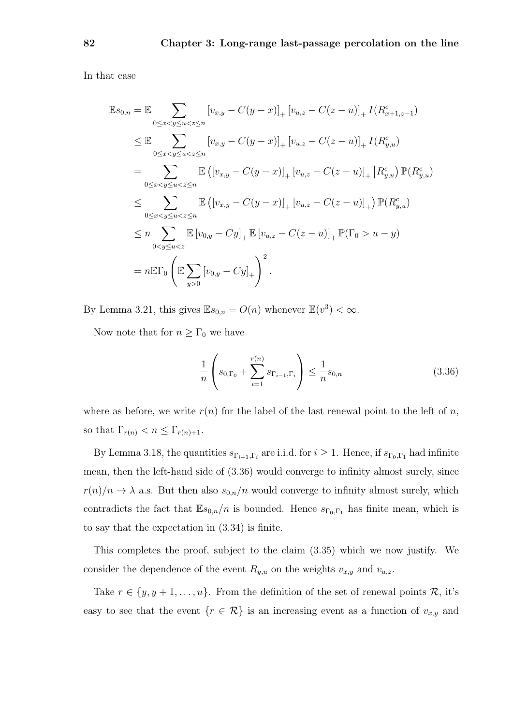In that case

$$
\mathbb{E}s_{0,n} = \mathbb{E} \sum_{0 \le x < y \le u < z \le n} [v_{x,y} - C(y-x)]_+ [v_{u,z} - C(z-u)]_+ I(R_{x+1,z-1}^c)
$$
\n
$$
\le \mathbb{E} \sum_{0 \le x < y \le u < z \le n} [v_{x,y} - C(y-x)]_+ [v_{u,z} - C(z-u)]_+ I(R_{y,u}^c)
$$
\n
$$
= \sum_{0 \le x < y \le u < z \le n} \mathbb{E} \left( [v_{x,y} - C(y-x)]_+ [v_{u,z} - C(z-u)]_+ | R_{y,u}^c \right) \mathbb{P}(R_{y,u}^c)
$$
\n
$$
\le \sum_{0 \le x < y \le u < z \le n} \mathbb{E} \left( [v_{x,y} - C(y-x)]_+ [v_{u,z} - C(z-u)]_+ \right) \mathbb{P}(R_{y,u}^c)
$$
\n
$$
\le n \sum_{0 < y \le u < z} \mathbb{E} \left[ v_{0,y} - Cy \right]_+ \mathbb{E} \left[ v_{u,z} - C(z-u) \right]_+ \mathbb{P}(\Gamma_0 > u - y)
$$
\n
$$
= n \mathbb{E} \Gamma_0 \left( \mathbb{E} \sum_{y > 0} [v_{0,y} - Cy]_+ \right)^2.
$$

By Lemma 3.21, this gives  $\mathbb{E} s_{0,n} = O(n)$  whenever  $\mathbb{E}(v^3) < \infty$ .

Now note that for  $n \geq \Gamma_0$  we have

$$
\frac{1}{n} \left( s_{0,\Gamma_0} + \sum_{i=1}^{r(n)} s_{\Gamma_{i-1},\Gamma_i} \right) \le \frac{1}{n} s_{0,n} \tag{3.36}
$$

where as before, we write  $r(n)$  for the label of the last renewal point to the left of n, so that  $\Gamma_{r(n)} < n \leq \Gamma_{r(n)+1}$ .

By Lemma 3.18, the quantities  $s_{\Gamma_{i-1},\Gamma_i}$  are i.i.d. for  $i \geq 1$ . Hence, if  $s_{\Gamma_0,\Gamma_1}$  had infinite mean, then the left-hand side of (3.36) would converge to infinity almost surely, since  $r(n)/n \to \lambda$  a.s. But then also  $s_{0,n}/n$  would converge to infinity almost surely, which contradicts the fact that  $\mathbb{E}_{s_{0,n}}/n$  is bounded. Hence  $s_{\Gamma_0,\Gamma_1}$  has finite mean, which is to say that the expectation in (3.34) is finite.

This completes the proof, subject to the claim (3.35) which we now justify. We consider the dependence of the event  $R_{y,u}$  on the weights  $v_{x,y}$  and  $v_{u,z}$ .

Take  $r \in \{y, y + 1, \ldots, u\}$ . From the definition of the set of renewal points R, it's easy to see that the event  $\{r \in \mathcal{R}\}\$ is an increasing event as a function of  $v_{x,y}$  and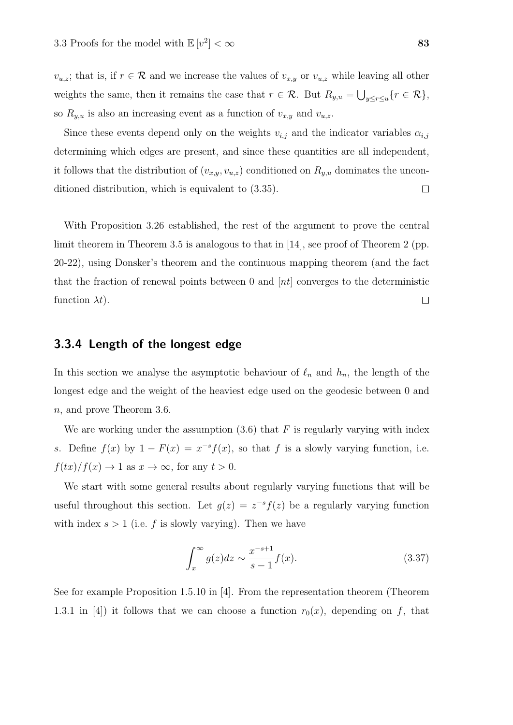$v_{u,z}$ ; that is, if  $r \in \mathcal{R}$  and we increase the values of  $v_{x,y}$  or  $v_{u,z}$  while leaving all other weights the same, then it remains the case that  $r \in \mathcal{R}$ . But  $R_{y,u} = \bigcup_{y \leq r \leq u} \{r \in \mathcal{R}\},\$ so  $R_{y,u}$  is also an increasing event as a function of  $v_{x,y}$  and  $v_{u,z}$ .

Since these events depend only on the weights  $v_{i,j}$  and the indicator variables  $\alpha_{i,j}$ determining which edges are present, and since these quantities are all independent, it follows that the distribution of  $(v_{x,y}, v_{u,z})$  conditioned on  $R_{y,u}$  dominates the unconditioned distribution, which is equivalent to (3.35).  $\Box$ 

With Proposition 3.26 established, the rest of the argument to prove the central limit theorem in Theorem 3.5 is analogous to that in [14], see proof of Theorem 2 (pp. 20-22), using Donsker's theorem and the continuous mapping theorem (and the fact that the fraction of renewal points between 0 and  $[nt]$  converges to the deterministic function  $\lambda t$ ).  $\Box$ 

### 3.3.4 Length of the longest edge

In this section we analyse the asymptotic behaviour of  $\ell_n$  and  $h_n$ , the length of the longest edge and the weight of the heaviest edge used on the geodesic between 0 and n, and prove Theorem 3.6.

We are working under the assumption  $(3.6)$  that F is regularly varying with index s. Define  $f(x)$  by  $1 - F(x) = x^{-s} f(x)$ , so that f is a slowly varying function, i.e.  $f(tx)/f(x) \to 1$  as  $x \to \infty$ , for any  $t > 0$ .

We start with some general results about regularly varying functions that will be useful throughout this section. Let  $g(z) = z^{-s} f(z)$  be a regularly varying function with index  $s > 1$  (i.e. f is slowly varying). Then we have

$$
\int_{x}^{\infty} g(z)dz \sim \frac{x^{-s+1}}{s-1} f(x). \tag{3.37}
$$

See for example Proposition 1.5.10 in [4]. From the representation theorem (Theorem 1.3.1 in [4]) it follows that we can choose a function  $r_0(x)$ , depending on f, that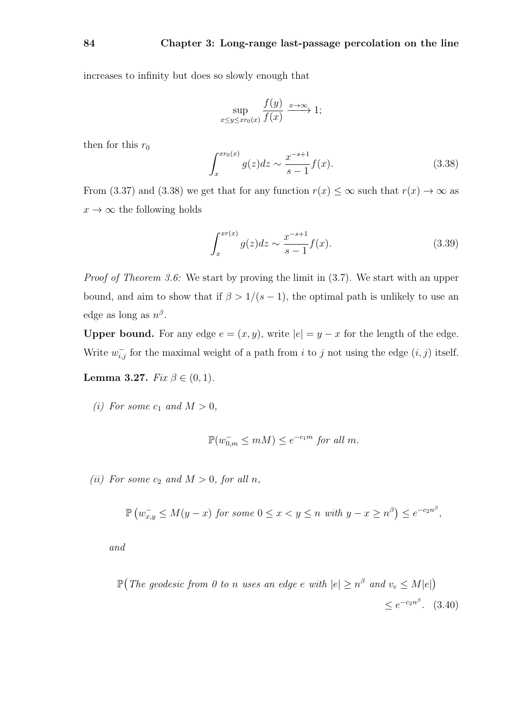increases to infinity but does so slowly enough that

$$
\sup_{x \le y \le x r_0(x)} \frac{f(y)}{f(x)} \xrightarrow{x \to \infty} 1;
$$

then for this  $r_0$ 

$$
\int_{x}^{x r_0(x)} g(z) dz \sim \frac{x^{-s+1}}{s-1} f(x).
$$
 (3.38)

From (3.37) and (3.38) we get that for any function  $r(x) \leq \infty$  such that  $r(x) \to \infty$  as  $x \to \infty$  the following holds

$$
\int_{x}^{xr(x)} g(z)dz \sim \frac{x^{-s+1}}{s-1} f(x). \tag{3.39}
$$

Proof of Theorem 3.6: We start by proving the limit in (3.7). We start with an upper bound, and aim to show that if  $\beta > 1/(s-1)$ , the optimal path is unlikely to use an edge as long as  $n^{\beta}$ .

Upper bound. For any edge  $e = (x, y)$ , write  $|e| = y - x$  for the length of the edge. Write  $w_{i,j}^-$  for the maximal weight of a path from i to j not using the edge  $(i, j)$  itself.

Lemma 3.27.  $Fix \beta \in (0,1)$ .

(i) For some  $c_1$  and  $M > 0$ ,

$$
\mathbb{P}(w_{0,m}^- \le mM) \le e^{-c_1m} \text{ for all } m.
$$

(ii) For some  $c_2$  and  $M > 0$ , for all n,

$$
\mathbb{P}\left(w_{x,y}^{-} \leq M(y-x) \text{ for some } 0 \leq x < y \leq n \text{ with } y - x \geq n^{\beta}\right) \leq e^{-c_2 n^{\beta}},
$$

and

 $\mathbb{P}(\textit{The geodesic from 0 to n uses an edge e with } |e| \geq n^{\beta} \textit{ and } v_e \leq M|e|)$  $\leq e^{-c_2 n^{\beta}}.$  (3.40)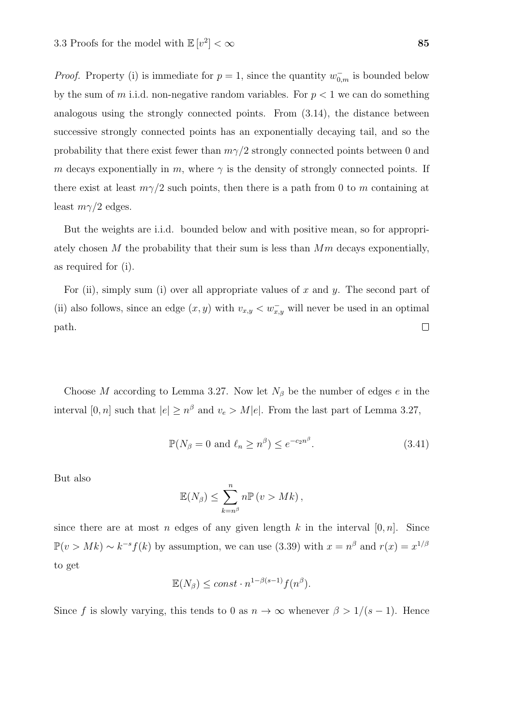*Proof.* Property (i) is immediate for  $p = 1$ , since the quantity  $w_{0,m}^-$  is bounded below by the sum of m i.i.d. non-negative random variables. For  $p < 1$  we can do something analogous using the strongly connected points. From (3.14), the distance between successive strongly connected points has an exponentially decaying tail, and so the probability that there exist fewer than  $m\gamma/2$  strongly connected points between 0 and m decays exponentially in m, where  $\gamma$  is the density of strongly connected points. If there exist at least  $m\gamma/2$  such points, then there is a path from 0 to m containing at least  $m\gamma/2$  edges.

But the weights are i.i.d. bounded below and with positive mean, so for appropriately chosen M the probability that their sum is less than  $Mm$  decays exponentially, as required for (i).

For (ii), simply sum (i) over all appropriate values of x and y. The second part of (ii) also follows, since an edge  $(x, y)$  with  $v_{x,y} < w_{x,y}^-$  will never be used in an optimal  $\Box$ path.

Choose M according to Lemma 3.27. Now let  $N_\beta$  be the number of edges e in the interval  $[0, n]$  such that  $|e| \geq n^{\beta}$  and  $v_e > M|e|$ . From the last part of Lemma 3.27,

$$
\mathbb{P}(N_{\beta} = 0 \text{ and } \ell_n \ge n^{\beta}) \le e^{-c_2 n^{\beta}}.
$$
\n(3.41)

But also

$$
\mathbb{E}(N_{\beta}) \leq \sum_{k=n^{\beta}}^{n} n \mathbb{P}(v > Mk),
$$

since there are at most n edges of any given length k in the interval  $[0, n]$ . Since  $\mathbb{P}(v > Mk) \sim k^{-s} f(k)$  by assumption, we can use (3.39) with  $x = n^{\beta}$  and  $r(x) = x^{1/\beta}$ to get

$$
\mathbb{E}(N_{\beta}) \le const \cdot n^{1-\beta(s-1)} f(n^{\beta}).
$$

Since f is slowly varying, this tends to 0 as  $n \to \infty$  whenever  $\beta > 1/(s-1)$ . Hence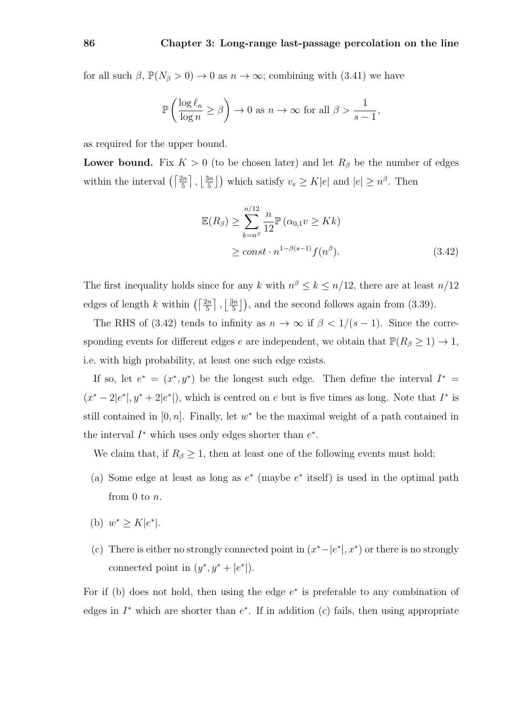for all such  $\beta$ ,  $\mathbb{P}(N_{\beta} > 0) \to 0$  as  $n \to \infty$ ; combining with (3.41) we have

$$
\mathbb{P}\left(\frac{\log \ell_n}{\log n} \ge \beta\right) \to 0 \text{ as } n \to \infty \text{ for all } \beta > \frac{1}{s-1},
$$

as required for the upper bound.

**Lower bound.** Fix  $K > 0$  (to be chosen later) and let  $R_\beta$  be the number of edges within the interval  $\left(\left\lceil \frac{2n}{5}\right\rceil, \left\lfloor \frac{3n}{5}\right\rfloor\right)$  $\frac{3n}{5}$ ) which satisfy  $v_e \ge K|e|$  and  $|e| \ge n^{\beta}$ . Then

$$
\mathbb{E}(R_{\beta}) \ge \sum_{k=n^{\beta}}^{n/12} \frac{n}{12} \mathbb{P}(\alpha_{0,1} v \ge Kk)
$$
  
 
$$
\ge const \cdot n^{1-\beta(s-1)} f(n^{\beta}). \tag{3.42}
$$

The first inequality holds since for any k with  $n^{\beta} \leq k \leq n/12$ , there are at least  $n/12$ edges of length k within  $\left(\left\lceil \frac{2n}{5}\right\rceil, \left\lfloor \frac{3n}{5}\right\rfloor \right)$  $\frac{3n}{5}$ ), and the second follows again from (3.39).

The RHS of (3.42) tends to infinity as  $n \to \infty$  if  $\beta < 1/(s-1)$ . Since the corresponding events for different edges e are independent, we obtain that  $\mathbb{P}(R_{\beta} \geq 1) \to 1$ , i.e. with high probability, at least one such edge exists.

If so, let  $e^* = (x^*, y^*)$  be the longest such edge. Then define the interval  $I^* =$  $(x^* - 2|e^*|, y^* + 2|e^*|)$ , which is centred on e but is five times as long. Note that  $I^*$  is still contained in  $[0, n]$ . Finally, let  $w^*$  be the maximal weight of a path contained in the interval  $I^*$  which uses only edges shorter than  $e^*$ .

We claim that, if  $R_\beta \geq 1$ , then at least one of the following events must hold:

- (a) Some edge at least as long as  $e^*$  (maybe  $e^*$  itself) is used in the optimal path from 0 to n.
- (b)  $w^* \ge K|e^*|$ .
- (c) There is either no strongly connected point in  $(x^* |e^*|, x^*)$  or there is no strongly connected point in  $(y^*, y^* + |e^*|)$ .

For if (b) does not hold, then using the edge  $e^*$  is preferable to any combination of edges in  $I^*$  which are shorter than  $e^*$ . If in addition  $(c)$  fails, then using appropriate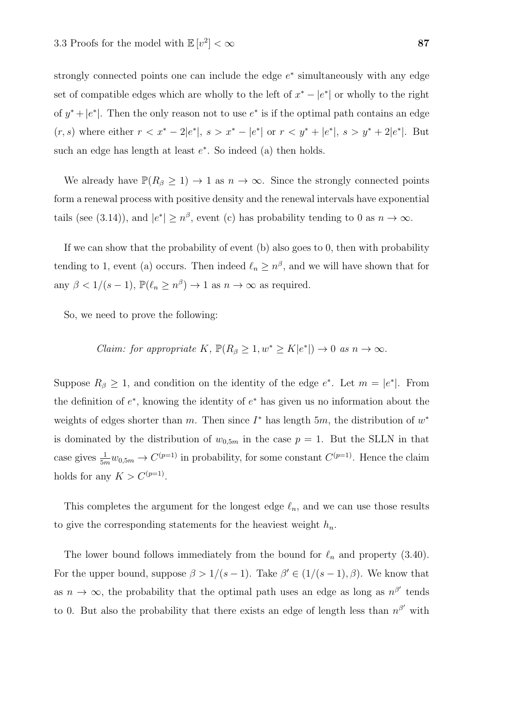strongly connected points one can include the edge  $e^*$  simultaneously with any edge set of compatible edges which are wholly to the left of  $x^* - |e^*|$  or wholly to the right of  $y^* + |e^*|$ . Then the only reason not to use  $e^*$  is if the optimal path contains an edge  $(r, s)$  where either  $r < x^* - 2|e^*|$ ,  $s > x^* - |e^*|$  or  $r < y^* + |e^*|$ ,  $s > y^* + 2|e^*|$ . But such an edge has length at least  $e^*$ . So indeed (a) then holds.

We already have  $\mathbb{P}(R_{\beta} \geq 1) \to 1$  as  $n \to \infty$ . Since the strongly connected points form a renewal process with positive density and the renewal intervals have exponential tails (see (3.14)), and  $|e^*| \geq n^{\beta}$ , event (c) has probability tending to 0 as  $n \to \infty$ .

If we can show that the probability of event (b) also goes to 0, then with probability tending to 1, event (a) occurs. Then indeed  $\ell_n \geq n^{\beta}$ , and we will have shown that for any  $\beta < 1/(s-1)$ ,  $\mathbb{P}(\ell_n \geq n^{\beta}) \to 1$  as  $n \to \infty$  as required.

So, we need to prove the following:

Claim: for appropriate K, 
$$
\mathbb{P}(R_{\beta} \geq 1, w^* \geq K |e^*|) \to 0
$$
 as  $n \to \infty$ .

Suppose  $R_{\beta} \geq 1$ , and condition on the identity of the edge  $e^*$ . Let  $m = |e^*|$ . From the definition of  $e^*$ , knowing the identity of  $e^*$  has given us no information about the weights of edges shorter than m. Then since  $I^*$  has length  $5m$ , the distribution of  $w^*$ is dominated by the distribution of  $w_{0,5m}$  in the case  $p = 1$ . But the SLLN in that case gives  $\frac{1}{5m}w_{0,5m} \to C^{(p=1)}$  in probability, for some constant  $C^{(p=1)}$ . Hence the claim holds for any  $K > C^{(p=1)}$ .

This completes the argument for the longest edge  $\ell_n$ , and we can use those results to give the corresponding statements for the heaviest weight  $h_n$ .

The lower bound follows immediately from the bound for  $\ell_n$  and property (3.40). For the upper bound, suppose  $\beta > 1/(s-1)$ . Take  $\beta' \in (1/(s-1), \beta)$ . We know that as  $n \to \infty$ , the probability that the optimal path uses an edge as long as  $n^{\beta'}$  tends to 0. But also the probability that there exists an edge of length less than  $n^{\beta'}$  with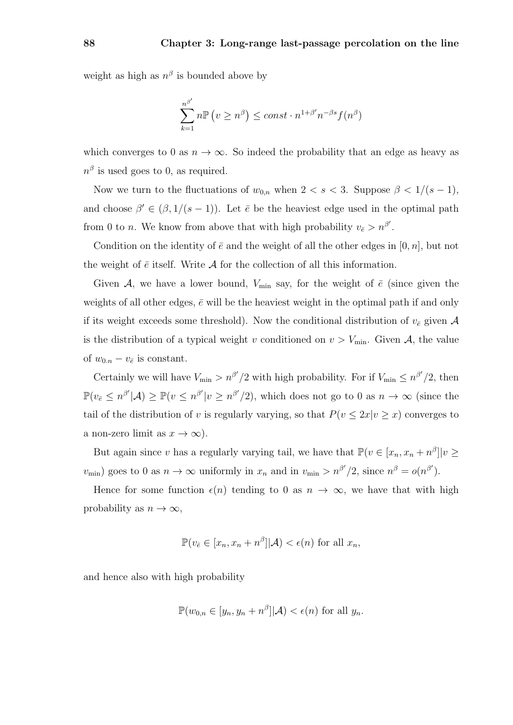weight as high as  $n^{\beta}$  is bounded above by

$$
\sum_{k=1}^{n^{\beta'}} n \mathbb{P}\left(v \ge n^{\beta}\right) \le const \cdot n^{1+\beta'} n^{-\beta s} f(n^{\beta})
$$

which converges to 0 as  $n \to \infty$ . So indeed the probability that an edge as heavy as  $n^{\beta}$  is used goes to 0, as required.

Now we turn to the fluctuations of  $w_{0,n}$  when  $2 < s < 3$ . Suppose  $\beta < 1/(s-1)$ , and choose  $\beta' \in (\beta, 1/(s-1))$ . Let  $\bar{e}$  be the heaviest edge used in the optimal path from 0 to *n*. We know from above that with high probability  $v_{\bar{e}} > n^{\beta'}$ .

Condition on the identity of  $\bar{e}$  and the weight of all the other edges in [0, n], but not the weight of  $\bar{e}$  itself. Write  $\mathcal A$  for the collection of all this information.

Given A, we have a lower bound,  $V_{\text{min}}$  say, for the weight of  $\bar{e}$  (since given the weights of all other edges,  $\bar{e}$  will be the heaviest weight in the optimal path if and only if its weight exceeds some threshold). Now the conditional distribution of  $v_{\bar{e}}$  given A is the distribution of a typical weight v conditioned on  $v > V_{\text{min}}$ . Given A, the value of  $w_{0,n} - v_{\bar{e}}$  is constant.

Certainly we will have  $V_{\min} > n^{\beta'}/2$  with high probability. For if  $V_{\min} \leq n^{\beta'}/2$ , then  $\mathbb{P}(v_{\bar{e}} \leq n^{\beta'}|\mathcal{A}) \geq \mathbb{P}(v \leq n^{\beta'}|\mathcal{V} \geq n^{\beta'}/2)$ , which does not go to 0 as  $n \to \infty$  (since the tail of the distribution of v is regularly varying, so that  $P(v \leq 2x|v \geq x)$  converges to a non-zero limit as  $x \to \infty$ ).

But again since v has a regularly varying tail, we have that  $\mathbb{P}(v \in [x_n, x_n + n^{\beta}] | v \geq$  $v_{\min}$ ) goes to 0 as  $n \to \infty$  uniformly in  $x_n$  and in  $v_{\min} > n^{\beta'}/2$ , since  $n^{\beta} = o(n^{\beta'})$ .

Hence for some function  $\epsilon(n)$  tending to 0 as  $n \to \infty$ , we have that with high probability as  $n \to \infty$ ,

$$
\mathbb{P}(v_{\bar{e}} \in [x_n, x_n + n^{\beta}]|\mathcal{A}) < \epsilon(n) \text{ for all } x_n,
$$

and hence also with high probability

$$
\mathbb{P}(w_{0,n} \in [y_n, y_n + n^{\beta}]|\mathcal{A}) < \epsilon(n) \text{ for all } y_n.
$$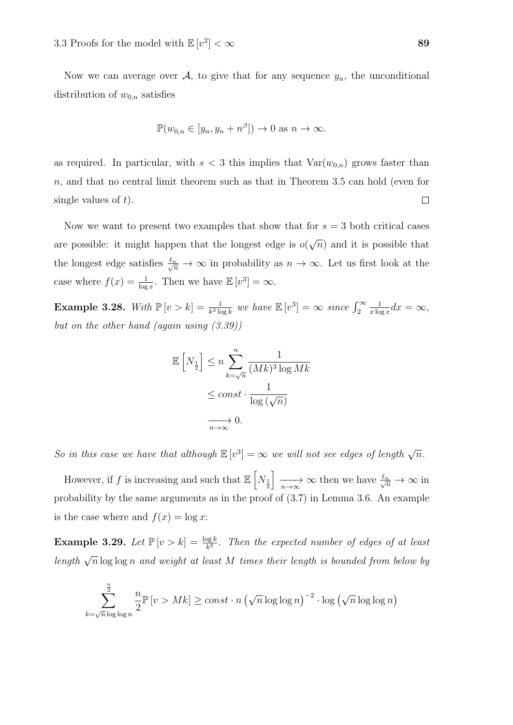Now we can average over  $A$ , to give that for any sequence  $y_n$ , the unconditional distribution of  $w_{0,n}$  satisfies

$$
\mathbb{P}(w_{0,n} \in [y_n, y_n + n^{\beta}]) \to 0 \text{ as } n \to \infty.
$$

as required. In particular, with  $s < 3$  this implies that  $Var(w_{0,n})$  grows faster than n, and that no central limit theorem such as that in Theorem 3.5 can hold (even for single values of  $t$ ).  $\Box$ 

Now we want to present two examples that show that for  $s = 3$  both critical cases are possible: it might happen that the longest edge is  $o($ √  $\overline{n}$ ) and it is possible that the longest edge satisfies  $\frac{\ell_n}{\sqrt{n}} \to \infty$  in probability as  $n \to \infty$ . Let us first look at the case where  $f(x) = \frac{1}{\log x}$ . Then we have  $\mathbb{E}[v^3] = \infty$ .

**Example 3.28.** With  $\mathbb{P}\left[v > k\right] = \frac{1}{k^3 \log k}$  we have  $\mathbb{E}\left[v^3\right] = \infty$  since  $\int_2^{\infty}$ 1  $\frac{1}{x \log x} dx = \infty,$ but on the other hand (again using  $(3.39)$ )

$$
\mathbb{E}\left[N_{\frac{1}{2}}\right] \leq n \sum_{k=\sqrt{n}}^{n} \frac{1}{(Mk)^{3} \log Mk}
$$

$$
\leq const \cdot \frac{1}{\log(\sqrt{n})}
$$

$$
\xrightarrow[n \to \infty]{} 0.
$$

So in this case we have that although  $\mathbb{E}[v^3] = \infty$  we will not see edges of length  $\sqrt{n}$ .

However, if  $f$  is increasing and such that  $\mathbb{E}\left[N_{\frac{1}{2}}\right]$  $\frac{\ell}{\sqrt{n}} \to \infty$  then we have  $\frac{\ell_n}{\sqrt{n}} \to \infty$  in probability by the same arguments as in the proof of (3.7) in Lemma 3.6. An example is the case where and  $f(x) = \log x$ :

**Example 3.29.** Let  $\mathbb{P}[v > k] = \frac{\log k}{k^3}$ . Then the expected number of edges of at least length  $\sqrt{n} \log \log n$  and weight at least M times their length is bounded from below by

$$
\sum_{k=\sqrt{n}\log\log n}^{\frac{n}{2}} \frac{n}{2} \mathbb{P}\left[v > Mk\right] \ge const \cdot n \left(\sqrt{n}\log\log n\right)^{-2} \cdot \log\left(\sqrt{n}\log\log n\right)
$$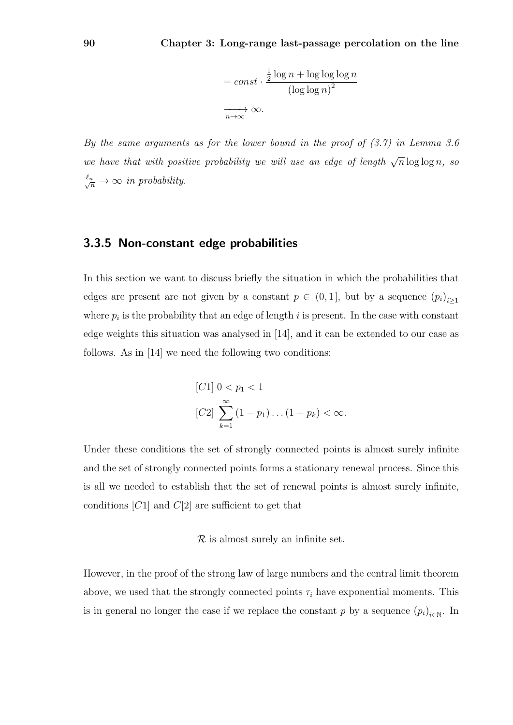$$
= const \cdot \frac{\frac{1}{2} \log n + \log \log \log n}{(\log \log n)^2}
$$
  

$$
\xrightarrow[n \to \infty]{} \infty.
$$

By the same arguments as for the lower bound in the proof of (3.7) in Lemma 3.6 we have that with positive probability we will use an edge of length  $\sqrt{n} \log \log n$ , so  $\frac{\ell_n}{\sqrt{n}} \to \infty$  in probability.

### 3.3.5 Non-constant edge probabilities

In this section we want to discuss briefly the situation in which the probabilities that edges are present are not given by a constant  $p \in (0,1]$ , but by a sequence  $(p_i)_{i\geq 1}$ where  $p_i$  is the probability that an edge of length i is present. In the case with constant edge weights this situation was analysed in [14], and it can be extended to our case as follows. As in [14] we need the following two conditions:

[C1] 
$$
0 < p_1 < 1
$$
  
\n[C2]  $\sum_{k=1}^{\infty} (1 - p_1) \dots (1 - p_k) < \infty$ .

Under these conditions the set of strongly connected points is almost surely infinite and the set of strongly connected points forms a stationary renewal process. Since this is all we needed to establish that the set of renewal points is almost surely infinite, conditions  $[C1]$  and  $C[2]$  are sufficient to get that

#### $\mathcal R$  is almost surely an infinite set.

However, in the proof of the strong law of large numbers and the central limit theorem above, we used that the strongly connected points  $\tau_i$  have exponential moments. This is in general no longer the case if we replace the constant p by a sequence  $(p_i)_{i \in \mathbb{N}}$ . In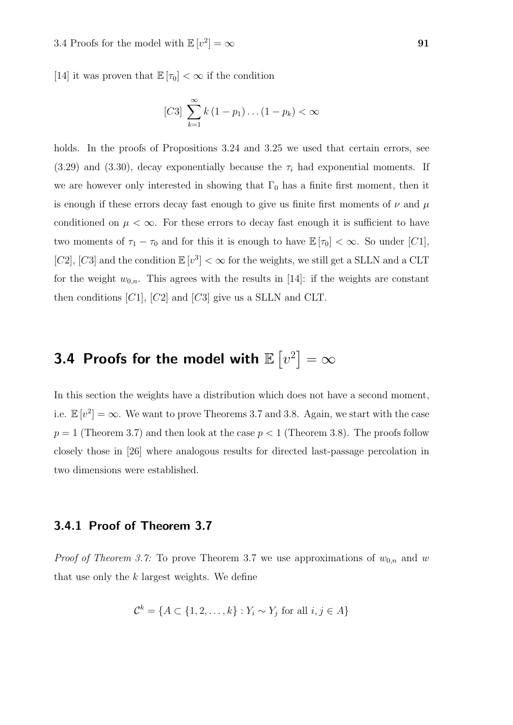[14] it was proven that  $\mathbb{E}[\tau_0] < \infty$  if the condition

[*C3*] 
$$
\sum_{k=1}^{\infty} k (1 - p_1) \dots (1 - p_k) < \infty
$$

holds. In the proofs of Propositions 3.24 and 3.25 we used that certain errors, see  $(3.29)$  and  $(3.30)$ , decay exponentially because the  $\tau_i$  had exponential moments. If we are however only interested in showing that  $\Gamma_0$  has a finite first moment, then it is enough if these errors decay fast enough to give us finite first moments of  $\nu$  and  $\mu$ conditioned on  $\mu < \infty$ . For these errors to decay fast enough it is sufficient to have two moments of  $\tau_1 - \tau_0$  and for this it is enough to have  $\mathbb{E}[\tau_0] < \infty$ . So under [C1], [C2], [C3] and the condition  $\mathbb{E}[v^3] < \infty$  for the weights, we still get a SLLN and a CLT for the weight  $w_{0,n}$ . This agrees with the results in [14]: if the weights are constant then conditions  $[C1]$ ,  $[C2]$  and  $[C3]$  give us a SLLN and CLT.

# 3.4 Proofs for the model with  $\mathbb{E}\left[v^2\right]=\infty$

In this section the weights have a distribution which does not have a second moment, i.e.  $\mathbb{E}[v^2] = \infty$ . We want to prove Theorems 3.7 and 3.8. Again, we start with the case  $p = 1$  (Theorem 3.7) and then look at the case  $p < 1$  (Theorem 3.8). The proofs follow closely those in [26] where analogous results for directed last-passage percolation in two dimensions were established.

### 3.4.1 Proof of Theorem 3.7

*Proof of Theorem 3.7:* To prove Theorem 3.7 we use approximations of  $w_{0,n}$  and w that use only the  $k$  largest weights. We define

$$
\mathcal{C}^k = \{ A \subset \{1, 2, \dots, k\} : Y_i \sim Y_j \text{ for all } i, j \in A \}
$$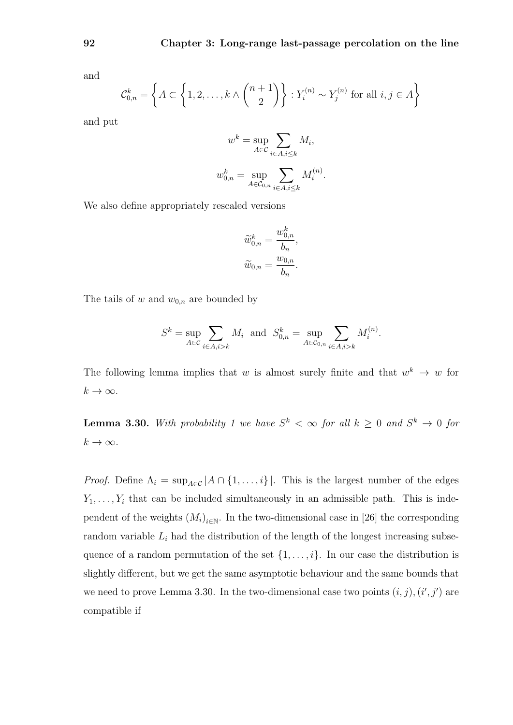and

$$
\mathcal{C}_{0,n}^k = \left\{ A \subset \left\{ 1, 2, \dots, k \wedge \binom{n+1}{2} \right\} : Y_i^{(n)} \sim Y_j^{(n)} \text{ for all } i, j \in A \right\}
$$

and put

$$
w^k = \sup_{A \in \mathcal{C}} \sum_{i \in A, i \le k} M_i,
$$

$$
w_{0,n}^k = \sup_{A \in \mathcal{C}_{0,n}} \sum_{i \in A, i \le k} M_i^{(n)}.
$$

We also define appropriately rescaled versions

$$
\widetilde{w}_{0,n}^k = \frac{w_{0,n}^k}{b_n},
$$
  

$$
\widetilde{w}_{0,n} = \frac{w_{0,n}}{b_n}.
$$

The tails of w and  $w_{0,n}$  are bounded by

$$
S^k = \sup_{A \in \mathcal{C}} \sum_{i \in A, i > k} M_i \text{ and } S^k_{0,n} = \sup_{A \in \mathcal{C}_{0,n}} \sum_{i \in A, i > k} M_i^{(n)}.
$$

The following lemma implies that w is almost surely finite and that  $w^k \to w$  for  $k \to \infty$ .

**Lemma 3.30.** With probability 1 we have  $S^k < \infty$  for all  $k \geq 0$  and  $S^k \to 0$  for  $k \to \infty$ .

*Proof.* Define  $\Lambda_i = \sup_{A \in \mathcal{C}} |A \cap \{1, ..., i\}|$ . This is the largest number of the edges  $Y_1, \ldots, Y_i$  that can be included simultaneously in an admissible path. This is independent of the weights  $(M_i)_{i \in \mathbb{N}}$ . In the two-dimensional case in [26] the corresponding random variable  $L_i$  had the distribution of the length of the longest increasing subsequence of a random permutation of the set  $\{1, \ldots, i\}$ . In our case the distribution is slightly different, but we get the same asymptotic behaviour and the same bounds that we need to prove Lemma 3.30. In the two-dimensional case two points  $(i, j), (i', j')$  are compatible if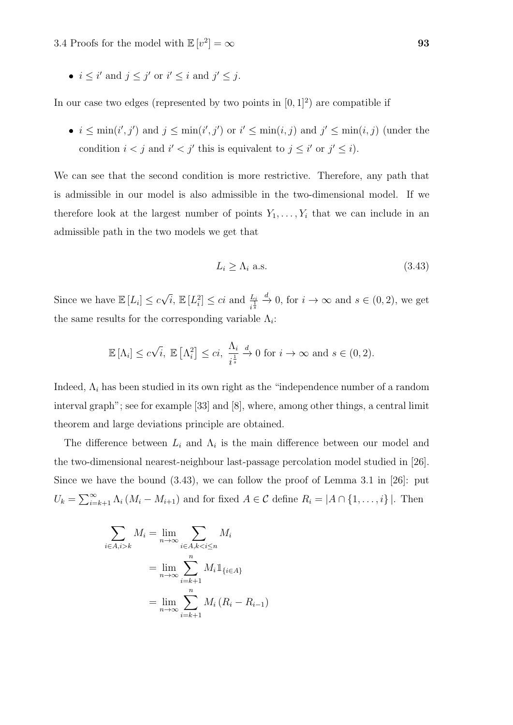•  $i \leq i'$  and  $j \leq j'$  or  $i' \leq i$  and  $j' \leq j$ .

In our case two edges (represented by two points in  $[0, 1]^2$ ) are compatible if

•  $i \leq \min(i', j')$  and  $j \leq \min(i', j')$  or  $i' \leq \min(i, j)$  and  $j' \leq \min(i, j)$  (under the condition  $i < j$  and  $i' < j'$  this is equivalent to  $j \leq i'$  or  $j' \leq i$ .

We can see that the second condition is more restrictive. Therefore, any path that is admissible in our model is also admissible in the two-dimensional model. If we therefore look at the largest number of points  $Y_1, \ldots, Y_i$  that we can include in an admissible path in the two models we get that

$$
L_i \ge \Lambda_i \text{ a.s.} \tag{3.43}
$$

Since we have  $\mathbb{E}[L_i] \leq c$  $\sqrt{i}$ ,  $\mathbb{E}[L_i^2] \leq ci$  and  $\frac{L_i}{i^{\frac{1}{s}}}$  $\stackrel{d}{\to} 0$ , for  $i \to \infty$  and  $s \in (0, 2)$ , we get the same results for the corresponding variable  $\Lambda_i$ :

$$
\mathbb{E}[\Lambda_i] \le c\sqrt{i}, \ \mathbb{E}\left[\Lambda_i^2\right] \le ci, \ \frac{\Lambda_i}{i^{\frac{1}{s}}} \xrightarrow{d} 0 \text{ for } i \to \infty \text{ and } s \in (0, 2).
$$

Indeed,  $\Lambda_i$  has been studied in its own right as the "independence number of a random interval graph"; see for example [33] and [8], where, among other things, a central limit theorem and large deviations principle are obtained.

The difference between  $L_i$  and  $\Lambda_i$  is the main difference between our model and the two-dimensional nearest-neighbour last-passage percolation model studied in [26]. Since we have the bound (3.43), we can follow the proof of Lemma 3.1 in [26]: put  $U_k = \sum_{i=k+1}^{\infty} \Lambda_i (M_i - M_{i+1})$  and for fixed  $A \in \mathcal{C}$  define  $R_i = |A \cap \{1, \ldots, i\}|$ . Then

$$
\sum_{i \in A, i > k} M_i = \lim_{n \to \infty} \sum_{i \in A, k < i \le n} M_i
$$
\n
$$
= \lim_{n \to \infty} \sum_{i = k+1}^n M_i \mathbb{1}_{\{i \in A\}}
$$
\n
$$
= \lim_{n \to \infty} \sum_{i = k+1}^n M_i (R_i - R_{i-1})
$$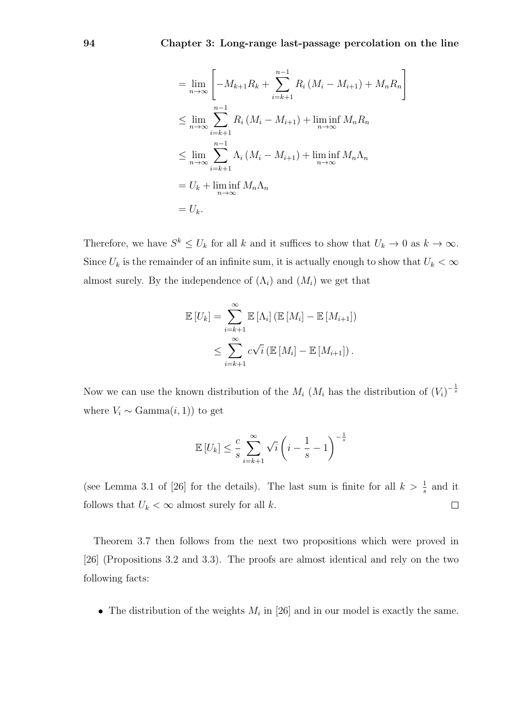$$
= \lim_{n \to \infty} \left[ -M_{k+1}R_k + \sum_{i=k+1}^{n-1} R_i (M_i - M_{i+1}) + M_n R_n \right]
$$
  
\n
$$
\leq \lim_{n \to \infty} \sum_{i=k+1}^{n-1} R_i (M_i - M_{i+1}) + \lim_{n \to \infty} \inf M_n R_n
$$
  
\n
$$
\leq \lim_{n \to \infty} \sum_{i=k+1}^{n-1} \Lambda_i (M_i - M_{i+1}) + \lim_{n \to \infty} \inf M_n \Lambda_n
$$
  
\n
$$
= U_k + \liminf_{n \to \infty} M_n \Lambda_n
$$
  
\n
$$
= U_k.
$$

Therefore, we have  $S^k \leq U_k$  for all k and it suffices to show that  $U_k \to 0$  as  $k \to \infty$ . Since  $U_k$  is the remainder of an infinite sum, it is actually enough to show that  $U_k < \infty$ almost surely. By the independence of  $(\Lambda_i)$  and  $(M_i)$  we get that

$$
\mathbb{E}\left[U_k\right] = \sum_{i=k+1}^{\infty} \mathbb{E}\left[\Lambda_i\right] \left(\mathbb{E}\left[M_i\right] - \mathbb{E}\left[M_{i+1}\right]\right)
$$
  

$$
\leq \sum_{i=k+1}^{\infty} c\sqrt{i} \left(\mathbb{E}\left[M_i\right] - \mathbb{E}\left[M_{i+1}\right]\right).
$$

Now we can use the known distribution of the  $M_i$  ( $M_i$  has the distribution of  $(V_i)^{-\frac{1}{s}}$ where  $V_i \sim \text{Gamma}(i, 1)$  to get

$$
\mathbb{E}\left[U_k\right] \leq \frac{c}{s} \sum_{i=k+1}^{\infty} \sqrt{i} \left(i - \frac{1}{s} - 1\right)^{-\frac{1}{s}}
$$

(see Lemma 3.1 of [26] for the details). The last sum is finite for all  $k > \frac{1}{s}$  and it follows that  $U_k < \infty$  almost surely for all k.  $\Box$ 

Theorem 3.7 then follows from the next two propositions which were proved in [26] (Propositions 3.2 and 3.3). The proofs are almost identical and rely on the two following facts:

• The distribution of the weights  $M_i$  in [26] and in our model is exactly the same.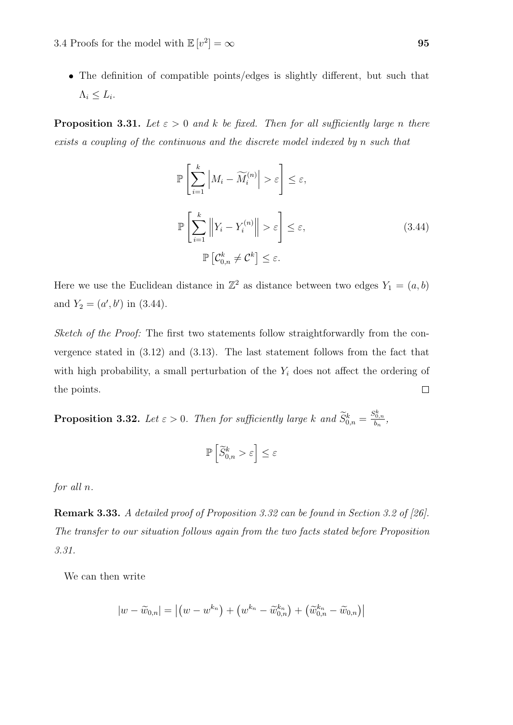The definition of compatible points/edges is slightly different, but such that  $\Lambda_i \leq L_i.$ 

**Proposition 3.31.** Let  $\varepsilon > 0$  and k be fixed. Then for all sufficiently large n there exists a coupling of the continuous and the discrete model indexed by n such that

$$
\mathbb{P}\left[\sum_{i=1}^{k} \left| M_i - \widetilde{M}_i^{(n)} \right| > \varepsilon \right] \leq \varepsilon,
$$
\n
$$
\mathbb{P}\left[\sum_{i=1}^{k} \left\| Y_i - Y_i^{(n)} \right\| > \varepsilon \right] \leq \varepsilon,
$$
\n
$$
\mathbb{P}\left[\mathcal{C}_{0,n}^k \neq \mathcal{C}^k\right] \leq \varepsilon.
$$
\n
$$
(3.44)
$$

Here we use the Euclidean distance in  $\mathbb{Z}^2$  as distance between two edges  $Y_1 = (a, b)$ and  $Y_2 = (a', b')$  in (3.44).

Sketch of the Proof: The first two statements follow straightforwardly from the convergence stated in (3.12) and (3.13). The last statement follows from the fact that with high probability, a small perturbation of the  $Y_i$  does not affect the ordering of  $\Box$ the points.

**Proposition 3.32.** Let  $\varepsilon > 0$ . Then for sufficiently large k and  $\widetilde{S}_{0,n}^k = \frac{S_{0,n}^k}{b_n}$ ,

$$
\mathbb{P}\left[\widetilde{S}_{0,n}^{k} > \varepsilon\right] \leq \varepsilon
$$

for all n.

Remark 3.33. A detailed proof of Proposition 3.32 can be found in Section 3.2 of [26]. The transfer to our situation follows again from the two facts stated before Proposition 3.31.

We can then write

$$
|w - \widetilde{w}_{0,n}| = |(w - w^{k_n}) + (w^{k_n} - \widetilde{w}_{0,n}^{k_n}) + (\widetilde{w}_{0,n}^{k_n} - \widetilde{w}_{0,n})|
$$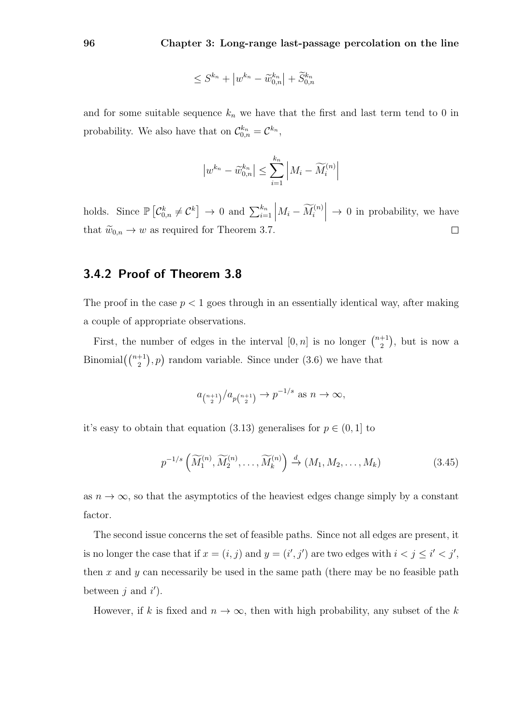$$
\leq S^{k_n} + \left| w^{k_n} - \widetilde{w}_{0,n}^{k_n} \right| + \widetilde{S}_{0,n}^{k_n}
$$

and for some suitable sequence  $k_n$  we have that the first and last term tend to 0 in probability. We also have that on  $\mathcal{C}_{0,n}^{k_n} = \mathcal{C}^{k_n}$ ,

$$
\left| w^{k_n} - \widetilde{w}_{0,n}^{k_n} \right| \le \sum_{i=1}^{k_n} \left| M_i - \widetilde{M}_i^{(n)} \right|
$$

holds. Since  $\mathbb{P}\left[\mathcal{C}_{0,n}^k \neq \mathcal{C}^k\right] \to 0$  and  $\sum_{i=1}^{k_n} \left|M_i - \widetilde{M}_i^{(n)}\right|$  $\rightarrow$  0 in probability, we have that  $\widetilde{w}_{0,n} \to w$  as required for Theorem 3.7.  $\Box$ 

### 3.4.2 Proof of Theorem 3.8

The proof in the case  $p < 1$  goes through in an essentially identical way, after making a couple of appropriate observations.

First, the number of edges in the interval  $[0, n]$  is no longer  $\binom{n+1}{2}$  $\binom{+1}{2}$ , but is now a Binomial $\left(\binom{n+1}{2}, p\right)$  random variable. Since under (3.6) we have that

$$
a_{\binom{n+1}{2}}/a_{p\binom{n+1}{2}} \to p^{-1/s}
$$
 as  $n \to \infty$ ,

it's easy to obtain that equation (3.13) generalises for  $p \in (0, 1]$  to

$$
p^{-1/s} \left( \widetilde{M}_1^{(n)}, \widetilde{M}_2^{(n)}, \dots, \widetilde{M}_k^{(n)} \right) \xrightarrow{d} (M_1, M_2, \dots, M_k)
$$
 (3.45)

as  $n \to \infty$ , so that the asymptotics of the heaviest edges change simply by a constant factor.

The second issue concerns the set of feasible paths. Since not all edges are present, it is no longer the case that if  $x = (i, j)$  and  $y = (i', j')$  are two edges with  $i < j \leq i' < j'$ , then x and y can necessarily be used in the same path (there may be no feasible path between  $j$  and  $i'$ ).

However, if k is fixed and  $n \to \infty$ , then with high probability, any subset of the k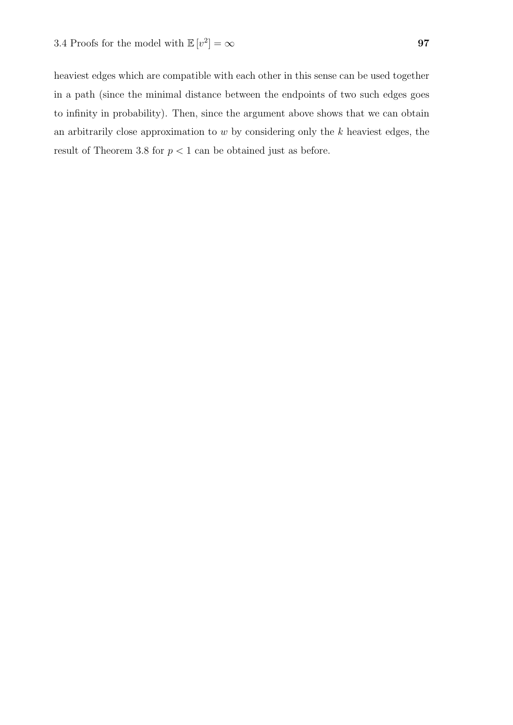heaviest edges which are compatible with each other in this sense can be used together in a path (since the minimal distance between the endpoints of two such edges goes to infinity in probability). Then, since the argument above shows that we can obtain an arbitrarily close approximation to  $w$  by considering only the  $k$  heaviest edges, the result of Theorem 3.8 for  $p < 1$  can be obtained just as before.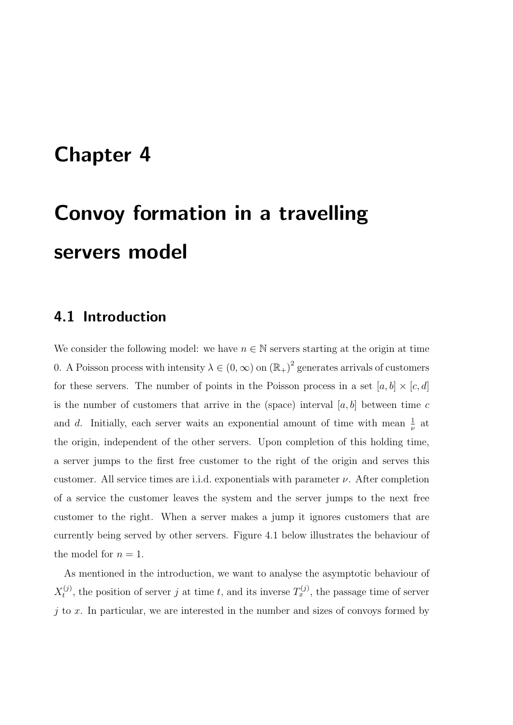# Chapter 4

# Convoy formation in a travelling servers model

## 4.1 Introduction

We consider the following model: we have  $n \in \mathbb{N}$  servers starting at the origin at time 0. A Poisson process with intensity  $\lambda \in (0, \infty)$  on  $(\mathbb{R}_{+})^2$  generates arrivals of customers for these servers. The number of points in the Poisson process in a set  $[a, b] \times [c, d]$ is the number of customers that arrive in the (space) interval  $[a, b]$  between time c and d. Initially, each server waits an exponential amount of time with mean  $\frac{1}{\nu}$  at the origin, independent of the other servers. Upon completion of this holding time, a server jumps to the first free customer to the right of the origin and serves this customer. All service times are i.i.d. exponentials with parameter  $\nu$ . After completion of a service the customer leaves the system and the server jumps to the next free customer to the right. When a server makes a jump it ignores customers that are currently being served by other servers. Figure 4.1 below illustrates the behaviour of the model for  $n = 1$ .

As mentioned in the introduction, we want to analyse the asymptotic behaviour of  $X_t^{(j)}$  $t_i^{(j)}$ , the position of server j at time t, and its inverse  $T_x^{(j)}$ , the passage time of server  $j$  to  $x$ . In particular, we are interested in the number and sizes of convoys formed by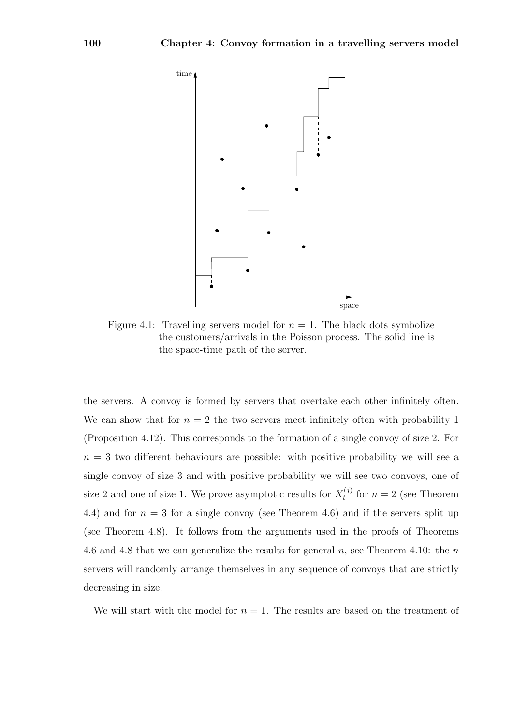

Figure 4.1: Travelling servers model for  $n = 1$ . The black dots symbolize the customers/arrivals in the Poisson process. The solid line is the space-time path of the server.

the servers. A convoy is formed by servers that overtake each other infinitely often. We can show that for  $n = 2$  the two servers meet infinitely often with probability 1 (Proposition 4.12). This corresponds to the formation of a single convoy of size 2. For  $n = 3$  two different behaviours are possible: with positive probability we will see a single convoy of size 3 and with positive probability we will see two convoys, one of size 2 and one of size 1. We prove asymptotic results for  $X_t^{(j)}$  $t_t^{(j)}$  for  $n = 2$  (see Theorem 4.4) and for  $n = 3$  for a single convoy (see Theorem 4.6) and if the servers split up (see Theorem 4.8). It follows from the arguments used in the proofs of Theorems 4.6 and 4.8 that we can generalize the results for general  $n$ , see Theorem 4.10: the  $n$ servers will randomly arrange themselves in any sequence of convoys that are strictly decreasing in size.

We will start with the model for  $n = 1$ . The results are based on the treatment of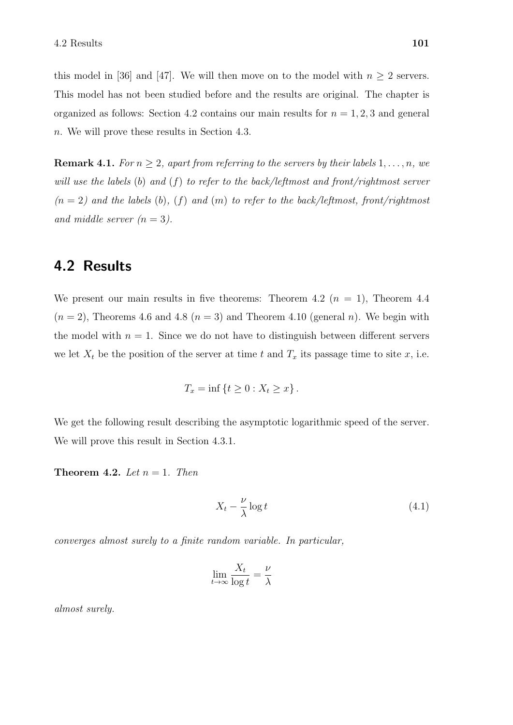this model in [36] and [47]. We will then move on to the model with  $n \geq 2$  servers. This model has not been studied before and the results are original. The chapter is organized as follows: Section 4.2 contains our main results for  $n = 1, 2, 3$  and general n. We will prove these results in Section 4.3.

**Remark 4.1.** For  $n \geq 2$ , apart from referring to the servers by their labels  $1, \ldots, n$ , we will use the labels  $(b)$  and  $(f)$  to refer to the back/leftmost and front/rightmost server  $(n = 2)$  and the labels  $(b)$ ,  $(f)$  and  $(m)$  to refer to the back/leftmost, front/rightmost and middle server  $(n = 3)$ .

# 4.2 Results

We present our main results in five theorems: Theorem 4.2 ( $n = 1$ ), Theorem 4.4  $(n = 2)$ , Theorems 4.6 and 4.8  $(n = 3)$  and Theorem 4.10 (general n). We begin with the model with  $n = 1$ . Since we do not have to distinguish between different servers we let  $X_t$  be the position of the server at time t and  $T_x$  its passage time to site x, i.e.

$$
T_x = \inf \{ t \ge 0 : X_t \ge x \} .
$$

We get the following result describing the asymptotic logarithmic speed of the server. We will prove this result in Section 4.3.1.

**Theorem 4.2.** Let  $n = 1$ . Then

$$
X_t - \frac{\nu}{\lambda} \log t \tag{4.1}
$$

converges almost surely to a finite random variable. In particular,

$$
\lim_{t \to \infty} \frac{X_t}{\log t} = \frac{\nu}{\lambda}
$$

almost surely.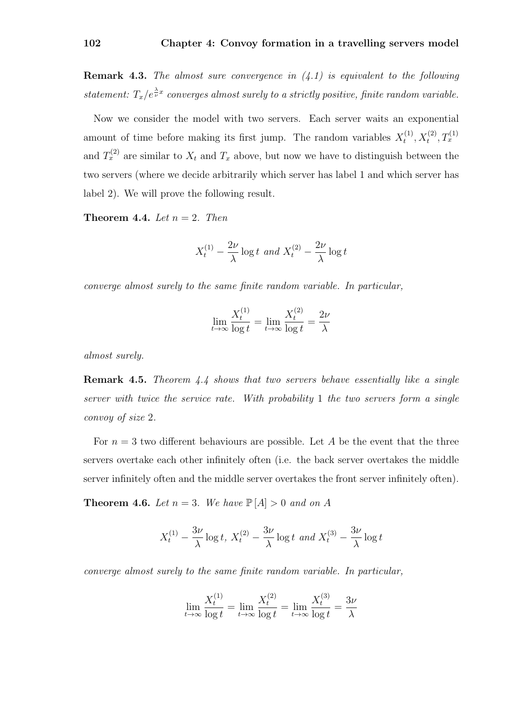**Remark 4.3.** The almost sure convergence in  $(4.1)$  is equivalent to the following statement:  $T_x/e^{\lambda x}_{\nu}$  converges almost surely to a strictly positive, finite random variable.

Now we consider the model with two servers. Each server waits an exponential amount of time before making its first jump. The random variables  $X_t^{(1)}$  $T_t^{(1)}, X_t^{(2)}, T_x^{(1)}$ and  $T_x^{(2)}$  are similar to  $X_t$  and  $T_x$  above, but now we have to distinguish between the two servers (where we decide arbitrarily which server has label 1 and which server has label 2). We will prove the following result.

**Theorem 4.4.** Let  $n = 2$ . Then

$$
X_t^{(1)} - \frac{2\nu}{\lambda} \log t \ and \ X_t^{(2)} - \frac{2\nu}{\lambda} \log t
$$

converge almost surely to the same finite random variable. In particular,

$$
\lim_{t \to \infty} \frac{X_t^{(1)}}{\log t} = \lim_{t \to \infty} \frac{X_t^{(2)}}{\log t} = \frac{2\nu}{\lambda}
$$

almost surely.

Remark 4.5. Theorem 4.4 shows that two servers behave essentially like a single server with twice the service rate. With probability 1 the two servers form a single convoy of size 2.

For  $n = 3$  two different behaviours are possible. Let A be the event that the three servers overtake each other infinitely often (i.e. the back server overtakes the middle server infinitely often and the middle server overtakes the front server infinitely often).

**Theorem 4.6.** Let  $n = 3$ . We have  $\mathbb{P}[A] > 0$  and on A

$$
X_t^{(1)} - \frac{3\nu}{\lambda} \log t, \ X_t^{(2)} - \frac{3\nu}{\lambda} \log t \ and \ X_t^{(3)} - \frac{3\nu}{\lambda} \log t
$$

converge almost surely to the same finite random variable. In particular,

$$
\lim_{t \to \infty} \frac{X_t^{(1)}}{\log t} = \lim_{t \to \infty} \frac{X_t^{(2)}}{\log t} = \lim_{t \to \infty} \frac{X_t^{(3)}}{\log t} = \frac{3\nu}{\lambda}
$$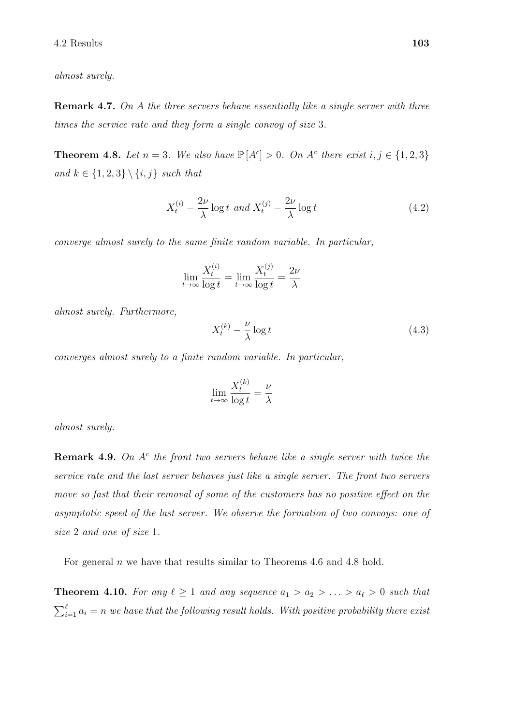almost surely.

**Remark 4.7.** On A the three servers behave essentially like a single server with three times the service rate and they form a single convoy of size 3.

**Theorem 4.8.** Let  $n = 3$ . We also have  $\mathbb{P}[A^c] > 0$ . On  $A^c$  there exist  $i, j \in \{1, 2, 3\}$ and  $k \in \{1, 2, 3\} \setminus \{i, j\}$  such that

$$
X_t^{(i)} - \frac{2\nu}{\lambda} \log t \ and \ X_t^{(j)} - \frac{2\nu}{\lambda} \log t \tag{4.2}
$$

converge almost surely to the same finite random variable. In particular,

$$
\lim_{t \to \infty} \frac{X_t^{(i)}}{\log t} = \lim_{t \to \infty} \frac{X_t^{(j)}}{\log t} = \frac{2\nu}{\lambda}
$$

almost surely. Furthermore,

$$
X_t^{(k)} - \frac{\nu}{\lambda} \log t \tag{4.3}
$$

converges almost surely to a finite random variable. In particular,

$$
\lim_{t \to \infty} \frac{X_t^{(k)}}{\log t} = \frac{\nu}{\lambda}
$$

almost surely.

**Remark 4.9.** On  $A<sup>c</sup>$  the front two servers behave like a single server with twice the service rate and the last server behaves just like a single server. The front two servers move so fast that their removal of some of the customers has no positive effect on the asymptotic speed of the last server. We observe the formation of two convoys: one of size 2 and one of size 1.

For general  $n$  we have that results similar to Theorems 4.6 and 4.8 hold.

**Theorem 4.10.** For any  $\ell \geq 1$  and any sequence  $a_1 > a_2 > \ldots > a_{\ell} > 0$  such that  $\sum_{i=1}^{\ell} a_i = n$  we have that the following result holds. With positive probability there exist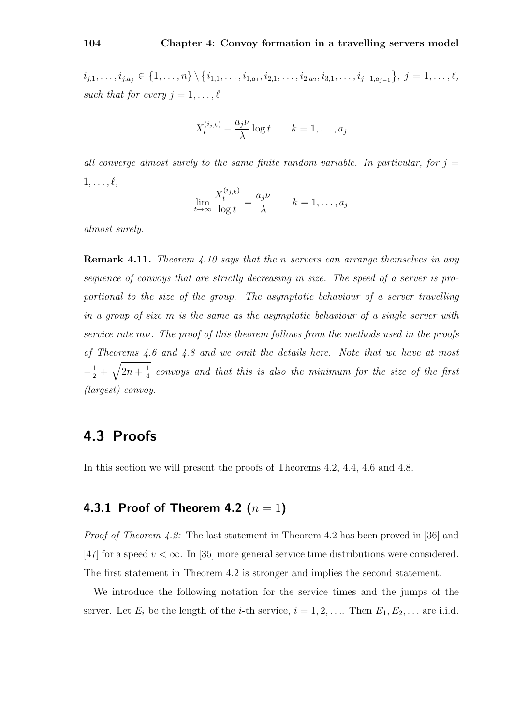$i_{j,1}, \ldots, i_{j,a_j} \in \{1, \ldots, n\} \setminus \{i_{1,1}, \ldots, i_{1,a_1}, i_{2,1}, \ldots, i_{2,a_2}, i_{3,1}, \ldots, i_{j-1,a_{j-1}}\}, \ j = 1, \ldots, \ell,$ such that for every  $j = 1, \ldots, \ell$ 

$$
X_t^{(i_{j,k})} - \frac{a_j \nu}{\lambda} \log t \qquad k = 1, \dots, a_j
$$

all converge almost surely to the same finite random variable. In particular, for  $j =$  $1, \ldots, \ell,$ 

$$
\lim_{t \to \infty} \frac{X_t^{(i_{j,k})}}{\log t} = \frac{a_j \nu}{\lambda} \qquad k = 1, \dots, a_j
$$

almost surely.

**Remark 4.11.** Theorem 4.10 says that the n servers can arrange themselves in any sequence of convoys that are strictly decreasing in size. The speed of a server is proportional to the size of the group. The asymptotic behaviour of a server travelling in a group of size m is the same as the asymptotic behaviour of a single server with service rate mv. The proof of this theorem follows from the methods used in the proofs of Theorems 4.6 and 4.8 and we omit the details here. Note that we have at most  $-\frac{1}{2} + \sqrt{2n + \frac{1}{4}}$  $\frac{1}{4}$  convoys and that this is also the minimum for the size of the first (largest) convoy.

# 4.3 Proofs

In this section we will present the proofs of Theorems 4.2, 4.4, 4.6 and 4.8.

## 4.3.1 Proof of Theorem 4.2  $(n = 1)$

Proof of Theorem 4.2: The last statement in Theorem 4.2 has been proved in [36] and [47] for a speed  $v < \infty$ . In [35] more general service time distributions were considered. The first statement in Theorem 4.2 is stronger and implies the second statement.

We introduce the following notation for the service times and the jumps of the server. Let  $E_i$  be the length of the *i*-th service,  $i = 1, 2, \ldots$  Then  $E_1, E_2, \ldots$  are i.i.d.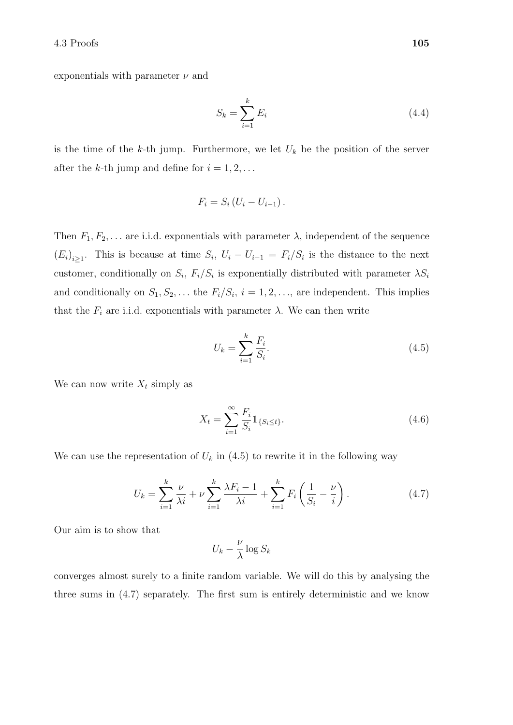exponentials with parameter  $\nu$  and

$$
S_k = \sum_{i=1}^k E_i \tag{4.4}
$$

is the time of the k-th jump. Furthermore, we let  $U_k$  be the position of the server after the k-th jump and define for  $i = 1, 2, \ldots$ 

$$
F_i = S_i \left( U_i - U_{i-1} \right).
$$

Then  $F_1, F_2, \ldots$  are i.i.d. exponentials with parameter  $\lambda$ , independent of the sequence  $(E_i)_{i\geq 1}$ . This is because at time  $S_i$ ,  $U_i - U_{i-1} = F_i/S_i$  is the distance to the next customer, conditionally on  $S_i$ ,  $F_i/S_i$  is exponentially distributed with parameter  $\lambda S_i$ and conditionally on  $S_1, S_2, \ldots$  the  $F_i/S_i$ ,  $i = 1, 2, \ldots$ , are independent. This implies that the  $F_i$  are i.i.d. exponentials with parameter  $\lambda$ . We can then write

$$
U_k = \sum_{i=1}^{k} \frac{F_i}{S_i}.
$$
\n(4.5)

We can now write  $X_t$  simply as

$$
X_t = \sum_{i=1}^{\infty} \frac{F_i}{S_i} 1\!\!1_{\{S_i \le t\}}.\tag{4.6}
$$

We can use the representation of  $U_k$  in (4.5) to rewrite it in the following way

$$
U_k = \sum_{i=1}^k \frac{\nu}{\lambda i} + \nu \sum_{i=1}^k \frac{\lambda F_i - 1}{\lambda i} + \sum_{i=1}^k F_i \left( \frac{1}{S_i} - \frac{\nu}{i} \right).
$$
 (4.7)

Our aim is to show that

$$
U_k - \frac{\nu}{\lambda} \log S_k
$$

converges almost surely to a finite random variable. We will do this by analysing the three sums in (4.7) separately. The first sum is entirely deterministic and we know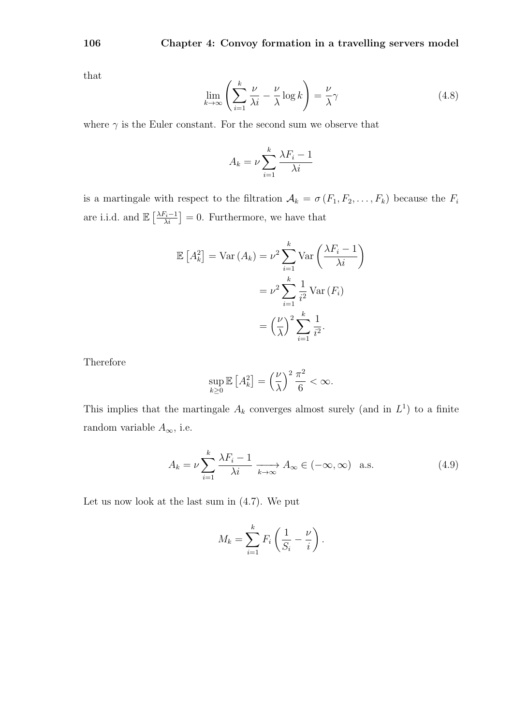that

$$
\lim_{k \to \infty} \left( \sum_{i=1}^{k} \frac{\nu}{\lambda i} - \frac{\nu}{\lambda} \log k \right) = \frac{\nu}{\lambda} \gamma \tag{4.8}
$$

where  $\gamma$  is the Euler constant. For the second sum we observe that

$$
A_k = \nu \sum_{i=1}^k \frac{\lambda F_i - 1}{\lambda i}
$$

is a martingale with respect to the filtration  $A_k = \sigma(F_1, F_2, \ldots, F_k)$  because the  $F_i$ are i.i.d. and  $\mathbb{E}\left[\frac{\lambda F_i-1}{\lambda i}\right]=0$ . Furthermore, we have that

$$
\mathbb{E}\left[A_k^2\right] = \text{Var}\left(A_k\right) = \nu^2 \sum_{i=1}^k \text{Var}\left(\frac{\lambda F_i - 1}{\lambda i}\right)
$$

$$
= \nu^2 \sum_{i=1}^k \frac{1}{i^2} \text{Var}\left(F_i\right)
$$

$$
= \left(\frac{\nu}{\lambda}\right)^2 \sum_{i=1}^k \frac{1}{i^2}.
$$

Therefore

$$
\sup_{k\geq 0} \mathbb{E}\left[A_k^2\right] = \left(\frac{\nu}{\lambda}\right)^2 \frac{\pi^2}{6} < \infty.
$$

This implies that the martingale  $A_k$  converges almost surely (and in  $L^1$ ) to a finite random variable  $A_{\infty}$ , i.e.

$$
A_k = \nu \sum_{i=1}^k \frac{\lambda F_i - 1}{\lambda i} \xrightarrow[k \to \infty]{} A_{\infty} \in (-\infty, \infty) \quad \text{a.s.}
$$
 (4.9)

Let us now look at the last sum in (4.7). We put

$$
M_k = \sum_{i=1}^k F_i \left( \frac{1}{S_i} - \frac{\nu}{i} \right).
$$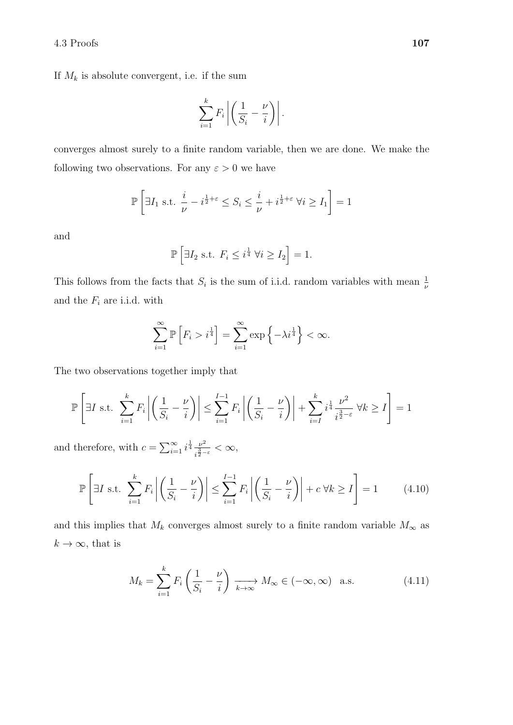If  $M_k$  is absolute convergent, i.e. if the sum

$$
\sum_{i=1}^k F_i \left| \left( \frac{1}{S_i} - \frac{\nu}{i} \right) \right|.
$$

converges almost surely to a finite random variable, then we are done. We make the following two observations. For any  $\varepsilon > 0$  we have

$$
\mathbb{P}\left[\exists I_1 \text{ s.t. } \frac{i}{\nu} - i^{\frac{1}{2} + \varepsilon} \le S_i \le \frac{i}{\nu} + i^{\frac{1}{2} + \varepsilon} \ \forall i \ge I_1\right] = 1
$$

and

$$
\mathbb{P}\left[\exists I_2 \text{ s.t. } F_i \le i^{\frac{1}{4}} \ \forall i \ge I_2\right] = 1.
$$

This follows from the facts that  $S_i$  is the sum of i.i.d. random variables with mean  $\frac{1}{\nu}$ and the  $F_i$  are i.i.d. with

$$
\sum_{i=1}^{\infty} \mathbb{P}\left[F_i > i^{\frac{1}{4}}\right] = \sum_{i=1}^{\infty} \exp\left\{-\lambda i^{\frac{1}{4}}\right\} < \infty.
$$

The two observations together imply that

$$
\mathbb{P}\left[\exists I \text{ s.t. } \sum_{i=1}^k F_i \left| \left(\frac{1}{S_i} - \frac{\nu}{i}\right)\right| \le \sum_{i=1}^{I-1} F_i \left| \left(\frac{1}{S_i} - \frac{\nu}{i}\right)\right| + \sum_{i=I}^k i^{\frac{1}{4}} \frac{\nu^2}{i^{\frac{3}{2}-\varepsilon}} \,\forall k \ge I\right] = 1
$$

and therefore, with  $c = \sum_{i=1}^{\infty} i^{\frac{1}{4}} \frac{\nu^2}{i^{\frac{3}{4}-}}$  $\frac{\nu^2}{i^{\frac{3}{2}-\varepsilon}} < \infty,$ 

$$
\mathbb{P}\left[\exists I \text{ s.t. } \sum_{i=1}^{k} F_i \left| \left(\frac{1}{S_i} - \frac{\nu}{i}\right) \right| \le \sum_{i=1}^{I-1} F_i \left| \left(\frac{1}{S_i} - \frac{\nu}{i}\right) \right| + c \,\forall k \ge I \right] = 1 \tag{4.10}
$$

and this implies that  $M_k$  converges almost surely to a finite random variable  $M_{\infty}$  as  $k \to \infty$ , that is

$$
M_k = \sum_{i=1}^k F_i \left(\frac{1}{S_i} - \frac{\nu}{i}\right) \xrightarrow[k \to \infty]{} M_\infty \in (-\infty, \infty) \quad \text{a.s.}
$$
 (4.11)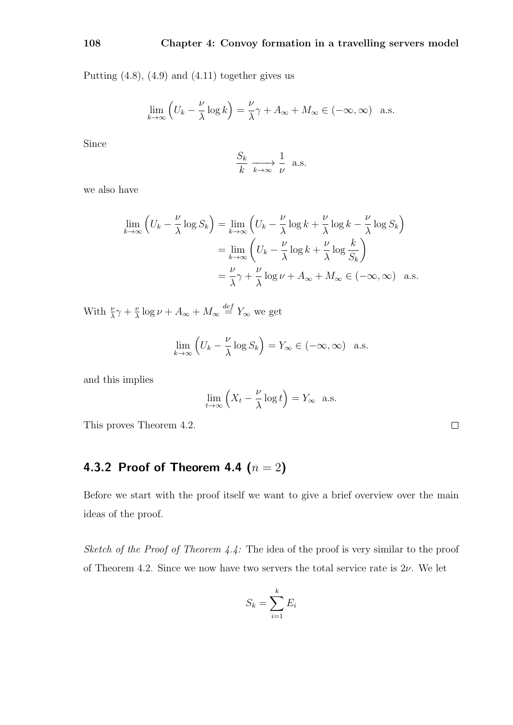Putting  $(4.8)$ ,  $(4.9)$  and  $(4.11)$  together gives us

$$
\lim_{k \to \infty} \left( U_k - \frac{\nu}{\lambda} \log k \right) = \frac{\nu}{\lambda} \gamma + A_{\infty} + M_{\infty} \in (-\infty, \infty) \quad \text{a.s.}
$$

Since

$$
\frac{S_k}{k} \xrightarrow[k \to \infty]{} \frac{1}{\nu} \text{ a.s.}
$$

we also have

$$
\lim_{k \to \infty} \left( U_k - \frac{\nu}{\lambda} \log S_k \right) = \lim_{k \to \infty} \left( U_k - \frac{\nu}{\lambda} \log k + \frac{\nu}{\lambda} \log k - \frac{\nu}{\lambda} \log S_k \right)
$$

$$
= \lim_{k \to \infty} \left( U_k - \frac{\nu}{\lambda} \log k + \frac{\nu}{\lambda} \log \frac{k}{S_k} \right)
$$

$$
= \frac{\nu}{\lambda} \gamma + \frac{\nu}{\lambda} \log \nu + A_{\infty} + M_{\infty} \in (-\infty, \infty) \quad \text{a.s.}
$$

With  $\frac{\nu}{\lambda}\gamma + \frac{\nu}{\lambda}$  $\frac{\nu}{\lambda} \log \nu + A_{\infty} + M_{\infty} \stackrel{def}{=} Y_{\infty}$  we get

$$
\lim_{k \to \infty} \left( U_k - \frac{\nu}{\lambda} \log S_k \right) = Y_{\infty} \in (-\infty, \infty) \quad \text{a.s.}
$$

and this implies

$$
\lim_{t \to \infty} \left( X_t - \frac{\nu}{\lambda} \log t \right) = Y_{\infty} \quad \text{a.s.}
$$

This proves Theorem 4.2.

# 4.3.2 Proof of Theorem 4.4  $(n = 2)$

Before we start with the proof itself we want to give a brief overview over the main ideas of the proof.

Sketch of the Proof of Theorem  $4.4$ : The idea of the proof is very similar to the proof of Theorem 4.2. Since we now have two servers the total service rate is  $2\nu$ . We let

$$
S_k = \sum_{i=1}^k E_i
$$

 $\Box$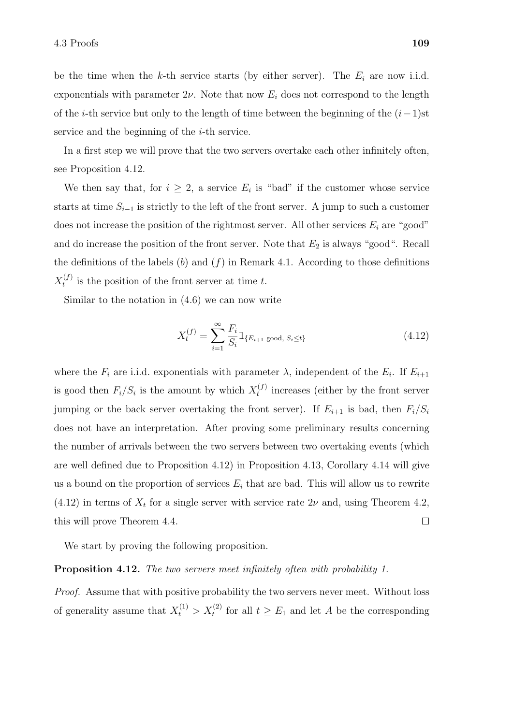be the time when the k-th service starts (by either server). The  $E_i$  are now i.i.d. exponentials with parameter  $2\nu$ . Note that now  $E_i$  does not correspond to the length of the *i*-th service but only to the length of time between the beginning of the  $(i-1)$ st service and the beginning of the *i*-th service.

In a first step we will prove that the two servers overtake each other infinitely often, see Proposition 4.12.

We then say that, for  $i \geq 2$ , a service  $E_i$  is "bad" if the customer whose service starts at time  $S_{i-1}$  is strictly to the left of the front server. A jump to such a customer does not increase the position of the rightmost server. All other services  $E_i$  are "good" and do increase the position of the front server. Note that  $E_2$  is always "good". Recall the definitions of the labels  $(b)$  and  $(f)$  in Remark 4.1. According to those definitions  $X_t^{(f)}$  $t_t^{(1)}$  is the position of the front server at time t.

Similar to the notation in (4.6) we can now write

$$
X_t^{(f)} = \sum_{i=1}^{\infty} \frac{F_i}{S_i} \mathbb{1}_{\{E_{i+1} \text{ good, } S_i \le t\}} \tag{4.12}
$$

where the  $F_i$  are i.i.d. exponentials with parameter  $\lambda$ , independent of the  $E_i$ . If  $E_{i+1}$ is good then  $F_i/S_i$  is the amount by which  $X_t^{(f)}$  $t_t^{(1)}$  increases (either by the front server jumping or the back server overtaking the front server). If  $E_{i+1}$  is bad, then  $F_i/S_i$ does not have an interpretation. After proving some preliminary results concerning the number of arrivals between the two servers between two overtaking events (which are well defined due to Proposition 4.12) in Proposition 4.13, Corollary 4.14 will give us a bound on the proportion of services  $E_i$  that are bad. This will allow us to rewrite  $(4.12)$  in terms of  $X_t$  for a single server with service rate  $2\nu$  and, using Theorem 4.2, this will prove Theorem 4.4.  $\Box$ 

We start by proving the following proposition.

#### Proposition 4.12. The two servers meet infinitely often with probability 1.

Proof. Assume that with positive probability the two servers never meet. Without loss of generality assume that  $X_t^{(1)} > X_t^{(2)}$  for all  $t \geq E_1$  and let A be the corresponding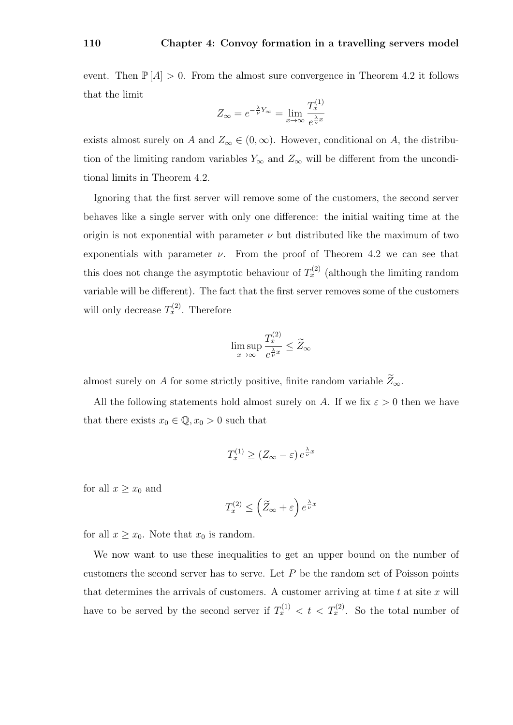event. Then  $\mathbb{P}[A] > 0$ . From the almost sure convergence in Theorem 4.2 it follows that the limit

$$
Z_{\infty} = e^{-\frac{\lambda}{\nu}Y_{\infty}} = \lim_{x \to \infty} \frac{T_x^{(1)}}{e^{\frac{\lambda}{\nu}x}}
$$

exists almost surely on A and  $Z_{\infty} \in (0, \infty)$ . However, conditional on A, the distribution of the limiting random variables  $Y_{\infty}$  and  $Z_{\infty}$  will be different from the unconditional limits in Theorem 4.2.

Ignoring that the first server will remove some of the customers, the second server behaves like a single server with only one difference: the initial waiting time at the origin is not exponential with parameter  $\nu$  but distributed like the maximum of two exponentials with parameter  $\nu$ . From the proof of Theorem 4.2 we can see that this does not change the asymptotic behaviour of  $T_x^{(2)}$  (although the limiting random variable will be different). The fact that the first server removes some of the customers will only decrease  $T_x^{(2)}$ . Therefore

$$
\limsup_{x \to \infty} \frac{T_x^{(2)}}{e^{\frac{\lambda}{\nu}x}} \le \widetilde{Z}_{\infty}
$$

almost surely on  $A$  for some strictly positive, finite random variable  $\widetilde Z_\infty.$ 

All the following statements hold almost surely on A. If we fix  $\varepsilon > 0$  then we have that there exists  $x_0 \in \mathbb{Q}, x_0 > 0$  such that

$$
T_x^{(1)} \ge (Z_\infty - \varepsilon) e^{\frac{\lambda}{\nu}x}
$$

for all  $x \geq x_0$  and

$$
T_x^{(2)} \le \left(\widetilde{Z}_{\infty} + \varepsilon\right) e^{\frac{\lambda}{\nu}x}
$$

for all  $x \geq x_0$ . Note that  $x_0$  is random.

We now want to use these inequalities to get an upper bound on the number of customers the second server has to serve. Let  $P$  be the random set of Poisson points that determines the arrivals of customers. A customer arriving at time  $t$  at site  $x$  will have to be served by the second server if  $T_x^{(1)} < t < T_x^{(2)}$ . So the total number of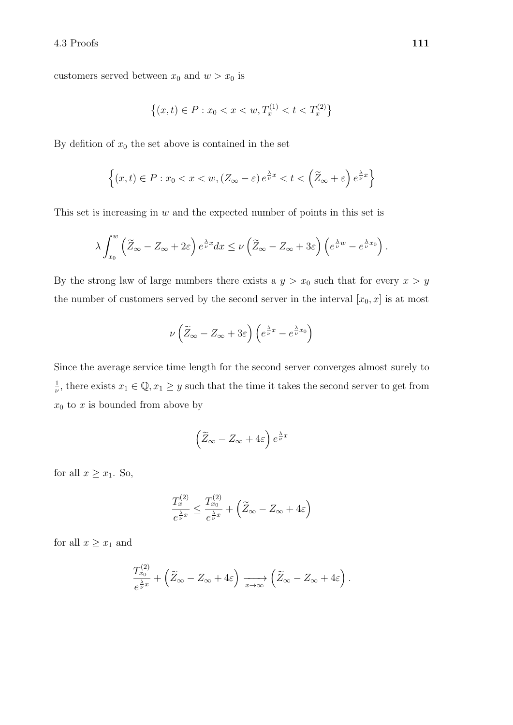customers served between  $x_0$  and  $w > x_0$  is

$$
\{(x,t) \in P : x_0 < x < w, T_x^{(1)} < t < T_x^{(2)}\}
$$

By defition of  $x_0$  the set above is contained in the set

$$
\left\{(x,t)\in P:x_0
$$

This set is increasing in  $w$  and the expected number of points in this set is

$$
\lambda \int_{x_0}^w \left( \widetilde{Z}_{\infty} - Z_{\infty} + 2\varepsilon \right) e^{\frac{\lambda}{\nu}x} dx \le \nu \left( \widetilde{Z}_{\infty} - Z_{\infty} + 3\varepsilon \right) \left( e^{\frac{\lambda}{\nu}w} - e^{\frac{\lambda}{\nu}x_0} \right).
$$

By the strong law of large numbers there exists a  $y > x_0$  such that for every  $x > y$ the number of customers served by the second server in the interval  $[x_0, x]$  is at most

$$
\nu\left(\widetilde{Z}_{\infty} - Z_{\infty} + 3\varepsilon\right)\left(e^{\frac{\lambda}{\nu}x} - e^{\frac{\lambda}{\nu}x_0}\right)
$$

Since the average service time length for the second server converges almost surely to 1  $\frac{1}{\nu}$ , there exists  $x_1 \in \mathbb{Q}, x_1 \geq y$  such that the time it takes the second server to get from  $x_0$  to x is bounded from above by

$$
\left(\widetilde{Z}_{\infty} - Z_{\infty} + 4\varepsilon\right) e^{\frac{\lambda}{\nu}x}
$$

for all  $x \geq x_1$ . So,

$$
\frac{T_x^{(2)}}{e^{\frac{\lambda}{\nu}x}} \le \frac{T_{x_0}^{(2)}}{e^{\frac{\lambda}{\nu}x}} + \left(\widetilde{Z}_{\infty} - Z_{\infty} + 4\varepsilon\right)
$$

for all  $x \geq x_1$  and

$$
\frac{T_{x_0}^{(2)}}{e^{\frac{\lambda}{\nu}x}} + \left(\widetilde{Z}_{\infty} - Z_{\infty} + 4\varepsilon\right) \xrightarrow[x \to \infty]{} \left(\widetilde{Z}_{\infty} - Z_{\infty} + 4\varepsilon\right).
$$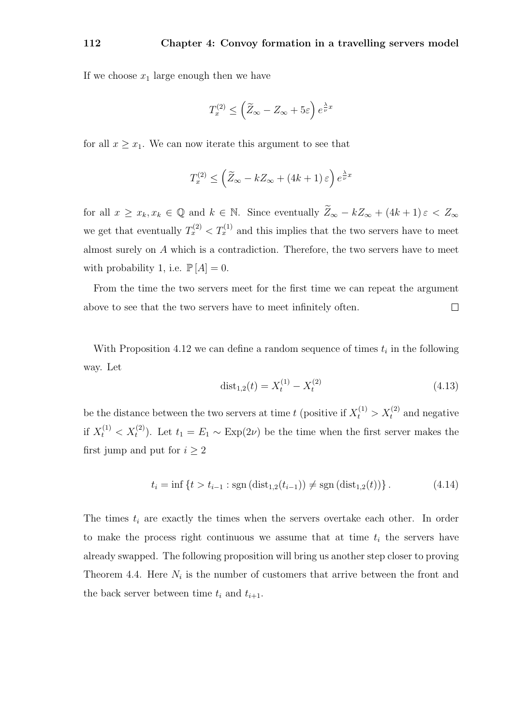If we choose  $x_1$  large enough then we have

$$
T^{(2)}_x \le \left(\widetilde{Z}_{\infty} - Z_{\infty} + 5\varepsilon\right)e^{\frac{\lambda}{\nu}x}
$$

for all  $x \geq x_1$ . We can now iterate this argument to see that

$$
T_x^{(2)} \le \left(\widetilde{Z}_{\infty} - k Z_{\infty} + (4k+1)\,\varepsilon\right)e^{\frac{\lambda}{\nu}x}
$$

for all  $x \ge x_k, x_k \in \mathbb{Q}$  and  $k \in \mathbb{N}$ . Since eventually  $\widetilde{Z}_{\infty} - kZ_{\infty} + (4k+1)\varepsilon < Z_{\infty}$ we get that eventually  $T_x^{(2)} < T_x^{(1)}$  and this implies that the two servers have to meet almost surely on A which is a contradiction. Therefore, the two servers have to meet with probability 1, i.e.  $\mathbb{P}[A] = 0$ .

From the time the two servers meet for the first time we can repeat the argument above to see that the two servers have to meet infinitely often.  $\Box$ 

With Proposition 4.12 we can define a random sequence of times  $t_i$  in the following way. Let

$$
dist_{1,2}(t) = X_t^{(1)} - X_t^{(2)}
$$
\n(4.13)

be the distance between the two servers at time t (positive if  $X_t^{(1)} > X_t^{(2)}$  and negative if  $X_t^{(1)} < X_t^{(2)}$ ). Let  $t_1 = E_1 \sim \text{Exp}(2\nu)$  be the time when the first server makes the first jump and put for  $i \geq 2$ 

$$
t_i = \inf \left\{ t > t_{i-1} : \text{sgn} \left( \text{dist}_{1,2}(t_{i-1}) \right) \neq \text{sgn} \left( \text{dist}_{1,2}(t) \right) \right\}. \tag{4.14}
$$

The times  $t_i$  are exactly the times when the servers overtake each other. In order to make the process right continuous we assume that at time  $t_i$  the servers have already swapped. The following proposition will bring us another step closer to proving Theorem 4.4. Here  $N_i$  is the number of customers that arrive between the front and the back server between time  $t_i$  and  $t_{i+1}$ .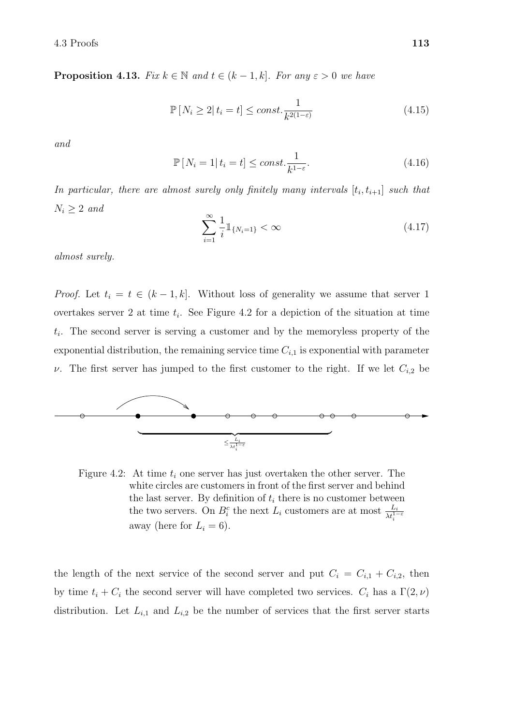**Proposition 4.13.** Fix  $k \in \mathbb{N}$  and  $t \in (k-1, k]$ . For any  $\varepsilon > 0$  we have

$$
\mathbb{P}\left[N_i \ge 2 \middle| t_i = t\right] \le const. \frac{1}{k^{2(1-\varepsilon)}}\tag{4.15}
$$

and

$$
\mathbb{P}\left[N_i=1|\,t_i=t\right] \le \text{const.} \frac{1}{k^{1-\varepsilon}}.\tag{4.16}
$$

In particular, there are almost surely only finitely many intervals  $[t_i, t_{i+1}]$  such that  $N_i \geq 2$  and

$$
\sum_{i=1}^{\infty} \frac{1}{i} \mathbb{1}_{\{N_i = 1\}} < \infty \tag{4.17}
$$

almost surely.

*Proof.* Let  $t_i = t \in (k-1, k]$ . Without loss of generality we assume that server 1 overtakes server 2 at time  $t_i$ . See Figure 4.2 for a depiction of the situation at time  $t_i$ . The second server is serving a customer and by the memoryless property of the exponential distribution, the remaining service time  $C_{i,1}$  is exponential with parameter ν. The first server has jumped to the first customer to the right. If we let  $C_{i,2}$  be



Figure 4.2: At time  $t_i$  one server has just overtaken the other server. The white circles are customers in front of the first server and behind the last server. By definition of  $t_i$  there is no customer between the two servers. On  $B_i^c$  the next  $L_i$  customers are at most  $\frac{L_i}{\lambda t_i^{1-\varepsilon}}$ away (here for  $L_i = 6$ ).

the length of the next service of the second server and put  $C_i = C_{i,1} + C_{i,2}$ , then by time  $t_i + C_i$  the second server will have completed two services.  $C_i$  has a  $\Gamma(2, \nu)$ distribution. Let  $L_{i,1}$  and  $L_{i,2}$  be the number of services that the first server starts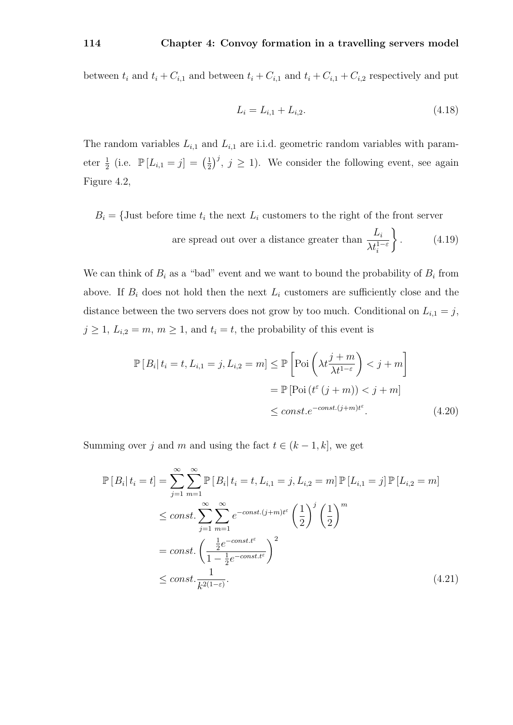between  $t_i$  and  $t_i + C_{i,1}$  and between  $t_i + C_{i,1}$  and  $t_i + C_{i,1} + C_{i,2}$  respectively and put

$$
L_i = L_{i,1} + L_{i,2}.\tag{4.18}
$$

The random variables  $L_{i,1}$  and  $L_{i,1}$  are i.i.d. geometric random variables with parameter  $\frac{1}{2}$  (i.e.  $\mathbb{P}[L_{i,1} = j] = (\frac{1}{2})$  $(\frac{1}{2})^j$ ,  $j \geq 1$ ). We consider the following event, see again Figure 4.2,

 $B_i = \{$ Just before time  $t_i$  the next  $L_i$  customers to the right of the front server are spread out over a distance greater than  $\frac{L_i}{\Delta t}$  $\lambda t_i^{1-\varepsilon}$  $\mathcal{L}$  $(4.19)$ 

We can think of  $B_i$  as a "bad" event and we want to bound the probability of  $B_i$  from above. If  $B_i$  does not hold then the next  $L_i$  customers are sufficiently close and the distance between the two servers does not grow by too much. Conditional on  $L_{i,1} = j$ ,  $j \geq 1, L_{i,2} = m, m \geq 1$ , and  $t_i = t$ , the probability of this event is

$$
\mathbb{P}[B_i | t_i = t, L_{i,1} = j, L_{i,2} = m] \le \mathbb{P}\left[\text{Poi}\left(\lambda t \frac{j+m}{\lambda t^{1-\varepsilon}}\right) < j+m\right]
$$
\n
$$
= \mathbb{P}\left[\text{Poi}\left(t^{\varepsilon}\left(j+m\right)\right) < j+m\right]
$$
\n
$$
\le const. e^{-const.(j+m)t^{\varepsilon}}.\tag{4.20}
$$

Summing over j and m and using the fact  $t \in (k-1, k]$ , we get

$$
\mathbb{P}\left[B_i|t_i=t\right] = \sum_{j=1}^{\infty} \sum_{m=1}^{\infty} \mathbb{P}\left[B_i|t_i=t, L_{i,1}=j, L_{i,2}=m\right] \mathbb{P}\left[L_{i,1}=j\right] \mathbb{P}\left[L_{i,2}=m\right]
$$
\n
$$
\leq const. \sum_{j=1}^{\infty} \sum_{m=1}^{\infty} e^{-const.(j+m)t^{\varepsilon}} \left(\frac{1}{2}\right)^j \left(\frac{1}{2}\right)^m
$$
\n
$$
= const. \left(\frac{\frac{1}{2}e^{-const.t^{\varepsilon}}}{1-\frac{1}{2}e^{-const.t^{\varepsilon}}}\right)^2
$$
\n
$$
\leq const. \frac{1}{k^{2(1-\varepsilon)}}.
$$
\n(4.21)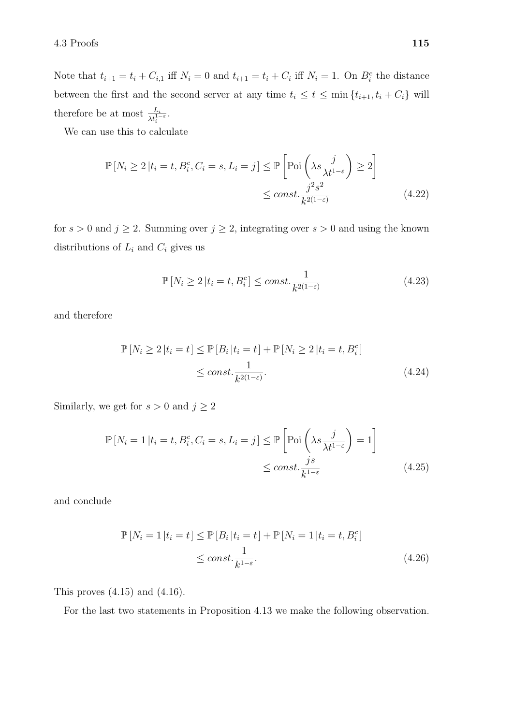Note that  $t_{i+1} = t_i + C_{i,1}$  iff  $N_i = 0$  and  $t_{i+1} = t_i + C_i$  iff  $N_i = 1$ . On  $B_i^c$  the distance between the first and the second server at any time  $t_i \le t \le \min\{t_{i+1}, t_i + C_i\}$  will therefore be at most  $\frac{L_i}{\lambda t_i^{1-\varepsilon}}$ .

We can use this to calculate

$$
\mathbb{P}\left[N_{i} \geq 2 \middle| t_{i} = t, B_{i}^{c}, C_{i} = s, L_{i} = j\right] \leq \mathbb{P}\left[\text{Poi}\left(\lambda s \frac{j}{\lambda t^{1-\varepsilon}}\right) \geq 2\right]
$$
\n
$$
\leq const. \frac{j^{2}s^{2}}{k^{2(1-\varepsilon)}}\tag{4.22}
$$

for  $s > 0$  and  $j \ge 2$ . Summing over  $j \ge 2$ , integrating over  $s > 0$  and using the known distributions of  $L_i$  and  $C_i$  gives us

$$
\mathbb{P}\left[N_i \ge 2 \middle| t_i = t, B_i^c\right] \le const. \frac{1}{k^{2(1-\varepsilon)}}\tag{4.23}
$$

and therefore

$$
\mathbb{P}[N_i \ge 2 | t_i = t] \le \mathbb{P}[B_i | t_i = t] + \mathbb{P}[N_i \ge 2 | t_i = t, B_i^c]
$$
  
\n
$$
\le const. \frac{1}{k^{2(1-\varepsilon)}}.
$$
\n(4.24)

Similarly, we get for  $s>0$  and  $j\geq 2$ 

$$
\mathbb{P}\left[N_{i}=1\left|t_{i}=t,B_{i}^{c},C_{i}=s,L_{i}=j\right|\leq\mathbb{P}\left[\text{Poi}\left(\lambda s\frac{j}{\lambda t^{1-\varepsilon}}\right)=1\right]\right]
$$
\n
$$
\leq const.\frac{j s}{k^{1-\varepsilon}}\tag{4.25}
$$

and conclude

$$
\mathbb{P}\left[N_i = 1 \middle| t_i = t\right] \le \mathbb{P}\left[B_i \middle| t_i = t\right] + \mathbb{P}\left[N_i = 1 \middle| t_i = t, B_i^c\right]
$$
\n
$$
\le const. \frac{1}{k^{1-\varepsilon}}.\tag{4.26}
$$

This proves  $(4.15)$  and  $(4.16)$ .

For the last two statements in Proposition 4.13 we make the following observation.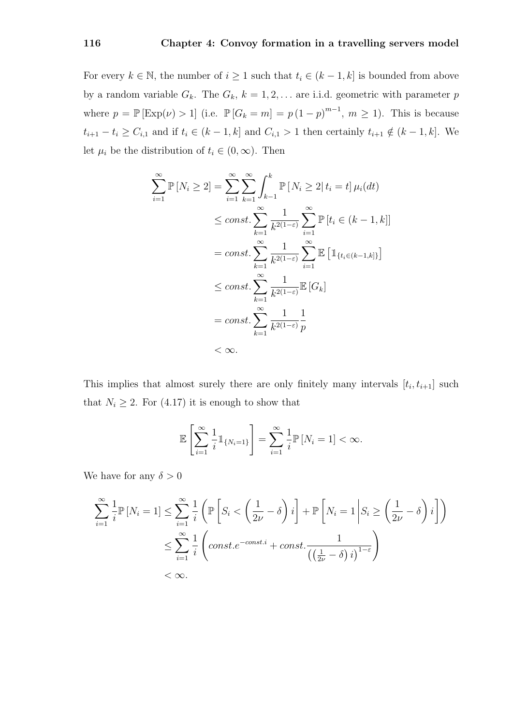For every  $k \in \mathbb{N}$ , the number of  $i \geq 1$  such that  $t_i \in (k-1, k]$  is bounded from above by a random variable  $G_k$ . The  $G_k$ ,  $k = 1, 2, \ldots$  are i.i.d. geometric with parameter p where  $p = \mathbb{P}[\text{Exp}(\nu) > 1]$  (i.e.  $\mathbb{P}[G_k = m] = p(1-p)^{m-1}, m \ge 1$ ). This is because  $t_{i+1} - t_i \ge C_{i,1}$  and if  $t_i \in (k-1, k]$  and  $C_{i,1} > 1$  then certainly  $t_{i+1} \notin (k-1, k]$ . We let  $\mu_i$  be the distribution of  $t_i \in (0, \infty)$ . Then

$$
\sum_{i=1}^{\infty} \mathbb{P}\left[N_i \geq 2\right] = \sum_{i=1}^{\infty} \sum_{k=1}^{\infty} \int_{k-1}^{k} \mathbb{P}\left[N_i \geq 2\right] t_i = t] \mu_i(dt)
$$
  
\n
$$
\leq const. \sum_{k=1}^{\infty} \frac{1}{k^{2(1-\epsilon)}} \sum_{i=1}^{\infty} \mathbb{P}\left[t_i \in (k-1, k]\right]
$$
  
\n
$$
= const. \sum_{k=1}^{\infty} \frac{1}{k^{2(1-\epsilon)}} \sum_{i=1}^{\infty} \mathbb{E}\left[\mathbb{1}_{\{t_i \in (k-1, k]\}}\right]
$$
  
\n
$$
\leq const. \sum_{k=1}^{\infty} \frac{1}{k^{2(1-\epsilon)}} \mathbb{E}\left[G_k\right]
$$
  
\n
$$
= const. \sum_{k=1}^{\infty} \frac{1}{k^{2(1-\epsilon)}} \frac{1}{p}
$$
  
\n
$$
< \infty.
$$

This implies that almost surely there are only finitely many intervals  $[t_i, t_{i+1}]$  such that  $N_i \geq 2$ . For (4.17) it is enough to show that

$$
\mathbb{E}\left[\sum_{i=1}^{\infty}\frac{1}{i}\mathbb{1}_{\{N_i=1\}}\right]=\sum_{i=1}^{\infty}\frac{1}{i}\mathbb{P}\left[N_i=1\right]<\infty.
$$

We have for any  $\delta > 0$ 

$$
\sum_{i=1}^{\infty} \frac{1}{i} \mathbb{P} \left[ N_i = 1 \right] \le \sum_{i=1}^{\infty} \frac{1}{i} \left( \mathbb{P} \left[ S_i < \left( \frac{1}{2\nu} - \delta \right) i \right] + \mathbb{P} \left[ N_i = 1 \middle| S_i \ge \left( \frac{1}{2\nu} - \delta \right) i \right] \right)
$$
\n
$$
\le \sum_{i=1}^{\infty} \frac{1}{i} \left( const.e^{-const.i} + const.\frac{1}{\left( \left( \frac{1}{2\nu} - \delta \right) i \right)^{1-\varepsilon}} \right)
$$
\n
$$
< \infty.
$$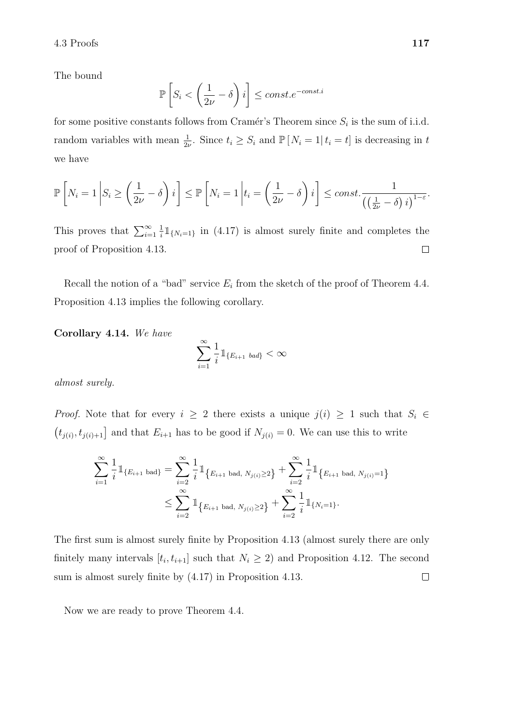The bound

$$
\mathbb{P}\left[S_i < \left(\frac{1}{2\nu} - \delta\right)i\right] \leq const.e^{-const.i}
$$

for some positive constants follows from Cramér's Theorem since  $S_i$  is the sum of i.i.d. random variables with mean  $\frac{1}{2\nu}$ . Since  $t_i \geq S_i$  and  $\mathbb{P}[N_i = 1 | t_i = t]$  is decreasing in t we have

$$
\mathbb{P}\left[N_i=1\left|S_i\geq \left(\frac{1}{2\nu}-\delta\right)i\right|\right]\leq \mathbb{P}\left[N_i=1\left|t_i=\left(\frac{1}{2\nu}-\delta\right)i\right|\right]\leq const.\frac{1}{\left(\left(\frac{1}{2\nu}-\delta\right)i\right)^{1-\varepsilon}}.
$$

This proves that  $\sum_{i=1}^{\infty}$  $\frac{1}{i}$   $\mathbb{1}_{\{N_i=1\}}$  in (4.17) is almost surely finite and completes the 1 proof of Proposition 4.13.  $\Box$ 

Recall the notion of a "bad" service  $E_i$  from the sketch of the proof of Theorem 4.4. Proposition 4.13 implies the following corollary.

Corollary 4.14. We have

$$
\sum_{i=1}^{\infty} \frac{1}{i} \mathbb{1}_{\{E_{i+1} \text{ bad}\}} < \infty
$$

almost surely.

*Proof.* Note that for every  $i \geq 2$  there exists a unique  $j(i) \geq 1$  such that  $S_i \in$  $(t_{j(i)}, t_{j(i)+1}]$  and that  $E_{i+1}$  has to be good if  $N_{j(i)} = 0$ . We can use this to write

$$
\sum_{i=1}^{\infty} \frac{1}{i} \mathbb{1}_{\{E_{i+1} \text{ bad}\}} = \sum_{i=2}^{\infty} \frac{1}{i} \mathbb{1}_{\{E_{i+1} \text{ bad}, N_{j(i)} \ge 2\}} + \sum_{i=2}^{\infty} \frac{1}{i} \mathbb{1}_{\{E_{i+1} \text{ bad}, N_{j(i)} = 1\}} \le \sum_{i=2}^{\infty} \mathbb{1}_{\{E_{i+1} \text{ bad}, N_{j(i)} \ge 2\}} + \sum_{i=2}^{\infty} \frac{1}{i} \mathbb{1}_{\{N_{i} = 1\}}.
$$

The first sum is almost surely finite by Proposition 4.13 (almost surely there are only finitely many intervals  $[t_i, t_{i+1}]$  such that  $N_i \geq 2$ ) and Proposition 4.12. The second sum is almost surely finite by (4.17) in Proposition 4.13.  $\Box$ 

Now we are ready to prove Theorem 4.4.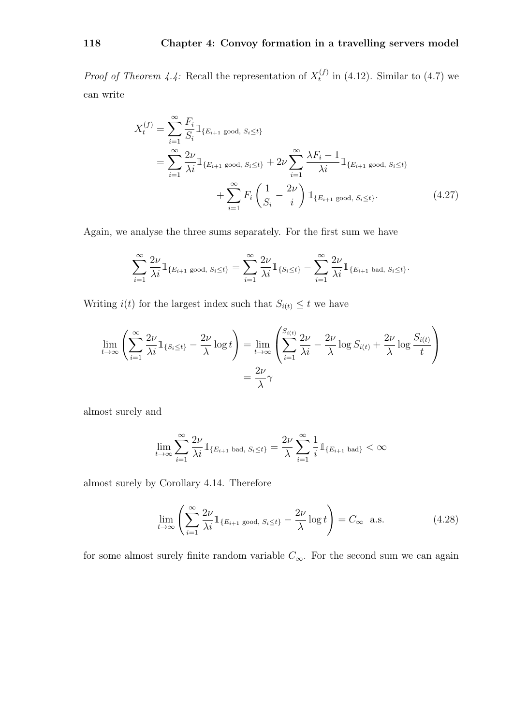*Proof of Theorem 4.4:* Recall the representation of  $X_t^{(f)}$  $t_t^{(1)}$  in (4.12). Similar to (4.7) we can write

$$
X_t^{(f)} = \sum_{i=1}^{\infty} \frac{F_i}{S_i} \mathbb{1}_{\{E_{i+1} \text{ good, } S_i \le t\}}
$$
  
= 
$$
\sum_{i=1}^{\infty} \frac{2\nu}{\lambda i} \mathbb{1}_{\{E_{i+1} \text{ good, } S_i \le t\}} + 2\nu \sum_{i=1}^{\infty} \frac{\lambda F_i - 1}{\lambda i} \mathbb{1}_{\{E_{i+1} \text{ good, } S_i \le t\}}
$$
  
+ 
$$
\sum_{i=1}^{\infty} F_i \left(\frac{1}{S_i} - \frac{2\nu}{i}\right) \mathbb{1}_{\{E_{i+1} \text{ good, } S_i \le t\}}.
$$
 (4.27)

Again, we analyse the three sums separately. For the first sum we have

$$
\sum_{i=1}^{\infty} \frac{2\nu}{\lambda i} \mathbb{1}_{\{E_{i+1} \text{ good, } S_i \le t\}} = \sum_{i=1}^{\infty} \frac{2\nu}{\lambda i} \mathbb{1}_{\{S_i \le t\}} - \sum_{i=1}^{\infty} \frac{2\nu}{\lambda i} \mathbb{1}_{\{E_{i+1} \text{ bad, } S_i \le t\}}.
$$

Writing  $i(t)$  for the largest index such that  $S_{i(t)} \leq t$  we have

$$
\lim_{t \to \infty} \left( \sum_{i=1}^{\infty} \frac{2\nu}{\lambda i} \mathbb{1}_{\{S_i \le t\}} - \frac{2\nu}{\lambda} \log t \right) = \lim_{t \to \infty} \left( \sum_{i=1}^{S_{i(t)}} \frac{2\nu}{\lambda i} - \frac{2\nu}{\lambda} \log S_{i(t)} + \frac{2\nu}{\lambda} \log \frac{S_{i(t)}}{t} \right)
$$

$$
= \frac{2\nu}{\lambda} \gamma
$$

almost surely and

$$
\lim_{t \to \infty} \sum_{i=1}^{\infty} \frac{2\nu}{\lambda i} \mathbb{1}_{\{E_{i+1} \text{ bad}, S_i \le t\}} = \frac{2\nu}{\lambda} \sum_{i=1}^{\infty} \frac{1}{i} \mathbb{1}_{\{E_{i+1} \text{ bad}\}} < \infty
$$

almost surely by Corollary 4.14. Therefore

$$
\lim_{t \to \infty} \left( \sum_{i=1}^{\infty} \frac{2\nu}{\lambda i} \mathbb{1}_{\{E_{i+1} \text{ good, } S_i \le t\}} - \frac{2\nu}{\lambda} \log t \right) = C_{\infty} \text{ a.s.}
$$
 (4.28)

for some almost surely finite random variable  $C_{\infty}$ . For the second sum we can again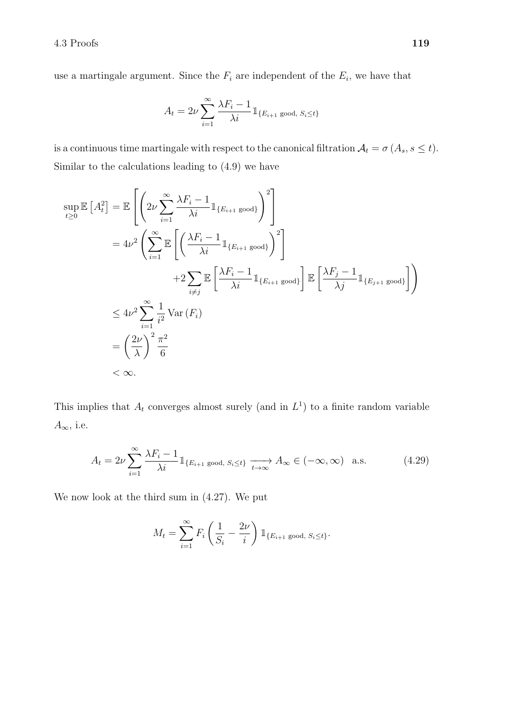use a martingale argument. Since the  $F_i$  are independent of the  $E_i$ , we have that

$$
A_t = 2\nu \sum_{i=1}^{\infty} \frac{\lambda F_i - 1}{\lambda i} \mathbb{1}_{\{E_{i+1} \text{ good, } S_i \le t\}}
$$

is a continuous time martingale with respect to the canonical filtration  $A_t = \sigma(A_s, s \leq t)$ . Similar to the calculations leading to (4.9) we have

$$
\sup_{t\geq 0} \mathbb{E} [A_t^2] = \mathbb{E} \left[ \left( 2\nu \sum_{i=1}^{\infty} \frac{\lambda F_i - 1}{\lambda i} \mathbb{1}_{\{E_{i+1} \text{ good}\}} \right)^2 \right]
$$
  
\n
$$
= 4\nu^2 \left( \sum_{i=1}^{\infty} \mathbb{E} \left[ \left( \frac{\lambda F_i - 1}{\lambda i} \mathbb{1}_{\{E_{i+1} \text{ good}\}} \right)^2 \right]
$$
  
\n
$$
+ 2 \sum_{i \neq j} \mathbb{E} \left[ \frac{\lambda F_i - 1}{\lambda i} \mathbb{1}_{\{E_{i+1} \text{ good}\}} \right] \mathbb{E} \left[ \frac{\lambda F_j - 1}{\lambda j} \mathbb{1}_{\{E_{j+1} \text{ good}\}} \right] \right)
$$
  
\n
$$
\leq 4\nu^2 \sum_{i=1}^{\infty} \frac{1}{i^2} \text{Var}(F_i)
$$
  
\n
$$
= \left( \frac{2\nu}{\lambda} \right)^2 \frac{\pi^2}{6}
$$
  
\n
$$
< \infty.
$$

This implies that  $A_t$  converges almost surely (and in  $L^1$ ) to a finite random variable  $A_{\infty}$ , i.e.

$$
A_t = 2\nu \sum_{i=1}^{\infty} \frac{\lambda F_i - 1}{\lambda i} \mathbb{1}_{\{E_{i+1} \text{ good, } S_i \le t\}} \xrightarrow[t \to \infty]{} A_{\infty} \in (-\infty, \infty) \quad \text{a.s.}
$$
 (4.29)

We now look at the third sum in (4.27). We put

$$
M_t = \sum_{i=1}^{\infty} F_i \left( \frac{1}{S_i} - \frac{2\nu}{i} \right) \mathbb{1}_{\{E_{i+1} \text{ good, } S_i \le t\}}.
$$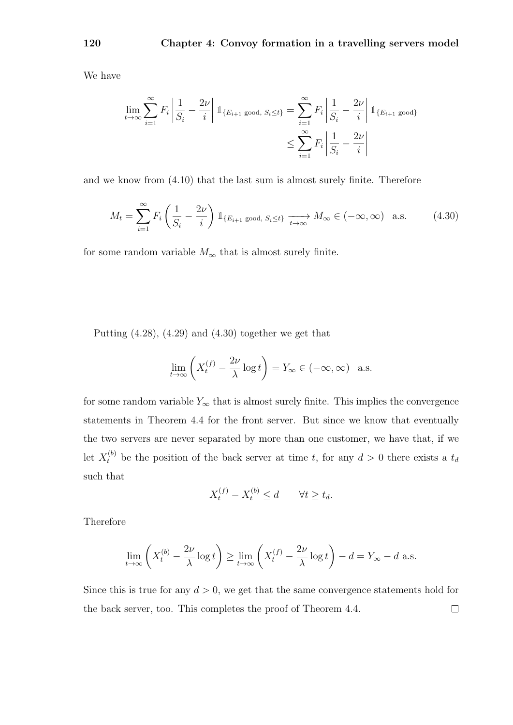We have

$$
\lim_{t \to \infty} \sum_{i=1}^{\infty} F_i \left| \frac{1}{S_i} - \frac{2\nu}{i} \right| \mathbb{1}_{\{E_{i+1} \text{ good, } S_i \le t\}} = \sum_{i=1}^{\infty} F_i \left| \frac{1}{S_i} - \frac{2\nu}{i} \right| \mathbb{1}_{\{E_{i+1} \text{ good}\}}
$$
\n
$$
\le \sum_{i=1}^{\infty} F_i \left| \frac{1}{S_i} - \frac{2\nu}{i} \right|
$$

and we know from (4.10) that the last sum is almost surely finite. Therefore

$$
M_t = \sum_{i=1}^{\infty} F_i \left( \frac{1}{S_i} - \frac{2\nu}{i} \right) \mathbb{1}_{\{E_{i+1} \text{ good, } S_i \le t\}} \xrightarrow[t \to \infty]{} M_\infty \in (-\infty, \infty) \quad \text{a.s.}
$$
 (4.30)

for some random variable  $M_{\infty}$  that is almost surely finite.

Putting  $(4.28)$ ,  $(4.29)$  and  $(4.30)$  together we get that

$$
\lim_{t \to \infty} \left( X_t^{(f)} - \frac{2\nu}{\lambda} \log t \right) = Y_{\infty} \in (-\infty, \infty) \quad \text{a.s.}
$$

for some random variable  $Y_{\infty}$  that is almost surely finite. This implies the convergence statements in Theorem 4.4 for the front server. But since we know that eventually the two servers are never separated by more than one customer, we have that, if we let  $X_t^{(b)}$  be the position of the back server at time t, for any  $d > 0$  there exists a  $t_d$ such that

$$
X_t^{(f)} - X_t^{(b)} \le d \qquad \forall t \ge t_d.
$$

Therefore

$$
\lim_{t \to \infty} \left( X_t^{(b)} - \frac{2\nu}{\lambda} \log t \right) \ge \lim_{t \to \infty} \left( X_t^{(f)} - \frac{2\nu}{\lambda} \log t \right) - d = Y_{\infty} - d \text{ a.s.}
$$

Since this is true for any  $d > 0$ , we get that the same convergence statements hold for the back server, too. This completes the proof of Theorem 4.4. $\Box$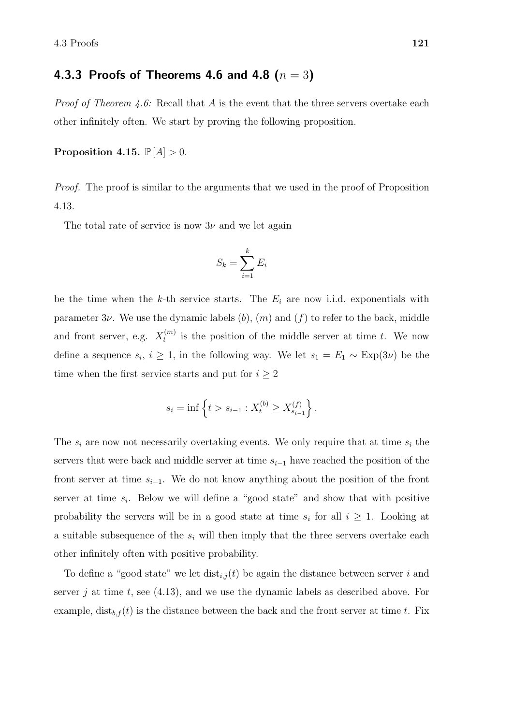### 4.3.3 Proofs of Theorems 4.6 and 4.8  $(n = 3)$

*Proof of Theorem 4.6:* Recall that  $A$  is the event that the three servers overtake each other infinitely often. We start by proving the following proposition.

Proposition 4.15.  $\mathbb{P}[A] > 0$ .

*Proof.* The proof is similar to the arguments that we used in the proof of Proposition 4.13.

The total rate of service is now  $3\nu$  and we let again

$$
S_k = \sum_{i=1}^k E_i
$$

be the time when the k-th service starts. The  $E_i$  are now i.i.d. exponentials with parameter  $3\nu$ . We use the dynamic labels  $(b)$ ,  $(m)$  and  $(f)$  to refer to the back, middle and front server, e.g.  $X_t^{(m)}$  $t_t^{(m)}$  is the position of the middle server at time t. We now define a sequence  $s_i, i \geq 1$ , in the following way. We let  $s_1 = E_1 \sim \text{Exp}(3\nu)$  be the time when the first service starts and put for  $i \geq 2$ 

$$
s_i = \inf \left\{ t > s_{i-1} : X_t^{(b)} \ge X_{s_{i-1}}^{(f)} \right\}.
$$

The  $s_i$  are now not necessarily overtaking events. We only require that at time  $s_i$  the servers that were back and middle server at time  $s_{i-1}$  have reached the position of the front server at time  $s_{i-1}$ . We do not know anything about the position of the front server at time  $s_i$ . Below we will define a "good state" and show that with positive probability the servers will be in a good state at time  $s_i$  for all  $i \geq 1$ . Looking at a suitable subsequence of the  $s_i$  will then imply that the three servers overtake each other infinitely often with positive probability.

To define a "good state" we let  $dist_{i,j}(t)$  be again the distance between server i and server j at time t, see  $(4.13)$ , and we use the dynamic labels as described above. For example,  $dist_{b,f}(t)$  is the distance between the back and the front server at time t. Fix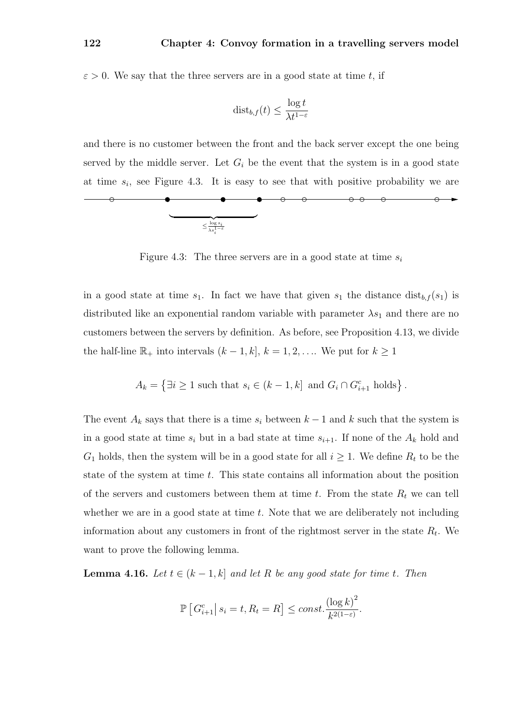$\varepsilon > 0$ . We say that the three servers are in a good state at time t, if

$$
\mathrm{dist}_{b,f}(t) \le \frac{\log t}{\lambda t^{1-\varepsilon}}
$$

and there is no customer between the front and the back server except the one being served by the middle server. Let  $G_i$  be the event that the system is in a good state at time  $s_i$ , see Figure 4.3. It is easy to see that with positive probability we are

 $\circ$   $\circ$ 

 $\circ\hspace{0.1cm}\circ$ 

⊖



Figure 4.3: The three servers are in a good state at time  $s_i$ 

in a good state at time  $s_1$ . In fact we have that given  $s_1$  the distance  $dist_{b,f}(s_1)$  is distributed like an exponential random variable with parameter  $\lambda s_1$  and there are no customers between the servers by definition. As before, see Proposition 4.13, we divide the half-line  $\mathbb{R}_+$  into intervals  $(k-1, k]$ ,  $k = 1, 2, \ldots$  We put for  $k \geq 1$ 

$$
A_k = \left\{ \exists i \ge 1 \text{ such that } s_i \in (k-1, k] \text{ and } G_i \cap G_{i+1}^c \text{ holds} \right\}.
$$

The event  $A_k$  says that there is a time  $s_i$  between  $k-1$  and k such that the system is in a good state at time  $s_i$  but in a bad state at time  $s_{i+1}$ . If none of the  $A_k$  hold and  $G_1$  holds, then the system will be in a good state for all  $i \geq 1$ . We define  $R_t$  to be the state of the system at time  $t$ . This state contains all information about the position of the servers and customers between them at time t. From the state  $R_t$  we can tell whether we are in a good state at time  $t$ . Note that we are deliberately not including information about any customers in front of the rightmost server in the state  $R_t$ . We want to prove the following lemma.

**Lemma 4.16.** Let  $t \in (k-1,k]$  and let R be any good state for time t. Then

$$
\mathbb{P}\left[G_{i+1}^c \big| \ s_i = t, R_t = R\right] \le const. \frac{\left(\log k\right)^2}{k^{2(1-\varepsilon)}}.
$$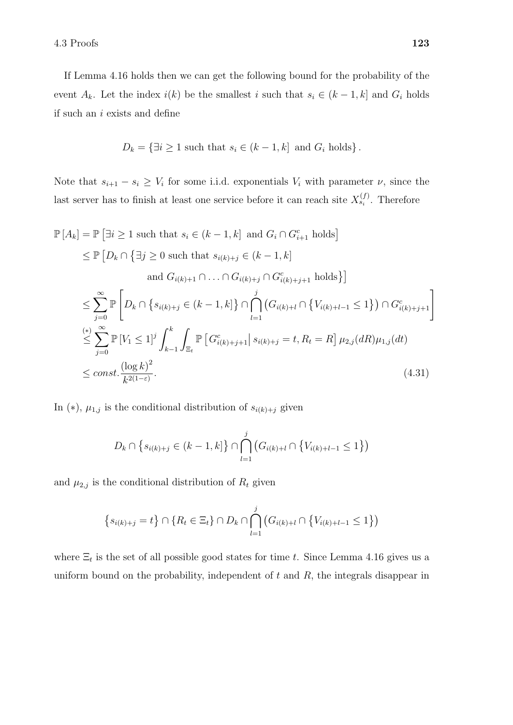If Lemma 4.16 holds then we can get the following bound for the probability of the event  $A_k$ . Let the index  $i(k)$  be the smallest i such that  $s_i \in (k-1, k]$  and  $G_i$  holds if such an i exists and define

$$
D_k = \{ \exists i \ge 1 \text{ such that } s_i \in (k-1, k] \text{ and } G_i \text{ holds} \}.
$$

Note that  $s_{i+1} - s_i \geq V_i$  for some i.i.d. exponentials  $V_i$  with parameter  $\nu$ , since the last server has to finish at least one service before it can reach site  $X_{s_i}^{(f)}$ . Therefore

$$
\mathbb{P}[A_k] = \mathbb{P}[\exists i \ge 1 \text{ such that } s_i \in (k-1,k] \text{ and } G_i \cap G_{i+1}^c \text{ holds}]
$$
\n
$$
\le \mathbb{P}[D_k \cap \{\exists j \ge 0 \text{ such that } s_{i(k)+j} \in (k-1,k] \text{ and } G_{i(k)+j} \cap G_{i(k)+j}^c \cap G_{i(k)+j+1}^c \text{ holds} \}]
$$
\n
$$
\le \sum_{j=0}^{\infty} \mathbb{P}\left[D_k \cap \{s_{i(k)+j} \in (k-1,k] \} \cap \bigcap_{l=1}^j (G_{i(k)+l} \cap \{V_{i(k)+l-1} \le 1\}) \cap G_{i(k)+j+1}^c \right]
$$
\n
$$
\le \sum_{j=0}^{(*)} \mathbb{P}[V_1 \le 1]^j \int_{k-1}^k \int_{\Xi_t} \mathbb{P}[G_{i(k)+j+1}^c | s_{i(k)+j} = t, R_t = R] \mu_{2,j}(dR) \mu_{1,j}(dt)
$$
\n
$$
\le const. \frac{(\log k)^2}{k^{2(1-\varepsilon)}}.
$$
\n(4.31)

In (\*),  $\mu_{1,j}$  is the conditional distribution of  $s_{i(k)+j}$  given

$$
D_k \cap \{s_{i(k)+j} \in (k-1,k]\} \cap \bigcap_{l=1}^j (G_{i(k)+l} \cap \{V_{i(k)+l-1} \le 1\})
$$

and  $\mu_{2,j}$  is the conditional distribution of  $R_t$  given

$$
\{s_{i(k)+j}=t\} \cap \{R_t \in \Xi_t\} \cap D_k \cap \bigcap_{l=1}^j (G_{i(k)+l} \cap \{V_{i(k)+l-1} \leq 1\})
$$

where  $\Xi_t$  is the set of all possible good states for time t. Since Lemma 4.16 gives us a uniform bound on the probability, independent of  $t$  and  $R$ , the integrals disappear in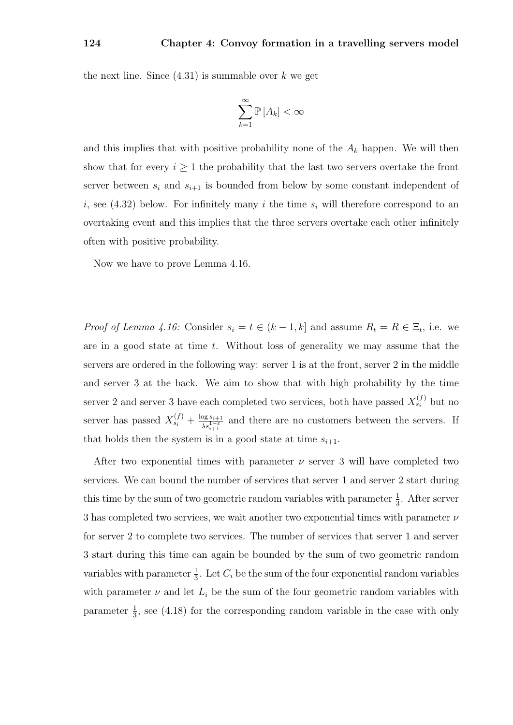the next line. Since  $(4.31)$  is summable over k we get

$$
\sum_{k=1}^{\infty} \mathbb{P}\left[A_k\right] < \infty
$$

and this implies that with positive probability none of the  $A_k$  happen. We will then show that for every  $i \geq 1$  the probability that the last two servers overtake the front server between  $s_i$  and  $s_{i+1}$  is bounded from below by some constant independent of i, see (4.32) below. For infinitely many i the time  $s_i$  will therefore correspond to an overtaking event and this implies that the three servers overtake each other infinitely often with positive probability.

Now we have to prove Lemma 4.16.

*Proof of Lemma 4.16:* Consider  $s_i = t \in (k-1, k]$  and assume  $R_t = R \in \Xi_t$ , i.e. we are in a good state at time  $t$ . Without loss of generality we may assume that the servers are ordered in the following way: server 1 is at the front, server 2 in the middle and server 3 at the back. We aim to show that with high probability by the time server 2 and server 3 have each completed two services, both have passed  $X_{s_i}^{(f)}$  but no server has passed  $X_{s_i}^{(f)} + \frac{\log s_{i+1}}{N}$  $\frac{\log s_{i+1}}{\lambda s_{i+1}^{1-\varepsilon}}$  and there are no customers between the servers. If that holds then the system is in a good state at time  $s_{i+1}$ .

After two exponential times with parameter  $\nu$  server 3 will have completed two services. We can bound the number of services that server 1 and server 2 start during this time by the sum of two geometric random variables with parameter  $\frac{1}{3}$ . After server 3 has completed two services, we wait another two exponential times with parameter  $\nu$ for server 2 to complete two services. The number of services that server 1 and server 3 start during this time can again be bounded by the sum of two geometric random variables with parameter  $\frac{1}{3}$ . Let  $C_i$  be the sum of the four exponential random variables with parameter  $\nu$  and let  $L_i$  be the sum of the four geometric random variables with parameter  $\frac{1}{3}$ , see (4.18) for the corresponding random variable in the case with only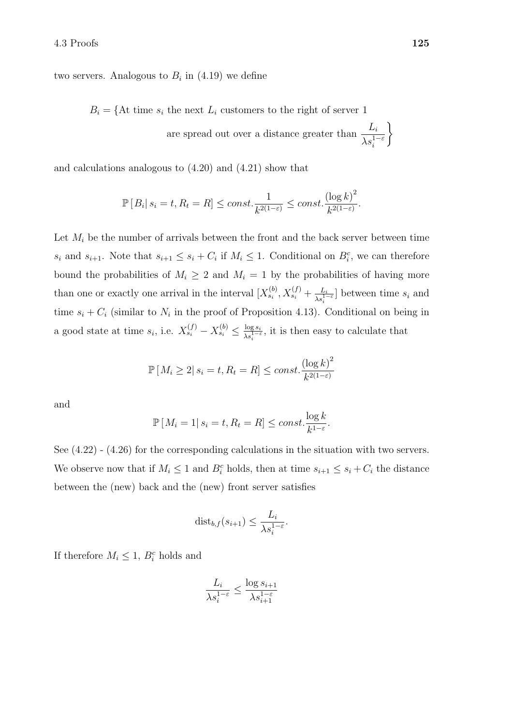two servers. Analogous to  $B_i$  in  $(4.19)$  we define

 $B_i = \{ \text{At time } s_i \text{ the next } L_i \text{ customers to the right of server } 1 \}$ 

are spread out over a distance greater than  $\frac{L_i}{1-\lambda}$  $\lambda s_i^{1-\varepsilon}$  $\mathcal{L}$ 

and calculations analogous to (4.20) and (4.21) show that

$$
\mathbb{P}[B_i | s_i = t, R_t = R] \le \text{const.} \frac{1}{k^{2(1-\varepsilon)}} \le \text{const.} \frac{(\log k)^2}{k^{2(1-\varepsilon)}}.
$$

Let  $M_i$  be the number of arrivals between the front and the back server between time  $s_i$  and  $s_{i+1}$ . Note that  $s_{i+1} \leq s_i + C_i$  if  $M_i \leq 1$ . Conditional on  $B_i^c$ , we can therefore bound the probabilities of  $M_i \geq 2$  and  $M_i = 1$  by the probabilities of having more than one or exactly one arrival in the interval  $[X_{s_i}^{(b)}, X_{s_i}^{(f)} + \frac{L_i}{\lambda s_i^{1-\varepsilon}}]$  between time  $s_i$  and time  $s_i + C_i$  (similar to  $N_i$  in the proof of Proposition 4.13). Conditional on being in a good state at time  $s_i$ , i.e.  $X_{s_i}^{(f)} - X_{s_i}^{(b)} \leq \frac{\log s_i}{\lambda^{s-1-i}}$  $\frac{\log s_i}{\lambda s_i^{1-\varepsilon}}$ , it is then easy to calculate that

$$
\mathbb{P}\left[M_i \geq 2 | s_i = t, R_t = R\right] \leq const. \frac{(\log k)^2}{k^{2(1-\varepsilon)}}
$$

and

$$
\mathbb{P}[M_i = 1 | s_i = t, R_t = R] \le const. \frac{\log k}{k^{1-\varepsilon}}.
$$

See (4.22) - (4.26) for the corresponding calculations in the situation with two servers. We observe now that if  $M_i \leq 1$  and  $B_i^c$  holds, then at time  $s_{i+1} \leq s_i + C_i$  the distance between the (new) back and the (new) front server satisfies

$$
\mathrm{dist}_{b,f}(s_{i+1}) \leq \frac{L_i}{\lambda s_i^{1-\varepsilon}}.
$$

If therefore  $M_i \leq 1$ ,  $B_i^c$  holds and

$$
\frac{L_i}{\lambda s_i^{1-\varepsilon}} \le \frac{\log s_{i+1}}{\lambda s_{i+1}^{1-\varepsilon}}
$$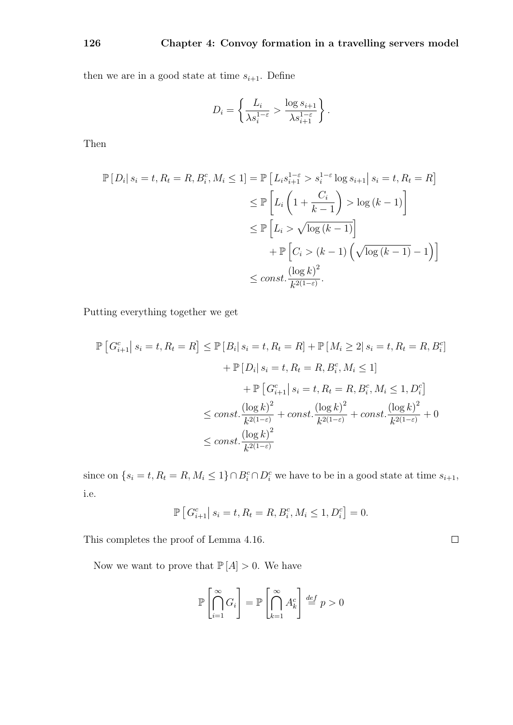then we are in a good state at time  $s_{i+1}$ . Define

$$
D_i = \left\{ \frac{L_i}{\lambda s_i^{1-\varepsilon}} > \frac{\log s_{i+1}}{\lambda s_{i+1}^{1-\varepsilon}} \right\}.
$$

Then

$$
\mathbb{P}\left[D_i\middle| s_i = t, R_t = R, B_i^c, M_i \le 1\right] = \mathbb{P}\left[L_i s_{i+1}^{1-\epsilon} > s_i^{1-\epsilon} \log s_{i+1} \middle| s_i = t, R_t = R\right]
$$
  
\n
$$
\le \mathbb{P}\left[L_i \left(1 + \frac{C_i}{k-1}\right) > \log\left(k-1\right)\right]
$$
  
\n
$$
\le \mathbb{P}\left[L_i > \sqrt{\log\left(k-1\right)}\right]
$$
  
\n
$$
+ \mathbb{P}\left[C_i > (k-1) \left(\sqrt{\log\left(k-1\right)} - 1\right)\right]
$$
  
\n
$$
\le const. \frac{(\log k)^2}{k^{2(1-\epsilon)}}.
$$

Putting everything together we get

$$
\mathbb{P}\left[G_{i+1}^{c}| s_{i} = t, R_{t} = R\right] \leq \mathbb{P}\left[B_{i}| s_{i} = t, R_{t} = R\right] + \mathbb{P}\left[M_{i} \geq 2| s_{i} = t, R_{t} = R, B_{i}^{c}\right] \n+ \mathbb{P}\left[D_{i}| s_{i} = t, R_{t} = R, B_{i}^{c}, M_{i} \leq 1\right] \n+ \mathbb{P}\left[G_{i+1}^{c}| s_{i} = t, R_{t} = R, B_{i}^{c}, M_{i} \leq 1, D_{i}^{c}\right] \n\leq const. \frac{(\log k)^{2}}{k^{2(1-\varepsilon)}} + const. \frac{(\log k)^{2}}{k^{2(1-\varepsilon)}} + const. \frac{(\log k)^{2}}{k^{2(1-\varepsilon)}} + 0 \n\leq const. \frac{(\log k)^{2}}{k^{2(1-\varepsilon)}}
$$

since on  $\{s_i = t, R_t = R, M_i \leq 1\} \cap B_i^c \cap D_i^c$  we have to be in a good state at time  $s_{i+1}$ , i.e.

$$
\mathbb{P}\left[G_{i+1}^c \,|\, s_i = t, R_t = R, B_i^c, M_i \le 1, D_i^c\right] = 0.
$$

 $\hfill \square$ 

This completes the proof of Lemma 4.16.

Now we want to prove that  $\mathbb{P}\left[ A\right] >0.$  We have

$$
\mathbb{P}\left[\bigcap_{i=1}^{\infty} G_i\right] = \mathbb{P}\left[\bigcap_{k=1}^{\infty} A_k^c\right] \stackrel{def}{=} p > 0
$$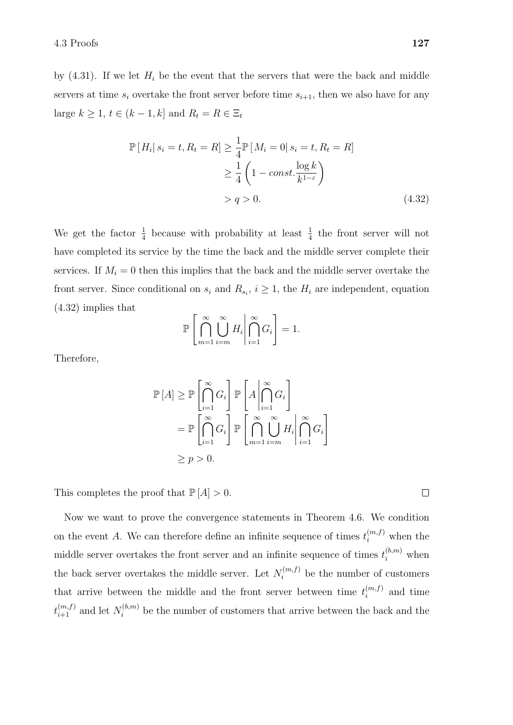by  $(4.31)$ . If we let  $H_i$  be the event that the servers that were the back and middle servers at time  $s_i$  overtake the front server before time  $s_{i+1}$ , then we also have for any large  $k \geq 1$ ,  $t \in (k-1, k]$  and  $R_t = R \in \Xi_t$ 

$$
\mathbb{P}[H_i|s_i = t, R_t = R] \ge \frac{1}{4} \mathbb{P}[M_i = 0|s_i = t, R_t = R]
$$
  
\n
$$
\ge \frac{1}{4} \left(1 - const. \frac{\log k}{k^{1-\varepsilon}}\right)
$$
  
\n
$$
> q > 0. \tag{4.32}
$$

We get the factor  $\frac{1}{4}$  because with probability at least  $\frac{1}{4}$  the front server will not have completed its service by the time the back and the middle server complete their services. If  $M_i = 0$  then this implies that the back and the middle server overtake the front server. Since conditional on  $s_i$  and  $R_{s_i}$ ,  $i \geq 1$ , the  $H_i$  are independent, equation (4.32) implies that

$$
\mathbb{P}\left[\bigcap_{m=1}^{\infty}\bigcup_{i=m}^{\infty}H_i\middle|\bigcap_{i=1}^{\infty}G_i\right]=1.
$$

Therefore,

$$
\mathbb{P}[A] \ge \mathbb{P}\left[\bigcap_{i=1}^{\infty} G_i\right] \mathbb{P}\left[A \middle| \bigcap_{i=1}^{\infty} G_i\right]
$$

$$
= \mathbb{P}\left[\bigcap_{i=1}^{\infty} G_i\right] \mathbb{P}\left[\bigcap_{m=1}^{\infty} \bigcup_{i=m}^{\infty} H_i \middle| \bigcap_{i=1}^{\infty} G_i\right]
$$

$$
\ge p > 0.
$$

This completes the proof that  $\mathbb{P}[A] > 0$ .

Now we want to prove the convergence statements in Theorem 4.6. We condition on the event A. We can therefore define an infinite sequence of times  $t_i^{(m,f)}$  when the middle server overtakes the front server and an infinite sequence of times  $t_i^{(b,m)}$  when the back server overtakes the middle server. Let  $N_i^{(m,f)}$  be the number of customers that arrive between the middle and the front server between time  $t_i^{(m,f)}$  $i^{(m,j)}$  and time  $t_{i+1}^{(m,f)}$  and let  $N_i^{(b,m)}$  be the number of customers that arrive between the back and the

 $\Box$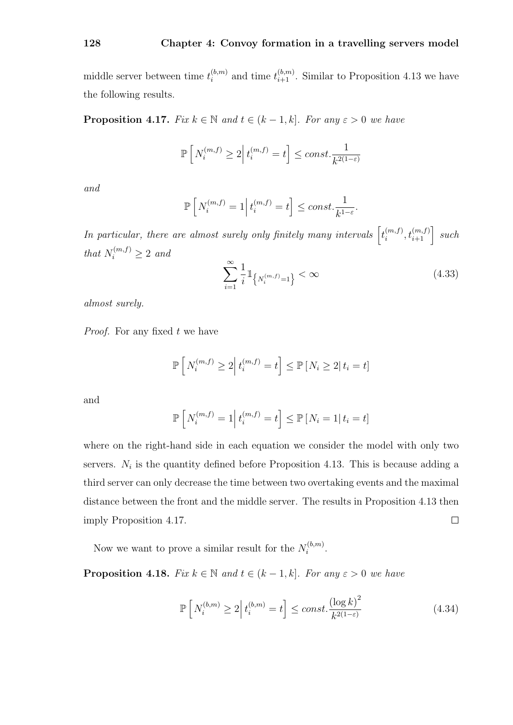middle server between time  $t_i^{(b,m)}$  $i_{i}^{(b,m)}$  and time  $t_{i+1}^{(b,m)}$ . Similar to Proposition 4.13 we have the following results.

**Proposition 4.17.** Fix  $k \in \mathbb{N}$  and  $t \in (k-1, k]$ . For any  $\varepsilon > 0$  we have

$$
\mathbb{P}\left[N_i^{(m,f)} \ge 2 \middle| t_i^{(m,f)} = t\right] \le const. \frac{1}{k^{2(1-\varepsilon)}}
$$

and

$$
\mathbb{P}\left[N_i^{(m,f)}=1\right|t_i^{(m,f)}=t\right]\leq const.\frac{1}{k^{1-\varepsilon}}.
$$

In particular, there are almost surely only finitely many intervals  $\left[t_i^{(m,f)}\right]$  $\begin{bmatrix} (m,f), \\ i \end{bmatrix}$  such that  $N_i^{(m,f)} \geq 2$  and

$$
\sum_{i=1}^{\infty} \frac{1}{i} \mathbb{1}_{\left\{N_i^{(m,f)}=1\right\}} < \infty
$$
\n(4.33)

almost surely.

Proof. For any fixed t we have

$$
\mathbb{P}\left[N_i^{(m,f)} \geq 2 \middle| t_i^{(m,f)} = t\right] \leq \mathbb{P}\left[N_i \geq 2 \middle| t_i = t\right]
$$

and

$$
\mathbb{P}\left[N_i^{(m,f)} = 1 \middle| t_i^{(m,f)} = t\right] \le \mathbb{P}\left[N_i = 1 \middle| t_i = t\right]
$$

where on the right-hand side in each equation we consider the model with only two servers.  $N_i$  is the quantity defined before Proposition 4.13. This is because adding a third server can only decrease the time between two overtaking events and the maximal distance between the front and the middle server. The results in Proposition 4.13 then imply Proposition 4.17.  $\Box$ 

Now we want to prove a similar result for the  $N_i^{(b,m)}$  $\frac{i^{(0,m)}}{i}$ .

**Proposition 4.18.** Fix  $k \in \mathbb{N}$  and  $t \in (k-1, k]$ . For any  $\varepsilon > 0$  we have

$$
\mathbb{P}\left[N_i^{(b,m)} \ge 2\middle| t_i^{(b,m)} = t\right] \le const. \frac{\left(\log k\right)^2}{k^{2(1-\varepsilon)}}\tag{4.34}
$$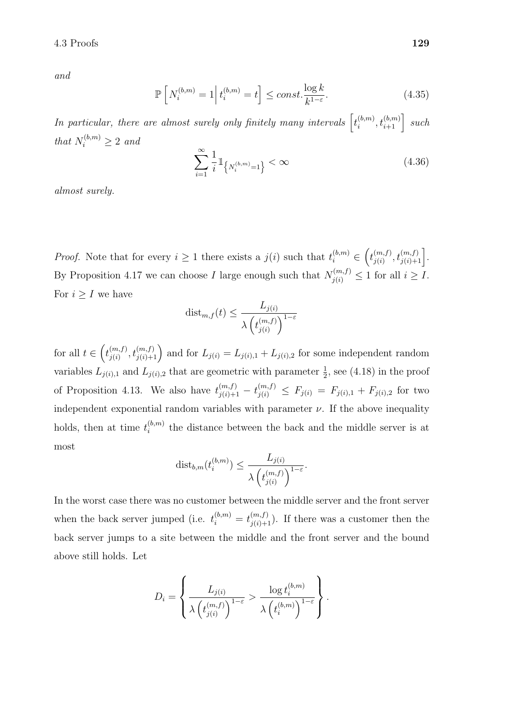$4.3$  Proofs  $129$ 

and

$$
\mathbb{P}\left[N_i^{(b,m)}=1\middle|t_i^{(b,m)}=t\right] \le \text{const.} \frac{\log k}{k^{1-\varepsilon}}.\tag{4.35}
$$

In particular, there are almost surely only finitely many intervals  $\left[t_i^{(b,m)}\right]$  $\begin{bmatrix} (b,m) \ i \end{bmatrix}$ ,  $t_{i+1}^{(b,m)}$  such that  $N_i^{(b,m)} \geq 2$  and

$$
\sum_{i=1}^{\infty} \frac{1}{i} \mathbb{1}_{\left\{N_i^{(b,m)}=1\right\}} < \infty \tag{4.36}
$$

almost surely.

*Proof.* Note that for every  $i \geq 1$  there exists a  $j(i)$  such that  $t_i^{(b,m)} \in (t_{j(i)}^{(m,f)})$  $\binom{(m,f)}{j(i)}, t\binom{(m,f)}{j(i)+1}.$ By Proposition 4.17 we can choose I large enough such that  $N_{j(i)}^{(m,f)} \leq 1$  for all  $i \geq I$ . For  $i \geq I$  we have

$$
\operatorname{dist}_{m,f}(t) \le \frac{L_{j(i)}}{\lambda \left(t_{j(i)}^{(m,f)}\right)^{1-\varepsilon}}
$$

for all  $t \in \left(t_{i(i)}^{(m,f)}\right)$  ${j_{j(i)}(m,f) \choose j(i)}$  and for  $L_{j(i)} = L_{j(i),1} + L_{j(i),2}$  for some independent random variables  $L_{j(i),1}$  and  $L_{j(i),2}$  that are geometric with parameter  $\frac{1}{2}$ , see (4.18) in the proof of Proposition 4.13. We also have  $t_{j(i)+1}^{(m,f)} - t_{j(i)}^{(m,f)} \leq F_{j(i)} = F_{j(i),1} + F_{j(i),2}$  for two independent exponential random variables with parameter  $\nu$ . If the above inequality holds, then at time  $t_i^{(b,m)}$  $\sum_{i=1}^{\lfloor 0,m \rfloor}$  the distance between the back and the middle server is at most

$$
\operatorname{dist}_{b,m}(t_i^{(b,m)}) \le \frac{L_{j(i)}}{\lambda \left(t_{j(i)}^{(m,f)}\right)^{1-\varepsilon}}.
$$

In the worst case there was no customer between the middle server and the front server when the back server jumped (i.e.  $t_i^{(b,m)} = t_{j(i)+1}^{(m,f)}$ ). If there was a customer then the back server jumps to a site between the middle and the front server and the bound above still holds. Let

$$
D_i = \left\{ \frac{L_{j(i)}}{\lambda \left( t_{j(i)}^{(m,f)} \right)^{1-\varepsilon}} > \frac{\log t_i^{(b,m)}}{\lambda \left( t_i^{(b,m)} \right)^{1-\varepsilon}} \right\}.
$$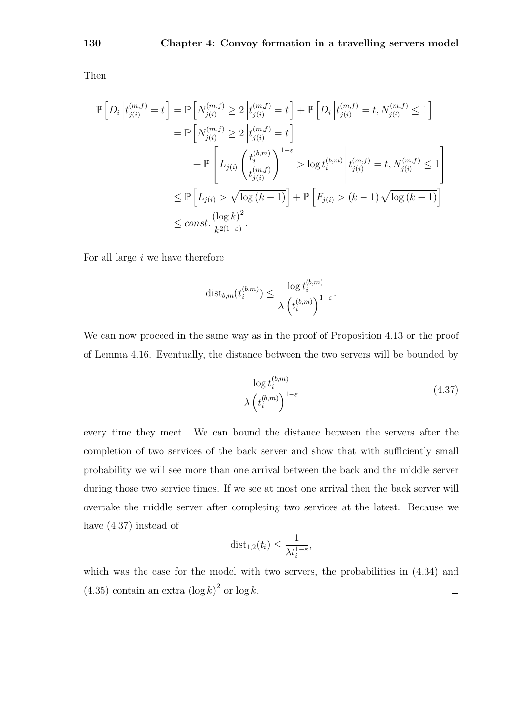Then

$$
\mathbb{P}\left[D_i\left|t_{j(i)}^{(m,f)}=t\right.\right] = \mathbb{P}\left[N_{j(i)}^{(m,f)}\geq 2\left|t_{j(i)}^{(m,f)}=t\right.\right] + \mathbb{P}\left[D_i\left|t_{j(i)}^{(m,f)}=t, N_{j(i)}^{(m,f)}\leq 1\right.\right]
$$
\n
$$
= \mathbb{P}\left[N_{j(i)}^{(m,f)}\geq 2\left|t_{j(i)}^{(m,f)}=t\right.\right]
$$
\n
$$
+ \mathbb{P}\left[L_{j(i)}\left(\frac{t_i^{(b,m)}}{t_{j(i)}^{(m,f)}}\right)^{1-\varepsilon} > \log t_i^{(b,m)}\left|t_{j(i)}^{(m,f)}=t, N_{j(i)}^{(m,f)}\leq 1\right.\right]
$$
\n
$$
\leq \mathbb{P}\left[L_{j(i)} > \sqrt{\log (k-1)}\right] + \mathbb{P}\left[F_{j(i)} > (k-1)\sqrt{\log (k-1)}\right]
$$
\n
$$
\leq const.\frac{(\log k)^2}{k^{2(1-\varepsilon)}}.
$$

For all large  $i$  we have therefore

$$
\mathrm{dist}_{b,m}(t_i^{(b,m)}) \leq \frac{\log t_i^{(b,m)}}{\lambda \left(t_i^{(b,m)}\right)^{1-\varepsilon}}.
$$

We can now proceed in the same way as in the proof of Proposition 4.13 or the proof of Lemma 4.16. Eventually, the distance between the two servers will be bounded by

$$
\frac{\log t_i^{(b,m)}}{\lambda \left(t_i^{(b,m)}\right)^{1-\varepsilon}}\tag{4.37}
$$

every time they meet. We can bound the distance between the servers after the completion of two services of the back server and show that with sufficiently small probability we will see more than one arrival between the back and the middle server during those two service times. If we see at most one arrival then the back server will overtake the middle server after completing two services at the latest. Because we have (4.37) instead of

$$
\mathrm{dist}_{1,2}(t_i) \le \frac{1}{\lambda t_i^{1-\varepsilon}},
$$

which was the case for the model with two servers, the probabilities in  $(4.34)$  and  $(4.35)$  contain an extra  $(\log k)^2$  or  $\log k$ .  $\Box$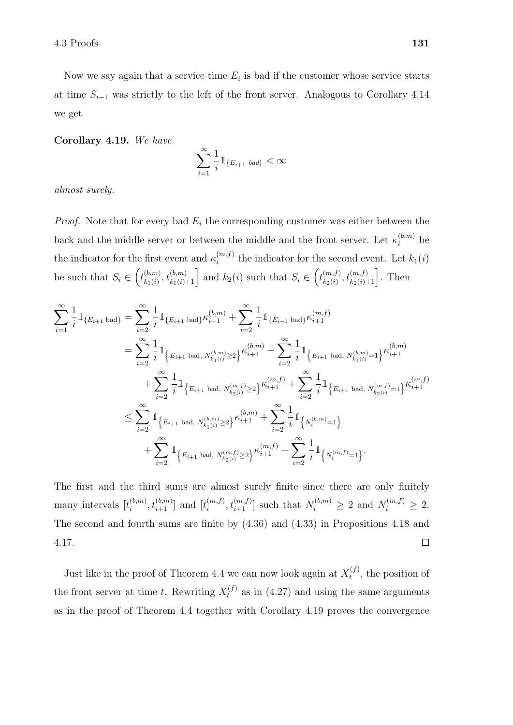Now we say again that a service time  $E_i$  is bad if the customer whose service starts at time  $S_{i-1}$  was strictly to the left of the front server. Analogous to Corollary 4.14 we get

Corollary 4.19. We have

$$
\sum_{i=1}^{\infty} \frac{1}{i} \mathbb{1}_{\{E_{i+1} \text{ bad}\}} < \infty
$$

almost surely.

*Proof.* Note that for every bad  $E_i$  the corresponding customer was either between the back and the middle server or between the middle and the front server. Let  $\kappa_i^{(b,m)}$  be the indicator for the first event and  $\kappa_i^{(m,f)}$  $\sum_{i=1}^{(m,j)}$  the indicator for the second event. Let  $k_1(i)$ be such that  $S_i \in \left(t_{k_1(i)}^{(b,m)}\right)$  $\begin{bmatrix} (b,m) \\ k_1(i) \end{bmatrix}$ ,  $t^{(b,m)}_{k_1(i)+1}$  and  $k_2(i)$  such that  $S_i \in \left(t^{(m,f)}_{k_2(i)}\right)$  $\binom{m,f}{k_2(i)}, t\binom{m,f}{k_2(i)+1}$ . Then

$$
\sum_{i=1}^{\infty} \frac{1}{i} \mathbbm{1}_{\{E_{i+1} \text{ bad}\}} = \sum_{i=2}^{\infty} \frac{1}{i} \mathbbm{1}_{\{E_{i+1} \text{ bad}\}} \kappa_{i+1}^{(b,m)} + \sum_{i=2}^{\infty} \frac{1}{i} \mathbbm{1}_{\{E_{i+1} \text{ bad}\}} \kappa_{i+1}^{(m,f)}
$$
\n
$$
= \sum_{i=2}^{\infty} \frac{1}{i} \mathbbm{1}_{\{E_{i+1} \text{ bad}, N_{k_1(i)}^{(b,m)} \ge 2\}} \kappa_{i+1}^{(b,m)} + \sum_{i=2}^{\infty} \frac{1}{i} \mathbbm{1}_{\{E_{i+1} \text{ bad}, N_{k_1(i)}^{(b,m)} = 1\}} \kappa_{i+1}^{(b,m)}
$$
\n
$$
+ \sum_{i=2}^{\infty} \frac{1}{i} \mathbbm{1}_{\{E_{i+1} \text{ bad}, N_{k_2(i)}^{(m,f)} \ge 2\}} \kappa_{i+1}^{(m,f)} + \sum_{i=2}^{\infty} \frac{1}{i} \mathbbm{1}_{\{E_{i+1} \text{ bad}, N_{k_2(i)}^{(m,f)} = 1\}} \kappa_{i+1}^{(m,f)}
$$
\n
$$
\le \sum_{i=2}^{\infty} \mathbbm{1}_{\{E_{i+1} \text{ bad}, N_{k_1(i)}^{(b,m)} \ge 2\}} \kappa_{i+1}^{(b,m)} + \sum_{i=2}^{\infty} \frac{1}{i} \mathbbm{1}_{\{N_i^{(b,m)} = 1\}}
$$
\n
$$
+ \sum_{i=2}^{\infty} \mathbbm{1}_{\{E_{i+1} \text{ bad}, N_{k_2(i)}^{(m,f)} \ge 2\}} \kappa_{i+1}^{(m,f)} + \sum_{i=2}^{\infty} \frac{1}{i} \mathbbm{1}_{\{N_i^{(m,f)} = 1\}}.
$$

The first and the third sums are almost surely finite since there are only finitely many intervals  $[t_i^{(b,m)}]$  $\binom{(b,m)}{i}, t_{i+1}^{(b,m)}$  and  $\binom{(m,f)}{i}$  $\{z_i^{(m,f)}, t_{i+1}^{(m,f)}\}$  such that  $N_i^{(b,m)} \geq 2$  and  $N_i^{(m,f)} \geq 2$ . The second and fourth sums are finite by (4.36) and (4.33) in Propositions 4.18 and 4.17.  $\Box$ 

Just like in the proof of Theorem 4.4 we can now look again at  $X_t^{(f)}$  $t^{(J)}$ , the position of the front server at time t. Rewriting  $X_t^{(f)}$  as in (4.27) and using the same arguments as in the proof of Theorem 4.4 together with Corollary 4.19 proves the convergence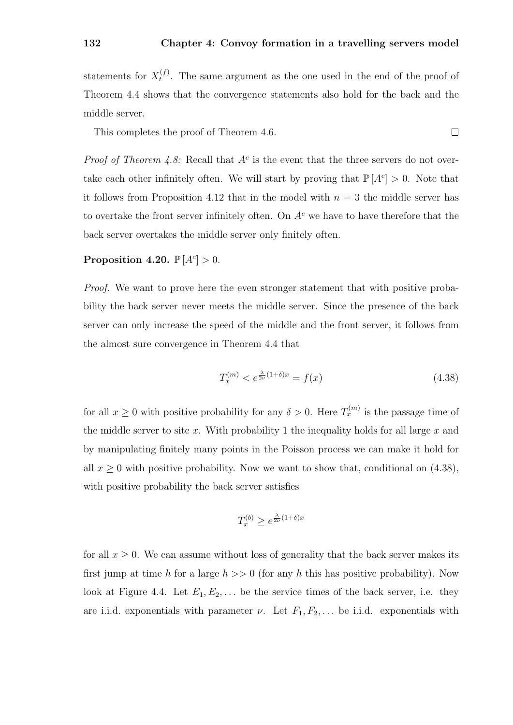statements for  $X_t^{(f)}$  $t^{(1)}$ . The same argument as the one used in the end of the proof of Theorem 4.4 shows that the convergence statements also hold for the back and the middle server.

 $\Box$ This completes the proof of Theorem 4.6.

*Proof of Theorem 4.8:* Recall that  $A<sup>c</sup>$  is the event that the three servers do not overtake each other infinitely often. We will start by proving that  $\mathbb{P}[A^c] > 0$ . Note that it follows from Proposition 4.12 that in the model with  $n = 3$  the middle server has to overtake the front server infinitely often. On  $A<sup>c</sup>$  we have to have therefore that the back server overtakes the middle server only finitely often.

### Proposition 4.20.  $\mathbb{P}[A^c] > 0$ .

Proof. We want to prove here the even stronger statement that with positive probability the back server never meets the middle server. Since the presence of the back server can only increase the speed of the middle and the front server, it follows from the almost sure convergence in Theorem 4.4 that

$$
T_x^{(m)} < e^{\frac{\lambda}{2\nu}(1+\delta)x} = f(x) \tag{4.38}
$$

for all  $x \geq 0$  with positive probability for any  $\delta > 0$ . Here  $T_x^{(m)}$  is the passage time of the middle server to site x. With probability 1 the inequality holds for all large  $x$  and by manipulating finitely many points in the Poisson process we can make it hold for all  $x \geq 0$  with positive probability. Now we want to show that, conditional on (4.38), with positive probability the back server satisfies

$$
T_x^{(b)} \ge e^{\frac{\lambda}{2\nu}(1+\delta)x}
$$

for all  $x \geq 0$ . We can assume without loss of generality that the back server makes its first jump at time h for a large  $h \gg 0$  (for any h this has positive probability). Now look at Figure 4.4. Let  $E_1, E_2, \ldots$  be the service times of the back server, i.e. they are i.i.d. exponentials with parameter  $\nu$ . Let  $F_1, F_2, \ldots$  be i.i.d. exponentials with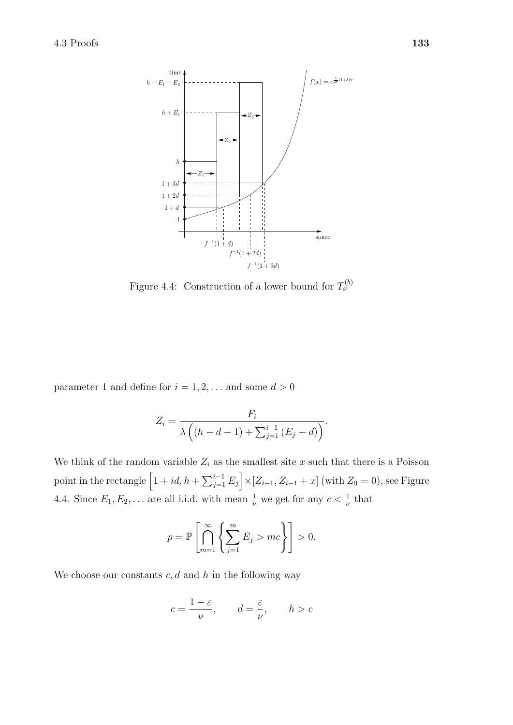

Figure 4.4: Construction of a lower bound for  $T_x^{(b)}$ 

parameter 1 and define for  $i = 1, 2, \ldots$  and some  $d > 0$ 

$$
Z_i = \frac{F_i}{\lambda \left( (h - d - 1) + \sum_{j=1}^{i-1} (E_j - d) \right)}.
$$

We think of the random variable  $Z_i$  as the smallest site x such that there is a Poisson point in the rectangle  $\left[1+id, h+\sum_{j=1}^{i-1} E_j\right] \times [Z_{i-1}, Z_{i-1}+x]$  (with  $Z_0 = 0$ ), see Figure 4.4. Since  $E_1, E_2, \ldots$  are all i.i.d. with mean  $\frac{1}{\nu}$  we get for any  $c < \frac{1}{\nu}$  that

$$
p = \mathbb{P}\left[\bigcap_{m=1}^{\infty} \left\{\sum_{j=1}^{m} E_j > mc\right\}\right] > 0.
$$

We choose our constants  $c, d$  and h in the following way

$$
c = \frac{1 - \varepsilon}{\nu}, \qquad d = \frac{\varepsilon}{\nu}, \qquad h > c
$$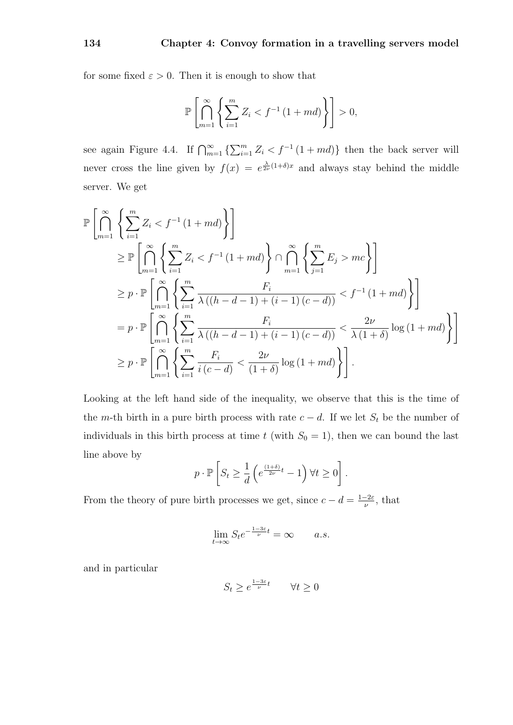for some fixed  $\varepsilon > 0$ . Then it is enough to show that

$$
\mathbb{P}\left[\bigcap_{m=1}^{\infty}\left\{\sum_{i=1}^{m}Z_i < f^{-1}\left(1+md\right)\right\}\right] > 0,
$$

see again Figure 4.4. If  $\bigcap_{m=1}^{\infty} \left\{ \sum_{i=1}^{m} Z_i \leq f^{-1} (1 + md) \right\}$  then the back server will never cross the line given by  $f(x) = e^{\frac{\lambda}{2\nu}(1+\delta)x}$  and always stay behind the middle server. We get

$$
\mathbb{P}\left[\bigcap_{m=1}^{\infty}\left\{\sum_{i=1}^{m}Z_{i}< f^{-1}(1+md)\right\}\right]
$$
\n
$$
\geq \mathbb{P}\left[\bigcap_{m=1}^{\infty}\left\{\sum_{i=1}^{m}Z_{i}< f^{-1}(1+md)\right\}\cap\bigcap_{m=1}^{\infty}\left\{\sum_{j=1}^{m}E_{j}> mc\right\}\right]
$$
\n
$$
\geq p \cdot \mathbb{P}\left[\bigcap_{m=1}^{\infty}\left\{\sum_{i=1}^{m}\frac{F_{i}}{\lambda\left((h-d-1)+(i-1)(c-d)\right)}< f^{-1}(1+md)\right\}\right]
$$
\n
$$
= p \cdot \mathbb{P}\left[\bigcap_{m=1}^{\infty}\left\{\sum_{i=1}^{m}\frac{F_{i}}{\lambda\left((h-d-1)+(i-1)(c-d)\right)}<\frac{2\nu}{\lambda(1+\delta)}\log\left(1+md\right)\right\}\right]
$$
\n
$$
\geq p \cdot \mathbb{P}\left[\bigcap_{m=1}^{\infty}\left\{\sum_{i=1}^{m}\frac{F_{i}}{i(c-d)}<\frac{2\nu}{(1+\delta)}\log\left(1+md\right)\right\}\right].
$$

Looking at the left hand side of the inequality, we observe that this is the time of the m-th birth in a pure birth process with rate  $c - d$ . If we let  $S_t$  be the number of individuals in this birth process at time t (with  $S_0 = 1$ ), then we can bound the last line above by

$$
p \cdot \mathbb{P}\left[S_t \ge \frac{1}{d} \left(e^{\frac{(1+\delta)}{2\nu}t} - 1\right) \forall t \ge 0\right].
$$

From the theory of pure birth processes we get, since  $c - d = \frac{1-2\varepsilon}{\mu}$  $\frac{-2\varepsilon}{\nu}$ , that

$$
\lim_{t \to \infty} S_t e^{-\frac{1-3\varepsilon}{\nu}t} = \infty \qquad a.s.
$$

and in particular

$$
S_t \ge e^{\frac{1-3\varepsilon}{\nu}t} \qquad \forall t \ge 0
$$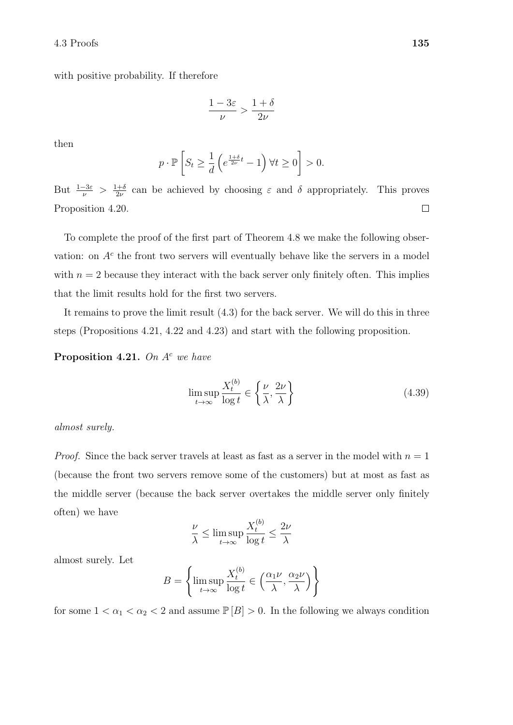with positive probability. If therefore

$$
\frac{1-3\varepsilon}{\nu} > \frac{1+\delta}{2\nu}
$$

then

$$
p \cdot \mathbb{P}\left[S_t \ge \frac{1}{d} \left(e^{\frac{1+\delta}{2\nu}t} - 1\right) \forall t \ge 0\right] > 0.
$$

But  $\frac{1-3\varepsilon}{\nu} > \frac{1+\delta}{2\nu}$  $\frac{1}{2\nu}$  can be achieved by choosing  $\varepsilon$  and  $\delta$  appropriately. This proves Proposition 4.20.  $\Box$ 

To complete the proof of the first part of Theorem 4.8 we make the following observation: on  $A<sup>c</sup>$  the front two servers will eventually behave like the servers in a model with  $n = 2$  because they interact with the back server only finitely often. This implies that the limit results hold for the first two servers.

It remains to prove the limit result (4.3) for the back server. We will do this in three steps (Propositions 4.21, 4.22 and 4.23) and start with the following proposition.

**Proposition 4.21.** On  $A^c$  we have

$$
\limsup_{t \to \infty} \frac{X_t^{(b)}}{\log t} \in \left\{ \frac{\nu}{\lambda}, \frac{2\nu}{\lambda} \right\} \tag{4.39}
$$

almost surely.

*Proof.* Since the back server travels at least as fast as a server in the model with  $n = 1$ (because the front two servers remove some of the customers) but at most as fast as the middle server (because the back server overtakes the middle server only finitely often) we have

$$
\frac{\nu}{\lambda} \le \limsup_{t \to \infty} \frac{X_t^{(b)}}{\log t} \le \frac{2\nu}{\lambda}
$$

almost surely. Let

$$
B = \left\{ \limsup_{t \to \infty} \frac{X_t^{(b)}}{\log t} \in \left( \frac{\alpha_1 \nu}{\lambda}, \frac{\alpha_2 \nu}{\lambda} \right) \right\}
$$

for some  $1 < \alpha_1 < \alpha_2 < 2$  and assume  $\mathbb{P}[B] > 0$ . In the following we always condition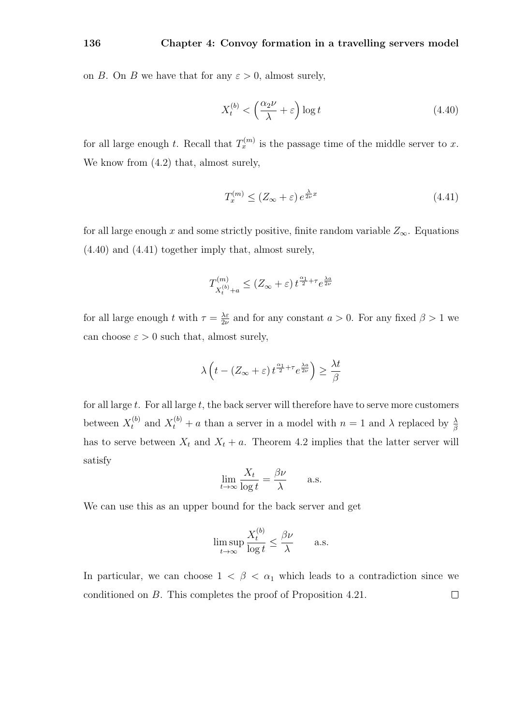on B. On B we have that for any  $\varepsilon > 0$ , almost surely,

$$
X_t^{(b)} < \left(\frac{\alpha_2 \nu}{\lambda} + \varepsilon\right) \log t \tag{4.40}
$$

for all large enough t. Recall that  $T_x^{(m)}$  is the passage time of the middle server to x. We know from (4.2) that, almost surely,

$$
T_x^{(m)} \le (Z_{\infty} + \varepsilon) e^{\frac{\lambda}{2\nu}x} \tag{4.41}
$$

for all large enough x and some strictly positive, finite random variable  $Z_{\infty}$ . Equations (4.40) and (4.41) together imply that, almost surely,

$$
T^{(m)}_{X^{(b)}_t+a}\leq \left(Z_\infty+\varepsilon\right)t^{\frac{\alpha_1}{2}+\tau}e^{\frac{\lambda a}{2\nu}}
$$

for all large enough t with  $\tau = \frac{\lambda \varepsilon}{2\nu}$  $\frac{\lambda \varepsilon}{2\nu}$  and for any constant  $a > 0$ . For any fixed  $\beta > 1$  we can choose  $\varepsilon > 0$  such that, almost surely,

$$
\lambda \left( t - (Z_{\infty} + \varepsilon) t^{\frac{\alpha_1}{2} + \tau} e^{\frac{\lambda a}{2\nu}} \right) \ge \frac{\lambda t}{\beta}
$$

for all large  $t$ . For all large  $t$ , the back server will therefore have to serve more customers between  $X_t^{(b)}$  and  $X_t^{(b)}$  + a than a server in a model with  $n = 1$  and  $\lambda$  replaced by  $\frac{\lambda}{\beta}$ has to serve between  $X_t$  and  $X_t + a$ . Theorem 4.2 implies that the latter server will satisfy

$$
\lim_{t \to \infty} \frac{X_t}{\log t} = \frac{\beta \nu}{\lambda} \quad \text{a.s.}
$$

We can use this as an upper bound for the back server and get

$$
\limsup_{t \to \infty} \frac{X_t^{(b)}}{\log t} \le \frac{\beta \nu}{\lambda} \qquad \text{a.s.}
$$

In particular, we can choose  $1 < \beta < \alpha_1$  which leads to a contradiction since we conditioned on B. This completes the proof of Proposition 4.21. $\Box$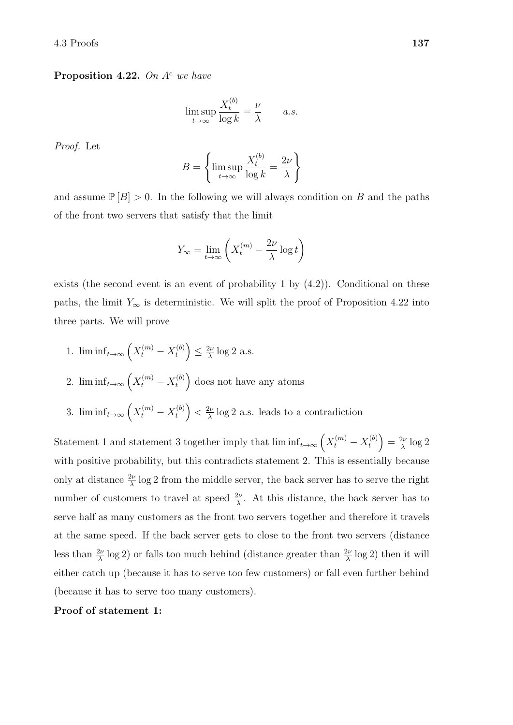**Proposition 4.22.** On  $A^c$  we have

$$
\limsup_{t \to \infty} \frac{X_t^{(b)}}{\log k} = \frac{\nu}{\lambda} \qquad a.s.
$$

Proof. Let

$$
B = \left\{ \limsup_{t \to \infty} \frac{X_t^{(b)}}{\log k} = \frac{2\nu}{\lambda} \right\}
$$

and assume  $\mathbb{P}[B] > 0$ . In the following we will always condition on B and the paths of the front two servers that satisfy that the limit

$$
Y_{\infty} = \lim_{t \to \infty} \left( X_t^{(m)} - \frac{2\nu}{\lambda} \log t \right)
$$

exists (the second event is an event of probability 1 by (4.2)). Conditional on these paths, the limit  $Y_{\infty}$  is deterministic. We will split the proof of Proposition 4.22 into three parts. We will prove

1.  $\liminf_{t \to \infty} \left( X_t^{(m)} - X_t^{(b)} \right)$  $\binom{b}{t} \leq \frac{2\nu}{\lambda}$  $\frac{2\nu}{\lambda}$  log 2 a.s. 2.  $\liminf_{t \to \infty} \left( X_t^{(m)} - X_t^{(b)} \right)$  $t<sub>t</sub><sup>(b)</sup>$  does not have any atoms 3.  $\liminf_{t\to\infty} \left( X_t^{(m)} - X_t^{(b)} \right)$  $\binom{(b)}{t} < \frac{2\nu}{\lambda}$  $\frac{2\nu}{\lambda}$  log 2 a.s. leads to a contradiction

Statement 1 and statement 3 together imply that  $\liminf_{t\to\infty} \left(X_t^{(m)} - X_t^{(b)}\right)$  $\left(\begin{smallmatrix} b \ t \end{smallmatrix}\right) = \frac{2\nu}{\lambda}$  $\frac{2\nu}{\lambda} \log 2$ with positive probability, but this contradicts statement 2. This is essentially because only at distance  $\frac{2\nu}{\lambda}$  log 2 from the middle server, the back server has to serve the right number of customers to travel at speed  $\frac{2\nu}{\lambda}$ . At this distance, the back server has to serve half as many customers as the front two servers together and therefore it travels at the same speed. If the back server gets to close to the front two servers (distance less than  $\frac{2\nu}{\lambda}$  log 2) or falls too much behind (distance greater than  $\frac{2\nu}{\lambda}$  log 2) then it will either catch up (because it has to serve too few customers) or fall even further behind (because it has to serve too many customers).

Proof of statement 1: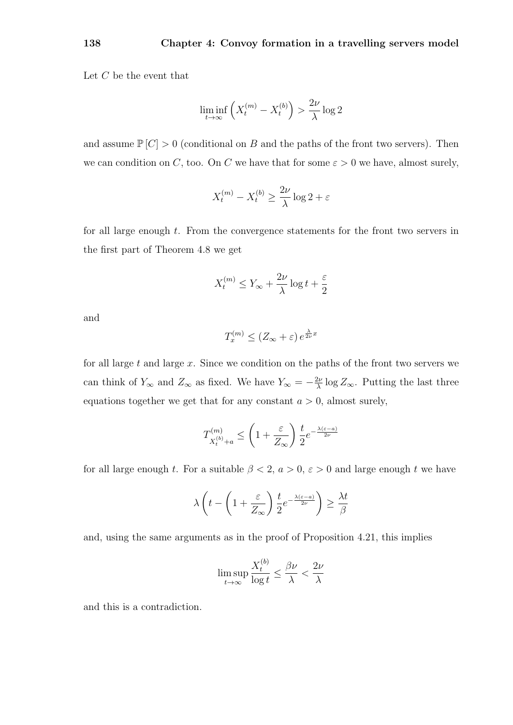Let  $C$  be the event that

$$
\liminf_{t \to \infty} \left( X_t^{(m)} - X_t^{(b)} \right) > \frac{2\nu}{\lambda} \log 2
$$

and assume  $\mathbb{P}[C] > 0$  (conditional on B and the paths of the front two servers). Then we can condition on C, too. On C we have that for some  $\varepsilon > 0$  we have, almost surely,

$$
X_t^{(m)} - X_t^{(b)} \ge \frac{2\nu}{\lambda} \log 2 + \varepsilon
$$

for all large enough t. From the convergence statements for the front two servers in the first part of Theorem 4.8 we get

$$
X_t^{(m)} \le Y_{\infty} + \frac{2\nu}{\lambda} \log t + \frac{\varepsilon}{2}
$$

and

$$
T_x^{(m)} \le (Z_{\infty} + \varepsilon) e^{\frac{\lambda}{2\nu}x}
$$

for all large  $t$  and large  $x$ . Since we condition on the paths of the front two servers we can think of  $Y_{\infty}$  and  $Z_{\infty}$  as fixed. We have  $Y_{\infty} = -\frac{2\nu}{\lambda}$  $\frac{2\nu}{\lambda}$  log  $Z_{\infty}$ . Putting the last three equations together we get that for any constant  $a > 0$ , almost surely,

$$
T_{X_t^{(b)}+a}^{(m)} \le \left(1 + \frac{\varepsilon}{Z_{\infty}}\right) \frac{t}{2} e^{-\frac{\lambda(\varepsilon - a)}{2\nu}}
$$

for all large enough t. For a suitable  $\beta < 2$ ,  $a > 0$ ,  $\varepsilon > 0$  and large enough t we have

$$
\lambda \left( t - \left( 1 + \frac{\varepsilon}{Z_{\infty}} \right) \frac{t}{2} e^{-\frac{\lambda (\varepsilon - a)}{2\nu}} \right) \ge \frac{\lambda t}{\beta}
$$

and, using the same arguments as in the proof of Proposition 4.21, this implies

$$
\limsup_{t \to \infty} \frac{X_t^{(b)}}{\log t} \le \frac{\beta \nu}{\lambda} < \frac{2 \nu}{\lambda}
$$

and this is a contradiction.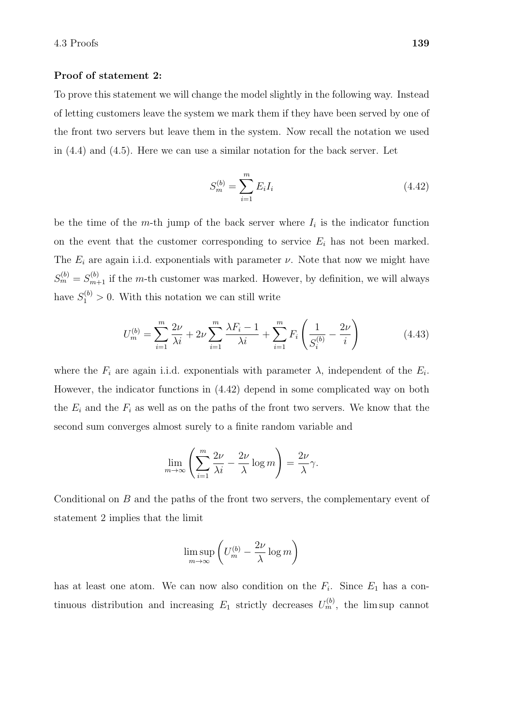### Proof of statement 2:

To prove this statement we will change the model slightly in the following way. Instead of letting customers leave the system we mark them if they have been served by one of the front two servers but leave them in the system. Now recall the notation we used in (4.4) and (4.5). Here we can use a similar notation for the back server. Let

$$
S_m^{(b)} = \sum_{i=1}^m E_i I_i
$$
 (4.42)

be the time of the m-th jump of the back server where  $I_i$  is the indicator function on the event that the customer corresponding to service  $E_i$  has not been marked. The  $E_i$  are again i.i.d. exponentials with parameter  $\nu$ . Note that now we might have  $S_m^{(b)} = S_{m+1}^{(b)}$  if the m-th customer was marked. However, by definition, we will always have  $S_1^{(b)} > 0$ . With this notation we can still write

$$
U_m^{(b)} = \sum_{i=1}^m \frac{2\nu}{\lambda i} + 2\nu \sum_{i=1}^m \frac{\lambda F_i - 1}{\lambda i} + \sum_{i=1}^m F_i \left( \frac{1}{S_i^{(b)}} - \frac{2\nu}{i} \right)
$$
(4.43)

where the  $F_i$  are again i.i.d. exponentials with parameter  $\lambda$ , independent of the  $E_i$ . However, the indicator functions in (4.42) depend in some complicated way on both the  $E_i$  and the  $F_i$  as well as on the paths of the front two servers. We know that the second sum converges almost surely to a finite random variable and

$$
\lim_{m \to \infty} \left( \sum_{i=1}^{m} \frac{2\nu}{\lambda i} - \frac{2\nu}{\lambda} \log m \right) = \frac{2\nu}{\lambda} \gamma.
$$

Conditional on B and the paths of the front two servers, the complementary event of statement 2 implies that the limit

$$
\limsup_{m \to \infty} \left( U_m^{(b)} - \frac{2\nu}{\lambda} \log m \right)
$$

has at least one atom. We can now also condition on the  $F_i$ . Since  $E_1$  has a continuous distribution and increasing  $E_1$  strictly decreases  $U_m^{(b)}$ , the lim sup cannot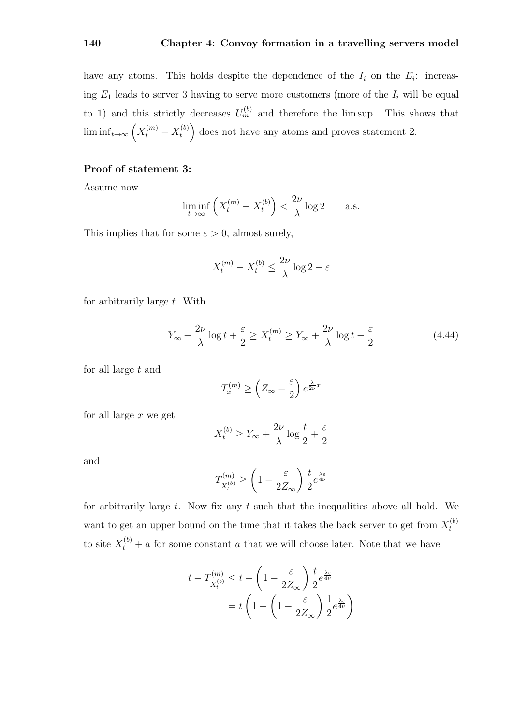have any atoms. This holds despite the dependence of the  $I_i$  on the  $E_i$ : increasing  $E_1$  leads to server 3 having to serve more customers (more of the  $I_i$  will be equal to 1) and this strictly decreases  $U_m^{(b)}$  and therefore the lim sup. This shows that  $\liminf_{t\to\infty}\left(X_t^{(m)}-X_t^{(b)}\right)$  $t_t^{(b)}$  does not have any atoms and proves statement 2.

## Proof of statement 3:

Assume now

$$
\liminf_{t \to \infty} \left( X_t^{(m)} - X_t^{(b)} \right) < \frac{2\nu}{\lambda} \log 2 \qquad \text{a.s.}
$$

This implies that for some  $\varepsilon > 0$ , almost surely,

$$
X_t^{(m)} - X_t^{(b)} \le \frac{2\nu}{\lambda} \log 2 - \varepsilon
$$

for arbitrarily large  $t$ . With

$$
Y_{\infty} + \frac{2\nu}{\lambda} \log t + \frac{\varepsilon}{2} \ge X_t^{(m)} \ge Y_{\infty} + \frac{2\nu}{\lambda} \log t - \frac{\varepsilon}{2}
$$
 (4.44)

for all large t and

$$
T_x^{(m)} \ge \left(Z_{\infty} - \frac{\varepsilon}{2}\right) e^{\frac{\lambda}{2\nu}x}
$$

for all large  $x$  we get

$$
X_t^{(b)} \ge Y_{\infty} + \frac{2\nu}{\lambda} \log \frac{t}{2} + \frac{\varepsilon}{2}
$$

and

$$
T_{X_t^{(b)}}^{(m)} \ge \left(1 - \frac{\varepsilon}{2Z_{\infty}}\right) \frac{t}{2} e^{\frac{\lambda \varepsilon}{4\nu}}
$$

for arbitrarily large  $t$ . Now fix any  $t$  such that the inequalities above all hold. We want to get an upper bound on the time that it takes the back server to get from  $X_t^{(b)}$ t to site  $X_t^{(b)}$  + a for some constant a that we will choose later. Note that we have

$$
t - T_{X_t^{(b)}}^{(m)} \le t - \left(1 - \frac{\varepsilon}{2Z_{\infty}}\right) \frac{t}{2} e^{\frac{\lambda \varepsilon}{4\nu}}
$$

$$
= t \left(1 - \left(1 - \frac{\varepsilon}{2Z_{\infty}}\right) \frac{1}{2} e^{\frac{\lambda \varepsilon}{4\nu}}\right)
$$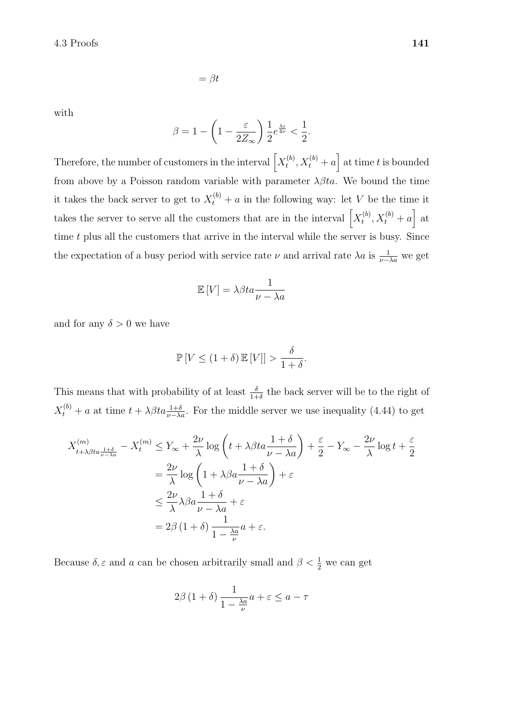with

$$
\beta = 1 - \left(1 - \frac{\varepsilon}{2Z_{\infty}}\right) \frac{1}{2} e^{\frac{\lambda \varepsilon}{4\nu}} < \frac{1}{2}.
$$

 $=\beta t$ 

Therefore, the number of customers in the interval  $\left[ X_t^{(b)} \right]$  $t_t^{(b)}, X_t^{(b)} + a$  at time t is bounded from above by a Poisson random variable with parameter  $\lambda \beta t a$ . We bound the time it takes the back server to get to  $X_t^{(b)}$  + a in the following way: let V be the time it takes the server to serve all the customers that are in the interval  $\left[ X_t^{(b)} \right]$  $t^{(b)}$ ,  $X_t^{(b)}$  + a] at time  $t$  plus all the customers that arrive in the interval while the server is busy. Since the expectation of a busy period with service rate  $\nu$  and arrival rate  $\lambda a$  is  $\frac{1}{\nu - \lambda a}$  we get

$$
\mathbb{E}\left[V\right] = \lambda \beta t a \frac{1}{\nu - \lambda a}
$$

and for any  $\delta > 0$  we have

$$
\mathbb{P}\left[V \le (1+\delta) \mathbb{E}\left[V\right]\right] > \frac{\delta}{1+\delta}.
$$

This means that with probability of at least  $\frac{\delta}{1+\delta}$  the back server will be to the right of  $X_t^{(b)} + a$  at time  $t + \lambda \beta t a \frac{1+\delta}{\nu - \lambda a}$ . For the middle server we use inequality (4.44) to get

$$
X_{t+\lambda\beta t a \frac{1+\delta}{\nu-\lambda a}}^{(m)} - X_t^{(m)} \le Y_{\infty} + \frac{2\nu}{\lambda} \log\left(t + \lambda\beta t a \frac{1+\delta}{\nu-\lambda a}\right) + \frac{\varepsilon}{2} - Y_{\infty} - \frac{2\nu}{\lambda} \log t + \frac{\varepsilon}{2}
$$
  
=  $\frac{2\nu}{\lambda} \log\left(1 + \lambda\beta a \frac{1+\delta}{\nu-\lambda a}\right) + \varepsilon$   
 $\le \frac{2\nu}{\lambda} \lambda\beta a \frac{1+\delta}{\nu-\lambda a} + \varepsilon$   
=  $2\beta(1+\delta) \frac{1}{1-\frac{\lambda a}{\nu}} a + \varepsilon$ .

Because  $\delta, \varepsilon$  and a can be chosen arbitrarily small and  $\beta < \frac{1}{2}$  we can get

$$
2\beta \left(1+\delta\right) \frac{1}{1-\frac{\lambda a}{\nu}}a+\varepsilon \le a-\tau
$$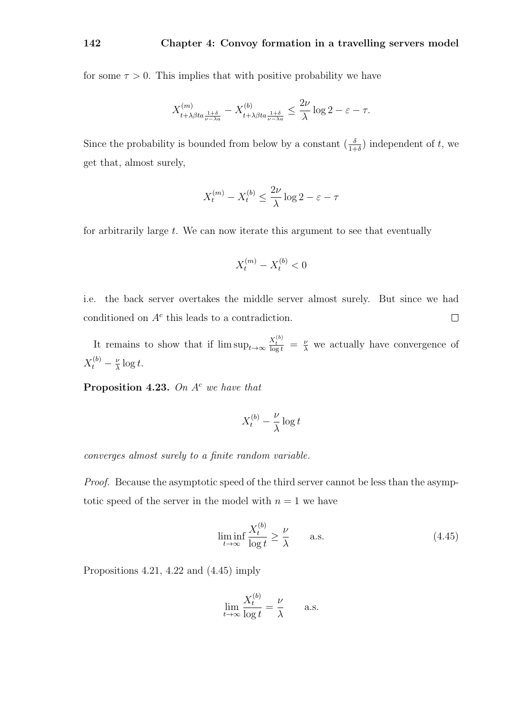for some  $\tau > 0$ . This implies that with positive probability we have

$$
X^{(m)}_{t+\lambda\beta ta\frac{1+\delta}{\nu-\lambda a}} - X^{(b)}_{t+\lambda\beta ta\frac{1+\delta}{\nu-\lambda a}} \leq \frac{2\nu}{\lambda} \log 2 - \varepsilon - \tau.
$$

Since the probability is bounded from below by a constant  $\left(\frac{\delta}{1+\delta}\right)$  independent of t, we get that, almost surely,

$$
X_t^{(m)} - X_t^{(b)} \le \frac{2\nu}{\lambda} \log 2 - \varepsilon - \tau
$$

for arbitrarily large  $t$ . We can now iterate this argument to see that eventually

$$
X_t^{(m)} - X_t^{(b)} < 0
$$

i.e. the back server overtakes the middle server almost surely. But since we had conditioned on  $A<sup>c</sup>$  this leads to a contradiction.  $\Box$ 

It remains to show that if  $\limsup_{t\to\infty} \frac{X_t^{(b)}}{\log t} = \frac{\nu}{\lambda}$  we actually have convergence of  $X_t^{(b)} - \frac{\nu}{\lambda}$  $\frac{\nu}{\lambda} \log t$ .

**Proposition 4.23.** On  $A^c$  we have that

$$
X_t^{(b)} - \frac{\nu}{\lambda} \log t
$$

converges almost surely to a finite random variable.

Proof. Because the asymptotic speed of the third server cannot be less than the asymptotic speed of the server in the model with  $n = 1$  we have

$$
\liminf_{t \to \infty} \frac{X_t^{(b)}}{\log t} \ge \frac{\nu}{\lambda} \qquad \text{a.s.} \tag{4.45}
$$

Propositions 4.21, 4.22 and (4.45) imply

$$
\lim_{t \to \infty} \frac{X_t^{(b)}}{\log t} = \frac{\nu}{\lambda} \quad \text{a.s.}
$$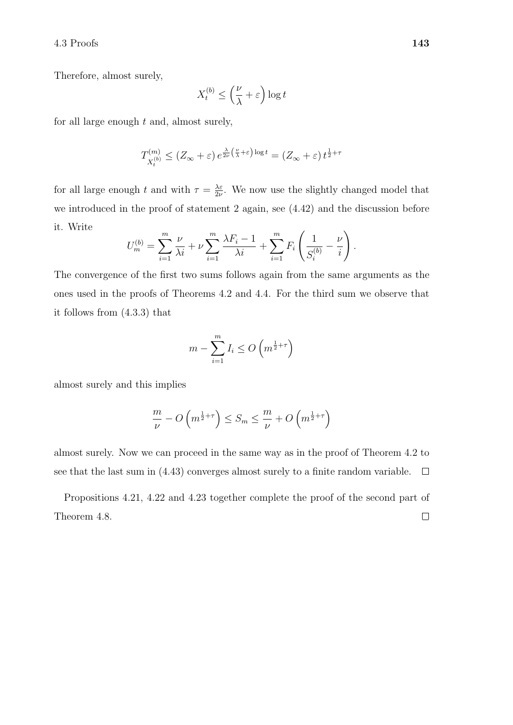## $4.3$  Proofs  $143$

Therefore, almost surely,

$$
X_t^{(b)} \le \left(\frac{\nu}{\lambda} + \varepsilon\right) \log t
$$

for all large enough  $t$  and, almost surely,

$$
T_{X_t^{(b)}}^{(m)} \le (Z_\infty + \varepsilon) e^{\frac{\lambda}{2\nu} \left(\frac{\nu}{\lambda} + \varepsilon\right) \log t} = (Z_\infty + \varepsilon) t^{\frac{1}{2} + \tau}
$$

for all large enough t and with  $\tau = \frac{\lambda \varepsilon}{2\nu}$  $\frac{\lambda \varepsilon}{2\nu}$ . We now use the slightly changed model that we introduced in the proof of statement 2 again, see (4.42) and the discussion before it. Write

$$
U_m^{(b)} = \sum_{i=1}^m \frac{\nu}{\lambda i} + \nu \sum_{i=1}^m \frac{\lambda F_i - 1}{\lambda i} + \sum_{i=1}^m F_i \left( \frac{1}{S_i^{(b)}} - \frac{\nu}{i} \right).
$$

The convergence of the first two sums follows again from the same arguments as the ones used in the proofs of Theorems 4.2 and 4.4. For the third sum we observe that it follows from (4.3.3) that

$$
m - \sum_{i=1}^{m} I_i \le O\left(m^{\frac{1}{2} + \tau}\right)
$$

almost surely and this implies

$$
\frac{m}{\nu} - O\left(m^{\frac{1}{2}+\tau}\right) \le S_m \le \frac{m}{\nu} + O\left(m^{\frac{1}{2}+\tau}\right)
$$

almost surely. Now we can proceed in the same way as in the proof of Theorem 4.2 to see that the last sum in (4.43) converges almost surely to a finite random variable.  $\Box$ 

Propositions 4.21, 4.22 and 4.23 together complete the proof of the second part of  $\Box$ Theorem 4.8.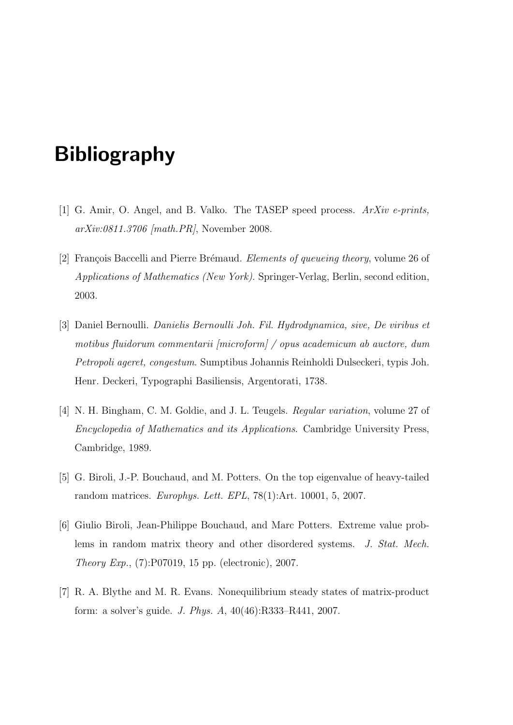# **Bibliography**

- [1] G. Amir, O. Angel, and B. Valko. The TASEP speed process. ArXiv e-prints, arXiv:0811.3706 [math.PR], November 2008.
- [2] François Baccelli and Pierre Brémaud. Elements of queueing theory, volume 26 of Applications of Mathematics (New York). Springer-Verlag, Berlin, second edition, 2003.
- [3] Daniel Bernoulli. Danielis Bernoulli Joh. Fil. Hydrodynamica, sive, De viribus et motibus fluidorum commentarii [microform] / opus academicum ab auctore, dum Petropoli ageret, congestum. Sumptibus Johannis Reinholdi Dulseckeri, typis Joh. Henr. Deckeri, Typographi Basiliensis, Argentorati, 1738.
- [4] N. H. Bingham, C. M. Goldie, and J. L. Teugels. Regular variation, volume 27 of Encyclopedia of Mathematics and its Applications. Cambridge University Press, Cambridge, 1989.
- [5] G. Biroli, J.-P. Bouchaud, and M. Potters. On the top eigenvalue of heavy-tailed random matrices. Europhys. Lett. EPL, 78(1):Art. 10001, 5, 2007.
- [6] Giulio Biroli, Jean-Philippe Bouchaud, and Marc Potters. Extreme value problems in random matrix theory and other disordered systems. J. Stat. Mech. Theory Exp., (7):P07019, 15 pp. (electronic), 2007.
- [7] R. A. Blythe and M. R. Evans. Nonequilibrium steady states of matrix-product form: a solver's guide. J. Phys. A, 40(46):R333–R441, 2007.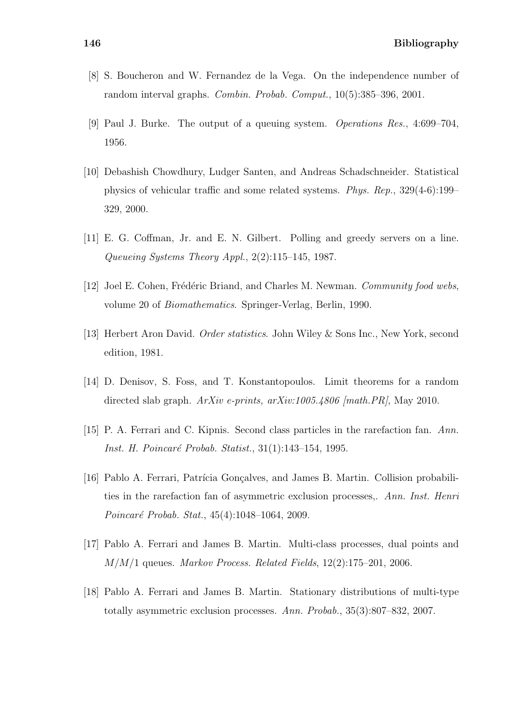- [8] S. Boucheron and W. Fernandez de la Vega. On the independence number of random interval graphs. Combin. Probab. Comput., 10(5):385–396, 2001.
- [9] Paul J. Burke. The output of a queuing system. Operations Res., 4:699–704, 1956.
- [10] Debashish Chowdhury, Ludger Santen, and Andreas Schadschneider. Statistical physics of vehicular traffic and some related systems. Phys. Rep., 329(4-6):199– 329, 2000.
- [11] E. G. Coffman, Jr. and E. N. Gilbert. Polling and greedy servers on a line. Queueing Systems Theory Appl., 2(2):115–145, 1987.
- [12] Joel E. Cohen, Frédéric Briand, and Charles M. Newman. Community food webs, volume 20 of Biomathematics. Springer-Verlag, Berlin, 1990.
- [13] Herbert Aron David. Order statistics. John Wiley & Sons Inc., New York, second edition, 1981.
- [14] D. Denisov, S. Foss, and T. Konstantopoulos. Limit theorems for a random directed slab graph.  $ArXiv$  e-prints, arXiv:1005.4806 [math.PR], May 2010.
- [15] P. A. Ferrari and C. Kipnis. Second class particles in the rarefaction fan. Ann. Inst. H. Poincaré Probab. Statist., 31(1):143–154, 1995.
- [16] Pablo A. Ferrari, Patrícia Goncalves, and James B. Martin. Collision probabilities in the rarefaction fan of asymmetric exclusion processes,. Ann. Inst. Henri Poincaré Probab. Stat., 45(4):1048–1064, 2009.
- [17] Pablo A. Ferrari and James B. Martin. Multi-class processes, dual points and  $M/M/1$  queues. Markov Process. Related Fields, 12(2):175–201, 2006.
- [18] Pablo A. Ferrari and James B. Martin. Stationary distributions of multi-type totally asymmetric exclusion processes. Ann. Probab., 35(3):807–832, 2007.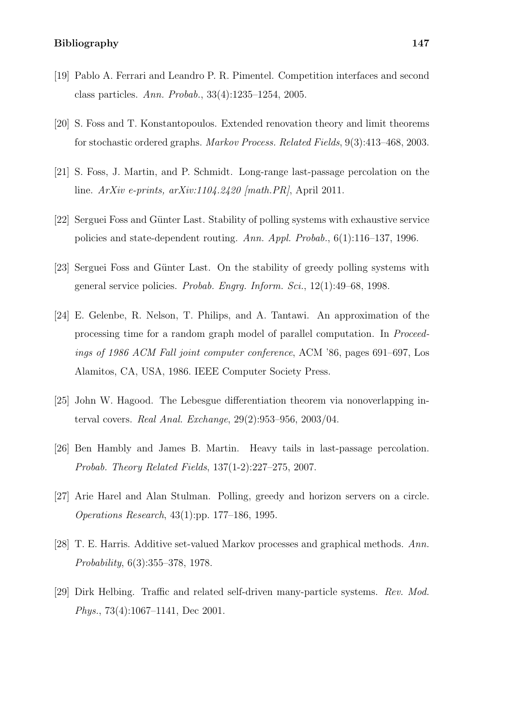### Bibliography 147

- [19] Pablo A. Ferrari and Leandro P. R. Pimentel. Competition interfaces and second class particles. Ann. Probab., 33(4):1235–1254, 2005.
- [20] S. Foss and T. Konstantopoulos. Extended renovation theory and limit theorems for stochastic ordered graphs. Markov Process. Related Fields, 9(3):413–468, 2003.
- [21] S. Foss, J. Martin, and P. Schmidt. Long-range last-passage percolation on the line. ArXiv e-prints, arXiv:1104.2420 [math.PR], April 2011.
- [22] Serguei Foss and Günter Last. Stability of polling systems with exhaustive service policies and state-dependent routing. Ann. Appl. Probab., 6(1):116–137, 1996.
- [23] Serguei Foss and Günter Last. On the stability of greedy polling systems with general service policies. Probab. Engrg. Inform. Sci., 12(1):49–68, 1998.
- [24] E. Gelenbe, R. Nelson, T. Philips, and A. Tantawi. An approximation of the processing time for a random graph model of parallel computation. In Proceedings of 1986 ACM Fall joint computer conference, ACM '86, pages 691–697, Los Alamitos, CA, USA, 1986. IEEE Computer Society Press.
- [25] John W. Hagood. The Lebesgue differentiation theorem via nonoverlapping interval covers. Real Anal. Exchange, 29(2):953–956, 2003/04.
- [26] Ben Hambly and James B. Martin. Heavy tails in last-passage percolation. Probab. Theory Related Fields, 137(1-2):227–275, 2007.
- [27] Arie Harel and Alan Stulman. Polling, greedy and horizon servers on a circle. Operations Research, 43(1):pp. 177–186, 1995.
- [28] T. E. Harris. Additive set-valued Markov processes and graphical methods. Ann. Probability, 6(3):355–378, 1978.
- [29] Dirk Helbing. Traffic and related self-driven many-particle systems. Rev. Mod. Phys., 73(4):1067–1141, Dec 2001.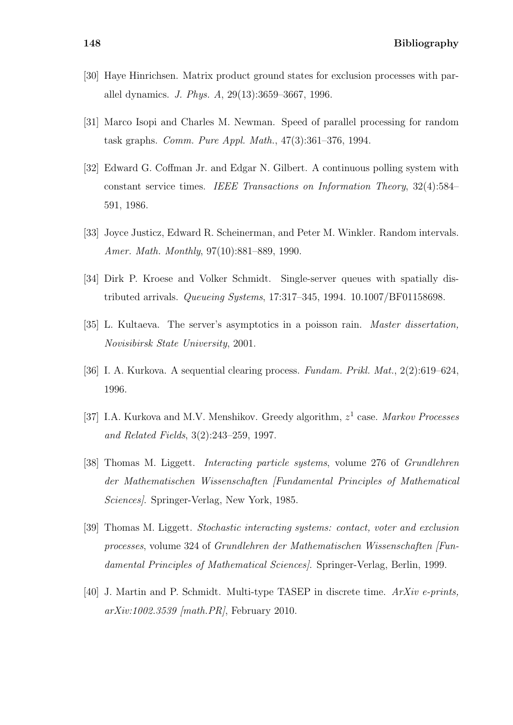- [30] Haye Hinrichsen. Matrix product ground states for exclusion processes with parallel dynamics. J. Phys. A, 29(13):3659–3667, 1996.
- [31] Marco Isopi and Charles M. Newman. Speed of parallel processing for random task graphs. Comm. Pure Appl. Math., 47(3):361–376, 1994.
- [32] Edward G. Coffman Jr. and Edgar N. Gilbert. A continuous polling system with constant service times. IEEE Transactions on Information Theory, 32(4):584– 591, 1986.
- [33] Joyce Justicz, Edward R. Scheinerman, and Peter M. Winkler. Random intervals. Amer. Math. Monthly, 97(10):881–889, 1990.
- [34] Dirk P. Kroese and Volker Schmidt. Single-server queues with spatially distributed arrivals. Queueing Systems, 17:317–345, 1994. 10.1007/BF01158698.
- [35] L. Kultaeva. The server's asymptotics in a poisson rain. *Master dissertation*, Novisibirsk State University, 2001.
- [36] I. A. Kurkova. A sequential clearing process. Fundam. Prikl. Mat., 2(2):619–624, 1996.
- [37] I.A. Kurkova and M.V. Menshikov. Greedy algorithm,  $z<sup>1</sup>$  case. Markov Processes and Related Fields, 3(2):243–259, 1997.
- [38] Thomas M. Liggett. Interacting particle systems, volume 276 of Grundlehren der Mathematischen Wissenschaften [Fundamental Principles of Mathematical Sciences]. Springer-Verlag, New York, 1985.
- [39] Thomas M. Liggett. Stochastic interacting systems: contact, voter and exclusion processes, volume 324 of Grundlehren der Mathematischen Wissenschaften [Fundamental Principles of Mathematical Sciences]. Springer-Verlag, Berlin, 1999.
- [40] J. Martin and P. Schmidt. Multi-type TASEP in discrete time. ArXiv e-prints, arXiv:1002.3539 [math.PR], February 2010.